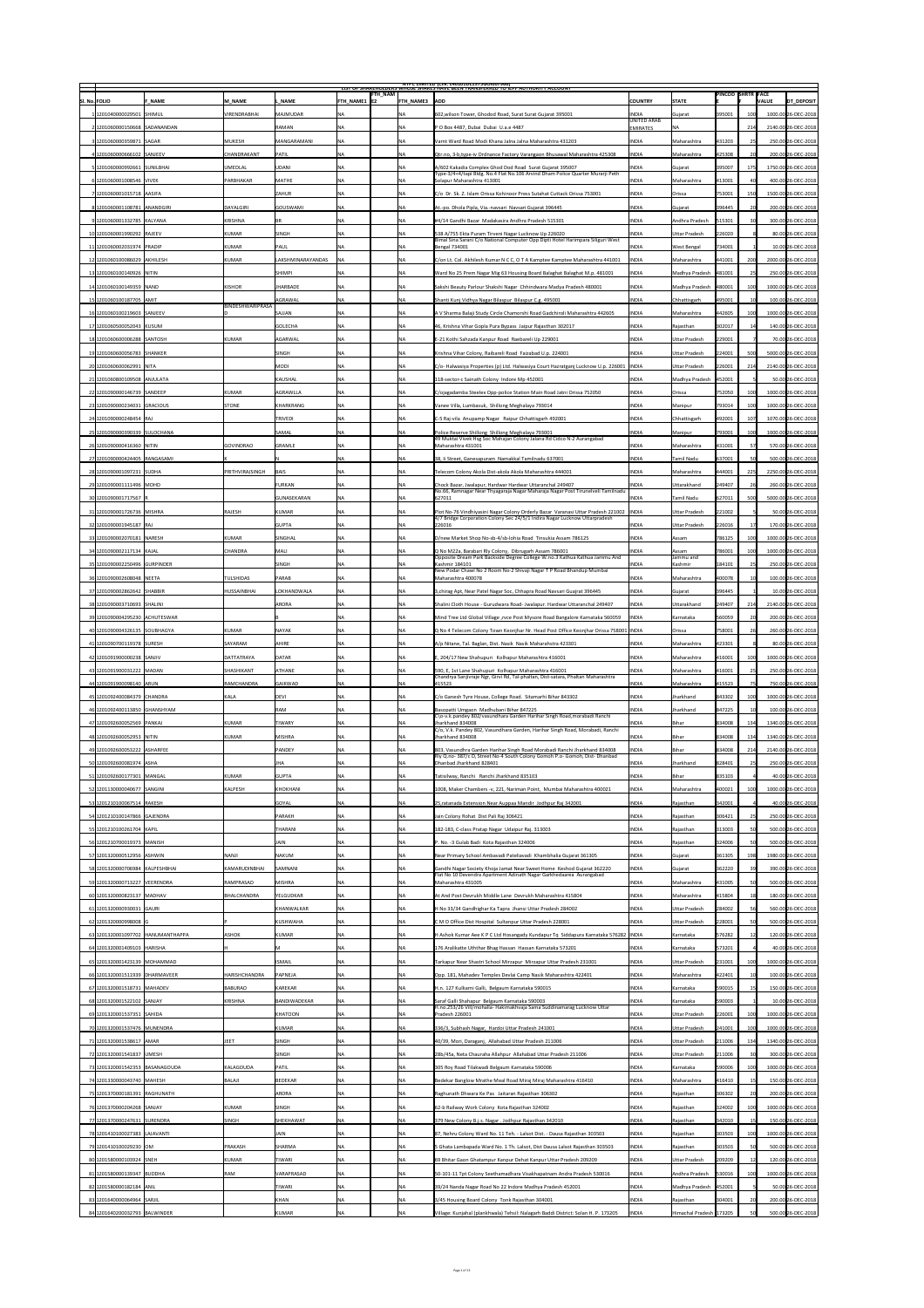|                                                                  |                                          |                     |                                       |                        | <b>NIPC LIMITED (CIN: L4U1U1DL1975GOIUU7966)</b><br>LIST OF SHAKEHOLDERS WHOSE SHAKES HAVE BEEN TRANSFERKED TO JEPF AUTHORITY ACCOUNT                                 |                                    |                        | <b>PINCOD SHRTR FACE</b> |                 |                                          |
|------------------------------------------------------------------|------------------------------------------|---------------------|---------------------------------------|------------------------|-----------------------------------------------------------------------------------------------------------------------------------------------------------------------|------------------------------------|------------------------|--------------------------|-----------------|------------------------------------------|
| <b>SI. No. FOLIO</b><br><b>F NAME</b>                            | M NAME                                   | . NAME              | <b>FTH_NAM</b><br><b>FTH NAME1 E2</b> | <b>FTH NAME3 ADD</b>   |                                                                                                                                                                       | <b>COUNTRY</b>                     | <b>STATE</b>           |                          |                 | <b>DT_DEPOSIT</b><br><b>VALUE</b>        |
| 1 1201040000029501 SHIMUL                                        | <b>VIRENDRABHAI</b>                      | MAJMUDAR            | INA.                                  | <b>INA</b>             | 602, wilson Tower, Ghodod Road, Surat Surat Gujarat 395001                                                                                                            | <b>INDIA</b><br><b>UNITED ARAB</b> | Gujarat                | 395001                   |                 | 1000.00 26-DEC-2018                      |
|                                                                  |                                          | <b>RAMAN</b>        | INA.                                  | INA                    | P O Box 4487, Dubai Dubai U.a.e 4487                                                                                                                                  | <b>EMIRATES</b>                    | INA                    |                          | 214             | 2140.00 26-DEC-2018                      |
| 3 1201060000359871 SAGAR                                         | <b>MUKESH</b>                            | MANGARAMANI         | <b>NA</b>                             | INA                    | Varnt Ward Road Modi Khana Jalna Jalna Maharashtra 431203                                                                                                             | <b>INDIA</b>                       | Maharashtra            | $ 431203\rangle$         | 25              | 250.00 26-DEC-2018                       |
| 4 1201060000666102 SANJEEV                                       | <b>CHANDRAKANT</b>                       | PATIL               | NА                                    | NA                     | Qtr.no, 3-b,type-iv Ordnance Factory Varangaon Bhusawal Maharashtra 425308                                                                                            | <b>INDIA</b>                       | Maharashtra            | 425308                   |                 | 200.00 26-DEC-2018                       |
| 5 1201060000992661 SUNILBHAI                                     | <b>UMEDLAL</b>                           | UDANI               | <b>NA</b>                             | NA                     | A/602 Kakadia Complex Ghod Dod Road Surat Gujarat 395007<br>Type-3/4+4/tapi Bldg. No.4 Flat No.106 Arvind Dham Police Quarter Murarji Peth                            | <b>INDIA</b>                       | Gujarat                | 395007                   | 175             | 1750.00 26-DEC-2018                      |
| 6 1201060001008546 VIVEK                                         | <b>PARBHAKAR</b>                         | MATHE               | INA.                                  | INA                    | Solapur Maharashtra 413001                                                                                                                                            | <b>INDIA</b>                       | Maharashtra            | 413001                   |                 | 400.00 26-DEC-2018                       |
| 7 1201060001015718 AASIFA                                        |                                          | <b>ZAHUR</b>        | NA                                    | <b>NA</b>              | C/o Dr. Sk. Z. Islam Orissa Kohinoor Press Sutahat Cuttack Orissa 753001                                                                                              | <b>INDIA</b>                       | <i><b>Orissa</b></i>   | 753001                   | 150             | 1500.00 26-DEC-2018                      |
| 8 1201060001108781 ANANDGIRI                                     | DAYALGIRI                                | GOUSWAMI            | INA.                                  | NA                     | At.-po. Dhola Pipla, Via.-navsari Navsari Gujarat 396445                                                                                                              | <b>INDIA</b>                       | Gujarat                | 396445                   |                 | 200.00 26-DEC-2018                       |
| 91201060001332785 KALYANA                                        | KRISHNA                                  | <b>BR</b>           | <b>NA</b>                             | <b>NA</b>              | #4/14 Gandhi Bazar Madakasira Andhra Pradesh 515301                                                                                                                   | <b>INDIA</b>                       | Andhra Pradesh         | 515301                   |                 | 300.00 26-DEC-2018                       |
| 10 1201060001990292 RAJEEV                                       | KUMAR                                    | SINGH               | INA.                                  | INA                    | 538 A/755 Ekta Puram Tirveni Nagar Lucknow Up 226020<br>Bimal Sina Sarani C/o National Computer Opp Dipti Hotel Harimpara Siliguri West                               | <b>INDIA</b>                       | <b>Uttar Pradesh</b>   | 226020                   |                 | 80.00 26-DEC-2018                        |
| 11 1201060002031974 PRADIP                                       | KUMAR                                    | PAUL                |                                       | <b>NA</b>              | Bengal 734001                                                                                                                                                         | <b>INDIA</b>                       | <b>West Bengal</b>     | 734001                   |                 | 10.00 26-DEC-2018                        |
| 12 1201060100086029 AKHILESH                                     | KUMAR                                    | LAKSHMINARAYANDAS   |                                       | NA                     | C/on Lt. Col. Akhilesh Kumar N C C, O T A Kamptee Kamptee Maharashtra 441001                                                                                          | <b>INDIA</b>                       | Maharashtra            | 441001                   | 200             | 2000.00 26-DEC-2018                      |
| 13 1201060100140926 NITIN                                        |                                          | <b>SHIMPI</b>       | <b>NA</b>                             | NA                     | Ward No 25 Prem Nagar Mig 63 Housing Board Balaghat Balaghat M.p. 481001                                                                                              | <b>INDIA</b>                       | Madhya Pradesh         | 481001                   | 25              | 250.00 26-DEC-2018                       |
| 14 1201060100149359 NAND                                         | KISHOR                                   | <b>JHARBADE</b>     | NA                                    | NA                     | Sakshi Beauty Parlour Shakshi Nagar Chhindwara Madya Pradesh 480001                                                                                                   | <b>INDIA</b>                       | Madhya Pradesh         | 480001                   | 100             | 1000.00 26-DEC-2018                      |
| 15 1201060100187705 AMIT                                         | BINDESHWARIPRASA                         | <b>AGRAWAL</b>      | NA                                    | NA                     | Shanti Kunj Vidhya Nagar Bilaspur Bilaspur C.g. 495001                                                                                                                | <b>INDIA</b>                       | Chhattisgarh           | 495001                   |                 | 100.00 26-DEC-2018                       |
| 16 1201060100219603 SANJEEV                                      |                                          | SAJJAN              | <b>NA</b>                             |                        | A V Sharma Balaji Study Circle Chamorshi Road Gadchiroli Maharashtra 442605                                                                                           | <b>INDIA</b>                       | Maharashtra            | 442605                   |                 | 1000.00 26-DEC-2018                      |
| 17 1201060500052043 KUSUM                                        |                                          | GOLECHA             | <b>NA</b>                             |                        | 46, Krishna Vihar Gopla Pura Bypass Jaipur Rajasthan 302017                                                                                                           | <b>INDIA</b>                       | Rajasthan              | 302017                   |                 | 140.00 26-DEC-2018                       |
| 18 1201060600006288 SANTOSH                                      | KUMAR                                    | AGARWAL             | INA.                                  | <b>NA</b>              | E-21 Kothi Sahzada Kanpur Road Raebareli Up 229001                                                                                                                    | <b>INDIA</b>                       | <b>Uttar Pradesh</b>   | 229001                   |                 | 70.00 26-DEC-2018                        |
| 19 1201060600056783 SHANKER                                      |                                          | <b>SINGH</b>        | <b>NA</b>                             |                        | Krishna Vihar Colony, Raibareli Road Faizabad U.p. 224001                                                                                                             | <b>INDIA</b>                       | <b>Uttar Pradesh</b>   | 224001                   |                 | 5000.00 26-DEC-2018                      |
| 201201060600062991 NITA                                          |                                          | MODI                | NA                                    | NA                     | C/o- Halwasiya Properties (p) Ltd. Halwasiya Court Hazratganj Lucknow U.p. 226001   INDIA                                                                             |                                    | <b>Uttar Pradesh</b>   | 226001                   | 214             | 2140.00 26-DEC-2018                      |
| 21 1201060800109508 ANJULATA                                     |                                          | <b>KAUSHAL</b>      | <b>NA</b>                             | INA                    | 118-sector-c Sainath Colony Indore Mp 452001                                                                                                                          | <b>INDIA</b>                       | Madhya Pradesh         | 452001                   |                 | 50.00 26-DEC-2018                        |
| 22 1201090000146739 SANDEEP                                      | KUMAR                                    | <b>AGRAWLLA</b>     | <b>NA</b>                             | NA                     | C/ojagadamba Steelex Opp-police Station Main Road Jatni Orissa 752050                                                                                                 | <b>INDIA</b>                       | <b>Orissa</b>          | 752050                   |                 | 1000.00 26-DEC-2018                      |
| 23 1201090000234031 GRACIOUS                                     | STONE                                    | KHARKRANG           | NA                                    | NA                     | Vanee Villa, Lumbasuk, Shillong Meghalaya 793014                                                                                                                      | <b>INDIA</b>                       | Manipur                | 793014                   | 1001            | 1000.00 26-DEC-2018                      |
| 24 1201090000248454 RAJ                                          |                                          | <b>TRIVEDI</b>      | NA                                    | INA                    | C-5 Raj-vila Anupamp Nagar Raipur Chhattisgarh 492001                                                                                                                 | <b>INDIA</b>                       | Chhattisgarh           | 492001                   |                 | 1070.00 26-DEC-2018                      |
| 25 1201090000390339 SULOCHANA                                    |                                          | SAMAL               | <b>NA</b>                             | <b>NA</b>              | Police Reserve Shillong Shillong Meghalaya 793001<br>49 Muktai Vivek Hsg Soc Mahajan Colony Jalana Rd Cidco N-2 Aurangabad                                            | <b>INDIA</b>                       | Manipur                | 793001                   | 1001            | 1000.00 26-DEC-2018                      |
| 26 1201090000416360 NITIN                                        | <b>GOVINDRAO</b>                         | GRAMLE              | NA.                                   |                        | Maharashtra 431001                                                                                                                                                    | <b>INDIA</b>                       | Maharashtra            | 431001                   |                 | 570.00 26-DEC-2018                       |
| 27 1201090000424405 RANGASAMI                                    |                                          |                     | <b>NA</b>                             |                        | 38, Ii Street, Ganesapuram Namakkal Tamilnadu 637001                                                                                                                  | <b>INDIA</b>                       | Tamil Nadu             | 637001                   |                 | 500.00 26-DEC-2018                       |
| 28 1201090001097231 SUDHA                                        | <b>PRITHVIRAJSINGH</b>                   | <b>BAIS</b>         | <b>NA</b>                             | <b>NA</b>              | Telecom Colony Akola Dist-akola Akola Maharashtra 444001                                                                                                              | <b>INDIA</b>                       | Maharashtra            | 444001                   | 225             | 2250.00 26-DEC-2018                      |
| 29 1201090001111496 MOHD                                         |                                          | <b>FURKAN</b>       | NA                                    | INA                    | Chock Bazar, Jwalapur, Hardwar Hardwar Uttaranchal 249407<br>No.66, Ramnagar Near Thyagaraja Nagar Maharaja Nagar Post Tirunelveli Tamilnadu                          | <b>INDIA</b>                       | <b>Uttarakhand</b>     | 249407                   |                 | 260.00 26-DEC-2018                       |
| 30 1201090001717567                                              |                                          | GUNASEKARAN         | <b>NA</b>                             | INA                    | 627011                                                                                                                                                                | <b>INDIA</b>                       | <b>Tamil Nadu</b>      | 627011                   | 500             | 5000.00 26-DEC-2018                      |
| 31 1201090001726736 MISHRA                                       | RAJESH                                   | KUMAR               | <b>NA</b>                             | NA                     | Plot No-76 Vindhiyasini Nagar Colony Orderly Bazar Varanasi Uttar Pradesh 221002  INDIA<br>4/7 Bridge Corporation Colony Sec 24/5/1 Indira Nagar Lucknow Uttarpradesh |                                    | <b>Uttar Pradesh</b>   | 221002                   |                 | 50.00 26-DEC-2018                        |
| 32 1201090001945187 RAJ                                          |                                          | GUPTA               | <b>NA</b>                             | INA                    | 226016                                                                                                                                                                | <b>INDIA</b>                       | <b>Uttar Pradesh</b>   | 226016                   | 17 <sup>1</sup> | 170.00 26-DEC-2018                       |
| 33 1201090002070181 NARESH                                       | KUMAR                                    | SINGHAL             | <b>NA</b>                             | NA                     | D/new Market Shop No-sb-4/sb-lohia Road Tinsukia Assam 786125                                                                                                         | <b>INDIA</b>                       | Assam                  | 786125                   | 100             | 1000.00 26-DEC-2018                      |
| 34 1201090002117134 KAJAL                                        | <b>CHANDRA</b>                           | MALI                | ΝA                                    | INA                    | Q No M22a, Barabari Rly Colony, Dibrugarh Assam 786001<br>Opposite Dream Park Backside Degree College W.no.3 Kathua Kathua Jammu And                                  | <b>INDIA</b>                       | Assam<br>Jammu and     | 786001                   | 1001            | 1000.00 26-DEC-2018                      |
| 35 1201090002250496 GURPINDER                                    |                                          | SINGH               | <b>NA</b>                             | INA                    | Kashmir 184101<br>New Podar Chawl No 2 Room No-2 Shivaji Nagar T P Road Bhandup Mumbai                                                                                | <b>INDIA</b>                       | Kashmir                | 184101                   |                 | 250.00 26-DEC-2018                       |
| 36 1201090002608048 NEETA                                        | <b>TULSHIDAS</b>                         | PARAB               | <b>NA</b>                             |                        | Maharashtra 400078                                                                                                                                                    | <b>INDIA</b>                       | Maharashtra            | 400078                   |                 | 100.00 26-DEC-2018                       |
| 37 1201090002862642 SHABBIR                                      | <b>HUSSAINBHAI</b>                       | LOKHANDWALA         | <b>NA</b>                             |                        | 3, chirag Apt, Near Patel Nagar Soc, Chhapra Road Navsari Guajrat 396445                                                                                              | <b>INDIA</b>                       | Gujarat                | 396445                   |                 | 10.00 26-DEC-2018                        |
| 38 1201090003710693 SHALINI                                      |                                          | ARORA               | <b>NA</b>                             | <b>NA</b>              | Shalini Cloth House - Gurudwara Road- Jwalapur. Hardwar Uttaranchal 249407                                                                                            | <b>INDIA</b>                       | Uttarakhand            | 249407                   | 214             | 2140.00 26-DEC-2018                      |
| 39 1201090004295230 ACHUTESWAR                                   |                                          |                     | <b>NA</b>                             | INA                    | Mind Tree Ltd Global Village ,rvce Post Mysore Road Bangalore Karnataka 560059                                                                                        | <b>INDIA</b>                       | Karnataka              | 560059                   |                 | 200.00 26-DEC-2018                       |
| 40 1201090004326135 SOUBHAGYA                                    | KUMAR                                    | NAYAK               | <b>NA</b>                             |                        | Q No 4 Telecom Colony Town Keonjhar Nr. Head Post Office Keonjhar Orissa 758001   INDIA                                                                               |                                    | <b>Orissa</b>          | 758001                   |                 | 260.00 26-DEC-2018                       |
| 41 1201090700119378 SURESH                                       | <b>SAYARAM</b>                           | <b>AHIRE</b>        | <b>NA</b>                             | NA                     | A/p Nitane, Tal. Baglan, Dist. Nasik Nasik Maharahstra 423301                                                                                                         | <b>INDIA</b>                       | Maharashtra            | 423301                   |                 | 80.00 26-DEC-2018                        |
| 42 1201091900000238 SANJIV                                       | <b>DATTATRAYA</b>                        | DATAR               | <b>NA</b>                             | NA                     | E. 204/17 New Shahupuri Kolhapur Maharashtra 416001                                                                                                                   | <b>INDIA</b>                       | Maharashtra            | 416001                   | 100             | 1000.00 26-DEC-2018                      |
| 43 1201091900031222 MADAN                                        | <b>SHASHIKANT</b>                        | ATHANE              | <b>NA</b>                             | NA                     | 590, E, 1st Lane Shahupuri Kolhapur Maharashtra 416001                                                                                                                | <b>INDIA</b>                       | Maharashtra            | 416001                   | 25              | 250.00 26-DEC-2018                       |
|                                                                  |                                          |                     |                                       |                        | Chandrya Sanjivraje Ngr, Girvi Rd, Tal-phaltan, Dist-satara, Phaltan Maharashtra                                                                                      |                                    |                        |                          |                 |                                          |
| 44 1201091900098140 ARUN                                         | <b>RAMCHANDRA</b>                        | <b>GAIKWAD</b>      | NA                                    | INA                    | 415523                                                                                                                                                                | <b>INDIA</b>                       | Maharashtra            | 415523                   |                 | 750.00 26-DEC-2018                       |
| 45 1201092400084379 CHANDRA                                      | KALA                                     | DEVI                | NА                                    | NA                     | C/o Ganesh Tyre House, College Road. Sitamarhi Bihar 843302                                                                                                           | <b>INDIA</b>                       | Jharkhand              | 843302                   | 1001            | 1000.00 26-DEC-2018                      |
| 46 1201092400113850 GHANSHYAM                                    |                                          | RAM                 | <b>NA</b>                             | <b>NA</b>              | Basopatti Umgaon Madhubani Bihar 847225<br>C\o-v.k.pandey 802/vasundhara Garden Harihar Singh Road,morabadi Ranchi                                                    | <b>INDIA</b>                       | Jharkhand              | 847225                   |                 | 100.00 26-DEC-2018                       |
| 47 1201092600052569 PANKAJ                                       | KUMAR                                    | <b>TIWARY</b>       | INA.                                  | <b>NA</b>              | Jharkhand 834008<br>C/o, V.k. Pandey 802, Vasundhara Garden, Harihar Singh Road, Morabadi, Ranchi                                                                     | <b>INDIA</b>                       | <b>Bihar</b>           | 834008                   | 134             | 1340.00 26-DEC-2018                      |
| 48 1201092600052953 NITIN                                        | KUMAR                                    | MISHRA              | <b>NA</b>                             | <b>NA</b>              | Jharkhand 834008                                                                                                                                                      | <b>INDIA</b>                       | <b>Bihar</b>           | 834008                   | 134             | 1340.00 26-DEC-2018                      |
| 49 1201092600053222 ASHARFEE                                     |                                          | <b>PANDEY</b>       | INA.                                  | INA                    | 803, Vasundhra Garden Harihar Singh Road Morabadi Ranchi Jharkhand 834008<br>Rly Q.no- 387/c D, Street No-4 South Colony Gomoh P.o- Gomoh, Dist- Dhanbad              | <b>INDIA</b>                       | Bihar                  | 834008                   | 214             | 2140.00 26-DEC-2018                      |
| 50 1201092600081974 ASHA                                         |                                          | JHA                 | <b>NA</b>                             | NA                     | Dhanbad Jharkhand 828401                                                                                                                                              | <b>INDIA</b>                       | Jharkhand              | 828401                   |                 | 250.00 26-DEC-2018                       |
| 51 1201092600177301 MANGAL                                       | KUMAR                                    | GUPTA               |                                       |                        | Tatisilway, Ranchi Ranchi Jharkhand 835103                                                                                                                            | <b>INDIA</b>                       | <b>Rihar</b>           | 835103                   |                 | 40.00 26-DEC-2018                        |
| 52 1201130000040677 SANGINI                                      | KALPESH                                  | KHOKHANI            | <b>NA</b>                             | NA                     | 1008, Maker Chambers -v, 221, Nariman Point, Mumbai Maharashtra 400021                                                                                                | <b>INDIA</b>                       | Maharashtra            | 400021                   | 100             | 1000.00 26-DEC-2018                      |
| 53 1201210100067514 RAKESH                                       |                                          | GOYAL               | <b>NA</b>                             | NA                     | 25, ratanada Extension Near Auppaa Mandir Jodhpur Raj 342001                                                                                                          | <b>INDIA</b>                       | Rajasthan              | 342001                   |                 | 40.00 26-DEC-2018                        |
| 54 1201210100147866 GAJENDRA                                     |                                          | <b>PARAKH</b>       | NA                                    | INA                    | Jain Colony Rohat Dist Pali Raj 306421                                                                                                                                | <b>INDIA</b>                       | Rajasthan              | 306421                   | 25              | 250.00 26-DEC-2018                       |
| 55 1201210100261704 KAPIL                                        |                                          | <b>THARANI</b>      | INA.                                  | NA                     | 182-183, C-class Pratap Nagar Udaipur Raj. 313003                                                                                                                     | <b>INDIA</b>                       | Rajasthan              | 313003                   |                 | 500.00 26-DEC-2018                       |
| 56 1201210700019373   MANISH                                     |                                          | <b>JAIN</b>         | <b>NA</b>                             | <b>NA</b>              | . No. -3 Gulab Badi Kota Rajasthan 324006                                                                                                                             | <b>INDIA</b>                       | Rajasthan              | 324006                   |                 | 500.00 26-DEC-2018                       |
| 57 1201320000512956 ASHWIN                                       | <b>NANJI</b>                             | <b>NAKUM</b>        | INA.                                  | <b>INA</b>             | Near Primary School Ambavadi Pateliavadi Khambhalia Gujarat 361305                                                                                                    | <b>INDIA</b>                       | Gujarat                | 361305                   | 198             | 1980.00 26-DEC-2018                      |
| 58 1201320000706984 KALPESHBHAI<br>59 1201320000713227 VEERENDRA | <b>KAMARUDINBHAI</b><br><b>RAMPRASAD</b> | SAMNANI<br>MISHRA   | INA.<br>INA.                          | <b>NA</b><br><b>NA</b> | Gandhi Nagar Society Khoja Jamat Near Sweet Home Keshod Gujarat 362220<br>Flat No 10 Devendra Apartment Adinath Nagar Garkhedaarea Aurangabad<br>Maharashtra 431005   | <b>INDIA</b><br><b>INDIA</b>       | Gujarat<br>Maharashtra | 362220                   |                 | 390.00 26-DEC-2018<br>500.00 26-DEC-2018 |
| 60 1201320000823137   MADHAV                                     | BHALCHANDRA                              | <b>YELGUDKAR</b>    | <b>NA</b>                             |                        | At And Post Devrukh Middle Lane Devrukh Maharashtra 415804                                                                                                            | <b>INDIA</b>                       | Maharashtra            | 431005<br>415804         |                 | 180.00 26-DEC-2018                       |
| 61 1201320000930031 GAURI                                        |                                          | <b>KHANWALKAR</b>   | <b>NA</b>                             |                        | H No 33/34 Gandhighar Ka Tapra Jhansi Uttar Pradesh 284002                                                                                                            | <b>INDIA</b>                       | <b>Uttar Pradesh</b>   | 284002                   |                 | 560.00 26-DEC-2018                       |
| 62 1201320000998008 G                                            |                                          | <b>KUSHWAHA</b>     | <b>NA</b>                             | NA                     | C M O Office Dist Hospital Sultanpur Uttar Pradesh 228001                                                                                                             | <b>INDIA</b>                       | <b>Uttar Pradesh</b>   | 228001                   |                 | 500.00 26-DEC-2018                       |
| 63 1201320001097702 HANUMANTHAPPA                                | <b>ASHOK</b>                             | KUMAR               | <b>NA</b>                             | NA                     | H Ashok Kumar Aee K P C Ltd Hosangady Kundapur Tq Siddapura Karnataka 576282  INDIA                                                                                   |                                    | Karnataka              | 576282                   | 12              | 120.00 26-DEC-2018                       |
| 64 1201320001409103 HARISHA                                      |                                          |                     | NА                                    | INA                    |                                                                                                                                                                       | <b>INDIA</b>                       | Karnataka              |                          |                 | 40.00 26-DEC-2018                        |
| 65 1201320001423139 MOHAMMAD                                     |                                          | <b>ISMAIL</b>       | NA.                                   | INA                    | 176 Aralikatte Uththar Bhag Hassan Hassan Karnataka 573201<br>Tarkapur Near Shastri School Mirzapur Mirzapur Uttar Pradesh 231001                                     | <b>INDIA</b>                       | <b>Uttar Pradesh</b>   | 573201                   | 1001            | 1000.00 26-DEC-2018                      |
| 66 1201320001511939 DHARMAVEER                                   | <b>HARISHCHANDRA</b>                     | PAPNEJA             | INA.                                  | <b>NA</b>              | Opp. 181, Mahadev Temples Devlai Camp Nasik Maharashtra 422401                                                                                                        | <b>INDIA</b>                       | Maharashtra            | 231001<br> 422401        |                 | 100.00 26-DEC-2018                       |
| 67 1201320001518731 MAHADEV                                      | BABURAO                                  | KAREKAR             | <b>NA</b>                             | NA                     | H.n. 127 Kulkarni Galli, Belgaum Karnataka 590015                                                                                                                     | <b>INDIA</b>                       | Karnataka              | 590015                   | 15 <sup>1</sup> | 150.00 26-DEC-2018                       |
| 68 1201320001522102 SANJAY                                       | <b>KRISHNA</b>                           | <b>BANDIWADEKAR</b> | INA.                                  | <b>NA</b>              | Saraf Galli Shahapur Belgaum Karnataka 590003                                                                                                                         | <b>INDIA</b>                       | Karnataka              | 590003                   |                 | 10.00 26-DEC-2018                        |
| 69 1201320001537351 SAHIDA                                       |                                          | <b>KHATOON</b>      | <b>NA</b>                             | <b>NA</b>              | H.no.253/26 Vill/mohalla- Hakimakhvaja Sama Suddinamarag Lucknow Uttar<br>Pradesh 226001                                                                              | <b>INDIA</b>                       | <b>Uttar Pradesh</b>   | 226001                   | 1001            | 1000.00 26-DEC-2018                      |
| 70 1201320001537476 MUNENDRA                                     |                                          | KUMAR               | <b>NA</b>                             | NA                     | 336/3, Subhash Nagar, Hardoi Uttar Pradesh 241001                                                                                                                     | <b>INDIA</b>                       | <b>Uttar Pradesh</b>   | 241001                   | LOOI            | 1000.00 26-DEC-2018                      |
| 71 1201320001538617 AMAR                                         | <b>JEET</b>                              | SINGH               | <b>NA</b>                             | INA                    | 40/39, Mori, Daraganj, Allahabad Uttar Pradesh 211006                                                                                                                 | <b>INDIA</b>                       | <b>Uttar Pradesh</b>   | 211006                   | 134             | 1340.00 26-DEC-2018                      |
| 72 1201320001541837 UMESH                                        |                                          | SINGH               |                                       |                        | 28b/45a, Neta Chauraha Allahpur Allahabad Uttar Pradesh 211006                                                                                                        | <b>INDIA</b>                       | <b>Uttar Pradesh</b>   | 211006                   |                 | 300.00 26-DEC-2018                       |
| 73 1201320001542353 BASANAGOUDA                                  | KALAGOUDA                                | PATIL               | <b>NA</b>                             | NA                     | 305 Roy Road Tilakwadi Belgaum Karnataka 590006                                                                                                                       | <b>INDIA</b>                       | Karnataka              | 590006                   | 100             | 1000.00 26-DEC-2018                      |
| 74 1201330000043740 MAHESH                                       | BALAJI                                   | BEDEKAR             | NA                                    | NA                     | Bedekar Banglow Mrathe Meal Road Miraj Miraj Maharashtra 416410                                                                                                       | <b>INDIA</b>                       | Maharashtra            | 416410                   | 15 <sup>2</sup> | 150.00 26-DEC-2018                       |
| 75 1201370000181391 RAGHUNATH                                    |                                          | ARORA               | INA.                                  | NA                     | Raghunath Dhwara Ke Pas Jaitaran Rajasthan 306302                                                                                                                     | <b>INDIA</b>                       | Rajasthan              | 306302                   |                 | 200.00 26-DEC-2018                       |
| 76 1201370000204268 SANJAY                                       | KUMAR                                    | SINGH               | <b>NA</b>                             | INA                    | 62-b Railway Work Colony Kota Rajasthan 324002                                                                                                                        | <b>INDIA</b>                       | Rajasthan              | 324002                   | 100             | 1000.00 26-DEC-2018                      |
| 77 1201370000247631 SURENDRA                                     | <b>SINGH</b>                             | SHEKHAWAT           | NA                                    | $\mathsf{INA}$         | 379 New Colony B.j.s. Nagar . Jodhpur Rajasthan 342010                                                                                                                | <b>INDIA</b>                       | Rajasthan              | 342010                   | 15 <sup>1</sup> | 150.00 26-DEC-2018                       |
| 78 1201410100027383 LAJAVANTI                                    |                                          | JAIN                | <b>NA</b>                             | INA                    | 87, Nehru Colony Ward No. 11 Teh. - Lalsot Dist. - Dausa Rajasthan 303503                                                                                             | <b>INDIA</b>                       | Rajasthan              | 303503                   |                 | 1000.00 26-DEC-2018                      |
| 79 1201410100029230 OM                                           | <b>PRAKASH</b>                           | <b>SHARMA</b>       | NA                                    | INA                    | 5 Ghata Lambapada Ward No. 1 Th. Lalsot, Dist Dausa Lalsot Rajasthan 303503                                                                                           | <b>INDIA</b>                       | Rajasthan              | 303503                   |                 | 500.00 26-DEC-2018                       |
| 80 1201580000103924 SNEH                                         | KUMAR                                    | <b>TIWARI</b>       | <b>NA</b>                             | NA                     | 69 Bhitar Gaon Ghatampur Kanpur Dehat Kanpur Uttar Pradesh 209209                                                                                                     | <b>INDIA</b>                       | <b>Uttar Pradesh</b>   | 209209                   | 12 <sup>1</sup> | 120.00 26-DEC-2018                       |
| 81 1201580000139347 BUDDHA                                       | RAM                                      | VARAPRASAD          | NA                                    | NA                     | 50-101-11 Tpt Colony Seethamadhara Visakhapatnam Andra Pradesh 530016                                                                                                 | <b>INDIA</b>                       | Andhra Pradesh         | 530016                   | 100             | 1000.00 26-DEC-2018                      |
| 82 1201580000182184 ANIL                                         |                                          | TIWARI              | <b>NA</b>                             | NA                     | 39/24 Nanda Nagar Road No 22 Indore Madhya Pradesh 452001                                                                                                             | <b>INDIA</b>                       | Madhya Pradesh         | 452001                   |                 | 50.00 26-DEC-2018                        |
| 83 1201640000064964 SARJIL                                       |                                          | KHAN                | <b>NA</b>                             | <b>NA</b>              | 3/45 Housing Board Colony Tonk Rajasthan 304001                                                                                                                       | <b>INDIA</b>                       | Rajasthan              | 304001                   |                 | 200.00 26-DEC-2018                       |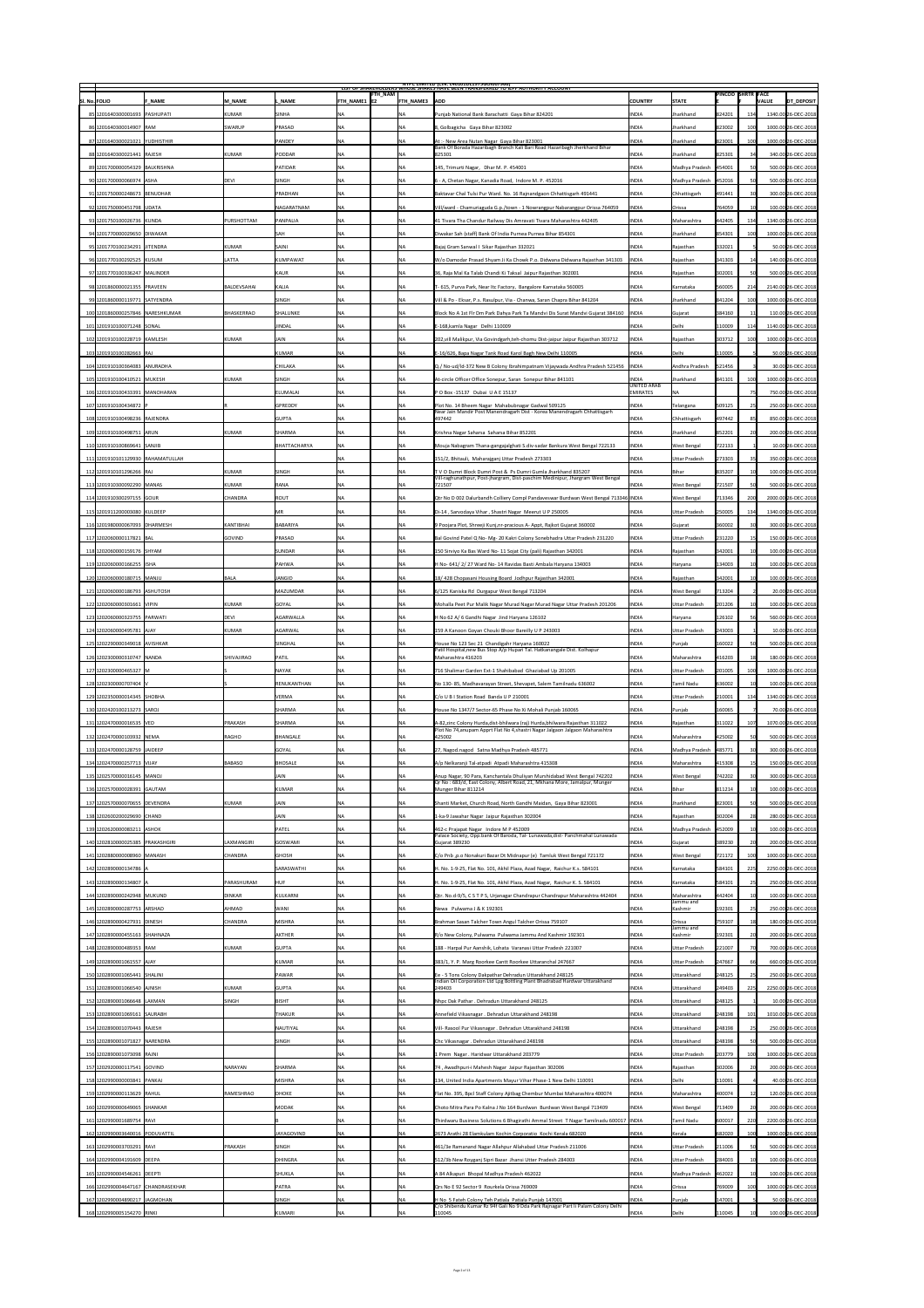|                                                       |                                |                                | <b>FTH_NAM</b>                  |                      | <b>NIPC LIMITED (CIN: L4U1U1DL1975GOIUU7966)</b><br>LIST OF SHAREHOLDERS WHOSE SHARES HAVE BEEN TRANSFERRED TO JEPF AUTHORITY ACCOUNT                                 |                                    |                           | <b>PINCOD SHRTR FACE</b>   |                 |                                          |
|-------------------------------------------------------|--------------------------------|--------------------------------|---------------------------------|----------------------|-----------------------------------------------------------------------------------------------------------------------------------------------------------------------|------------------------------------|---------------------------|----------------------------|-----------------|------------------------------------------|
| <b>SI. No. FOLIO</b><br><b>F_NAME</b>                 | M NAME                         | L NAME                         | $ $ FTH NAME1 $ $ E2            | <b>FTH NAME3</b> ADD |                                                                                                                                                                       | <b>COUNTRY</b>                     | <b>STATE</b>              |                            |                 | DT_DEPOSIT<br><b>VALUE</b>               |
| 85 1201640300001693  PASHUPATI                        | <b>KUMAR</b>                   | <b>SINHA</b>                   | <b>NA</b>                       |                      | Punjab National Bank Barachatti Gaya Bihar 824201                                                                                                                     | <b>INDIA</b>                       | <b>Jharkhand</b>          | 824201                     | 134             | 1340.00 26-DEC-2018                      |
| 86 1201640300014907 RAM                               | SWARUP                         | PRASAD                         | <b>NA</b>                       | <b>NA</b>            | 8, Golbagicha Gaya Bihar 823002                                                                                                                                       | <b>INDIA</b>                       | <b>Jharkhand</b>          | 823002                     |                 | 1000.00 26-DEC-2018                      |
| 87 1201640300021021  YUDHISTHIR                       |                                | <b>PANDEY</b>                  | NA                              | <b>NA</b>            | At: - New Area Nutan Nagar Gaya Bihar 823001<br>Bank Of Borada Hazaribagh Branch Kali Bari Road Hazaribagh Jherkhand Bihar                                            | <b>INDIA</b>                       | Jharkhand                 | 823001                     |                 | 1000.00 26-DEC-2018                      |
| 88 1201640300021441 RAJESH                            | <b>KUMAR</b>                   | <b>PODDAR</b>                  | NA                              |                      | 825301                                                                                                                                                                | <b>INDIA</b>                       | Jharkhand                 | 825301                     | 34              | 340.00 26-DEC-2018                       |
| 89 1201700000054329 BALKRISHNA                        |                                | <b>PATIDAR</b>                 | <b>NA</b>                       | <b>NA</b>            | $ 145$ , Trimurti Nagar, Dhar M. P. 454001                                                                                                                            | <b>INDIA</b>                       | Madhya Pradesh            | 454001                     | 50 <sup>2</sup> | 500.00 26-DEC-2018                       |
| 90 1201700000066974 ASHA                              | <b>DEVI</b>                    | <b>SINGH</b>                   | <b>INA</b>                      |                      | 6 - A, Chetan Nagar, Kanadia Road, Indore M. P. 452016                                                                                                                | <b>INDIA</b>                       | Madhya Pradesh            | 452016                     | 50              | 500.00 26-DEC-2018                       |
| 91 1201750000248673 BENUDHAR                          |                                | PRADHAN                        | $\overline{\mathsf{NA}}$        | NA                   | Baktavar Chal Tulsi Pur Ward. No. 16 Rajnandgaon Chhattisgarh 491441                                                                                                  | <b>INDIA</b>                       | Chhattisgarh              | 491441                     |                 | 300.00 26-DEC-2018                       |
| 92 1201750000451798 UDATA                             |                                | NAGARATNAM                     | <b>NA</b>                       |                      | Vill/ward - Chamuriaguda G.p./town - 1 Nowrangpur Nabarangpur Orissa 764059                                                                                           | <b>INDIA</b>                       | <b>Orissa</b>             | 764059                     |                 | 100.00 26-DEC-2018                       |
| 93 1201750100026736 KUNDA                             | <b>PURSHOTTAM</b>              | <b>PANPALIA</b>                |                                 |                      | 41 Tivara Tha Chandur Railway Dis Amravati Tivara Maharashtra 442405                                                                                                  | <b>INDIA</b>                       | Maharashtra               | 442405                     | 134             | 1340.00 26-DEC-2018                      |
| 94 1201770000029650 DIWAKAR                           |                                | <b>SAH</b>                     |                                 |                      | Diwakar Sah (staff) Bank Of India Purnea Purnea Bihar 854301                                                                                                          | <b>INDIA</b>                       | Jharkhand                 | 854301                     | 100             | 1000.00 26-DEC-2018                      |
| 95 1201770100234291 JITENDRA                          | <b>KUMAR</b>                   | SAINI                          | <b>NA</b>                       |                      | Bajaj Gram Sanwal I Sikar Rajasthan 332021                                                                                                                            | <b>INDIA</b>                       | Rajasthan                 | 332021                     |                 | 50.00 26-DEC-2018                        |
| 96 1201770100292525 KUSUM                             | <b>LATTA</b>                   | KUMPAWAT                       | <b>NA</b>                       |                      | W/o Damodar Prasad Shyam Ji Ka Chowk P.o. Didwana Didwana Rajasthan 341303                                                                                            | INDIA                              | Rajasthan                 | $ 341303\rangle$           |                 | 140.00 26-DEC-2018                       |
| 97 1201770100336247 MALINDER                          |                                | KAUR                           | <b>NA</b>                       |                      | 36, Raja Mal Ka Talab Chandi Ki Taksal Jaipur Rajasthan 302001                                                                                                        | <b>INDIA</b>                       | Rajasthan                 | 302001                     |                 | 500.00 26-DEC-2018                       |
| 98 1201860000021355 PRAVEEN                           | <b>BALDEVSAHAI</b>             | KALIA                          |                                 |                      | T-615, Purva Park, Near Itc Factory, Bangalore Karnataka 560005                                                                                                       | <b>INDIA</b>                       | Karnataka                 | 560005                     | 214             | 2140.00 26-DEC-2018                      |
| 99 1201860000119771 SATYENDRA                         |                                | <b>SINGH</b>                   |                                 |                      | Vill & Po - Eksar, P.s. Rasulpur, Via - Chanwa, Saran Chapra Bihar 841204                                                                                             | <b>INDIA</b>                       | Jharkhand                 | 841204                     | 100             | 1000.00 26-DEC-2018                      |
| 100 1201860000257846 NARESHKUMAR                      | <b>BHASKERRAO</b>              | SHALUNKE                       | NA                              |                      | Block No A 1st Flr Dm Park Dahya Park Ta Mandvi Dis Surat Mandvi Gujarat 384160   INDIA                                                                               |                                    | Gujarat                   | 384160                     |                 | 110.00 26-DEC-2018                       |
| 101 1201910100071248 SONAL                            |                                | JINDAL                         | <b>NA</b>                       | <b>NA</b>            | E-168, kamla Nagar Delhi 110009                                                                                                                                       | <b>INDIA</b>                       | Delhi                     | 110009                     | 114             | 1140.00 26-DEC-2018                      |
| 102 1201910100228719 KAMLESH                          | <b>KUMAR</b>                   | <b>JAIN</b>                    |                                 |                      | 202, vill Malikpur, Via Govindgarh, teh-chomu Dist-jaipur Jaipur Rajasthan 303712                                                                                     | <b>INDIA</b>                       | Rajasthan                 | 303712                     |                 | 1000.00 26-DEC-2018                      |
| 103 1201910100282663 RAJ                              |                                | KUMAR                          | NA                              |                      | E-16/626, Bapa Nagar Tank Road Karol Bagh New Delhi 110005                                                                                                            | <b>INDIA</b>                       | Delhi                     | 110005                     |                 | 50.00 26-DEC-2018                        |
| 104 1201910100364083 ANURADHA                         |                                | <b>CHILAKA</b>                 | INA                             |                      | Q./ No-ud/ld-372 New B Colony Ibrahimpatnam Vijaywada Andhra Pradesh 521456  INDIA                                                                                    |                                    | Andhra Pradesh            | 521456                     |                 | 30.00 26-DEC-2018                        |
| 105 1201910100410521 MUKESH                           | <b>KUMAR</b>                   | <b>SINGH</b>                   | <b>NA</b>                       |                      | At-circle Officer Office Sonepur, Saran Sonepur Bihar 841101                                                                                                          | <b>INDIA</b><br><b>UNITED ARAB</b> | <b>Jharkhand</b>          | 841101                     |                 | 1000.00 26-DEC-2018                      |
| 106 1201910100433391 MANOHARAN                        |                                | ELUMALAI                       | <b>NA</b>                       | <b>IVA</b>           | P O Box -15137 Dubai U A E 15137                                                                                                                                      | <b>EMIRATES</b>                    | INA                       |                            |                 | 750.00 26-DEC-2018                       |
| 107 1201910100434872 F                                |                                | GPREDDY                        | NA                              |                      | Plot No. 14 Bheem Nagar Mahabubnagar Gadwal 509125<br>Near Jain Mandir Post Manendragarh Dist - Korea Manendragarh Chhattisgarh                                       | <b>INDIA</b>                       | Telangana                 | 509125                     |                 | 250.00 26-DEC-2018                       |
| 108 1201910100498236 RAJENDRA                         |                                | <b>GUPTA</b>                   |                                 |                      | 497442                                                                                                                                                                | <b>INDIA</b>                       | Chhattisgarh              | 497442                     |                 | 850.00 26-DEC-2018                       |
| 109 1201910100498751 ARUN                             | <b>KUMAR</b>                   | SHARMA                         | <b>NA</b>                       |                      | Krishna Nagar Saharsa Saharsa Bihar 852201                                                                                                                            | <b>INDIA</b>                       | Jharkhand                 | 852201                     |                 | 200.00 26-DEC-2018                       |
| 110 1201910100869641 SANJIB                           |                                | BHATTACHARYA                   | <b>NA</b>                       |                      | Mouja Nabagram Thana-gangajalghati S.div-sadar Bankura West Bengal 722133                                                                                             | <b>INDIA</b>                       | <b>West Bengal</b>        | 722133                     |                 | 10.00 26-DEC-2018                        |
| 111 1201910101129930 RAHAMATULLAH                     |                                |                                |                                 |                      | 151/2, Bhitauli, Maharajganj Uttar Pradesh 273303                                                                                                                     | <b>INDIA</b>                       | <b>Uttar Pradesh</b>      | 273303                     |                 | 350.00 26-DEC-2018                       |
| 112 1201910101296266 RAJ                              | KUMAR                          | SINGH                          |                                 |                      | TV O Dumri Block Dumri Post & Ps Dumri Gumla Jharkhand 835207<br>Vill-raghunathpur, Post-jhargram, Dist-paschim Medinipur, Jhargram West Bengal                       | <b>INDIA</b>                       | Bihar                     | 835207                     |                 | 100.00 26-DEC-2018                       |
| 113 1201910300092290  MANAS                           | <b>KUMAR</b>                   | RANA                           | <b>INA</b>                      |                      | 721507                                                                                                                                                                | <b>INDIA</b>                       | <b>West Bengal</b>        | 721507                     | 50              | 500.00 26-DEC-2018                       |
| 114 1201910300297155 GOUR                             | CHANDRA                        | ROUT                           |                                 |                      | Qtr No D 002 Dalurbandh Colliery Compl Pandaveswar Burdwan West Bengal 713346 INDIA                                                                                   |                                    | <b>West Bengal</b>        | 713346                     | ∠∪∪⊦            | 2000.00 26-DEC-2018                      |
| 115 1201911200003080 KULDEEP                          |                                | <b>MR</b>                      | 'NA                             | <b>NA</b>            | Di-14, Sarvodaya Vihar, Shastri Nagar Meerut U P 250005                                                                                                               | <b>INDIA</b>                       | Uttar Pradesh             | 250005                     | 134             | 1340.00 26-DEC-2018                      |
| 116 1201980000067093 DHARMESH                         | KANTIBHAI                      | BABARIYA                       | NA                              |                      | 9 Poojara Plot, Shreeji Kunj, nr-pracious A- Appt, Rajkot Gujarat 360002                                                                                              | <b>INDIA</b>                       | Gujarat                   | 360002                     |                 | 300.00 26-DEC-2018                       |
| 117 1202060000117821 BAL                              | <b>GOVIND</b>                  | PRASAD                         | NA                              |                      | Bal Govind Patel Q No- Mg- 20 Kakri Colony Sonebhadra Uttar Pradesh 231220                                                                                            | <b>INDIA</b>                       | Uttar Pradesh             | 231220                     |                 | 150.00 26-DEC-2018                       |
| 118 1202060000159176 SHYAM                            |                                | <b>SUNDAR</b>                  | <b>NA</b>                       |                      | 150 Sirviyo Ka Bas Ward No-11 Sojat City (pali) Rajasthan 342001                                                                                                      | <b>INDIA</b>                       | Rajasthan                 | 342001                     |                 | 100.00 26-DEC-2018                       |
| 119 1202060000166255 ISHA                             |                                | <b>PAHWA</b>                   | <b>NA</b>                       |                      | H No- 641/2/27 Ward No- 14 Ravidas Basti Ambala Haryana 134003                                                                                                        | <b>INDIA</b>                       | Haryana                   | 134003                     |                 | 100.00 26-DEC-2018                       |
| 120 120 2060000180715 MANJU                           | <b>BALA</b>                    | <b>JANGID</b>                  | <b>NA</b>                       |                      | 18/428 Chopasani Housing Board Jodhpur Rajasthan 342001                                                                                                               | <b>INDIA</b>                       | Rajasthan                 | 342001                     |                 | 100.00 26-DEC-2018                       |
| 121 1202060000186793  ASHUTOSH                        |                                | MAZUMDAR                       | NA                              | ΝA                   | 6/125 Kaniska Rd Durgapur West Bengal 713204                                                                                                                          | <b>INDIA</b>                       | <b>West Bengal</b>        | 713204                     |                 | 20.00 26-DEC-2018                        |
| 122 1202060000301661  VIPIN                           | <b>KUMAR</b>                   | GOYAL                          |                                 |                      | Mohalla Peet Pur Malik Nagar Murad Nagar Murad Nagar Uttar Pradesh 201206                                                                                             | <b>INDIA</b>                       | Uttar Pradesh             | 201206                     |                 | 100.00 26-DEC-2018                       |
| 123 120 2060000323755 PARWATI                         | <b>DEVI</b>                    | AGARWALLA                      | $\overline{\mathsf{NA}}$        |                      | H No 62 A/ 6 Gandhi Nagar Jind Haryana 126102                                                                                                                         | <b>INDIA</b>                       | Haryana                   | 126102                     |                 | 560.00 26-DEC-2018                       |
| 124 1202060000495781 AJAY                             | <b>KUMAR</b>                   | AGARWAL                        | <b>INA</b>                      |                      | 159 A Kanoon Goyan Chouki Bhoor Bareilly U P 243003                                                                                                                   | <b>INDIA</b>                       | Uttar Pradesh             | 243003                     |                 | 10.00 26-DEC-2018                        |
| 125 1202290000349018 AVISHKAR                         |                                | <b>SINGHAL</b>                 | <b>NA</b>                       | <b>NA</b>            | House No 123 Sec 21 Chandigahr Haryana 160022<br>Patil Hospital, new Bus Stop A/p Hupari Tal. Hatkanangale Dist. Kolhapur                                             | <b>INDIA</b>                       | Punjab                    | 160022                     |                 | 500.00 26-DEC-2018                       |
| 126 1202300000310747 NANDA                            | <b>SHIVAJIRAO</b>              | PATIL                          | <b>NA</b>                       | NΑ                   | Maharashtra 416203                                                                                                                                                    | <b>INDIA</b>                       | Maharashtra               | 416203                     |                 | 180.00 26-DEC-2018                       |
| 127 1202300000465327 M                                |                                | <b>NAYAK</b>                   | <b>NA</b>                       |                      | 716 Shalimar Garden Ext-1 Shahibabad Ghaziabad Up 201005                                                                                                              | <b>INDIA</b>                       | <b>Uttar Pradesh</b>      | 201005                     |                 | 1000.00 26-DEC-2018                      |
| 128 1202300000707404                                  |                                | RENUKANTHAN                    | <b>NA</b>                       |                      | No 130-85, Madhavarayan Street, Shevapet, Salem Tamilnadu 636002                                                                                                      | <b>INDIA</b>                       | Tamil Nadu                | 636002                     |                 | 100.00 26-DEC-2018                       |
| 129 1202350000014345 SHOBHA                           |                                | <b>VERMA</b>                   |                                 |                      | C/o U B I Station Road Banda U P 210001                                                                                                                               | <b>INDIA</b>                       | Uttar Pradesh             | 210001                     | 134             | 1340.00 26-DEC-2018                      |
| 130 1202420100213273 SAROJ                            |                                | <b>SHARMA</b><br><b>SHARMA</b> | <b>NA</b>                       |                      | House No 1347/7 Sector-65 Phase No Xi Mohali Punjab 160065                                                                                                            | <b>INDIA</b>                       | Punjab                    | 160065                     |                 | 70.00 26-DEC-2018<br>1070.00 26-DEC-2018 |
| 131 1202470000016535 VED<br>132 1202470000103932 NEMA | <b>PRAKASH</b><br><b>RAGHO</b> | BHANGALE                       | $\overline{\mathsf{NA}}$<br>INA | <b>NA</b>            | A-82,zinc Colony Hurda,dist-bhilwara (raj) Hurda,bhilwara Rajasthan 311022<br>Plot No 74, anupam Apprt Flat No 4, shastri Nagar Jalgaon Jalgaon Maharashtra<br>425002 | <b>INDIA</b><br><b>INDIA</b>       | Rajasthan<br> Maharashtra | $ 311022\rangle$<br>425002 | 107             | 500.00 26-DEC-2018                       |
| 133 1202470000128759 JAIDEEP                          |                                | <b>GOYAL</b>                   | <b>NA</b>                       |                      | 27, Nagod.nagod Satna Madhya Pradesh 485771                                                                                                                           | <b>INDIA</b>                       | Madhya Pradesh            | 485771                     | 30 <sup>1</sup> | 300.00 26-DEC-2018                       |
| 134 1202470000257713 VIJAY                            | BABASO                         | BHOSALE                        | <b>NA</b>                       |                      | A/p Nelkaranji Tal-atpadi Atpadi Maharashtra 415308                                                                                                                   | <b>INDIA</b>                       | Maharashtra               | 415308                     |                 | 150.00 26-DEC-2018                       |
| 135 1202570000016145  MANOJ                           |                                | <b>JAIN</b>                    |                                 |                      | Anup Nagar, 90 Para, Kanchantala Dhuliyan Murshidabad West Bengal 742202                                                                                              | <b>INDIA</b>                       | <b>West Bengal</b>        | 742202                     |                 | 300.00 26-DEC-2018                       |
| 136 1202570000028391 GAUTAM                           |                                | KUMAR                          | NA                              | NΑ                   | Qr No: 683/d, East Colony, Albert Road, 21, Mkhana More, Jamalpur, Munger<br>Munger Bihar 811214                                                                      | <b>INDIA</b>                       | Bihar                     | 811214                     |                 | 100.00 26-DEC-2018                       |
| 137 1202570000070655 DEVENDRA                         | KUMAR                          | <b>JAIN</b>                    | NA                              |                      | Shanti Market, Church Road, North Gandhi Maidan, Gaya Bihar 823001                                                                                                    | <b>INDIA</b>                       | Jharkhand                 | 823001                     |                 | 500.00 26-DEC-2018                       |
| 138 1202600200029690 CHAND                            |                                | JAIN                           |                                 |                      | 1-ka-9 Jawahar Nagar Jaipur Rajasthan 302004                                                                                                                          | <b>INDIA</b>                       | Rajasthan                 | 302004                     |                 | 280.00 26-DEC-2018                       |
| 139 1202620000083211 ASHOK                            |                                | <b>PATEL</b>                   | <b>NA</b>                       |                      | 462-c Prajapat Nagar Indore M P 452009                                                                                                                                | <b>INDIA</b>                       | Madhya Pradesh            | 452009                     |                 | 100.00 26-DEC-2018                       |
| 140 1202810000025385 PRAKASHGIRI                      | LAXMANGIRI                     | GOSWAMI                        | <b>NA</b>                       |                      | Palace Society, Opp.bank Of Baroda, Tal-Lunawada, dist-Panchmahal Lunawada<br><b>Gujarat 389230</b>                                                                   | <b>INDIA</b>                       | Gujarat                   | 389230                     |                 | 200.00 26-DEC-2018                       |
| 141 1202880000008960 MANASH                           | <b>CHANDRA</b>                 | GHOSH                          | <b>INA</b>                      |                      | C/o Pnb, p.o Nonakuri Bazar Dt Midnapur (e) Tamluk West Bengal 721172                                                                                                 | <b>INDIA</b>                       | <b>West Bengal</b>        | 721172                     |                 | 1000.00 26-DEC-2018                      |
| 142 1202890000134786 A                                |                                | <b>SARASWATHI</b>              | NA                              |                      | H. No. 1-9-25, Flat No. 101, Akhil Plaza, Azad Nagar, Raichur K.s. 584101                                                                                             | <b>INDIA</b>                       | Karnataka                 | 584101                     | 225             | 2250.00 26-DEC-2018                      |
| 143 1202890000134807 A                                | PARASHURAM                     | <b>HUF</b>                     |                                 |                      | H. No. 1-9-25, Flat No. 101, Akhil Plaza, Azad Nagar, Raichur K. S. 584101                                                                                            | <b>INDIA</b>                       | Karnataka                 | 584101                     |                 | 250.00 26-DEC-2018                       |
| 144 1202890000242948 MUKUND                           | <b>DINKAR</b>                  | KULKARNI                       | <b>NA</b>                       |                      | Qtr. No.d-9/5, C S T P S, Urjanagar Chandrapur Chandrapur Maharashtra 442404                                                                                          | <b>INDIA</b>                       | Maharashtra               | 442404                     |                 | 100.00 26-DEC-2018                       |
| 145 1202890000287753 ARSHAD                           | AHMAD                          | <b>WANI</b>                    | INA                             |                      | Newa Pulwama J & K 192301                                                                                                                                             | <b>INDIA</b>                       | Jammu and<br>Kashmir      | 192301                     |                 | 250.00 26-DEC-2018                       |
| 146 1202890000427931 DINESH                           | CHANDRA                        | <b>MISHRA</b>                  | <b>NA</b>                       | <b>INA</b>           | Brahman Sasan Talcher Town Angul Talcher Orissa 759107                                                                                                                | <b>INDIA</b>                       | <b>Orissa</b>             | 759107                     |                 | 180.00 26-DEC-2018                       |
| 147 1202890000455163 SHAHNAZA                         |                                | AKTHER                         | NA                              |                      | R/o New Colony, Pulwama Pulwama Jammu And Kashmir 192301                                                                                                              | <b>INDIA</b>                       | Jammu and<br>Kashmir      | 192301                     |                 | 200.00 26-DEC-2018                       |
| 148 1202890000489353 RAM                              | <b>KUMAR</b>                   | <b>GUPTA</b>                   | <b>NA</b>                       |                      | 188 - Harpal Pur Aanshik, Lohata Varanasi Uttar Pradesh 221007                                                                                                        | <b>INDIA</b>                       | Uttar Pradesh             | 221007                     |                 | 700.00 26-DEC-2018                       |
| 149 1202890001061557 AJAY                             |                                | KUMAR                          | <b>NA</b>                       |                      | 383/1, Y. P. Marg Roorkee Cantt Roorkee Uttaranchal 247667                                                                                                            | <b>INDIA</b>                       | Uttar Pradesh             | 247667                     |                 | 660.00 26-DEC-2018                       |
| 150 1202890001065441 SHALINI                          |                                | <b>PAWAR</b>                   | <b>NA</b>                       | <b>NA</b>            | Ee - 5 Tons Colony Dakpathar Dehradun Uttarakhand 248125                                                                                                              | <b>INDIA</b>                       | Uttarakhand               | 248125                     |                 | 250.00 26-DEC-2018                       |
| 151 1202890001066540 AJNISH                           | <b>KUMAR</b>                   | <b>GUPTA</b>                   | <b>NA</b>                       |                      | Indian Oil Corporation Ltd Lpg Bottling Plant Bhadrabad Hardwar Uttarakhand<br>249403                                                                                 | <b>INDIA</b>                       | Uttarakhand               | 249403                     | 225             | 2250.00 26-DEC-2018                      |
| 152 1202890001066648 LAXMAN                           | SINGH                          | BISHT                          |                                 |                      | Nhpc Dak Pathar . Dehradun Uttarakhand 248125                                                                                                                         | <b>INDIA</b>                       | Uttarakhand               | 248125                     |                 | 10.00 26-DEC-2018                        |
| 153 1202890001069161 SAURABH                          |                                | <b>THAKUR</b>                  | <b>NA</b>                       | <b>NA</b>            | Annefield Vikasnagar. Dehradun Uttarakhand 248198                                                                                                                     | <b>INDIA</b>                       | Uttarakhand               | 248198                     | 101             | 1010.00 26-DEC-2018                      |
| 154 1202890001070443 RAJESH                           |                                | NAUTIYAL                       | <b>NA</b>                       | <b>NA</b>            | Vill- Rasool Pur Vikasnagar . Dehradun Uttarakhand 248198                                                                                                             | <b>INDIA</b>                       | Uttarakhand               | 248198                     |                 | 250.00 26-DEC-2018                       |
| 155 1202890001071827 NARENDRA                         |                                | SINGH                          | <b>NA</b>                       | <b>NA</b>            | Chc Vikasnagar . Dehradun Uttarakhand 248198                                                                                                                          | <b>INDIA</b>                       | Uttarakhand               | 248198                     |                 | 500.00 26-DEC-2018                       |
| 156 1202890001073098 RAJNI                            |                                |                                |                                 |                      | 1 Prem Nagar. Haridwar Uttarakhand 203779                                                                                                                             | <b>INDIA</b>                       | Uttar Pradesh             | 203779                     |                 | 1000.00 26-DEC-2018                      |
| 157 1202920000117541 GOVIND                           | NARAYAN                        | <b>SHARMA</b>                  | NA                              | <b>NA</b>            | 74 , Awadhpuri-i Mahesh Nagar Jaipur Rajasthan 302006                                                                                                                 | <b>INDIA</b>                       | Rajasthan                 | 302006                     |                 | 200.00 26-DEC-2018                       |
| 158 1202990000003841 PANKAJ                           |                                | <b>MISHRA</b>                  | <b>NA</b>                       | INA                  | 134, United India Apartments Mayur Vihar Phase-1 New Delhi 110091                                                                                                     | <b>INDIA</b>                       | Delhi                     | 110091                     |                 | 40.00 26-DEC-2018                        |
| 159 1202990000113629 RAHUL                            | RAMESHRAO                      | DHOKE                          | <b>INA</b>                      |                      | Flat No. 395, Bpcl Staff Colony Ajitbag Chembur Mumbai Maharashtra 400074                                                                                             | <b>INDIA</b>                       | Maharashtra               | 400074                     |                 | 120.00 26-DEC-2018                       |
| 160 1202990000649065 SHANKAR                          |                                | MODAK                          | $\overline{\mathsf{NA}}$        | 'NA                  | Choto Mitra Para Po Kalna J No 164 Burdwan Burdwan West Bangal 713409                                                                                                 | <b>INDIA</b>                       | <b>West Bengal</b>        | 713409                     |                 | 200.00 26-DEC-2018                       |
| 161 1202990001689754 RAVI                             |                                |                                |                                 | <b>NA</b>            | Thirdwaru Business Solutions 6 Bhagirathi Ammal Street T Nagar Tamilnadu 600017  INDIA                                                                                |                                    | <b>Tamil Nadu</b>         | 600017                     | 220             | 2200.00 26-DEC-2018                      |
| 162 1202990003640016 PODUVATTIL                       |                                | <b>JAYAGOVIND</b>              | $\overline{\mathsf{NA}}$        |                      | 2673 Arathi 28 Elamkulam Kochin Corporatio Kochi Kerala 682020                                                                                                        | <b>INDIA</b>                       | Kerala                    | 682020                     | 100             | 1000.00 26-DEC-2018                      |
| 163 1202990003703291 RAVI                             | <b>PRAKASH</b>                 | <b>SINGH</b>                   | <b>NA</b>                       | INA                  | 461/3e Ramanand Nagar Allahpur Allahabad Uttar Pradesh 211006                                                                                                         | <b>INDIA</b>                       | Uttar Pradesh             | 211006                     | 50              | 500.00 26-DEC-2018                       |
| 164 1202990004191609 DEEPA                            |                                | DHINGRA                        | <b>NA</b>                       | <b>NA</b>            | 512/3b New Royganj Sipri Bazar Jhansi Utter Pradesh 284003                                                                                                            | <b>INDIA</b>                       | Uttar Pradesh             | 284003                     |                 | 100.00 26-DEC-2018                       |
| 165 1202990004546261 DEEPTI                           |                                | <b>SHUKLA</b>                  | NA                              | INA                  | A 84 Alkapuri Bhopal Madhya Pradesh 462022                                                                                                                            | <b>INDIA</b>                       | Madhya Pradesh            | 462022                     |                 | 100.00 26-DEC-2018                       |
| 166 1202990004647167 CHANDRASEKHAR                    |                                | PATRA                          | <b>NA</b>                       | <b>INA</b>           | Qrs No E 92 Sector 9 Rourkela Orissa 769009                                                                                                                           | <b>INDIA</b>                       | <b>Orissa</b>             | 769009                     |                 | 1000.00 26-DEC-2018                      |
| 167 1202990004890217 JAGMOHAN                         |                                | <b>SINGH</b>                   | <b>NA</b>                       | <b>NA</b>            | H No 5 Fateh Colony Teh Patiala Patiala Punjab 147001                                                                                                                 | <b>INDIA</b>                       | Punjab                    | 147001                     |                 | 50.00 26-DEC-2018                        |
| 168 1202990005154270 RINKI                            |                                | KUMARI                         | $\overline{\mathsf{NA}}$        |                      | C/o Shibendu Kumar Rz 94f Gali No 9 Dda Park Rajnagar Part Ii Palam Colony Delhi<br>110045                                                                            | <b>INDIA</b>                       | Delhi                     | 110045                     |                 | 100.00 26-DEC-2018                       |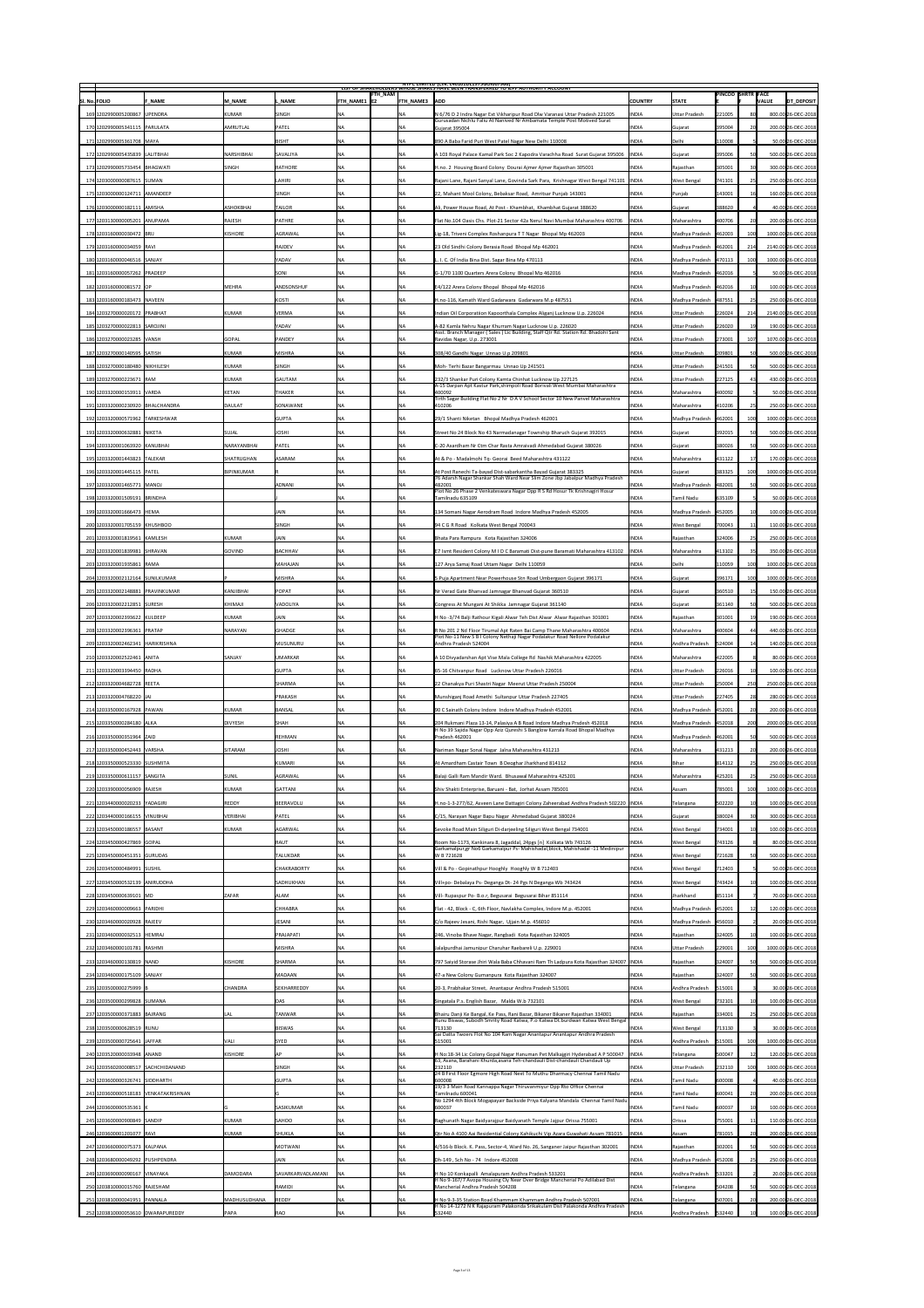|                                       |                   |                   |                                        |                  | <b>NIPC LIMITED (CIN: L4U1U1DL1975GOIUU7966)</b><br>LIST OF SHAKEHOLDERS WHOSE SHAKES HAVE BEEN TRANSFERKED TO JEPF AUTHORITY ACCOUNT                   |                |                      |                          |                  |                                   |
|---------------------------------------|-------------------|-------------------|----------------------------------------|------------------|---------------------------------------------------------------------------------------------------------------------------------------------------------|----------------|----------------------|--------------------------|------------------|-----------------------------------|
| <b>SI. No. FOLIO</b><br><b>F NAME</b> | <b>M NAME</b>     | . NAME            | <b>FTH_NAM</b><br>$ $ FTH NAME1 $ $ E2 | <b>FTH NAME3</b> | <b>ADD</b>                                                                                                                                              | <b>COUNTRY</b> | <b>STATE</b>         | <b>PINCOD SHRTR FACE</b> |                  | <b>DT DEPOSIT</b><br><b>VALUE</b> |
| 169 1202990005200867 UPENDRA          | <b>KUMAR</b>      | <b>SINGH</b>      |                                        |                  | N 6/76 D 2 Indra Nagar Ext Vikharipur Road Dlw Varanasi Uttar Pradesh 221005<br>Gurusadan Nichlu Faliu At Nanived Nr Ambamata Temple Post Motived Surat | <b>INDIA</b>   | Uttar Pradesh        | 221005                   |                  | 800.00 26-DEC-2018                |
| 170 1202990005341115 PARULATA         | <b>AMRUTLAL</b>   | PATEL             | <b>INA</b>                             |                  | Gujarat 395004                                                                                                                                          | <b>INDIA</b>   | Gujarat              | 395004                   |                  | 200.00 26-DEC-2018                |
| 171 1202990005361708 MAYA             |                   | BISHT             | NA                                     | <b>INA</b>       | 890 A Baba Farid Puri West Patel Nagar New Delhi 110008                                                                                                 | <b>INDIA</b>   | Delhi                | 110008                   |                  | 50.00 26-DEC-2018                 |
| 172 1202990005435839 LALITBHAI        | NARSHIBHAI        | <b>SAVALIYA</b>   | $\overline{\mathsf{NA}}$               |                  | A 103 Royal Palace Kamal Park Soc 2 Kapodra Varachha Road Surat Gujarat 395006  INDIA                                                                   |                | Gujarat              | 395006                   |                  | 500.00 26-DEC-2018                |
| 173 1202990005733454 BHAGWATI         | SINGH             | RATHORE           | $\overline{\mathsf{NA}}$               | INA              | H.no. 2 Housing Board Colony Dourai Ajmer Ajmer Rajasthan 305001                                                                                        | <b>INDIA</b>   | Rajasthan            | 305001                   |                  | 300.00 26-DEC-2018                |
| 174 1203000000087615 SUMAN            |                   | <b>LAHIRI</b>     | <b>INA</b>                             | <b>NA</b>        | Rajani Lane, Rajani Sanyal Lane, Govinda Sark Para, Krishnagar West Bengal 741101   INDIA                                                               |                | <b>West Bengal</b>   | 741101                   |                  | 250.00 26-DEC-2018                |
| 175 1203000000124711 AMANDEEP         |                   | <b>SINGH</b>      | <b>NA</b>                              | <b>NA</b>        | 22, Mahant Mool Colony, Bebaksar Road, Amritsar Punjab 143001                                                                                           | <b>INDIA</b>   | Punjab               | 143001                   |                  | 160.00 26-DEC-2018                |
| 176 1203000000182111 AMISHA           | <b>ASHOKBHAI</b>  | TAILOR            | <b>NA</b>                              | <b>INA</b>       | Ali, Power House Road, At Post - Khambhat, Khambhat Gujarat 388620                                                                                      | <b>INDIA</b>   | Gujarat              | 388620                   |                  | 40.00 26-DEC-2018                 |
| 177 1203130000005201 ANUPAMA          | RAJESH            | <b>PATHRE</b>     |                                        |                  | Flat No.104 Oasis Chs. Plot-21 Sector 42a Nerul Navi Mumbai Maharashtra 400706                                                                          | <b>INDIA</b>   | Maharashtra          | 400706                   | <b>20</b>        | 200.00 26-DEC-2018                |
| 178 1203160000030472 BRIJ             | <b>KISHORE</b>    | AGRAWAL           | <b>NA</b>                              |                  | Lig-18, Triveni Complex Roshanpura T T Nagar Bhopal Mp 462003                                                                                           | <b>INDIA</b>   | Madhya Pradesh       | 462003                   | 100              | 1000.00 26-DEC-2018               |
| 179 1203160000034059 RAVI             |                   | <b>RAJDEV</b>     | <b>NA</b>                              |                  | 23 Old Sindhi Colony Berasia Road Bhopal Mp 462001                                                                                                      | <b>INDIA</b>   | Madhya Pradesh       | 462001                   | 214              | 2140.00 26-DEC-2018               |
| 180 1203160000046516 SANJAY           |                   | <b>YADAV</b>      | <b>NA</b>                              | ΝA               | L. I. C. Of India Bina Dist. Sagar Bina Mp 470113                                                                                                       | <b>INDIA</b>   | Madhya Pradesh       | 470113                   | 100              | 1000.00 26-DEC-2018               |
| 181 1203160000057262  PRADEEP         |                   | SONI              |                                        |                  | $ G-1/701100$ Quarters Arera Colony Bhopal Mp 462016                                                                                                    | <b>INDIA</b>   | Madhya Pradesh       | 462016                   |                  | 50.00 26-DEC-2018                 |
| 182 1203160000081572 OP               | <b>MEHRA</b>      | ANDSONSHUF        | <b>NA</b>                              |                  | E4/122 Arera Colony Bhopal Bhopal Mp 462016                                                                                                             | <b>INDIA</b>   | Madhya Pradesh       | 462016                   |                  | 100.00 26-DEC-2018                |
| 183 1203160000183473 NAVEEN           |                   | KOSTI             | <b>NA</b>                              | <b>NA</b>        | H.no-116, Kamath Ward Gadarwara Gadarwara M.p 487551                                                                                                    | <b>INDIA</b>   | Madhya Pradesh       | 487551                   |                  | 250.00 26-DEC-2018                |
| 184 1203270000020172 PRABHAT          | <b>KUMAR</b>      | <b>VERMA</b>      | <b>NA</b>                              |                  | Indian Oil Corporatiion Kapoorthala Complex Aliganj Lucknow U.p. 226024                                                                                 | <b>INDIA</b>   | Uttar Pradesh        | 226024                   | 214              | 2140.00 26-DEC-2018               |
| 185 1203270000022813 SAROJINI         |                   | YADAV             | <b>NA</b>                              | <b>NA</b>        | A-82 Kamla Nehru Nagar Khurram Nagar Lucknow U.p. 226020<br>Asst. Branch Manager (Sales) Lic Building, Staff Qtr Rd. Station Rd. Bhadohi Sant           | <b>INDIA</b>   | <b>Uttar Pradesh</b> | 226020                   |                  | 190.00 26-DEC-2018                |
| 186 1203270000023285 VANSH            | <b>GOPAL</b>      | <b>PANDEY</b>     | NA                                     |                  | Ravidas Nagar, U.p. 273001                                                                                                                              | <b>INDIA</b>   | Uttar Pradesh        | 273001                   |                  | 1070.00 26-DEC-2018               |
| 187 1203270000140595 SATISH           | KUMAR             | <b>MISHRA</b>     | <b>NA</b>                              |                  | 308/40 Gandhi Nagar Unnao U.p 209801                                                                                                                    | <b>INDIA</b>   | Uttar Pradesh        | 209801                   |                  | 500.00 26-DEC-2018                |
| 188 1203270000180480 NIKHILESH        | <b>KUMAR</b>      | <b>SINGH</b>      | <b>NA</b>                              | 'NA              | Moh-Terhi Bazar Bangarmau Unnao Up 241501                                                                                                               | <b>INDIA</b>   | <b>Uttar Pradesh</b> | 241501                   | 50               | 500.00 26-DEC-2018                |
| 189 1203270000223671 RAM              | <b>KUMAR</b>      | GAUTAM            | <b>NA</b>                              |                  | 232/3 Shankar Puri Colony Kamta Chinhat Lucknow Up 227125<br>A-15 Darpan Apt Kastur Park, shimpoli Road Borivali West Mumbai Maharashtra                | <b>INDIA</b>   | Uttar Pradesh        | 227125                   |                  | 430.00 26-DEC-2018                |
| 190 1203320000153911 VARDA            | <b>KETAN</b>      | <b>THAKER</b>     | <b>INA</b>                             | IΝA              | 400092<br>Tirth Sagar Building Flat No 2 Nr D A V School Sector 10 New Panvel Maharashtra                                                               | <b>INDIA</b>   | Maharashtra          | 400092                   |                  | 50.00 26-DEC-2018                 |
| 191 1203320000230920 BHALCHANDRA      | <b>DAULAT</b>     | <b>SONAWANE</b>   | NA                                     |                  | 410206                                                                                                                                                  | <b>INDIA</b>   | Maharashtra          | 410206                   |                  | 250.00 26-DEC-2018                |
| 192 1203320000571962 TARKESHWAR       |                   | <b>GUPTA</b>      | INA                                    |                  | 29/1 Shanti Niketan Bhopal Madhya Pradesh 462001                                                                                                        | <b>INDIA</b>   | Madhya Pradesh       | 462001                   | 100              | 1000.00 26-DEC-2018               |
| 193 1203320000632881 NIKETA           | SUJAL             | <b>JOSHI</b>      | <b>NA</b>                              |                  | Street No 24 Block No 43 Narmadanagar Township Bharuch Gujarat 392015                                                                                   | <b>INDIA</b>   | Gujarat              | 392015                   |                  | 500.00 26-DEC-2018                |
| 194 1203320001063920 KANUBHAI         | NARAYANBHAI       | PATEL             | NA.                                    |                  | C-20 Axardham Nr Ctm Char Rasta Amraivadi Ahmedabad Gujarat 380026                                                                                      | <b>INDIA</b>   | Gujarat              | 380026                   |                  | 500.00 26-DEC-2018                |
| 195 1203320001443823 TALEKAR          | SHATRUGHAN        | <b>ASARAM</b>     | <b>INA</b>                             |                  | At & Po - Madalmohi Tq- Georai Beed Maharashtra 431122                                                                                                  | <b>INDIA</b>   | Maharashtra          | 431122                   |                  | 170.00 26-DEC-2018                |
| 196 1203320001445115 PATEL            | <b>BIPINKUMAR</b> |                   | <b>NA</b>                              |                  | At Post Ranechi Ta-bayad Dist-sabarkantha Bayad Gujarat 383325<br>76 Adarsh Nagar Shankar Shah Ward Near Slim Zone Jbp Jabalpur Madhya Pradesh          | <b>INDIA</b>   | Gujarat              | 383325                   |                  | 1000.00 26-DEC-2018               |
| 197 1203320001465771 MANOJ            |                   | <b>ADNANI</b>     | <b>NA</b>                              |                  | 482001<br>Plot No 26 Phase 2 Venkateswara Nagar Opp R S Rd Hosur Tk Krishnagiri Hosur                                                                   | <b>INDIA</b>   | Madhya Pradesh       | 482001                   | 50               | 500.00 26-DEC-2018                |
| 198 1203320001509191 BRINDHA          |                   |                   |                                        | <b>INA</b>       | Tamilnadu 635109                                                                                                                                        | <b>INDIA</b>   | Tamil Nadu           | 635109                   |                  | 50.00 26-DEC-2018                 |
| 199 1203320001666473 HEMA             |                   | JAIN              |                                        |                  | 134 Somani Nagar Aerodram Road Indore Madhya Pradesh 452005                                                                                             | <b>INDIA</b>   | Madhya Pradesh       | 452005                   |                  | 100.00 26-DEC-2018                |
| 200 1203320001705159 KHUSHBOO         |                   | <b>SINGH</b>      | <b>NA</b>                              | <b>IVA</b>       | 94 C G R Road Kolkata West Bengal 700043                                                                                                                | <b>INDIA</b>   | <b>West Bengal</b>   | 700043                   |                  | 110.00 26-DEC-2018                |
| 201 1203320001819561 KAMLESH          | <b>KUMAR</b>      | <b>JAIN</b>       | NA                                     | <b>NA</b>        | Bhata Para Rampura Kota Rajasthan 324006                                                                                                                | <b>INDIA</b>   | Rajasthan            | 324006                   |                  | 250.00 26-DEC-2018                |
| 202 1203320001839981 SHRAVAN          | <b>GOVIND</b>     | BACHHAV           | NA                                     |                  | E7 Ismt Resident Colony M I D C Baramati Dist-pune Baramati Maharashtra 413102  INDIA                                                                   |                | Maharashtra          | 413102                   |                  | 350.00 26-DEC-2018                |
| 203 1203320001935861 RAMA             |                   | MAHAJAN           | NA                                     | <b>NA</b>        | 127 Arya Samaj Road Uttam Nagar Delhi 110059                                                                                                            | <b>INDIA</b>   | Delhi                | 110059                   |                  | 1000.00 26-DEC-2018               |
| 204 1203320002112164 SUNILKUMAR       |                   | <b>MISHRA</b>     | <b>NA</b>                              |                  | 5 Puja Apartment Near Powerhouse Stn Road Umbergaon Gujarat 396171                                                                                      | <b>INDIA</b>   | Gujarat              | 396171                   |                  | 1000.00 26-DEC-2018               |
| 205 1203320002148881 PRAVINKUMAR      | <b>KANJIBHAI</b>  | <b>POPAT</b>      | <b>NA</b>                              |                  | Nr Verad Gate Bhanvad Jamnagar Bhanvad Gujarat 360510                                                                                                   | <b>INDIA</b>   | Gujarat              | 360510                   |                  | 150.00 26-DEC-2018                |
| 206 1203320002212851 SURESH           | <b>KHIMAJI</b>    | VADOLIYA          | NA                                     |                  | Congress At Mungani At Shikka Jamnagar Gujarat 361140                                                                                                   | <b>INDIA</b>   | Gujarat              | 361140                   |                  | 500.00 26-DEC-2018                |
| 207 1203320002393622 KULDEEP          | <b>KUMAR</b>      | JAIN              | <b>NA</b>                              |                  | H No -3/74 Balji Rathour Kigali Alwar Teh Dist Alwar Alwar Rajasthan 301001                                                                             | <b>INDIA</b>   | Rajasthan            | 301001                   |                  | 190.00 26-DEC-2018                |
| 208 1203320002396361 PRATAP           | NARAYAN           | GHADGE            | <b>NA</b>                              |                  | R No 201 2 Nd Floor Tirumal Apt Raten Bai Camp Thane Maharashtra 400604<br>Plot No-11 New S B I Colony Nethaji Nagar Podalakur Road Nellore Podalakur   | <b>INDIA</b>   | Maharashtra          | 400604                   |                  | 440.00 26-DEC-2018                |
| 209 1203320002462341 HARIKRISHNA      |                   | <b>MUSUNURU</b>   | <b>NA</b>                              |                  | Andhra Pradesh 524004                                                                                                                                   | <b>INDIA</b>   | Andhra Pradesh       | 524004                   |                  | 140.00 26-DEC-2018                |
| 210 1203320002522461 ANITA            | <b>SANJAY</b>     | UMARKAR           | <b>NA</b>                              |                  | A 10 Divyadarshan Apt Vise Mala College Rd Nashik Maharashtra 422005                                                                                    | <b>INDIA</b>   | Maharashtra          | 422005                   |                  | 80.00 26-DEC-2018                 |
| 211 1203320003394450 RADHA            |                   | <b>GUPTA</b>      | <b>NA</b>                              | <b>IVA</b>       | 65-16 Chitvanpur Road Lucknow Uttar Pradesh 226016                                                                                                      | <b>INDIA</b>   | Uttar Pradesh        | 226016                   |                  | 100.00 26-DEC-2018                |
| 212 1203320004682728 REETA            |                   | <b>SHARMA</b>     | NA                                     | <b>NA</b>        | 22 Chanakya Puri Shastri Nagar Meerut Uttar Pradesh 250004                                                                                              | <b>INDIA</b>   | Uttar Pradesh        | 250004                   | 250              | 2500.00 26-DEC-2018               |
|                                       |                   |                   |                                        |                  |                                                                                                                                                         |                |                      |                          |                  |                                   |
| 213 1203320004768220 JAI              |                   | PRAKASH           | NA                                     | <b>NA</b>        | Munshiganj Road Amethi Sultanpur Uttar Pradesh 227405                                                                                                   | <b>INDIA</b>   | <b>Uttar Pradesh</b> | 227405                   | 28               | 280.00 26-DEC-2018                |
| 214 1203350000167928 PAWAN            | <b>KUMAR</b>      | <b>BANSAL</b>     | <b>NA</b>                              |                  | 90 C Sainath Colony Indore Indore Madhya Pradesh 452001                                                                                                 | <b>INDIA</b>   | Madhya Pradesh       | 452001                   |                  | 200.00 26-DEC-2018                |
| 215 1203350000284180 ALKA             | <b>DIVYESH</b>    | <b>SHAH</b>       | <b>NA</b>                              | ΝA               | 204 Rukmani Plaza 13-14, Palasiya A B Road Indore Madhya Prsdesh 452018                                                                                 | <b>INDIA</b>   | Madhya Pradesh       | 452018                   | 200              | 2000.00 26-DEC-2018               |
| 216 1203350000351964 ZAID             |                   | REHMAN            | NA                                     |                  | H No 39 Sajida Nagar Opp Aziz Qureshi S Banglow Karrala Road Bhopal Madhya<br>Pradesh 462001                                                            | <b>INDIA</b>   | Madhya Pradesh       | 462001                   |                  | 500.00 26-DEC-2018                |
| 217 1203350000452443 VARSHA           | SITARAM           | <b>JOSHI</b>      | <b>NA</b>                              |                  | Nariman Nagar Sonal Nagar Jalna Maharashtra 431213                                                                                                      | <b>INDIA</b>   | Maharashtra          | 431213                   |                  | 200.00 26-DEC-2018                |
| 218 1203350000523330 SUSHMITA         |                   | KUMARI            | <b>NA</b>                              |                  | At Amardham Castair Town B Deoghar Jharkhand 814112                                                                                                     | <b>INDIA</b>   | Bihar                | 814112                   |                  | 250.00 26-DEC-2018                |
| 219 1203350000611157 SANGITA          | <b>SUNIL</b>      | AGRAWAL           | $\mathbf{v}$                           | $\Gamma$         | Balaji Galli Ram Mandir Ward. Bhusawal Maharashtra 425201                                                                                               | <b>INDIA</b>   | Maharashtra          | 425201                   |                  | 250.00 26-DEC-2018                |
| 220 1203390000056909 RAJESH           | <b>KUMAR</b>      | <b>GATTANI</b>    | $\overline{\mathsf{NA}}$               | <b>NA</b>        | Shiv Shakti Enterprise, Baruani - Bat, Jorhat Assam 785001                                                                                              | <b>INDIA</b>   | <b>Assam</b>         | 785001                   |                  | 1000.00 26-DEC-2018               |
| 221 1203440000020233 YADAGIRI         | <b>REDDY</b>      | BEERAVOLU         | $\overline{\mathsf{NA}}$               | <b>INA</b>       | H.no-1-3-277/62, Asveen Lane Dattagiri Colony Zaheerabad Andhra Pradesh 502220  INDIA                                                                   |                | Telangana            | 502220                   |                  | 100.00 26-DEC-2018                |
| 222 1203440000166155 VINUBHAI         | VERIBHAI          | PATEL             | <b>NA</b>                              | <b>NA</b>        | C/15, Narayan Nagar Bapu Nagar Ahmedabad Gujarat 380024                                                                                                 | <b>INDIA</b>   | Gujarat              | 380024                   |                  | 300.00 26-DEC-2018                |
| 223 1203450000186557 BASANT           | KUMAR             | AGARWAL           | <b>NA</b>                              | <b>NA</b>        | Sevoke Road Main Siliguri Di-darjeeling Siliguri West Bengal 734001                                                                                     | <b>INDIA</b>   | <b>West Bengal</b>   | 734001                   |                  | 100.00 26-DEC-2018                |
| 224 1203450000427869 GOPAL            |                   | <b>RAUT</b>       | <b>NA</b>                              | <b>NA</b>        | Room No-1173, Kankinara 8, Jagaddal, 24pgs [n] Kolkata Wb 743126                                                                                        | <b>INDIA</b>   | <b>West Bengal</b>   | 743126                   |                  | 80.00 26-DEC-2018                 |
| 225 1203450000451351 GURUDAS          |                   | TALUKDAR          | <b>NA</b>                              |                  | Garkamalpur, gr No6 Garkamalpur Ps- Mahishadal, block, Mahishadal -11 Medinipur<br>W B 721628                                                           | <b>INDIA</b>   | <b>West Bengal</b>   | 721628                   |                  | 500.00 26-DEC-2018                |
| 226 1203450000484991 SUSHIL           |                   | CHAKRABORTY       | <b>NA</b>                              |                  | Vill & Po - Gopinathpur Hooghly Hooghly W B 712403                                                                                                      | <b>INDIA</b>   | <b>West Bengal</b>   | 712403                   |                  | 50.00 26-DEC-2018                 |
| 227 1203450000532139 ANIRUDDHA        |                   | <b>SADHUKHAN</b>  | <b>NA</b>                              |                  | Vill+po- Debalaya Ps- Deganga Dt- 24 Pgs N Deganga Wb 743424                                                                                            | <b>INDIA</b>   | <b>West Bengal</b>   | 743424                   |                  | 100.00 26-DEC-2018                |
| 228 1203450000639101 MD               | <b>ZAFAR</b>      | <b>ALAM</b>       | <b>INA</b>                             | <b>NA</b>        | Vill- Rupaspur Po- B.o.r, Begusarai Begusarai Bihar 851114                                                                                              | <b>INDIA</b>   | Jharkhand            | 851114                   |                  | 70.00 26-DEC-2018                 |
| 229 1203460000009663 PARIDHI          |                   | <b>CHHABRA</b>    | <b>NA</b>                              |                  | Flat - 42, Block - C, 6th Floor, Navlakha Complex, Indore M.p. 452001                                                                                   | <b>INDIA</b>   | Madhya Pradesh       | 452001                   |                  | 120.00 26-DEC-2018                |
| 230 1203460000020928 RAJEEV           |                   | <b>JESANI</b>     |                                        | <b>NA</b>        | C/o Rajeev Jesani, Rishi Nagar, Ujjain M.p. 456010                                                                                                      | <b>INDIA</b>   | Madhya Pradesh       | 456010                   |                  | 20.00 26-DEC-2018                 |
| 231 1203460000032513 HEMRAJ           |                   | PRAJAPATI         | $\overline{\mathsf{NA}}$               | <b>IVA</b>       | 246, Vinoba Bhave Nagar, Rangbadi Kota Rajasthan 324005                                                                                                 | <b>INDIA</b>   | Rajasthan            | 324005                   |                  | 100.00 26-DEC-2018                |
| 232 1203460000101781 RASHMI           |                   | <b>MISHRA</b>     | $\overline{\mathsf{NA}}$               | <b>NA</b>        | Jalalpurdhai Jamunipur Charuhar Raebareli U.p. 229001                                                                                                   | <b>INDIA</b>   | <b>Uttar Pradesh</b> | 229001                   |                  | 1000.00 26-DEC-2018               |
| 233 1203460000130819 NAND             | KISHORE           | <b>SHARMA</b>     | <b>NA</b>                              |                  | 797 Saiyid Storase Jhiri Wala Baba Chhavani Ram Th Ladpura Kota Rajasthan 324007  INDIA                                                                 |                | Rajasthan            | 324007                   |                  | 500.00 26-DEC-2018                |
| 234 1203460000175109 SANJAY           |                   | <b>MADAAN</b>     | <b>NA</b>                              |                  | 47-a New Colony Gumanpura Kota Rajasthan 324007                                                                                                         | <b>INDIA</b>   | <b>Rajasthan</b>     | 324007                   |                  | 500.00 26-DEC-2018                |
| 235 1203500000275999                  | <b>CHANDRA</b>    | SEKHARREDDY       | <b>NA</b>                              |                  | 20-3, Prabhakar Street, Anantapur Andhra Pradesh 515001                                                                                                 | <b>INDIA</b>   | Andhra Pradesh       | 515001                   |                  | 30.00 26-DEC-2018                 |
| 236 1203500000299828 SUMANA           |                   | <b>DAS</b>        | <b>NA</b>                              |                  | Singatala P.s. English Bazar, Malda W.b 732101                                                                                                          | <b>INDIA</b>   | <b>West Bengal</b>   | 732101                   |                  | 100.00 26-DEC-2018                |
| 237 1203500000371883 BAJRANG          | .Al               | <b>TANWAR</b>     | <b>NA</b>                              | <b>NA</b>        | Bhairu Danji Ke Bangal, Ke Pass, Rani Bazar, Bikaner Bikaner Rajasthan 334001                                                                           | <b>INDIA</b>   | Rajasthan            | 334001                   |                  | 250.00 26-DEC-2018                |
| 238 1203500000628519 RUNU             |                   | <b>BISWAS</b>     | NA                                     | <b>NA</b>        | Runu Biswas, Subodh Smrity Road Katwa, P.o Katwa Dt.burdwan Katwa West Bengal<br>713130                                                                 | <b>INDIA</b>   | <b>West Bengal</b>   | 713130                   |                  | 30.00 26-DEC-2018                 |
| 239 1203500000725641 JAFFAR           | VALI              | <b>SYED</b>       |                                        |                  | Sai Datta Twoers Flot No 104 Ram Nagar Anantapur Anantapur Andhra Pradesh<br>515001                                                                     | <b>INDIA</b>   | Andhra Pradesh       | 515001                   | 100 <sub>1</sub> | 1000.00 26-DEC-2018               |
| 240 1203520000033948 ANAND            | KISHORE           |                   |                                        |                  | H No:18-34 Lic Colony Gopal Nagar Hanuman Pet Malkajgiri Hyderabad A P 500047   INDIA                                                                   |                | <b>Telangana</b>     | 500047                   |                  | 120.00 26-DEC-2018                |
| 241 1203560200008517 SACHCHIDANAND    |                   | <b>SINGH</b>      | <b>NA</b>                              | <b>INA</b>       | 63, Asana, Barahani Khurda, asana Teh-chandauli Dist-chandauli Chandauli Up<br>232110                                                                   | <b>INDIA</b>   | Uttar Pradesh        | 232110                   | 100              | 1000.00 26-DEC-2018               |
| 242 1203600000326741 SIDDHARTH        |                   | <b>GUPTA</b>      | INA                                    |                  | 24 B First Floor Egmore High Road Next To Muthu Dharmacy Chennai Tamil Nadu<br>600008                                                                   | <b>INDIA</b>   | Tamil Nadu           | 600008                   |                  | 40.00 26-DEC-2018                 |
| 243 1203600000518183  VENKATAKRISHNAN |                   |                   | <b>NA</b>                              | <b>NA</b>        | 19/3 3 Main Road Kannappa Nagar Thiruvanmiyur Opp Rto Office Chennai<br>Tamilnadu 600041                                                                | <b>INDIA</b>   | Tamil Nadu           | 600041                   |                  | 200.00 26-DEC-2018                |
| 244 1203600000535361 K                |                   | <b>SASIKUMAR</b>  | <b>NA</b>                              |                  | $\vert$ No 1294 4th Block Mogapayair Backside Priya Kalyana Mandala Chennai Tamil Nadu $\vert$<br>600037                                                | <b>INDIA</b>   | <b>Tamil Nadu</b>    | 600037                   |                  | 100.00 26-DEC-2018                |
| 245 1203600000900849 SANDIP           | <b>KUMAR</b>      | SAHOO             | <b>INA</b>                             |                  | Raghunath Nagar Baidyarajpur Baidyanath Temple Jajpur Orissa 755001                                                                                     | <b>INDIA</b>   | <b>Orissa</b>        | 755001                   |                  | 110.00 26-DEC-2018                |
| 246 1203600001201077 RAVI             | <b>KUMAR</b>      | <b>SHUKLA</b>     | NA                                     |                  | Qtr No A 4100 Aai Residential Colony Kahikuchi Vip Azara Guwahati Assam 781015                                                                          | INDIA          | Assam                | 781015                   |                  | 200.00 26-DEC-2018                |
| 247 1203660000075373 KALPANA          |                   | <b>MOTWANI</b>    | NA                                     |                  | 4/516-b Block. K. Pass, Sector-4, Ward No. 26, Sanganer Jaipur Rajasthan 302001                                                                         | <b>INDIA</b>   | Rajasthan            | 302001                   |                  | 500.00 26-DEC-2018                |
| 248 1203680000049292 PUSHPENDRA       |                   | <b>JAIN</b>       |                                        |                  | Dh-149, Sch No - 74 Indore 452008                                                                                                                       | <b>INDIA</b>   | Madhya Pradesh       | 452008                   |                  | 250.00 26-DEC-2018                |
| 249 1203690000090167 VINAYAKA         | <b>DAMODARA</b>   | SAVARKARVADLAMANI |                                        |                  | H No 10 Konkapalli Amalapuram Andhra Pradesh 533201                                                                                                     | <b>INDIA</b>   | Andhra Pradesh       | 533201                   |                  | 20.00 26-DEC-2018                 |
| 250 1203810000015760 RAJESHAM         |                   | RAMIDI            | <b>INA</b>                             |                  | H No 9-167/7 Avopa Housing Cly Near Over Bridge Mancherial Po Adilabad Dist<br>Mancherial Andhra Pradesh 504208                                         | <b>INDIA</b>   | Telangana            | 504208                   |                  | 500.00 26-DEC-2018                |
| 251 1203810000041951 PANNALA          | MADHUSUDHANA      | REDDY             | <b>NA</b>                              | <b>NA</b>        | H No 9-3-35 Station Road Khammam Khammam Andhra Pradesh 507001<br>H No 14-1272 N K Rajapuram Palakonda Srikakulam Dist Palakonda Andhra Pradesh         | <b>INDIA</b>   | Telangana            | 507001                   |                  | 200.00 26-DEC-2018                |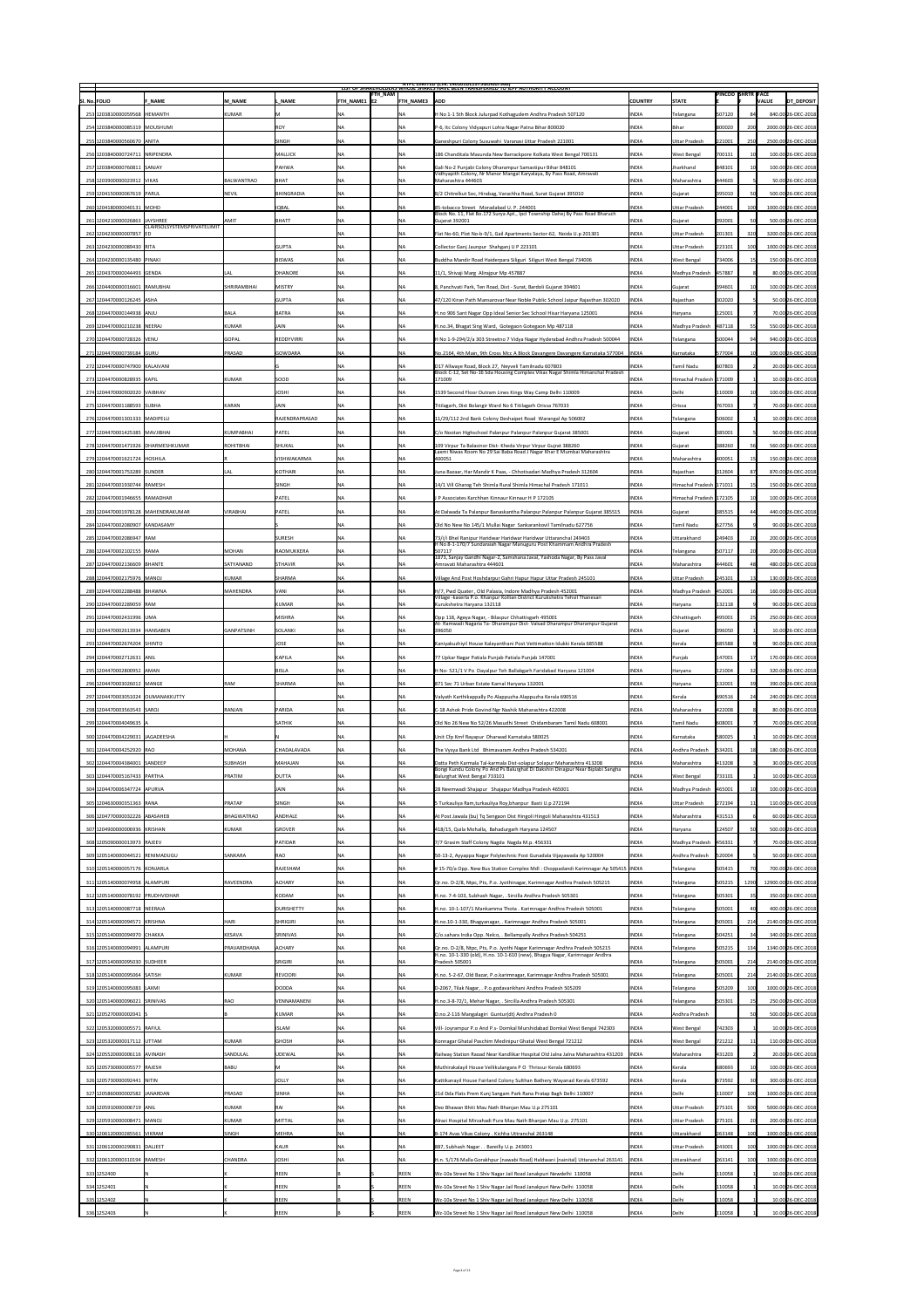|                                                        |                    |                    |                                 |                           | <b>NIPC LIMITED (CIN: L40101DL1975GOI007966)</b><br>LIST OF SHAREHOLDERS WHOSE SHARES HAVE BEEN TRANSFERRED TO TEPF AUTHORITY ACCOUNT                      |                |                           |                          |              |                      |
|--------------------------------------------------------|--------------------|--------------------|---------------------------------|---------------------------|------------------------------------------------------------------------------------------------------------------------------------------------------------|----------------|---------------------------|--------------------------|--------------|----------------------|
| SI. No. FOLIO<br><b>F NAME</b>                         | M NAME             | NAME               | FTH_NAM <br><b>FTH NAME1 E2</b> | <b>FTH NAME3 ADD</b>      |                                                                                                                                                            | <b>COUNTRY</b> | <b>STATE</b>              | <b>PINCOD SHRTR FACE</b> | <b>VALUE</b> | DT_DEPOSIT           |
| 253 1203810000059568 HEMANTH                           | KUMAR              |                    | <b>NA</b>                       |                           | H No 1-1 5th Block Julurpad Kothagudem Andhra Pradesh 507120                                                                                               | <b>INDIA</b>   | Telangana                 | 507120                   |              | 840.00 26-DEC-2018   |
| 254 1203840000085319 MOUSHUMI                          |                    | <b>ROY</b>         | <b>NA</b>                       | <b>NA</b>                 | P-6, Itc Colony Vidyapuri Lohia Nagar Patna Bihar 800020                                                                                                   | <b>INDIA</b>   | Bihar                     | 800020                   | 200          | 2000.00 26-DEC-2018  |
| 255 1203840000560670 ANITA                             |                    | <b>SINGH</b>       | <b>NA</b>                       | NA                        | Ganeshpuri Colony Susuwahi Varanasi Uttar Pradesh 221001                                                                                                   | <b>INDIA</b>   | Uttar Pradesh             | 221001                   | 250          | 2500.00 26-DEC-2018  |
| 256 1203840000724711 NRIPENDRA                         |                    | <b>MALLICK</b>     | <b>NA</b>                       | <b>NA</b>                 | 186 Chanditala Masunda New Barrackpore Kolkata West Bengal 700131                                                                                          | <b>INDIA</b>   | <b>West Bengal</b>        | 700131                   |              | 100.00 26-DEC-2018   |
| 257 1203840000760811 SANJAY                            |                    | <b>PAHWA</b>       | <b>NA</b>                       |                           | Gali No-2 Punjabi Colony Dharampur Samastipur Bihar 848101                                                                                                 | <b>INDIA</b>   | Jharkhand                 | 848101                   |              | 100.00 26-DEC-2018   |
| 258 1203900000023912 VIKAS                             | BALWANTRAO         | BHAT               | <b>NA</b>                       | ΝA                        | Vidhyapith Colony, Nr Manor Mangal Karyalaya, By Pass Road, Amravati<br>Maharashtra 444603                                                                 | <b>INDIA</b>   | Maharashtra               | 444603                   |              | 50.00 26-DEC-2018    |
| 259 1204150000067619 PARUL                             | <b>NEVIL</b>       | BHINGRADIA         | $\overline{\mathsf{NA}}$        | <b>NA</b>                 | B/2 Chitrelkut Soc, Hirabag, Varachha Road, Surat Gujarat 395010                                                                                           | <b>INDIA</b>   | Gujarat                   | 395010                   |              | 500.00 26-DEC-2018   |
| 260 1204180000040131 MOHD                              |                    | <b>IQBAL</b>       | <b>NA</b>                       | ΝA                        | 85-tobacco Street Moradabad U. P. 244001                                                                                                                   | <b>INDIA</b>   | Uttar Pradesh             | 244001                   |              | 1000.00 26-DEC-2018  |
| 261 1204210000026863 JAYSHREE                          | <b>AMIT</b>        | BHATT              | <b>NA</b>                       | <b>NA</b>                 | Block No. 11, Flat Bo.172 Surya Apt., Ipcl Township Dahej By Pass Road Bharuch<br>Gujarat 392001                                                           | <b>INDIA</b>   | Gujarat                   | 392001                   | 50           | 500.00 26-DEC-2018   |
| CLAIRSOLSYSTEMSPRIVATELIMIT<br>262 1204230000007857 ED |                    |                    | <b>NA</b>                       | <b>NA</b>                 | Flat No-60, Plot No-b-9/1, Gail Apartments Sector-62, Noida U.p 201301                                                                                     | <b>INDIA</b>   | Uttar Pradesh             | 201301                   | 320          | 3200.00 26-DEC-2018  |
| 263 1204230000089430 RITA                              |                    | <b>GUPTA</b>       | <b>NA</b>                       |                           | Collector Ganj Jaunpur Shahganj U P 223101                                                                                                                 | <b>INDIA</b>   | Uttar Pradesh             | 223101                   |              | 1000.00 26-DEC-2018  |
| 264 1204 230000135480 PINAKI                           |                    | <b>BISWAS</b>      | <b>NA</b>                       | <b>NA</b>                 | Buddha Mandir Road Haiderpara Siliguri Siliguri West Bengal 734006                                                                                         | <b>INDIA</b>   | <b>West Bengal</b>        | 734006                   |              | 150.00 26-DEC-2018   |
|                                                        |                    |                    |                                 |                           |                                                                                                                                                            |                |                           |                          |              |                      |
| 265 1204370000044493 GENDA                             | LAL                | <b>DHANORE</b>     | NA                              | ΝA                        | 11/1, Shivaji Marg Alirajpur Mp 457887                                                                                                                     | <b>INDIA</b>   | Madhya Pradesh            | 457887                   |              | 80.00 26-DEC-2018    |
| 266 1204400000016601 RAMUBHAI                          | <b>SHRIRAMBHAI</b> | <b>MISTRY</b>      | <b>NA</b>                       | .NA                       | 8, Panchvati Park, Ten Road, Dist - Surat, Bardoli Gujarat 394601                                                                                          | <b>INDIA</b>   | Gujarat                   | 394601                   |              | 100.00 26-DEC-2018   |
| 267 1204470000126245 ASHA                              |                    | GUPTA              | <b>NA</b>                       |                           | 47/120 Kiran Path Mansarovar Near Noble Public School Jaipur Rajasthan 302020                                                                              | <b>INDIA</b>   | Rajasthan                 | 302020                   |              | 50.00 26-DEC-2018    |
| 268 1204470000144938 ANJU                              | BALA               | BATRA              | <b>NA</b>                       | ΝA                        | H.no 906 Sant Nagar Opp Ideal Senior Sec School Hisar Haryana 125001                                                                                       | <b>INDIA</b>   | Haryana                   | 125001                   |              | 70.00 26-DEC-2018    |
| 269 1204470000210238 NEERAJ                            | KUMAR              | <b>JAIN</b>        | <b>NA</b>                       | <b>NA</b>                 | H.no.34, Bhagat Sing Ward, Gotegaon Gotegaon Mp 487118                                                                                                     | <b>INDIA</b>   | Madhya Pradesh            | 487118                   |              | 550.00 26-DEC-2018   |
| 270 1204470000728326 VENU                              | <b>GOPAL</b>       | <b>REDDYVIRRI</b>  | <b>NA</b>                       | ΝA                        | H No 1-9-294/2/a 303 Streetno 7 Vidya Nagar Hyderabad Andhra Pradesh 500044                                                                                | <b>INDIA</b>   | Telangana                 | 500044                   |              | 940.00 26-DEC-2018   |
| 271 1204470000739184 GURU                              | <b>PRASAD</b>      | GOWDARA            | NA                              |                           | No.2164, 4th Main, 9th Cross Mcc A Block Davangere Davangere Karnataka 577004                                                                              | <b>INDIA</b>   | Karnataka                 | 577004                   |              | 100.00 26-DEC-2018   |
| 272 1204470000747900 KALAIVANI                         |                    |                    | NA.                             | ΝA                        | D17 Allwaye Road, Block 27, Neyveli Tamilnadu 607803<br>Block C-12, Set No-16 Sda Housing Complex Vikas Nagar Shimla Himanchal Pradesh                     | <b>INDIA</b>   | <b>Tamil Nadu</b>         | 607803                   |              | 20.00 26-DEC-2018    |
| 273 1204470000828935 KAPIL                             | KUMAR              | <b>SOOD</b>        | <b>NA</b>                       |                           | 171009                                                                                                                                                     | <b>INDIA</b>   | Himachal Pradesh 171009   |                          |              | 10.00 26-DEC-2018    |
| 274 1204470000902020 VAIBHAV                           |                    | <b>JOSHI</b>       | <b>NA</b>                       |                           | 1539 Second Floor Outram Lines Kings Way Camp Delhi 110009                                                                                                 | <b>INDIA</b>   | Delhi                     | 110009                   |              | 100.00 26-DEC-2018   |
| 275 1204470001188593 SUBHA                             | KARAN              | <b>JAIN</b>        | <b>NA</b>                       |                           | Titilagarh, Dist Bolangir Ward No 6 Titilagarh Orissa 767033                                                                                               | <b>INDIA</b>   | <b>Orissa</b>             | 767033                   |              | 70.00 26-DEC-2018    |
| 276 1204470001301333 MADIPELLI                         |                    | RAJENDRAPRASAD     | <b>NA</b>                       |                           | 11/29/112 2nd Bank Colony Deshaipet Road Warangal Ap 506002                                                                                                | <b>INDIA</b>   | Telangana                 | 506002                   |              | 10.00 26-DEC-2018    |
| 277 1204470001425385 MAVJIBHAI                         | KUMPABHAI          | PATEL              | <b>NA</b>                       |                           | C/o Nootan Highschool Palanpur Palanpur Palanpur Gujarat 385001                                                                                            | <b>INDIA</b>   | Gujarat                   | 385001                   |              | 50.00 26-DEC-2018    |
| 278 1204470001471926 DHARMESHKUMAR                     | ROHITBHAI          | <b>SHUKAL</b>      | <b>NA</b>                       | ΝA                        | 109 Virpur Ta Balasinor Dist- Kheda Virpur Virpur Gujrat 388260                                                                                            | <b>INDIA</b>   | Gujarat                   | 388260                   |              | 560.00 26-DEC-2018   |
| 279 1204470001621724 HOSHILA                           |                    | VISHWAKARMA        | NA                              |                           | Laxmi Niwas Room No 29 Sai Baba Road J Nagar Khar E Mumbai Maharashtra<br>400051                                                                           | <b>INDIA</b>   | Maharashtra               | 400051                   |              | 150.00 26-DEC-2018   |
| 280 1204470001753289 SUNDER                            | LAL                | KOTHARI            | <b>NA</b>                       |                           | Juna Bazaar, Har Mandir K Paas, - Chhotisadari Madhya Pradesh 312604                                                                                       | <b>INDIA</b>   | Rajasthan                 | 312604                   |              | 870.00 26-DEC-2018   |
| 281 1204470001930744 RAMESH                            |                    | SINGH              | NA                              | <b>NA</b>                 | 14/1 Vill Gharog Teh Shimla Rural Shimla Himachal Pradesh 171011                                                                                           | <b>INDIA</b>   | Himachal Pradesh   171011 |                          |              | 150.00 26-DEC-2018   |
|                                                        |                    |                    |                                 |                           |                                                                                                                                                            |                |                           |                          |              |                      |
| 282 1204470001946655 RAMADHAR                          |                    | PATEL              | <b>NA</b>                       | INA                       | J P Associates Karchhan Kinnaur Kinnaur H P 172105                                                                                                         | <b>INDIA</b>   | Himachal Pradesh 172105   |                          |              | 100.00 26-DEC-2018   |
| 283 1204470001978128 MAHENDRAKUMAR                     | <b>VIRABHAI</b>    | PATEL              | <b>NA</b>                       |                           | At Dalwada Ta Palanpur Banaskantha Palanpur Palanpur Palanpur Gujarat 385515                                                                               | <b>INDIA</b>   | Gujarat                   | 385515                   |              | 440.00 26-DEC-2018   |
| 284 1204470002080907 KANDASAMY                         |                    |                    | ΝA                              | NA.                       | Old No New No 145/1 Mullai Nagar Sankarankovil Tamilnadu 627756                                                                                            | <b>INDIA</b>   | Tamil Nadu                | 627756                   |              | 90.00 26-DEC-2018    |
| 285 1204470002086947 RAM                               |                    | <b>SURESH</b>      | <b>NA</b>                       |                           | 73/i/i Bhel Ranipur Haridwar Haridwar Haridwar Uttaranchal 249403<br>H No 8-1-170/7 Sundaraiah Nagar Manuguru Post Khammam Andhra Pradesh                  | <b>INDIA</b>   | Uttarakhand               | 249403                   |              | 200.00 26-DEC-2018   |
| 286 1204470002102155 RAMA                              | MOHAN              | <b>RAOMUKKERA</b>  | NA                              |                           | 507117<br>1873, Sanjay Gandhi Nagar-2, Samshana Javal, Yashoda Nagar, By Pass Javal                                                                        | <b>INDIA</b>   | Telangana                 | 507117                   |              | 200.00 26-DEC-2018   |
| 287 1204470002136609 BHANTE                            | <b>SATYANAND</b>   | <b>STHAVIR</b>     | <b>NA</b>                       |                           | Amravati Maharashtra 444601                                                                                                                                | <b>INDIA</b>   | Maharashtra               | 444601                   |              | 480.00 26-DEC-2018   |
| 288 1204470002175976 MANOJ                             | KUMAR              | <b>SHARMA</b>      | <b>NA</b>                       |                           | Village And Post Hoshdarpur Gahri Hapur Hapur Uttar Pradesh 245101                                                                                         | <b>INDIA</b>   | Uttar Pradesh             | 245101                   |              | 130.00 26-DEC-2018   |
| 289 1204470002288488 BHAWNA                            | <b>MAHENDRA</b>    | <b>VANI</b>        | <b>NA</b>                       |                           | H/7, Pwd Quater, Old Palasia, Indore Madhya Pradesh 452001                                                                                                 | <b>INDIA</b>   | Madhya Pradesh            | 452001                   |              | 160.00 26-DEC-2018   |
| 290 1204470002289059 RAM                               |                    | <b>KUMAR</b>       | <b>NA</b>                       |                           | Village - kaserla P.o. Khanpur Kollian District Kurukshetra Tehsil Thanesari<br>Kurukshetra Haryana 132118                                                 | <b>INDIA</b>   | Haryana                   | 132118                   |              | 90.00 26-DEC-2018    |
| 291 1204470002431996 UMA                               |                    | <b>MISHRA</b>      | NA                              |                           | Opp 118, Ageya Nagar, - Bilaspur Chhattisgarh 495001                                                                                                       | <b>INDIA</b>   | Chhattisgarh              | 495001                   |              | 250.00 26-DEC-2018   |
| 292 1204470002613934 HANSABEN                          | <b>GANPATSINH</b>  | SOLANKI            | <b>NA</b>                       |                           | At- Ramwadi Nagaria Ta- Dharampur Dist- Valsad Dharampur Dharampur Gujarat<br>396050                                                                       | <b>INDIA</b>   | Gujarat                   | 396050                   |              | 10.00 26-DEC-2018    |
| 293 1204470002674204 SHINTO                            |                    | <b>JOSE</b>        | <b>NA</b>                       | ΝA                        | Kaniyakuzhiyil House Kalayanthani Post Vettimatton Idukki Kerala 685588                                                                                    | <b>INDIA</b>   | Kerala                    | 685588                   |              | 90.00 26-DEC-2018    |
| 294 1204470002712631 ANIL                              |                    | <b>KAPILA</b>      | <b>NA</b>                       | <b>NA</b>                 | 77 Upkar Nagar Patiala Punjab Patiala Punjab 147001                                                                                                        | <b>INDIA</b>   | Punjab                    | 147001                   |              | 170.00 26-DEC-2018   |
|                                                        |                    |                    |                                 |                           |                                                                                                                                                            |                |                           |                          |              |                      |
| 295 1204470002800952 AMAN                              |                    | BISLA              | <b>NA</b>                       | ΝA                        | H No- 521/1 V Po Dayalpur Teh Ballabgarh Faridabad Haryana 121004                                                                                          | <b>INDIA</b>   | Haryana                   | 121004                   |              | 320.00 26-DEC-2018   |
| 296 1204470003026012 MANGE                             | <b>RAM</b>         | <b>SHARMA</b>      | NA                              | .NA                       | 871 Sec 71 Urban Estate Karnal Haryana 132001                                                                                                              | <b>INDIA</b>   | Haryana                   | 132001                   |              | 390.00 26-DEC-2018   |
| 297 1204470003051024 OUMANAKKUTTY                      |                    |                    | <b>NA</b>                       |                           | Valyath Karthikappally Po Alappuzha Alappuzha Kerala 690516                                                                                                | <b>INDIA</b>   | Kerala                    | 690516                   |              | 240.00 26-DEC-2018   |
| 298 1204470003563543 SAROJ                             | <b>RANJAN</b>      | PARIDA             | <b>NA</b>                       | ΝA                        | C-18 Ashok Pride Govind Ngr Nashik Maharashtra 422008                                                                                                      | <b>INDIA</b>   | Maharashtra               | 422008                   |              | 80.00 26-DEC-2018    |
| 299 1204470004049635 A                                 |                    | <b>SATHIK</b>      | <b>NA</b>                       | <b>NA</b>                 | Old No 26 New No 52/26 Masudhi Street Chidambaram Tamil Nadu 608001                                                                                        | <b>INDIA</b>   | Tamil Nadu                | 608001                   |              | 70.00 26-DEC-2018    |
| 300 1204470004229031 JAGADEESHA                        |                    |                    | <b>NA</b>                       | ΝA                        | Unit Cfp Kmf Rayapur Dharwad Karnataka 580025                                                                                                              | <b>INDIA</b>   | Karnataka                 | 580025                   |              | 10.00 26-DEC-2018    |
| 301 1204470004252920 RAO                               | MOHANA             | <b>CHADALAVADA</b> | NA                              |                           | The Vysya Bank Ltd Bhimavaram Andhra Pradesh 534201                                                                                                        | <b>INDIA</b>   | Andhra Pradesh            | 534201                   |              | 180.00 26-DEC-2018   |
| 302 1204470004384001 SANDEEP                           | <b>SUBHASH</b>     | MAHAJAN            | NA                              | <b>NA</b>                 | Datta Peth Karmala Tal-karmala Dist-solapur Solapur Maharashtra 413208<br>Bongi Kundu Colony Po And Ps Balurghat Di Dakshin Dinajpur Near Biplabi Sangha   | <b>INDIA</b>   |                           |                          |              | 30.00 26-DEC-2018    |
| 303 1204470005167433 PARTHA                            |                    |                    |                                 |                           |                                                                                                                                                            |                | Maharashtra               | 413208                   |              |                      |
|                                                        | PRATIM             | <b>DUTTA</b>       |                                 |                           | Balurghat West Bengal 733101                                                                                                                               | <b>INDIA</b>   | <b>West Bengal</b>        | 733101                   |              | 10.00 26-DEC-2018    |
| 304 1204470006347724 APURVA                            |                    | <b>JAIN</b>        | <b>NA</b>                       | INA.                      | 28 Neemwadi Shajapur Shajapur Madhya Pradesh 465001                                                                                                        | <b>INDIA</b>   | Madhya Pradesh            | 465001                   |              | 100.00 26-DEC-2018   |
| 305 1204630000351363 RANA                              | PRATAP             | SINGH              | <b>NA</b>                       | <b>NA</b>                 | 5 Turkauliya Ram,turkauliya Roy,bhanpur Basti U.p 272194                                                                                                   | <b>INDIA</b>   | Uttar Pradesh             | 272194                   |              | 110.00 26-DEC-2018   |
| 306 1204770000032226 ABASAHEB                          | BHAGWATRAO         | <b>ANDHALE</b>     | NA                              | $\overline{N}$            | At Post Jawala (bu) Tq Sengaon Dist Hingoli Hingoli Maharashtra 431513                                                                                     | <b>INDIA</b>   | Maharashtra               | 431513                   |              | 60.00 26-DEC-2018    |
| 307 1204900000006936 KRISHAN                           | KUMAR              | GROVER             | NA                              |                           | 418/15, Quila Mohalla, Bahadurgarh Haryana 124507                                                                                                          | <b>INDIA</b>   | Haryana                   | 124507                   |              | 500.00 26-DEC-2018   |
| 308 1205090000013973 RAJEEV                            |                    | PATIDAR            | NA                              |                           | 7/7 Grasim Staff Colony Nagda Nagda M.p. 456331                                                                                                            | <b>INDIA</b>   | Madhya Pradesh            | 456331                   |              | 70.00 26-DEC-2018    |
| 309 1205140000044521 RENIMADUGU                        | <b>SANKARA</b>     | <b>RAO</b>         | <b>NA</b>                       | <b>NA</b>                 | 50-13-2, Ayyappa Nagar Polytechnic Post Gunadala Vijayawada Ap 520004                                                                                      | <b>INDIA</b>   | Andhra Pradesh            | 520004                   |              | 50.00 26-DEC-2018    |
| 310 1205140000057176 KONJARLA                          |                    | RAJESHAM           | <b>NA</b>                       | ΝA                        | # 15-70/a Opp. New Bus Station Complex Mdl : Choppadandi Karimnagar Ap 505415  INDIA                                                                       |                | Telangana                 | 505415                   |              | 700.00 26-DEC-2018   |
| 311 1205140000074958 ALAMPURI                          | <b>RAVEENDRA</b>   | <b>ACHARY</b>      | NA                              | ΝA                        | Qr.no. D-2/8, Ntpc, Pts, P.o. Jyothinagar, Karimnagar Andhra Pradesh 505215                                                                                | <b>INDIA</b>   | Telangana                 | 505215                   | 1290         | 12900.00 26-DEC-2018 |
| 312 1205140000078192 PRUDHVIDHAR                       |                    | <b>KODAM</b>       | <b>NA</b>                       | ΝA                        | H.no. 7-4-103, Subhash Nagar, . Sircilla Andhra Pradesh 505301                                                                                             | <b>INDIA</b>   | Telangana                 | 505301                   |              | 350.00 26-DEC-2018   |
| 313 1205140000087718 NEERAJA                           |                    | <b>DURISHETTY</b>  | <b>NA</b>                       | <b>NA</b>                 | H.no. 10-1-107/1 Mankamma Thota . Karimnagar Andhra Pradesh 505001                                                                                         | <b>INDIA</b>   | Telangana                 | 505001                   |              | 400.00 26-DEC-2018   |
|                                                        |                    | <b>SHRIGIRI</b>    |                                 | INA.                      |                                                                                                                                                            |                |                           |                          |              |                      |
| 314 1205140000094571 KRISHNA                           | HARI               |                    | <b>NA</b>                       |                           | H.no.10-1-330, Bhagyanagar, . Karimnagar Andhra Pradesh 505001                                                                                             | <b>INDIA</b>   | Telangana                 | 505001                   | 214          | 2140.00 26-DEC-2018  |
| 315 1205140000094970 CHAKKA                            | KESAVA             | SRINIVAS           | <b>NA</b>                       | ΝA                        | C/o.sahara India Opp. Nelco, . Bellampally Andhra Pradesh 504251                                                                                           | <b>INDIA</b>   | Telangana                 | 504251                   |              | 340.00 26-DEC-2018   |
| 316 1205140000094991 ALAMPURI                          | <b>PRAVARDHANA</b> | <b>ACHARY</b>      | NA                              | <b>NA</b>                 | Qr.no. D-2/8, Ntpc, Pts, P.o. Jyothi Nagar Karimnagar Andhra Pradesh 505215<br>H.no. 10-1-330 (old), H.no. 10-1-610 (new), Bhagya Nagar, Karimnagar Andhra | <b>INDIA</b>   | Telangana                 | 505215                   | 134          | 1340.00 26-DEC-2018  |
| 317 1205140000095030 SUDHEER                           |                    | SRIGIRI            | <b>NA</b>                       |                           | Pradesh 505001                                                                                                                                             | <b>INDIA</b>   | Telangana                 | 505001                   | 214          | 2140.00 26-DEC-2018  |
| 318 1205140000095064 SATISH                            | KUMAR              | <b>REVOORI</b>     | NA                              | ΝA                        | H.no. 5-2-67, Old Bazar, P.o.karimnagar, Karimnagar Andhra Pradesh 505001                                                                                  | <b>INDIA</b>   | Telangana                 | 505001                   | 214          | 2140.00 26-DEC-2018  |
| 319 1205140000095083 LAXMI                             |                    | DODDA              | <b>NA</b>                       | <b>NA</b>                 | D-2067, Tilak Nagar, . P.o.godavarikhani Andhra Pradesh 505209                                                                                             | <b>INDIA</b>   | Telangana                 | 505209                   |              | 1000.00 26-DEC-2018  |
| 320 1205140000096021 SRINIVAS                          | <b>RAO</b>         | <b>VENNAMANENI</b> | <b>NA</b>                       | ΝA                        | H.no.3-8-72/1, Mehar Nagar, . Sircilla Andhra Pradesh 505301                                                                                               | <b>INDIA</b>   | Telangana                 | 505301                   |              | 250.00 26-DEC-2018   |
| 321 1205270000002041 S                                 |                    | KUMAR              | NA                              | ΝA                        | D.no.2-116 Mangalagiri Guntur(dt) Andhra Pradesh 0                                                                                                         | <b>INDIA</b>   | Andhra Pradesh            |                          |              | 500.00 26-DEC-2018   |
| 322 1205320000005571 RAFIUL                            |                    | <b>ISLAM</b>       | <b>NA</b>                       | <b>NA</b>                 | Vill-Joyrampur P.o And P.s-Domkal Murshidabad Domkal West Bengal 742303                                                                                    | <b>INDIA</b>   | <b>West Bengal</b>        | 742303                   |              | 10.00 26-DEC-2018    |
| 323 1205320000017112 UTTAM                             | KUMAR              | <b>GHOSH</b>       | <b>NA</b>                       |                           | Konnagar Ghatal Paschim Medinipur Ghatal West Bengal 721212                                                                                                | <b>INDIA</b>   | <b>West Bengal</b>        | 721212                   |              | 110.00 26-DEC-2018   |
| 324 1205520000006116 AVINASH                           | SANDULAL           | <b>UDEWAL</b>      | <b>NA</b>                       |                           | Railway Station Raoad Near Kandlikar Hospital Old Jalna Jalna Maharashtra 431203                                                                           | <b>INDIA</b>   | Maharashtra               | 431203                   |              | 20.00 26-DEC-2018    |
| 325 1205730000005577 RAJESH                            | BABU               |                    | <b>NA</b>                       | <b>NA</b>                 | Muthirakalayil House Vellikulangara P O Thrissur Kerala 680693                                                                                             | <b>INDIA</b>   | Kerala                    | 680693                   |              | 100.00 26-DEC-2018   |
| 326 1205730000092441 NITIN                             |                    | <b>JOLLY</b>       | <b>NA</b>                       | $\overline{\mathsf{N}}$ A | Kattikanayil House Fairland Colony Sulthan Bathery Wayanad Kerala 673592                                                                                   | <b>INDIA</b>   | Kerala                    | 673592                   |              | 300.00 26-DEC-2018   |
| 327 1205860000002582 JANARDAN                          | PRASAD             | <b>SINHA</b>       | <b>NA</b>                       | <b>NA</b>                 | 21d Dda Flats Prem Kunj Sangam Park Rana Pratap Bagh Delhi 110007                                                                                          | <b>INDIA</b>   | Delhi                     | 110007                   | 100          | 1000.00 26-DEC-2018  |
|                                                        | KUMAR              | $ R$ Al            | <b>NA</b>                       | ΝA                        |                                                                                                                                                            | <b>INDIA</b>   |                           |                          | 500          | 5000.00 26-DEC-2018  |
| 328 1205910000006719 ANIL                              |                    |                    |                                 |                           | Deo Bhawan Bhiti Mau Nath Bhanjan Mau U.p 275101                                                                                                           |                | Uttar Pradesh             | 275101                   |              |                      |
| 329 1205910000008471   MANOJ                           | KUMAR              | MITTAL             | NA                              | <b>NA</b>                 | Alrazi Hospital Mirzahadi Pura Mau Nath Bhanjan Mau U.p. 275101                                                                                            | <b>INDIA</b>   | Uttar Pradesh             | 275101                   |              | 200.00 26-DEC-2018   |
| 330 1206120000285561 VIKRAM                            | <b>SINGH</b>       | MEHRA              | <b>NA</b>                       | ΝA                        | B-174 Avas Vikas Colony . Kichha Uttranchal 263148                                                                                                         | <b>INDIA</b>   | Uttarakhand               | 263148                   | 100          | 1000.00 26-DEC-2018  |
| 331 1206120000290831 DALJEET                           |                    | KAUR               | <b>NA</b>                       | <b>NA</b>                 | 887, Subhash Nagar Bareilly U.p. 243001                                                                                                                    | <b>INDIA</b>   | Uttar Pradesh             | 243001                   | 100          | 1000.00 26-DEC-2018  |
| 332 1206120000310194 RAMESH                            | <b>CHANDRA</b>     | <b>JOSHI</b>       | <b>NA</b>                       | ΝA                        | H.n. 5/176 Malla Gorakhpur [nawabi Road] Haldwani [nainital] Uttaranchal 263141                                                                            | <b>INDIA</b>   | Uttarakhand               | 263141                   |              | 1000.00 26-DEC-2018  |
| 333 1252400                                            |                    | <b>REEN</b>        |                                 | <b>REEN</b>               | Wz-10a Street No 1 Shiv Nagar Jail Road Janakpuri Newdelhi 110058                                                                                          | <b>INDIA</b>   | Delhi                     | 110058                   |              | 10.00 26-DEC-2018    |
| 334 1252401                                            |                    | <b>REEN</b>        |                                 | <b>REEN</b>               | Wz-10a Street No 1 Shiv Nagar Jail Road Janakpuri New Delhi 110058                                                                                         | <b>INDIA</b>   | Delhi                     | 110058                   |              | 10.00 26-DEC-2018    |
| 335 1252402                                            |                    | REEN               |                                 | REEN                      | Wz-10a Street No 1 Shiv Nagar Jail Road Janakpuri New Delhi 110058                                                                                         | <b>INDIA</b>   | Delhi                     | 110058                   |              | 10.00 26-DEC-2018    |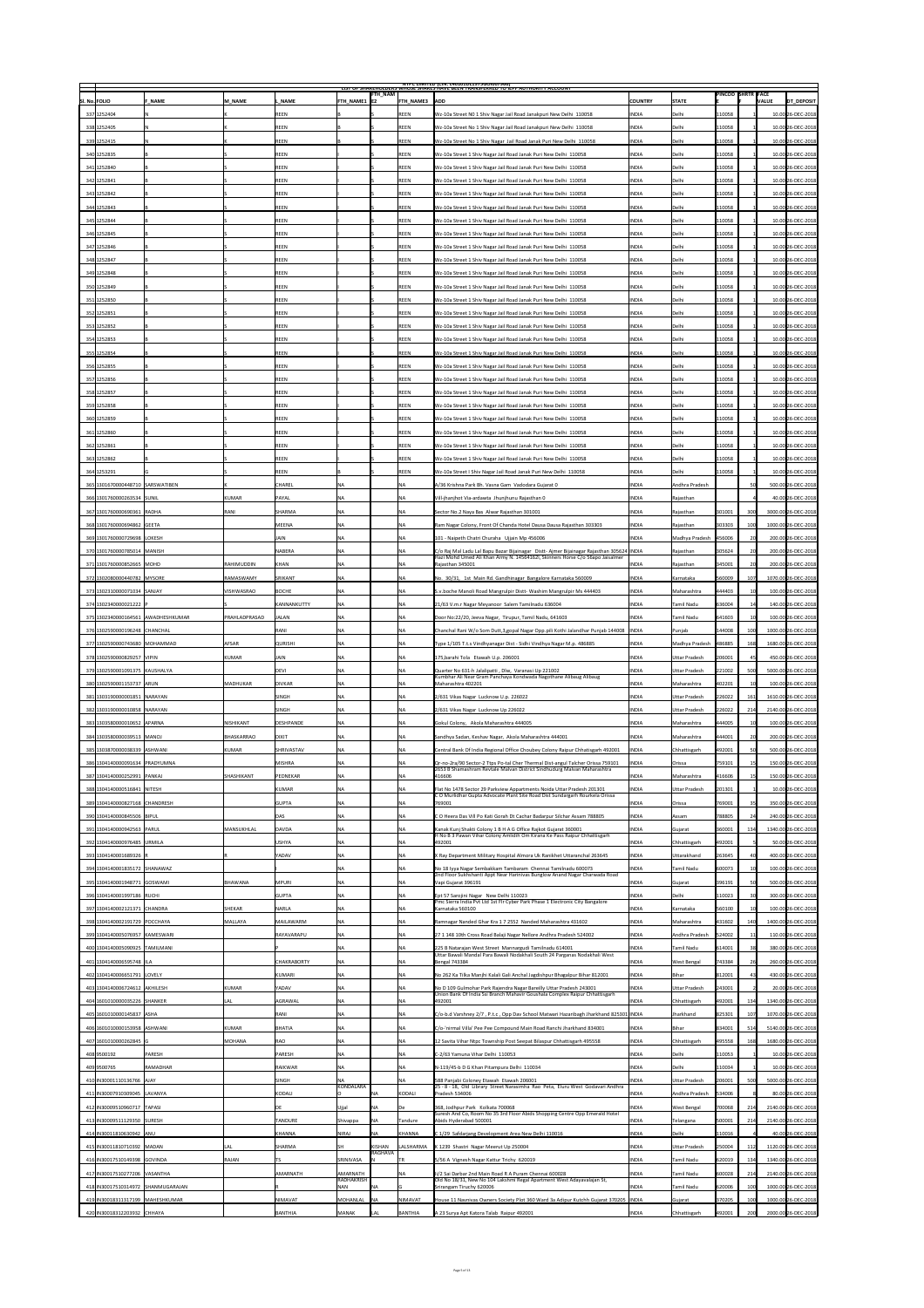|               |                                                               |                 |                            |                                |                          | <b>FTH_NAM</b>           |                      | <b>NIPC LIMITED (CIN: L4U1U1DL1975GOIUU7966)</b><br>LIST OF SHAKEHOLDERS WHOSE SHAKES HAVE BEEN TRANSFERRED TO TEPF AUTHORITY ACCOUNT                                       |                              |                               |                  | <b>PINCOD SHRTR FACE</b> |                                          |
|---------------|---------------------------------------------------------------|-----------------|----------------------------|--------------------------------|--------------------------|--------------------------|----------------------|-----------------------------------------------------------------------------------------------------------------------------------------------------------------------------|------------------------------|-------------------------------|------------------|--------------------------|------------------------------------------|
| SI. No. FOLIO |                                                               | <b>F NAME</b>   | M NAME                     | L NAME                         | <b>FTH NAME1 E2</b>      |                          | <b>FTH_NAME3</b> ADD |                                                                                                                                                                             | <b>COUNTRY</b>               | <b>STATE</b>                  |                  |                          | DT_DEPOSIT<br><b>VALUE</b>               |
|               | 337 1252404                                                   |                 |                            | REEN                           |                          |                          | REEN                 | Wz-10a Street NO 1 Shiv Nagar Jail Road Janakpuri New Delhi 110058                                                                                                          | <b>INDIA</b>                 | Delhi                         | 110058           |                          | $10.00 26$ -DEC-2018                     |
|               | 338 1252405                                                   |                 |                            | REEN                           |                          |                          | REEN                 | Wz-10a Street No 1 Shiv Nagar Jail Road Janakpuri New Delhi 110058                                                                                                          | <b>INDIA</b>                 | Delhi                         | 110058           |                          | $10.00 26$ -DEC-2018                     |
|               | 339 1252415                                                   |                 |                            | REEN                           |                          |                          | REEN                 | Wz-10a Street No 1 Shiv Nagar Jail Road Janak Puri New Delhi 110058                                                                                                         | <b>INDIA</b>                 | Delhi                         | 110058           |                          | 10.00 26-DEC-2018                        |
|               | 340 1252835                                                   |                 |                            | REEN                           |                          |                          | <b>REEN</b>          | Wz-10a Street 1 Shiv Nagar Jail Road Janak Puri New Delhi 110058                                                                                                            | <b>INDIA</b>                 | Delhi                         | 110058           |                          | 10.00 26-DEC-2018                        |
|               | 341 1252840                                                   |                 |                            | REEN                           |                          |                          | REEN                 | Wz-10a Street 1 Shiv Nagar Jail Road Janak Puri New Delhi 110058                                                                                                            | <b>INDIA</b>                 | Delhi                         | 110058           |                          | 10.00 26-DEC-2018                        |
|               | 342 1252841                                                   |                 |                            | REEN                           |                          |                          | <b>REEN</b>          | Wz-10a Street 1 Shiv Nagar Jail Road Janak Puri New Delhi 110058                                                                                                            | <b>INDIA</b>                 | Delhi                         | 110058           |                          | 10.00 26-DEC-2018                        |
|               | 343 1252842                                                   |                 |                            | <b>REEN</b>                    |                          |                          | REEN                 | Wz-10a Street 1 Shiv Nagar Jail Road Janak Puri New Delhi 110058                                                                                                            | <b>INDIA</b>                 | Delhi                         | 110058           |                          | 10.00 26-DEC-2018                        |
|               | 344 1252843                                                   |                 |                            | <b>REEN</b>                    |                          |                          | <b>REEN</b>          | Wz-10a Street 1 Shiv Nagar Jail Road Janak Puri New Delhi 110058                                                                                                            | <b>INDIA</b>                 | Delhi                         | 110058           |                          | 10.00 26-DEC-2018                        |
|               | 345 1252844                                                   |                 |                            | REEN                           |                          |                          | REEN                 | Wz-10a Street 1 Shiv Nagar Jail Road Janak Puri New Delhi 110058                                                                                                            | <b>INDIA</b>                 | Delhi                         | 110058           |                          | $10.00 26$ -DEC-2018                     |
|               | 346 1252845                                                   |                 |                            | REEN                           |                          |                          | REEN                 | Wz-10a Street 1 Shiv Nagar Jail Road Janak Puri New Delhi 110058                                                                                                            | <b>INDIA</b>                 | Delhi                         | 110058           |                          | $10.00 26$ -DEC-2018                     |
|               | 347 1252846                                                   |                 |                            | REEN                           |                          |                          | REEN                 | Wz-10a Street 1 Shiv Nagar Jail Road Janak Puri New Delhi 110058                                                                                                            | <b>INDIA</b>                 | Delhi                         | 110058           |                          | $10.00 26$ -DEC-2018                     |
|               | 348 1252847                                                   |                 |                            | REEN                           |                          |                          | REEN                 | Wz-10a Street 1 Shiv Nagar Jail Road Janak Puri New Delhi 110058                                                                                                            | <b>INDIA</b>                 | Delhi                         | 110058           |                          | $10.00 26$ -DEC-2018                     |
|               | 349 1252848                                                   |                 |                            | REEN                           |                          |                          | REEN                 | Wz-10a Street 1 Shiv Nagar Jail Road Janak Puri New Delhi 110058                                                                                                            | <b>INDIA</b>                 | Delhi                         | 110058           |                          | $10.00 26$ -DEC-2018                     |
|               | 350 1252849                                                   |                 |                            | REEN                           |                          |                          | REEN                 | Wz-10a Street 1 Shiv Nagar Jail Road Janak Puri New Delhi 110058                                                                                                            | <b>INDIA</b>                 | Delhi                         | 110058           |                          | 10.00 26-DEC-2018                        |
|               | 351 1252850                                                   |                 |                            | REEN                           |                          |                          | REEN                 | Wz-10a Street 1 Shiv Nagar Jail Road Janak Puri New Delhi 110058                                                                                                            | <b>INDIA</b>                 | Delhi                         | 110058           |                          | 10.00 26-DEC-2018                        |
|               | 352 1252851                                                   |                 |                            | REEN                           |                          |                          | <b>REEN</b>          | Wz-10a Street 1 Shiv Nagar Jail Road Janak Puri New Delhi 110058                                                                                                            | <b>INDIA</b>                 | Delhi                         | 110058           |                          | 10.00 26-DEC-2018                        |
|               | 353 1252852                                                   |                 |                            | <b>REEN</b>                    |                          |                          | REEN                 | Wz-10a Street 1 Shiv Nagar Jail Road Janak Puri New Delhi 110058                                                                                                            | <b>INDIA</b>                 | Delhi                         | 110058           |                          | $10.00 26$ -DEC-2018                     |
|               | 354 1252853                                                   |                 |                            | REEN                           |                          |                          | REEN                 | Wz-10a Street 1 Shiv Nagar Jail Road Janak Puri New Delhi 110058                                                                                                            | <b>INDIA</b>                 | Delhi                         | 110058           |                          | $10.00 26$ -DEC-2018                     |
|               | 355 1252854                                                   |                 |                            | REEN                           |                          |                          | REEN                 | Wz-10a Street 1 Shiv Nagar Jail Road Janak Puri New Delhi 110058                                                                                                            | <b>INDIA</b>                 | Delhi                         | 110058           |                          | $10.00 26$ -DEC-2018                     |
|               | 356 1252855                                                   |                 |                            | REEN                           |                          |                          | REEN                 | Wz-10a Street 1 Shiv Nagar Jail Road Janak Puri New Delhi 110058                                                                                                            | <b>INDIA</b>                 | Delhi                         | 110058           |                          | $10.00 26$ -DEC-2018                     |
|               | 357 1252856                                                   |                 |                            | REEN                           |                          |                          | REEN                 | Wz-10a Street 1 Shiv Nagar Jail Road Janak Puri New Delhi 110058                                                                                                            | <b>INDIA</b>                 | Delhi                         | 110058           |                          | $10.00 26$ -DEC-2018                     |
|               | 358 1252857                                                   |                 |                            | REEN                           |                          |                          | REEN                 | Wz-10a Street 1 Shiv Nagar Jail Road Janak Puri New Delhi 110058                                                                                                            | <b>INDIA</b>                 | Delhi                         | 110058           |                          | $10.00 26$ -DEC-2018                     |
|               | 359 1252858                                                   |                 |                            | REEN                           |                          |                          | <b>REEN</b>          | Wz-10a Street 1 Shiv Nagar Jail Road Janak Puri New Delhi 110058                                                                                                            | <b>INDIA</b>                 | Delhi                         | 110058           |                          | $10.00 26$ -DEC-2018                     |
|               | 360 1252859                                                   |                 |                            | REEN                           |                          |                          | <b>REEN</b>          | Wz-10a Street 1 Shiv Nagar Jail Road Janak Puri New Delhi 110058                                                                                                            | <b>INDIA</b>                 | Delhi                         | 110058           |                          | 10.00 26-DEC-2018                        |
|               | 361 1252860                                                   |                 |                            | REEN                           |                          |                          | REEN                 | Wz-10a Street 1 Shiv Nagar Jail Road Janak Puri New Delhi 110058                                                                                                            | <b>INDIA</b>                 | Delhi                         | 110058           |                          | 10.00 26-DEC-2018                        |
|               | 362 1252861                                                   |                 |                            | REEN                           |                          |                          | <b>REEN</b>          | Wz-10a Street 1 Shiv Nagar Jail Road Janak Puri New Delhi 110058                                                                                                            | <b>INDIA</b>                 | Delhi                         | 110058           |                          | 10.00 26-DEC-2018                        |
|               | 363 1252862                                                   |                 |                            | <b>REEN</b>                    |                          |                          | REEN                 | Wz-10a Street 1 Shiv Nagar Jail Road Janak Puri New Delhi 110058                                                                                                            | <b>INDIA</b>                 | Delhi                         | 110058           |                          | 10.00 26-DEC-2018                        |
|               | 364 1253291                                                   |                 |                            | REEN                           |                          |                          | <b>REEN</b>          | Wz-10a Street I Shiv Nagar Jail Road Janak Puri New Delhi 110058                                                                                                            | <b>INDIA</b>                 | Delhi                         | 110058           |                          | $10.00 26$ -DEC-2018                     |
|               | 365 1301670000448710 SARSWATIBEN                              |                 |                            | <b>CHAREL</b>                  | <b>NA</b>                |                          | NA                   | A/36 Krishna Park Bh. Vasna Gam Vadodara Gujarat 0                                                                                                                          | <b>INDIA</b>                 | Andhra Pradesh                |                  |                          | 500.00 26-DEC-2018                       |
|               | 366 1301760000263534 SUNIL                                    |                 | KUMAR                      | $\mathsf{PAYAL}$               | <b>NA</b>                |                          | <b>INA</b>           | Vill-jhanjhot Via-ardawta Jhunjhunu Rajasthan 0                                                                                                                             | <b>INDIA</b>                 | Rajasthan                     |                  |                          | 40.00 26-DEC-2018                        |
|               | 367 1301760000690361 RADHA                                    |                 | $\overline{\mathsf{RANI}}$ | <b>SHARMA</b>                  | <b>NA</b>                |                          | INA                  | Sector No.2 Naya Bas Alwar Rajasthan 301001                                                                                                                                 | <b>INDIA</b>                 | Rajasthan                     | 301001           |                          | 3000.00 26-DEC-2018                      |
|               | 368 1301760000694862 GEETA                                    |                 |                            | MEENA                          | <b>NA</b>                |                          | NA                   | Ram Nagar Colony, Front Of Chanda Hotel Dausa Dausa Rajasthan 303303                                                                                                        | <b>INDIA</b>                 | Rajasthan                     | 303303           |                          | 1000.00 26-DEC-2018                      |
|               | 369 1301760000729698 LOKESH                                   |                 |                            | <b>JAIN</b>                    | <b>NA</b>                |                          | <b>NA</b>            | 101 - Naipeth Chatri Churaha Ujjain Mp 456006                                                                                                                               | <b>INDIA</b>                 | Madhya Pradesh                | 456006           |                          | 200.00 26-DEC-2018                       |
|               | 370 1301760000785014 MANISH                                   |                 |                            | <b>NABERA</b>                  | <b>NA</b>                |                          | NA                   | C/o Raj Mal Ladu Lal Bapu Bazar Bijainagar Distt-Ajmer Bijainagar Rajasthan 305624   INDIA<br>Hazi Mohd Umed Ali Khan Army N. 14564162l, Skinners Horse C/o 56apo Jaisalmer |                              | Rajasthan                     | 305624           |                          | 200.00 26-DEC-2018                       |
|               | 371 1301760000852665 MOHD                                     |                 | <b>RAHIMUDDIN</b>          | KHAN                           | <b>NA</b>                |                          |                      | Rajasthan 345001                                                                                                                                                            | <b>INDIA</b>                 | Rajasthan                     | 345001           |                          | 200.00 26-DEC-2018                       |
|               | 372 1302080000440782 MYSORE                                   |                 | <b>RAMASWAMY</b>           | SRIKANT                        | <b>NA</b>                |                          | NA                   | No. 30/31, 1st Main Rd. Gandhinagar Bangalore Karnataka 560009                                                                                                              | <b>INDIA</b>                 | Karnataka                     | 560009           |                          | 1070.00 26-DEC-2018                      |
|               | 373 1302310000071034 SANJAY                                   |                 | VISHWASRAO                 | BOCHE                          | <b>NA</b>                |                          | INA                  | S.v.boche Manoli Road Mangrulpir Distt-Washim Mangrulpir Ms 444403                                                                                                          | <b>INDIA</b>                 | Maharashtra                   | 444403           |                          | 100.00 26-DEC-2018                       |
|               | 374 1302340000021222 P                                        |                 |                            | KANNANKUTTY                    | <b>NA</b>                |                          |                      | 21/63 V.m.r Nagar Meyanoor Salem Tamilnadu 636004                                                                                                                           | <b>INDIA</b>                 | Tamil Nadu                    | 636004           |                          | 140.00 26-DEC-2018                       |
|               | 375 1302340000164561 AWADHESHKUMAR                            |                 | <b>PRAHLADPRASAD</b>       | <b>JALAN</b>                   | <b>NA</b>                |                          | <b>NA</b>            | Door No:22/20, Jeeva Nagar, Tirupur, Tamil Nadu, 641603                                                                                                                     | <b>INDIA</b>                 | Tamil Nadu                    | 641603           |                          | 100.00 26-DEC-2018                       |
|               | 376 1302590000196248 CHANCHAL                                 |                 |                            | RANI                           | <b>NA</b>                |                          |                      | Chanchal Rani W/o Som Dutt, 3, gopal Nagar Opp. pili Kothi Jalandhar Punjab 144008  INDIA                                                                                   |                              | Punjab                        | 144008           |                          | 1000.00 26-DEC-2018                      |
|               | 377 1302590000743680 MOHAMMAD                                 |                 | <b>AFSAR</b>               | <b>QURISHI</b>                 | <b>NA</b>                |                          |                      |                                                                                                                                                                             |                              |                               | 486885           | 168                      | 1680.00 26-DEC-2018                      |
|               |                                                               |                 |                            |                                |                          |                          | NA                   | Type 1/105 T.t.s Vindhyanagar Dist - Sidhi Vindhya Nagar M.p. 486885                                                                                                        | <b>INDIA</b>                 | Madhya Pradesh                |                  |                          |                                          |
|               | 378 1302590000829257 VIPIN                                    |                 | KUMAR                      | <b>JAIN</b>                    | <b>NA</b>                |                          | <b>NA</b>            | 175, barahi Tola Etawah U.p. 206001                                                                                                                                         | <b>INDIA</b>                 | Uttar Pradesh                 | 206001           |                          | 450.00 26-DEC-2018                       |
|               | 379 1302590001091375 KAUSHALYA                                |                 |                            | <b>DEVI</b>                    | <b>NA</b>                |                          | <b>NA</b>            | Quarter No 631-h Jalalipatti, Dlw, Varanasi Up 221002<br>Kumbhar Ali Near Gram Panchaya Kondwada Nagothane Alibaug Alibaug                                                  | <b>INDIA</b>                 | Uttar Pradesh                 | 221002           |                          | 5000.00 26-DEC-2018                      |
|               | 380 1302590001153737 ARUN                                     |                 | <b>MADHUKAR</b>            | <b>DIVKAR</b>                  | <b>NA</b>                |                          | NA                   | Maharashtra 402201                                                                                                                                                          | <b>INDIA</b>                 | Maharashtra                   | 402201           |                          | 100.00 26-DEC-2018                       |
|               | 381 1303190000001851 NARAYAN                                  |                 |                            | <b>SINGH</b>                   | <b>NA</b>                |                          | NA                   | 2/631 Vikas Nagar Lucknow U.p. 226022                                                                                                                                       | <b>INDIA</b>                 | Uttar Pradesh                 | 226022           | 161                      | 1610.00 26-DEC-2018                      |
|               | 382 1303190000010858 NARAYAN                                  |                 |                            | <b>SINGH</b>                   | <b>NA</b>                |                          | NA                   | 2/631 Vikas Nagar Lucknow Up 226022                                                                                                                                         | <b>INDIA</b>                 | Uttar Pradesh                 | 226022           | 214                      | 2140.00 26-DEC-2018                      |
|               | 383 1303580000010652 APARNA                                   |                 | <b>NISHIKANT</b>           | <b>DESHPANDE</b>               | <b>NA</b>                |                          | INA                  | Gokul Colony, Akola Maharashtra 444005                                                                                                                                      | <b>INDIA</b>                 | Maharashtra                   | 444005           |                          | 100.00 26-DEC-2018                       |
|               | 384 1303580000039513   MANOJ                                  |                 | BHASKARRAO                 | <b>DIXIT</b>                   | <b>NA</b>                |                          | <b>INA</b>           | Sandhya Sadan, Keshav Nagar, Akola Maharashtra 444001                                                                                                                       | <b>INDIA</b>                 | Maharashtra                   | 444001           |                          | 200.00 26-DEC-2018                       |
|               | 385 1303870000038339 ASHWANI                                  |                 | KUMAR                      | <b>SHRIVASTAV</b>              | <b>NA</b>                |                          | <b>NA</b>            | Central Bank Of India Regional Office Choubey Colony Raipur Chhatisgarh 492001                                                                                              | <b>INDIA</b>                 | Chhattisgarh                  | 492001           |                          | 500.00 26-DEC-2018                       |
|               | 386 1304140000091634 PRADYUMNA                                |                 |                            | <b>MISHRA</b>                  | <b>NA</b>                |                          | <b>NA</b>            | Qr-no-2ra/90 Sector-2 Ttps Po-tal Cher Thermal Dist-angul Talcher Orissa 759101<br>2653 B Shamashram Revtale Malvan District Sindhudurg Malvan Maharashtra                  | <b>INDIA</b>                 | <b>Orissa</b>                 | 759101           |                          | 150.00 26-DEC-2018                       |
|               | 387 1304140000252991 PANKAJ                                   |                 | <b>SHASHIKANT</b>          | PEDNEKAR                       |                          |                          |                      | 416606                                                                                                                                                                      | <b>INDIA</b>                 | Maharashtra                   | 416606           |                          | 150.00 26-DEC-2018                       |
|               | 388 1304140000516841 NITESH                                   |                 |                            | KUMAR                          | <b>NA</b>                |                          | <b>INA</b>           | Flat No 1478 Sector 29 Parkview Appartments Noida Uttar Pradesh 201301<br>CO Murlidhar Gupta Advocate Plant Site Road Dist Sundargarh Rourkela Orissa                       | <b>INDIA</b>                 | Uttar Pradesh                 | 201301           |                          | 10.00 26-DEC-2018                        |
|               | 389 1304140000827168 CHANDRESH                                |                 |                            | <b>GUPTA</b>                   | <b>NA</b><br><b>NA</b>   |                          | NA                   | 769001                                                                                                                                                                      | <b>INDIA</b>                 | <b>Orissa</b><br><b>Assam</b> | 769001           |                          | 350.00 26-DEC-2018                       |
|               | 390 1304140000845506 BIPUL                                    |                 |                            | DAS                            |                          |                          |                      | C O Heera Das Vill Po Kati Gorah Dt Cachar Badarpur Silchar Assam 788805                                                                                                    | <b>INDIA</b>                 |                               | 788805           |                          | 240.00 26-DEC-2018                       |
|               | 391 1304140000942563 PARUL                                    |                 | <b>MANSUKHLAL</b>          | DAVDA                          | <b>NA</b>                |                          | NA                   | Kanak Kunj Shakti Colony 1 B H A G Office Rajkot Gujarat 360001<br>H No B 3 Pawan Vihar Colony Amlidih Om Kirana Ke Pass Raipur Chhattisgarh                                | <b>INDIA</b>                 | Gujarat                       | 360001           |                          | 1340.00 26-DEC-2018                      |
|               | 392 1304140000976485 URMILA                                   |                 |                            | <b>USHYA</b>                   | ΝA                       |                          | <b>NA</b>            | 492001                                                                                                                                                                      | <b>INDIA</b>                 | Chhattisgarh                  | 492001           |                          | 50.00 26-DEC-2018                        |
|               | 393 1304140001689326 R<br>394 1304 14000 1835 172 SHANAWAZ    |                 |                            | <b>YADAV</b>                   | <b>NA</b><br><b>NA</b>   |                          | ∣NA<br><b>NA</b>     | X Ray Department Military Hospital Almora Uk Ranikhet Uttaranchal 263645                                                                                                    | <b>INDIA</b><br><b>INDIA</b> | Uttarakhand<br>Tamil Nadu     | 263645           |                          | 400.00 26-DEC-2018<br>100.00 26-DEC-2018 |
|               | 395 1304140001948771 GOSWAMI                                  |                 | <b>BHAWANA</b>             | MPURI                          | <b>NA</b>                |                          |                      | No 18 Iyya Nagar Sembakkam Tambaram Chennai Tamilnadu 600073<br>2nd Floor Sukhshanti Appt Near Harinivas Bunglow Anand Nagar Charwada Road                                  | <b>INDIA</b>                 | Gujarat                       | '600073          |                          | 500.00 26-DEC-2018                       |
|               | 396 1304140001997186 RUCHI                                    |                 |                            | <b>GUPTA</b>                   | <b>NA</b>                |                          |                      | Vapi Gujarat 396191                                                                                                                                                         | <b>INDIA</b>                 | Delhi                         | 396191           |                          | 300.00 26-DEC-2018                       |
|               | 397 1304140002121371 CHANDRA                                  |                 | SHEKAR                     | <b>NARLA</b>                   | ΝA                       |                          |                      | Ept 57 Sarojini Nagar New Delhi 110023<br>Pmc Sierra India Pvt Ltd 1st Flr Cyber Park Phase 1 Electronic City Bangalore<br>Karnataka 560100                                 | <b>INDIA</b>                 | Karnataka                     | 110023<br>560100 |                          | 100.00 26-DEC-2018                       |
|               | 398 1304140002191729 POCCHAYA                                 |                 | MALLAYA                    | <b>MAILAWARM</b>               | <b>NA</b>                |                          | <b>INA</b>           | Ramnagar Nanded Ghar Kra 1 7 2552 Nanded Maharashtra 431602                                                                                                                 | <b>INDIA</b>                 | Maharashtra                   | 431602           | 140                      | 1400.00 26-DEC-2018                      |
|               | 399 1304140005076957 KAMESWARI                                |                 |                            | RAYAVARAPU                     | <b>NA</b>                |                          | <b>NA</b>            |                                                                                                                                                                             | <b>INDIA</b>                 | Andhra Pradesh                | 524002           |                          | 110.00 26-DEC-2018                       |
|               | 400 1304140005090925 TAMILMANI                                |                 |                            |                                | <b>NA</b>                |                          | NA                   | 27 1 148 10th Cross Road Balaji Nagar Nellore Andhra Pradesh 524002                                                                                                         | <b>INDIA</b>                 | Tamil Nadu                    | 614001           |                          | 380.00 26-DEC-2018                       |
|               |                                                               |                 |                            |                                |                          |                          |                      | 225 B Natarajan West Street Mannargudi Tamilnadu 614001<br>Uttar Bawali Mandal Para Bawali Nodakhali South 24 Parganas Nodakhali West                                       |                              |                               |                  |                          |                                          |
|               | 401 1304140006595748   ILA<br>402 1304140006651791 LOVELY     |                 |                            | <b>CHAKRABORTY</b><br>KUMARI   | <b>NA</b><br><b>NA</b>   |                          | INA                  | <b>Bengal 743384</b><br>No 262 Ka Tilka Manjhi Kalali Gali Anchal Jagdishpur Bhagalpur Bihar 812001                                                                         | <b>INDIA</b><br><b>INDIA</b> | <b>West Bengal</b><br>Bihar   | 743384<br>812001 |                          | 260.00 26-DEC-2018<br>430.00 26-DEC-2018 |
|               |                                                               |                 |                            |                                |                          |                          |                      |                                                                                                                                                                             |                              |                               |                  |                          |                                          |
|               | 403 1304140006724612 AKHILESH<br>404 1601010000035226 SHANKER |                 | KUMAR<br><b>LAL</b>        | <b>YADAV</b><br><b>AGRAWAL</b> | <b>NA</b><br><b>NA</b>   |                          | <b>NA</b>            | No D 109 Gulmohar Park Rajendra Nagar Bareilly Uttar Pradesh 243001<br>Union Bank Of India Ssi Branch Mahavir Goushala Complex Raipur Chhattisgarh<br> 492001               | <b>INDIA</b><br><b>INDIA</b> | Uttar Pradesh<br>Chhattisgarh | 243001<br>492001 |                          | 20.00 26-DEC-2018<br>1340.00 26-DEC-2018 |
|               | 405 1601010000145837 ASHA                                     |                 |                            | RANI                           | <b>NA</b>                |                          | <b>NA</b>            | C/o-b.d Varshney 2/7, P.t.c, Opp Dav School Matwari Hazaribagh Jharkhand 825301 INDIA                                                                                       |                              | Jharkhand                     | 825301           |                          | 1070.00 26-DEC-2018                      |
|               | 406 1601010000153958 ASHWANI                                  |                 | KUMAR                      | BHATIA                         | <b>NA</b>                |                          | <b>NA</b>            | C/o-'nirmal Villa' Pee Pee Compound Main Road Ranchi Jharkhand 834001                                                                                                       | <b>INDIA</b>                 | Bihar                         | 834001           |                          | 5140.00 26-DEC-2018                      |
|               | 407 1601010000262845 G                                        |                 | MOHANA                     | RAO                            | <b>NA</b>                |                          | <b>NA</b>            | 12 Savita Vihar Ntpc Township Post Seepat Bilaspur Chhattisgarh 495558                                                                                                      | <b>INDIA</b>                 | Chhattisgarh                  | 495558           | 168                      | 1680.00 26-DEC-2018                      |
|               | 408 9500192                                                   | PARESH          |                            | PARESH                         | <b>NA</b>                |                          |                      | $ C-2/63$ Yamuna Vihar Delhi 110053                                                                                                                                         | <b>INDIA</b>                 | Delhi                         | 110053           |                          | $10.00 26$ -DEC-2018                     |
|               | 409 9500765                                                   | <b>RAMADHAR</b> |                            | RAIKWAR                        | <b>NA</b>                |                          | <b>NA</b>            | N-119/45-b D G Khan Pitampura Delhi 110034                                                                                                                                  | <b>INDIA</b>                 | Delhi                         | 110034           |                          | $10.00 26$ -DEC-2018                     |
|               | 410   IN30001110136766   AJAY                                 |                 |                            | SINGH                          | <b>NA</b>                |                          | <b>INA</b>           | 588 Panjabi Coloney Etawah Etawah 206001                                                                                                                                    | <b>INDIA</b>                 | Uttar Pradesh                 | 206001           |                          | 5000.00 26-DEC-2018                      |
|               | 411   IN30007910309045   LAVANYA                              |                 |                            | KODALI                         | KONDALARA                | <b>NA</b>                | KODALI               | 25 - 8 - 18, Old Library Street Narasimha Rao Peta, Eluru West Godavari Andhra<br>$ $ Pradesh 534006                                                                        | <b>INDIA</b>                 | Andhra Pradesh                | 534006           |                          | 80.00 26-DEC-2018                        |
|               | 412   IN30009510960717   TAPASI                               |                 |                            | DE                             | Ujjal                    | <b>NA</b>                | De                   | 368, Jodhpur Park Kolkata 700068                                                                                                                                            | <b>INDIA</b>                 | <b>West Bengal</b>            | 700068           | 214                      | 2140.00 26-DEC-2018                      |
|               | 413 IN30009511129350 SURESH                                   |                 |                            | <b>TANDURE</b>                 | Shivappa                 | <b>NA</b>                | Tandure              | Suresh And Co, Room No 35 3rd Floor Abids Shopping Centre Opp Emerald Hotel<br>Abids Hyderabad 500001                                                                       | <b>INDIA</b>                 | Telangana                     | 500001           | 214                      | 2140.00 26-DEC-2018                      |
|               | 414 IN30011810630942 ANU                                      |                 |                            | <b>KHANNA</b>                  | NIRAJ                    | <b>NA</b>                | <b>KHANNA</b>        | C 1/29 Safdarjang Development Area New Delhi 110016                                                                                                                         | <b>INDIA</b>                 | Delhi                         | 110016           |                          | 40.00 26-DEC-2018                        |
|               | 415   IN30011810710392   MADAN                                |                 | <b>LAL</b>                 | SHARMA                         | <b>SH</b>                | KISHAN                   | LALSHARMA            | K 1239 Shastri Nagar Meerut Up 250004                                                                                                                                       | <b>INDIA</b>                 | Uttar Pradesh                 | 250004           | 112                      | 1120.00 26-DEC-2018                      |
|               | 416   IN30017510149398 GOVINDA                                |                 | <b>RAJAN</b>               | TS                             | SRINIVASA                | RAGHAVA                  |                      | 5/56 A Vignesh Nagar Kattur Trichy 620019                                                                                                                                   | <b>INDIA</b>                 | Tamil Nadu                    | 620019           | 134                      | 1340.00 26-DEC-2018                      |
|               | 417 IN30017510277206 VASANTHA                                 |                 |                            | <b>AMARNATH</b>                | AMARNATH                 |                          | INA                  | li/2 Sai Darbar 2nd Main Road R A Puram Chennai 600028                                                                                                                      | <b>INDIA</b>                 | Tamil Nadu                    | 600028           |                          | 2140.00 26-DEC-2018                      |
|               | 418   IN30017510314972   SHANMUGARAJAN                        |                 |                            |                                | RADHAKRISH<br><b>NAN</b> | NA                       |                      | Old No 18/31, New No 104 Lakshmi Regal Apartment West Adayavalajan St,<br>Srirangam Tiruchy 620006                                                                          | <b>INDIA</b>                 | Tamil Nadu                    | 620006           |                          | 1000.00 26-DEC-2018                      |
|               | 419 IN30018311317199 MAHESHKUMAR                              |                 |                            | NIMAVAT                        | MOHANLAL                 | $\overline{\mathsf{NA}}$ | <b>NIMAVAT</b>       | House 11 Navnivas Owners Society Plot 360 Ward 3a Adipur Kutchh Gujarat 370205  INDIA                                                                                       |                              | Gujarat                       | 370205           | 100                      | 1000.00 26-DEC-2018                      |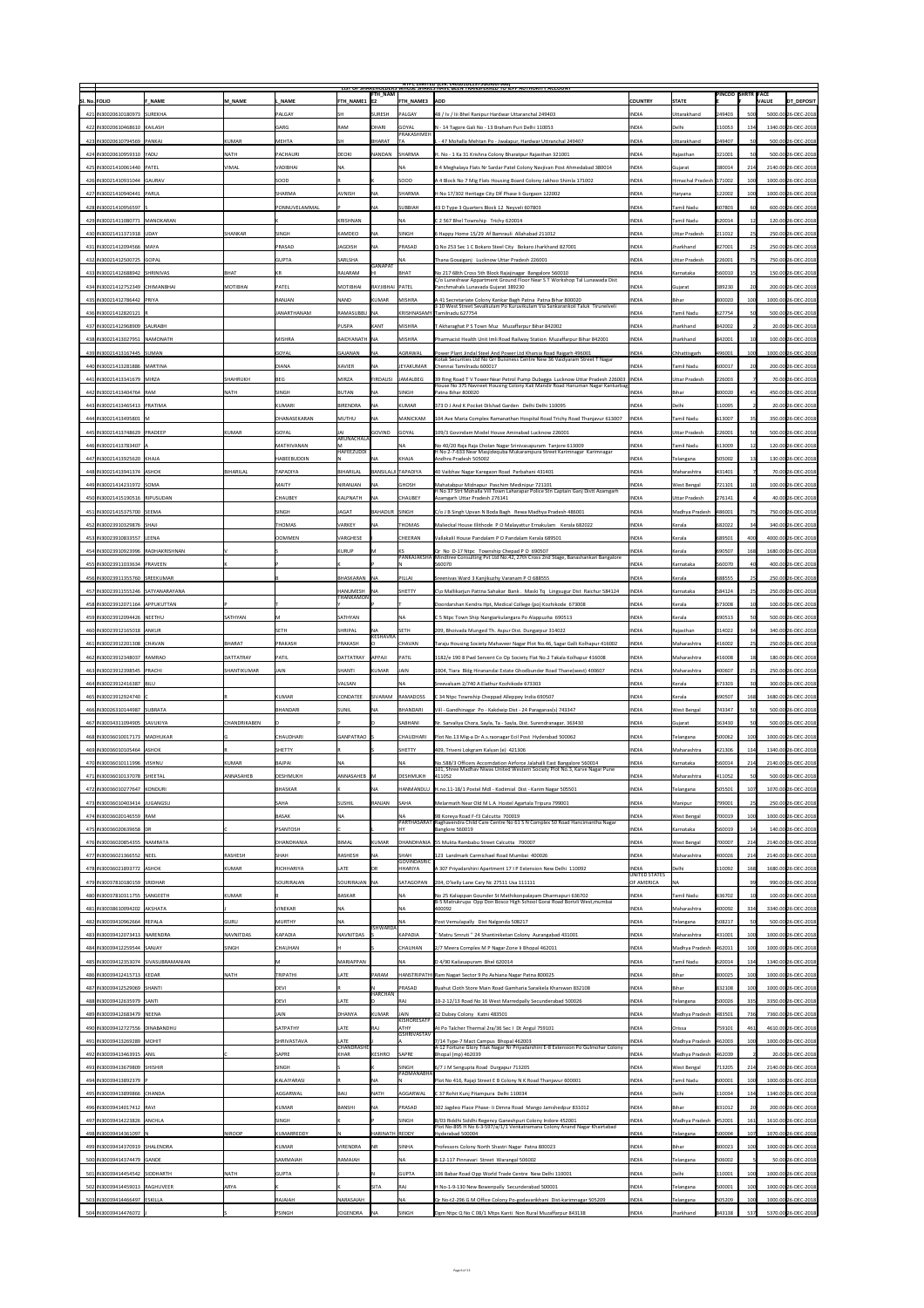|                                                                |                     |                    |                     | FTH_NAM             |                                   | <b>NIPC LIMITED (CIN: L4U1U1DL1975GOIUU7966)</b><br>LIST OF SHAREHOLDERS WHOSE SHARES HAVE BEEN TRANSFERRED TO JEPF AUTHORITY ACCOUNT    |                               |                         | <b>PINCOD SHRTR FACE</b> |                 |                                            |
|----------------------------------------------------------------|---------------------|--------------------|---------------------|---------------------|-----------------------------------|------------------------------------------------------------------------------------------------------------------------------------------|-------------------------------|-------------------------|--------------------------|-----------------|--------------------------------------------|
| SI. No. FOLIO<br><b>F NAME</b>                                 | M NAME              | . NAME             | <b>FTH NAME1 E2</b> |                     | <b>FTH NAME3 ADD</b>              |                                                                                                                                          | <b>COUNTRY</b>                | <b>STATE</b>            |                          |                 | DT_DEPOSIT<br><b>VALUE</b>                 |
| 421   IN30020610180973   SUREKHA                               |                     | <b>PALGAY</b>      | SH                  | <b>SURESH</b>       | PALGAY                            | 48 / Iv / Iii Bhel Ranipur Hardwar Uttaranchal 249403                                                                                    | <b>INDIA</b>                  | <b>Uttarakhand</b>      | 249403                   | 500             | 5000.00 26-DEC-2018                        |
| 422 IN30020610468610 KAILASH                                   |                     | GARG               | <b>RAM</b>          | DHARI               | <b>GOYAL</b><br> PRAKASHMEH       | N - 14 Tagore Gali No - 13 Braham Puri Delhi 110053                                                                                      | <b>INDIA</b>                  | Delhi                   | 110053                   | 134             | 1340.00 26-DEC-2018                        |
| 423 IN30020610794569 PANKAJ                                    | KUMAR               | MEHTA              | ISH                 | BHARAT              |                                   | -47 Mohalla Mehtan Po - Jwalapur, Hardwar Uttranchal 249407                                                                              | <b>INDIA</b>                  | Uttarakhand             | 249407                   |                 | 500.00 26-DEC-2018                         |
| 424 IN30020610959310 YADU                                      | <b>NATH</b>         | <b>PACHAURI</b>    | DEOKI               | NANDAN              | SHARMA                            | H. No - 1 Ka 31 Krishna Colony Bharatpur Rajasthan 321001                                                                                | <b>INDIA</b>                  | Rajasthan               | 321001                   |                 | 500.00 26-DEC-2018                         |
| 425 IN30021410061440 PATEL                                     | <b>VIMAL</b>        | VADIBHAI           | <b>NA</b>           |                     | NA                                | B 4 Meghalaya Flats Nr Sardar Patel Colony Navjivan Post Ahmedabad 380014                                                                | <b>INDIA</b>                  | Gujarat                 | 380014                   | 214             | 2140.00 26-DEC-2018                        |
| 426 IN30021410931044 GAURAV                                    |                     | <b>SOOD</b>        |                     |                     | <b>SOOD</b>                       | A 4 Block No 7 Mig Flats Housing Board Colony Jakhoo Shimla 171002                                                                       | <b>INDIA</b>                  | Himachal Pradesh 171002 |                          | 100             | 1000.00 26-DEC-2018                        |
| 427 IN30021410940441 PARUL                                     |                     | SHARMA             | AVNISH              | <b>NA</b>           | SHARMA                            | H No 17/302 Heritage City Dlf Phase Ii Gurgaon 122002                                                                                    | <b>INDIA</b>                  | Haryana                 | 122002                   | 100             | 1000.00 26-DEC-2018                        |
| 428 IN30021410956597                                           |                     | PONNUVELAMMAL      |                     | <b>NA</b>           | SUBBIAH                           | 43 D Type 3 Quarters Block 12 Neyveli 607803                                                                                             | <b>INDIA</b>                  | Tamil Nadu              | 607803                   |                 | 600.00 26-DEC-2018                         |
| 429 IN30021411080771 MANOKARAN                                 |                     |                    | KRISHNAN            |                     |                                   | $ C 2 567$ Bhel Township Trichy 620014                                                                                                   | <b>INDIA</b>                  | amil Nadu               | 620014                   | 121             | 120.00 26-DEC-2018                         |
| 430 IN30021411371918 UDAY                                      | <b>SHANKAR</b>      | SINGH              | KAMDEO              | <b>NA</b>           | <b>SINGH</b>                      | 6 Happy Home 15/29 Af Bamrauli Allahabad 211012                                                                                          | <b>INDIA</b>                  | <b>Uttar Pradesh</b>    | 211012                   | <b>Z51</b>      | 250.00 26-DEC-2018                         |
| 431 IN30021412094566 MAYA                                      |                     | <b>PRASAD</b>      | <b>JAGDISH</b>      | <b>INA</b>          | <b>PRASAD</b>                     | Q No 253 Sec 1 C Bokaro Steel City Bokaro Jharkhand 827001                                                                               | <b>INDIA</b>                  | Jharkhand               | 827001                   | 25 <sup>2</sup> | 250.00 26-DEC-2018                         |
| 432   IN30021412500725   GOPAL                                 |                     | GUPTA              | SARLSHA             | <b>GANAPAT</b>      |                                   | Thana Gosaiganj Lucknow Uttar Pradesh 226001                                                                                             | <b>INDIA</b>                  | <b>Uttar Pradesh</b>    | 226001                   |                 | 750.00 26-DEC-2018                         |
| 433 IN30021412688942 SHRINIVAS                                 | BHAT                | KR                 | RAJARAM             |                     | BHAT                              | No 217 68th Cross 5th Block Rajajinagar Bangalore 560010                                                                                 | <b>INDIA</b>                  | Karnataka               | 560010                   |                 | 150.00 26-DEC-2018                         |
| 434 IN30021412752349 CHIMANBHAI                                | <b>MOTIBHAI</b>     | <b>PATEL</b>       | MOTIBHAI            | RAYJIBHAI PATEL     |                                   | C/o Luneshwar Appartment Ground Floor Near S T Workshop Tal Lunawada Dist<br>Panchmahals Lunavada Gujarat 389230                         | <b>INDIA</b>                  | Gujarat                 | 389230                   |                 | 200.00 26-DEC-2018                         |
| 435 IN30021412786442 PRIYA                                     |                     | <b>RANJAN</b>      | <b>NAND</b>         | KUMAR               | MISHRA                            | A 41 Secretariate Colony Kankar Bagh Patna Patna Bihar 800020                                                                            | <b>INDIA</b>                  | <b>Bihar</b>            | 800020                   |                 | 1000.00 26-DEC-2018                        |
| 436 IN30021412820121  F                                        |                     | IANARTHANAM        | RAMASUBBU  NA       |                     |                                   | 3 10 West Street Sevalkulam Po Kuruvikulam Via Sankarankoil Taluk Tirunelveli<br>KRISHNASAMY Tamilnadu 627754                            | <b>INDIA</b>                  | Tamil Nadu              | 627754                   |                 | 500.00 26-DEC-2018                         |
| 437 IN30021412968909 SAURABH                                   |                     |                    | <b>PUSPA</b>        | KANT                | MISHRA                            | T Akharaghat P S Town Muz Muzaffarpur Bihar 842002                                                                                       | <b>INDIA</b>                  | Jharkhand               | 842002                   |                 | 20.00 26-DEC-2018                          |
| 438 IN30021413027951 NAMONATH                                  |                     | <b>MISHRA</b>      | BAIDYANATH  NA      |                     | MISHRA                            | Pharmacist Health Unit Imli Road Railway Station Muzaffarpur Bihar 842001                                                                | <b>INDIA</b>                  | Jharkhand               | 842001                   |                 | 100.00 26-DEC-2018                         |
| 439 IN30021413167445 SUMAN                                     |                     | <b>GOYAL</b>       | GAJANAN             |                     | AGRAWAL                           | Power Plant Jindal Steel And Power Ltd Kharsia Road Raigarh 496001                                                                       | <b>INDIA</b>                  | Chhattisgarh            | 496001                   |                 | 1000.00 26-DEC-2018                        |
| 440   IN30021413281886   MARTINA                               |                     | <b>DIANA</b>       | <b>XAVIER</b>       | <b>NA</b>           | JEYAKUMAR                         | Kotak Securities Ltd No Grr Buisiness Centre New 36 Vaidyaram Street T Nagar<br>Chennai Tamilnadu 600017                                 | <b>INDIA</b>                  | Tamil Nadu              | 600017                   |                 | 200.00 26-DEC-2018                         |
| 441 IN30021413341679   MIRZA                                   | <b>SHAHRUKH</b>     | BEG                | MIRZA               | <b>FIRDAUSI</b>     | JAMALBEG                          | 39 Ring Road T V Tower Near Petrol Pump Dubagga Lucknow Uttar Pradesh 226003  INDIA                                                      |                               | <b>Uttar Pradesh</b>    | 226003                   |                 | 70.00 26-DEC-2018                          |
| 442 IN30021413404764 RAM                                       | <b>NATH</b>         | SINGH              | BUTAN               | <b>INA</b>          | <b>SINGH</b>                      | House No 375 Navneet Housing Colony Kali Mandir Road Hanuman Nagar Kankarbag<br>Patna Bihar 800020                                       | <b>INDIA</b>                  | Bihar                   | 800020                   |                 | 450.00 26-DEC-2018                         |
| 443   IN30021413465413   PRATIMA                               |                     | <b>KUMARI</b>      | <b>BIRENDRA</b>     | <b>NA</b>           | KUMAR                             | 373 D J And K Pocket Dilshad Garden Delhi Delhi 110095                                                                                   | <b>INDIA</b>                  | Delhi                   | 110095                   |                 | 20.00 26-DEC-2018                          |
| 444 IN30021413495801 M                                         |                     | DHANASEKARAN       | MUTHU               | <b>INA</b>          | <b>MANICKAM</b>                   | 104 Ave Maria Complex Ramanathan Hospital Road Trichy Road Thanjavur 613007                                                              | <b>INDIA</b>                  | <b>Tamil Nadu</b>       | 613007                   | 35 <sup>1</sup> | 350.00 26-DEC-2018                         |
| 445 IN30021413748629 PRADEEP                                   | KUMAR               | GOYAL              |                     | GOVIND              | GOYAL                             | 109/3 Govindam Model House Aminabad Lucknow 226001                                                                                       | <b>INDIA</b>                  | <b>Uttar Pradesh</b>    | 226001                   |                 | 500.00 26-DEC-2018                         |
| 446 IN30021413783407  A                                        |                     | <b>MATHIVANAN</b>  | ARUNACHALA          |                     | INA                               | No 40/20 Raja Raja Cholan Nagar Srinivasapuram Tanjore 613009                                                                            | <b>INDIA</b>                  | Tamil Nadu              | 613009                   |                 | 120.00 26-DEC-2018                         |
| 447 IN30021413925620 KHAJA                                     |                     | <b>HABEEBUDDIN</b> | HAFEEZUDDI          | <b>NA</b>           | <b>KHAJA</b>                      | H No 2-7-633 Near Masjidequba Mukarampura Street Karimnagar Karimnagar<br>Andhra Pradesh 505002                                          | <b>INDIA</b>                  | Telangana               | 505002                   | 13 <sup>1</sup> | 130.00 26-DEC-2018                         |
| 448 IN30021413941374 ASHOK                                     | BIHARILAL           | <b>TAPADIYA</b>    | BIHARILAL           | BANSILALJI TAPADIYA |                                   | 40 Vaibhav Nagar Karegaon Road Parbahani 431401                                                                                          | <b>INDIA</b>                  | Maharashtra             | 431401                   |                 | 70.00 26-DEC-2018                          |
| 449 IN30021414231972 SOMA                                      |                     | MAITY              | NIRANJAN            | <b>NA</b>           | <b>GHOSH</b>                      | Mahatabpur Midnapur Paschim Medinipur 721101                                                                                             | <b>INDIA</b>                  | <b>West Bengal</b>      | 721101                   |                 | 100.00 26-DEC-2018                         |
| 450 IN30021415190516 RIPUSUDAN                                 |                     | <b>CHAUBEY</b>     | KALPNATH            |                     | <b>CHAUBEY</b>                    | H No 37 Strt Mohalla Vill Town Laharapar Police Stn Captain Ganj Distt Azamgarh<br>Azamgarh Uttar Pradesh 276141                         | <b>INDIA</b>                  | <b>Uttar Pradesh</b>    | 276141                   |                 | 40.00 26-DEC-2018                          |
| 451 IN30021415375700 SEEMA                                     |                     | SINGH              | <b>JAGAT</b>        | BAHADUR SINGH       |                                   | C/o J B Singh Upvan N Boda Bagh Rewa Madhya Pradesh 486001                                                                               | <b>INDIA</b>                  | Madhya Pradesh          | 486001                   | 75              | 750.00 26-DEC-2018                         |
| 452 IN30023910329876 SHAJI                                     |                     | THOMAS             | <b>VARKEY</b>       | <b>NA</b>           | THOMAS                            | Malieckal House Illithode P O Malayattur Ernakulam Kerala 682022                                                                         | <b>INDIA</b>                  | Kerala                  | 682022                   |                 | 340.00 26-DEC-2018                         |
| 453 IN30023910833557 LEENA                                     |                     | <b>OOMMEN</b>      | <b>VARGHESE</b>     |                     | <b>CHEERAN</b>                    | Vallakalil House Pandalam P O Pandalam Kerala 689501                                                                                     | <b>INDIA</b>                  | Kerala                  | 689501                   |                 | 4000.00 26-DEC-2018                        |
| 454 IN30023910923996 RADHAKRISHNAN                             |                     |                    | KURUP               |                     |                                   | $ Qr $ No D-17 Ntpc Township Chepad P O 690507                                                                                           | <b>INDIA</b>                  | Kerala                  | 690507                   | 1681            | 1680.00 26-DEC-2018                        |
| 455   IN30023911033634   PRAVEEN                               |                     |                    |                     |                     |                                   | PANKAJAKSHA   Mindtree Consulting Pvt Ltd No.42, 27th Cross 2nd Stage, Banashankari Bangalore<br>560070                                  | <b>INDIA</b>                  | Karnataka               | 560070                   |                 | 400.00 26-DEC-2018                         |
| 456 IN30023911355760 SREEKUMAR                                 |                     |                    | BHASKARAN   NA      |                     | PILLAI                            | Sreenivas Ward 3 Kanjikuzhy Varanam P O 688555                                                                                           | <b>INDIA</b>                  | Kerala                  | 688555                   |                 | 250.00 26-DEC-2018                         |
| 457 IN30023911555246 SATYANARAYANA                             |                     |                    | HANUMESH   NA       |                     | <b>SHETTY</b>                     | C\o Mallikarjun Pattna Sahakar Bank. Maski Tq Lingsugur Dist Raichur 584124                                                              | <b>INDIA</b>                  | Karnataka               | 584124                   | 25              | 250.00 26-DEC-2018                         |
| 458 IN30023912071164 APPUKUTTAN                                |                     |                    | THANKAMON           |                     |                                   | Doordarshan Kendra Hpt, Medical College (po) Kozhikode 673008                                                                            | <b>INDIA</b>                  | Kerala                  | 673008                   |                 | 100.00 26-DEC-2018                         |
| 459 IN30023912094426 NEETHU                                    | <b>SATHYAN</b>      |                    | SATHYAN             |                     | <b>INA</b>                        | C 5 Ntpc Town Ship Nangiarkulangara Po Alappuzha 690513                                                                                  | <b>INDIA</b>                  | Kerala                  | 690513                   |                 | 500.00 26-DEC-2018                         |
| 460 IN30023912165018 ANKUR                                     |                     | <b>SETH</b>        | SHRIPAL             | <b>INA</b>          | <b>SETH</b>                       | 209, Bhoivada Munged Th. Aspur Dist. Dungarpur 314022                                                                                    | <b>INDIA</b>                  | Rajasthan               | 314022                   |                 | 340.00 26-DEC-2018                         |
|                                                                |                     |                    |                     | <b>KESHAVRA</b>     |                                   |                                                                                                                                          |                               |                         |                          | 25              | 250.00 26-DEC-2018                         |
| 461   IN30023912201308   CHAVAN                                | BHARAT              | PRAKASH            | PRAKASH             |                     | CHAVAN                            | Taraju Housing Society Mahaveer Nagar Plot No.46, Sagar Galli Kolhapur 416002                                                            | <b>INDIA</b>                  | Maharashtra             | 416002                   |                 |                                            |
| 462 IN30023912348037 RAMRAO                                    | <b>DATTATRAY</b>    | PATIL              | DATTATRAY           | <b>APPAJI</b>       | PATIL                             | 1182/e 190 8 Pwd Servent Co Op Society Flat No.2 Takala Kolhapur 416008                                                                  | <b>INDIA</b>                  | Maharashtra             | 416008                   |                 | 180.00 26-DEC-2018                         |
| 463   IN30023912398545   PRACHI                                | <b>SHANTIKUMAR</b>  | JAIN               | SHANTI              | KUMAR               | JAIN                              | 1004, Tiara Bldg Hiranandai Estate Ghodbunder Road Thane(west) 400607                                                                    | <b>INDIA</b>                  | Maharashtra             | 400607                   |                 | 250.00 26-DEC-2018                         |
| 464 IN30023912416387   BILU                                    |                     |                    | <b>VALSAN</b>       |                     | NA                                | Sreevalsam 2/740 A Elathur Kozhikode 673303                                                                                              | <b>INDIA</b>                  | Kerala                  | 673303                   |                 | 300.00 26-DEC-2018                         |
| 465 IN30023912924740                                           |                     | KUMAR              | <b>CONDATEE</b>     | <b>SIVARAM</b>      | <b>RAMADOSS</b>                   | C 34 Ntpc Township Cheppad Alleppey India 690507                                                                                         | <b>INDIA</b>                  | Kerala                  | 690507                   | 1681            | 1680.00 26-DEC-2018                        |
| 466 IN30026310144987 SUBRATA                                   |                     | <b>BHANDARI</b>    | SUNIL               | <b>NA</b>           | BHANDARI                          | Vill - Gandhinagar Po - Kakdwip Dist - 24 Paraganas(s) 743347                                                                            | <b>INDIA</b>                  | West Bengal             | 743347                   |                 | 500.00 26-DEC-2018                         |
| 467 IN30034311094905 SAVUKIYA                                  | <b>CHANDRIKABEN</b> |                    |                     |                     | SABHANI                           | Nr. Sarvaliya Chora, Sayla, Ta - Sayla, Dist. Surendranagar. 363430                                                                      | <b>INDIA</b>                  | Gujarat                 | 363430                   |                 | 500.00 26-DEC-2018                         |
| 468 IN30036010017173 MADHUKAR                                  |                     | CHAUDHARI          | GANPATRAO S         |                     | <b>CHAUDHARI</b>                  | Plot No.13 Mig-a Dr A.s.raonagar Ecil Post Hyderabad 500062                                                                              | <b>INDIA</b>                  | Telangana               | 500062                   | 1001            | 1000.00 26-DEC-2018                        |
| 469 IN30036010105464 ASHOK                                     |                     | <b>SHETTY</b>      |                     |                     | <b>SHETTY</b>                     | 409, Triveni Lokgram Kalyan (e) 421306                                                                                                   | <b>INDIA</b>                  | Maharashtra             | 421306                   | 134             | 1340.00 26-DEC-2018                        |
| 470 IN30036010111996 VISHNU                                    | KUMAR               | BAJPAI             | INA.                |                     | NA                                | No.588/3 Officers Accomdation Airforce Jalahalli East Bangalore 560014                                                                   | <b>INDIA</b>                  | Karnataka               | 560014                   | 214             | 2140.00 26-DEC-2018                        |
| 471   IN30036010137078   SHEETAL                               | <b>ANNASAHEB</b>    | DESHMUKH           | ANNASAHEB  M        |                     | <b>DESHMUKH</b>                   | 101, Shree Madhav Niwas United Western Society Plot No.3, Karve Nagar Pune<br>411052                                                     | <b>INDIA</b>                  | Maharashtra             | $ 411052\rangle$         |                 | 500.00 26-DEC-2018                         |
| 472 IN30036010277647 KONDURI                                   |                     | BHASKAR            |                     | <b>NA</b>           |                                   | HANMANDLU  H.no.11-18/1 Postel Mdl - Kodimial Dist - Karim Nagar 505501                                                                  | <b>INDIA</b>                  | Telangana               | 505501                   |                 | 1070.00 26-DEC-2018                        |
| 473 IN30036010403414 JUGANGSU                                  |                     | <b>SAHA</b>        | <b>SUSHIL</b>       | RANJAN              | <b>SAHA</b>                       | Melarmath Near Old M L A Hostel Agartala Tripura 799001                                                                                  | <b>INDIA</b>                  | Manipur                 | 799001                   |                 | 250.00 26-DEC-2018                         |
| 474 IN30036020146559 RAM                                       |                     | BASAK              | INA.                |                     |                                   | 98 Koreya Road F-f3 Calcutta 700019                                                                                                      | <b>INDIA</b>                  | West Bengal             | 700019                   | 1001            | 1000.00 26-DEC-2018                        |
| 475 IN30036020639658 DR                                        |                     | <b>PSANTOSH</b>    |                     |                     |                                   | PARTHASARAT Raghavendra Child Care Centre No 61 S N Complex 50 Road Hancimantha Nagar<br>Banglore 560019                                 | <b>INDIA</b>                  | Karnataka               | 560019                   |                 | 140.00 26-DEC-2018                         |
| 476 IN30036020854355 NAMRATA                                   |                     | <b>DHANDHANIA</b>  | BIMAL               | KUMAR               |                                   | DHANDHANIA 55 Mukta Rambabu Street Calcutta 700007                                                                                       | <b>INDIA</b>                  | West Bengal             | 700007                   | 214             | 2140.00 26-DEC-2018                        |
| 477 IN30036021366552 NEEL                                      | <b>RASHESH</b>      | <b>SHAH</b>        | RASHESH             | <b>NA</b>           | <b>SHAH</b><br><b>GOVINDASRIC</b> | 123 Landmark Carmichael Road Mumbai 400026                                                                                               | <b>INDIA</b>                  | Maharashtra             | 400026                   | 214             | 2140.00 26-DEC-2018                        |
| 478 IN 30036021893772 ASHOK                                    | KUMAR               | RICHHARIYA         | LATE                | <b>DR</b>           | <b>HHARIYA</b>                    | A 307 Priyadarshini Apartment 17 I P Extension New Delhi 110092                                                                          | <b>INDIA</b><br>UNITED STATES | Delhi                   | 110092                   | 168             | 1680.00 26-DEC-2018                        |
| 479 IN30037810180159 SRIDHAR                                   |                     | SOURIRAJAN         | SOURIRAJAN   NA     |                     | <b>SATAGOPAN</b>                  | 204, O'kelly Lane Cary Nc 27511 Usa 111111                                                                                               | <b>OF AMERICA</b>             | <b>NA</b>               |                          | 99              | 990.00 26-DEC-2018                         |
| 480   IN30037810311755   SANGEETH                              | KUMAR               |                    | BASKAR              |                     | NA                                | No 25 Kaliappan Gounder St Mathikonpalayam Dharmapuri 636702<br>B-5 Matrukrupa Opp Don Bosco High School Gorai Road Borivli West, mumbai | <b>INDIA</b>                  | Tamil Nadu              | 636702                   |                 | 100.00 26-DEC-2018                         |
| 481   IN30038610094202   AKSHATA                               |                     | <b>VINEKAR</b>     | NA                  |                     | <b>NA</b>                         | 400092                                                                                                                                   | <b>INDIA</b>                  | Maharashtra             | 400092                   | 334             | 3340.00 26-DEC-2018                        |
| 482 IN30039410962664 REPALA                                    | GURU                | <b>MURTHY</b>      | <b>NA</b>           | <b>ISHWARDA</b>     |                                   | Post Vemulapally Dist Nalgonda 508217                                                                                                    | <b>INDIA</b>                  | Telangana               | 508217                   |                 | 500.00 26-DEC-2018                         |
| 483 IN30039412073413 NARENDRA                                  | <b>NAVNITDAS</b>    | KAPADIA            | NAVNITDAS           |                     | KAPADIA                           | Matru Smruti "24 Shantiniketan Colony Aurangabad 431001                                                                                  | <b>INDIA</b>                  | Maharashtra             | 431001                   |                 | 1000.00 26-DEC-2018                        |
| 484 IN30039412259544 SANJAY                                    | <b>SINGH</b>        | <b>CHAUHAN</b>     |                     |                     | CHAUHAN                           | 2/7 Meera Complex M P Nagar Zone Ii Bhopal 462011                                                                                        | <b>INDIA</b>                  | Madhya Pradesh          | 462011                   | 1001            | 1000.00 26-DEC-2018                        |
| 485   IN30039412353074   SIVASUBRAMANIAN                       |                     |                    | MARIAPPAN           |                     | <b>NA</b>                         | D 4/90 Kailasapuram Bhel 620014                                                                                                          | <b>INDIA</b>                  | Tamil Nadu              | 620014                   | 134             | 1340.00 26-DEC-2018                        |
| 486 IN30039412415713 KEDAR                                     | <b>NATH</b>         | TRIPATHI           | LATE                | PARAM               |                                   | HANSTRIPATHI Ram Nagari Sector 9 Po Ashiana Nagar Patna 800025                                                                           | <b>INDIA</b>                  | <b>Bihar</b>            | 800025                   |                 | 1000.00 26-DEC-2018                        |
| 487 IN30039412529069 SHANTI                                    |                     | DEVI               |                     | <b>HARCHAN</b>      | PRASAD                            | Byahut Cloth Store Main Road Gamharia Saraikela Kharswan 832108                                                                          | <b>INDIA</b>                  | Bihar                   | 832108                   | 1001            | 1000.00 26-DEC-2018                        |
| 488 IN 30039412635979 SANTI                                    |                     | DEVI               | LATE                |                     | RAJ                               | 10-2-12/13 Road No 16 West Marredpally Secunderabad 500026                                                                               | <b>INDIA</b>                  | Telangana               | 500026                   | 335             | 3350.00 26-DEC-2018                        |
| 489 IN30039412683479 NEENA                                     |                     | JAIN               | <b>DHANYA</b>       | KUMAR               | JAIN<br>KISHORESATP               | 62 Dubey Colony Katni 483501                                                                                                             | <b>INDIA</b>                  | Madhya Pradesh          | 483501                   | 736             | 7360.00 26-DEC-2018                        |
| 490   IN30039412727556   DINABANDHU                            |                     | SATPATHY           | LATE                | <b>RAJ</b>          | <b>ATHY</b><br><b>GSHRIVASTAV</b> | At Po Talcher Thermal 2ra/36 Sec I Dt Angul 759101                                                                                       | <b>INDIA</b>                  | <i><b>Orissa</b></i>    | 759101                   | 461             | 4610.00 26-DEC-2018                        |
| 491 IN30039413269289 MOHIT                                     |                     | SHRIVASTAVA        | LATE<br>CHANDRASHE  |                     |                                   | 7/14 Type-7 Mact Campus Bhopal 462003<br>A-12 Fortune Glory Tilak Nagar Nr Priyadarshini E-8 Extension Po Gulmohar Colony                | <b>INDIA</b>                  | Madhya Pradesh          | 462003                   | 100             | 1000.00 26-DEC-2018                        |
| 492 IN30039413463915 ANIL                                      |                     | SAPRE              | KHAR                | KESHRO              | <b>SAPRE</b>                      | Bhopal (mp) 462039                                                                                                                       | <b>INDIA</b>                  | Madhya Pradesh          | 462039                   |                 | 20.00 26-DEC-2018                          |
| 493 IN30039413679809 SHISHIR                                   |                     | SINGH              |                     |                     | <b>SINGH</b><br><b>PADMANABHA</b> | 6/7 J M Sengupta Road Durgapur 713205                                                                                                    | <b>INDIA</b>                  | <b>West Bengal</b>      | 713205                   | 214             | 2140.00 26-DEC-2018                        |
| 494 IN30039413892379 P                                         |                     | KALAIYARASI        |                     | <b>NA</b>           |                                   | Plot No 416, Rajaji Street E B Colony N K Road Thanjavur 600001                                                                          | <b>INDIA</b>                  | <b>Tamil Nadu</b>       | 600001                   | 1001            | 1000.00 26-DEC-2018                        |
| 495   IN30039413899866   CHANDA                                |                     | <b>AGGARWAL</b>    | BAIJ                | <b>NATH</b>         | AGGARWAL                          | C 37 Rohit Kunj Pitampura Delhi 110034                                                                                                   | <b>INDIA</b>                  | Delhi                   | 110034                   | 134             | 1340.00 26-DEC-2018                        |
| 496 IN30039414017412 RAVI                                      |                     | KUMAR              | BANSHI              | INA                 | <b>PRASAD</b>                     | 302 Jagdeo Place Phase- Ii Dimna Road Mango Jamshedpur 831012                                                                            | <b>INDIA</b>                  | <b>Bihar</b>            | 831012                   |                 | 200.00 26-DEC-2018                         |
| 497 IN30039414223826 ANCHLA                                    |                     | SINGH              |                     |                     | SINGH                             | B/03 Riddhi Siddhi Regency Ganeshpuri Colony Indore 452001<br>Plot No-895 H No 6-3-597/a/1/1 Venkatramana Colony Anand Nagar Khairtabad  | <b>INDIA</b>                  | Madhya Pradesh          | 452001                   | 161             | 1610.00 26-DEC-2018                        |
| 498 IN30039414361097                                           | <b>NIROOP</b>       | KUMARREDDY         |                     | HARINATH  REDDY     |                                   | Hyderabad 500004                                                                                                                         | <b>INDIA</b>                  | Telangana               | 500004                   | 107             | 1070.00 26-DEC-2018                        |
| 499 IN30039414370919 SHALENDRA                                 |                     | KUMAR              | VIRENDRA            | <b>NR</b>           | <b>SINHA</b>                      | Professors Colony North Shastri Nagar Patna 800023                                                                                       | <b>INDIA</b>                  | <b>Bihar</b>            | 800023                   | 100             | 1000.00 26-DEC-2018                        |
| 500   IN30039414374479   GANDE                                 |                     | SAMMAIAH           | RAMAIAH             |                     | NA                                | 8-12-117 Pinnavari Street Warangal 506002                                                                                                | <b>INDIA</b>                  | Telangana               | 506002                   |                 | 50.00 26-DEC-2018                          |
| 501   IN30039414454542   SIDDHARTH                             | <b>NATH</b>         | GUPTA              |                     |                     | <b>GUPTA</b><br><b>IRAJ</b>       | 106 Babar Road Opp World Trade Centre New Delhi 110001                                                                                   | <b>INDIA</b>                  | Delhi                   | 110001                   | 1001            | 1000.00 26-DEC-2018                        |
| 502 IN30039414459013 RAGHUVEER<br>503 IN30039414466497 ESKILLA | <b>ARYA</b>         | RAJAIAH            | NARASAIAH           | <b>SITA</b>         | <b>NA</b>                         | H No-1-9-130 New Bowenpally Secunderabad 500001<br>Qr No-t2-296 G M Office Colony Po-godavarikhani Dist-karimnagar 505209                | <b>INDIA</b><br><b>INDIA</b>  | Telangana<br>Telangana  | 500001<br>505209         | 100             | 1000.00 26-DEC-2018<br>1000.00 26-DEC-2018 |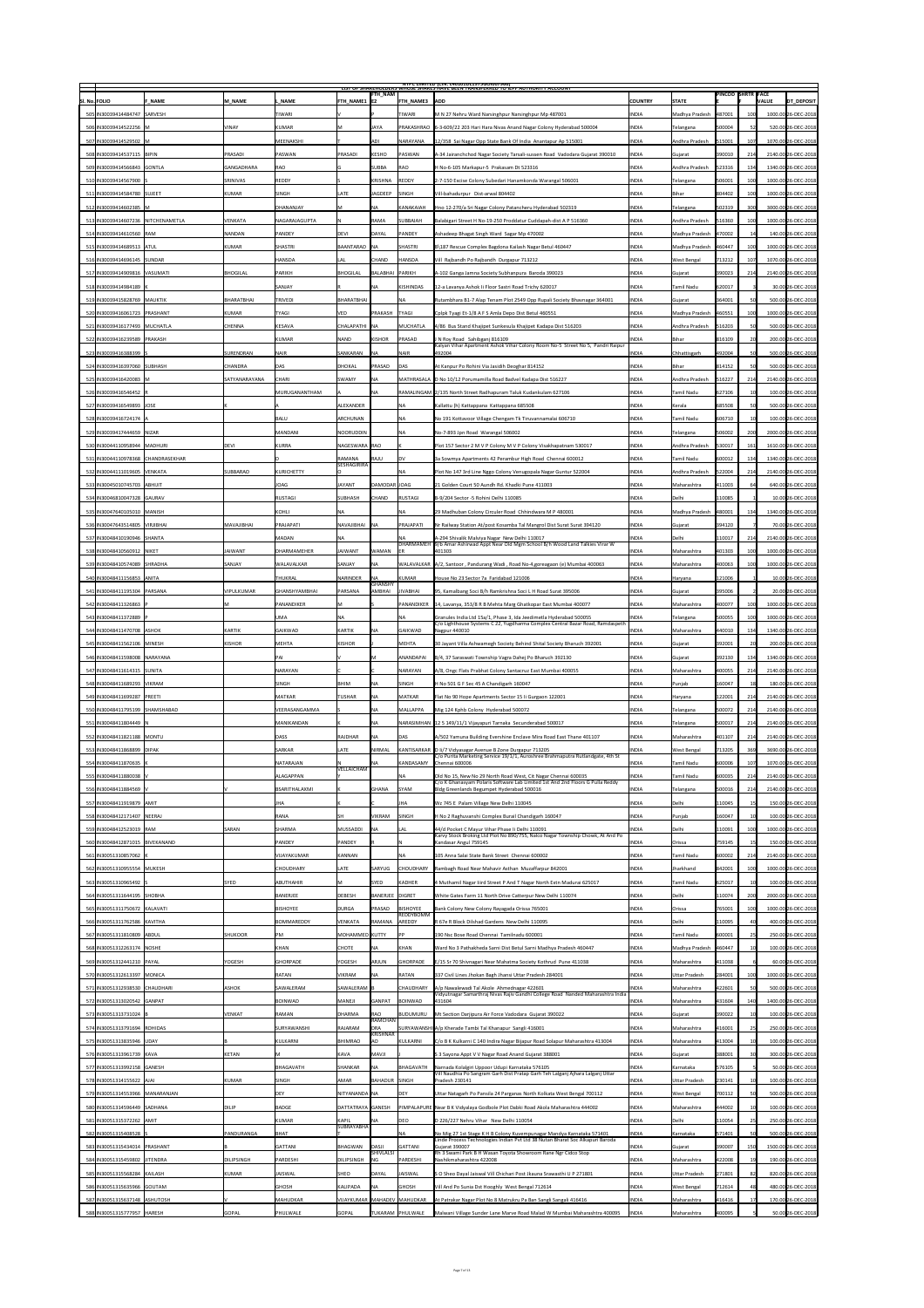|                                       |                   |                      |                                 |                                 |                            | <b>NIPC LIMITED (CIN: L4U1U1DL1975GOIUU7966)</b><br>LIST OF SHAKEHOLDERS WHOSE SHAKES HAVE BEEN TRANSFERKED TO JEPF AUTHORITY ACCOUNT           |                |                      |                          |     |                                   |
|---------------------------------------|-------------------|----------------------|---------------------------------|---------------------------------|----------------------------|-------------------------------------------------------------------------------------------------------------------------------------------------|----------------|----------------------|--------------------------|-----|-----------------------------------|
| <b>SI. No. FOLIO</b><br><b>F NAME</b> | M NAME            | L NAME               | $ $ FTH NAME1 $ $ E2            | <b>FTH_NAM</b>                  | <b>FTH NAME3 ADD</b>       |                                                                                                                                                 | <b>COUNTRY</b> | <b>STATE</b>         | <b>PINCOD SHRTR FACE</b> |     | <b>DT DEPOSIT</b><br><b>VALUE</b> |
| 505   IN30039414484747   SARVESH      |                   | <b>TIWARI</b>        |                                 |                                 | <b>TIWARI</b>              | M N 27 Nehru Ward Narsinghpur Narsinghpur Mp 487001                                                                                             | <b>INDIA</b>   | Madhya Pradesh       | 487001                   |     | 1000.00 26-DEC-2018               |
| 506 IN30039414522256 M                | <b>VINAY</b>      | KUMAR                |                                 | <b>JAYA</b>                     |                            | PRAKASHRAO   6-3-609/22 203 Hari Hara Nivas Anand Nagar Colony Hyderabad 500004                                                                 | <b>INDIA</b>   | Telangana            | 500004                   |     | 520.00 26-DEC-2018                |
|                                       |                   |                      |                                 |                                 |                            |                                                                                                                                                 |                |                      |                          |     |                                   |
| 507 IN30039414529502 M                |                   | MEENAKSHI            |                                 | <b>ADI</b>                      | <b>NARAYANA</b>            | 12/358 Sai Nagar Opp State Bank Of India Anantapur Ap 515001                                                                                    | <b>INDIA</b>   | Andhra Pradesh       | 515001                   | 107 | 1070.00 26-DEC-2018               |
| 508 IN30039414537115   BIPIN          | PRASADI           | PASWAN               | PRASADI                         | KESHO                           | <b>PASWAN</b>              | A-34 Jairanchchod Nagar Society Tarsali-sussen Road Vadodara Gujarat 390010                                                                     | <b>INDIA</b>   | Gujarat              | 390010                   | 214 | 2140.00 26-DEC-2018               |
| 509 IN30039414566843 GONTLA           | <b>GANGADHARA</b> | RAO                  |                                 | <b>SUBBA</b>                    | <b>RAO</b>                 | H No-6-105 Markapur-5 Prakasam Dt 523316                                                                                                        | <b>INDIA</b>   | Andhra Pradesh       | 523316                   | 134 | 1340.00 26-DEC-2018               |
| 510 IN30039414567900                  | <b>SRINIVAS</b>   | REDDY                |                                 | KRISHNA                         | REDDY                      | 2-7-150 Excise Colony Subedari Hanamkonda Warangal 506001                                                                                       | <b>INDIA</b>   | Telangana            | 506001                   | 100 | 1000.00 26-DEC-2018               |
| 511   IN30039414584780   SUJEET       | <b>KUMAR</b>      | SINGH                | LATE                            | <b>JAGDEEP</b>                  | SINGH                      | Vill-bahadurpur Dist-arwal 804402                                                                                                               | <b>INDIA</b>   | Bihar                | 804402                   | 100 | 1000.00 26-DEC-2018               |
| 512 IN30039414602385 M                |                   | DHANANJAY            |                                 | <b>NA</b>                       | <b>KANAKAIAH</b>           | Hno 12-270/a Sri Nagar Colony Patancheru Hyderabad 502319                                                                                       | <b>INDIA</b>   | Telangana            | 502319                   | 300 | 3000.00 26-DEC-2018               |
| 513 IN30039414607236 NITCHENAMETLA    | <b>VENKATA</b>    | NAGARAJAGUPTA        |                                 | <b>RAMA</b>                     | <b>SUBBAIAH</b>            | Balabigari Street H No-19-250 Proddatur Cuddapah-dist A P 516360                                                                                | <b>INDIA</b>   | Andhra Pradesh       | 516360                   |     | 1000.00 26-DEC-2018               |
| 514 IN30039414610560 RAM              | NANDAN            | <b>PANDEY</b>        | <b>DEVI</b>                     | DAYAL                           | <b>PANDEY</b>              | Ashadeep Bhagat Singh Ward Sagar Mp 470002                                                                                                      | <b>INDIA</b>   | Madhya Pradesh       | 470002                   |     | 140.00 26-DEC-2018                |
| 515 IN30039414689513 ATUL             | <b>KUMAR</b>      | SHASTRI              | BAANTARAO NA                    |                                 | SHASTRI                    | B\187 Rescue Complex Bagdona Kailash Nagar Betul 460447                                                                                         | <b>INDIA</b>   | Madhya Pradesh       | 460447                   |     | 1000.00 26-DEC-2018               |
| 516   IN30039414696145   SUNDAR       |                   | <b>HANSDA</b>        | LAL                             | <b>CHAND</b>                    | <b>HANSDA</b>              | Vill Rajbandh Po Rajbandh Durgapur 713212                                                                                                       | <b>INDIA</b>   | <b>West Bengal</b>   | 713212                   |     | 1070.00 26-DEC-2018               |
| 517 IN30039414909816 VASUMATI         | <b>BHOGILAL</b>   | <b>PARIKH</b>        | BHOGILAL                        | BALABHAI PARIKH                 |                            | A-102 Ganga Jamna Society Subhanpura Baroda 390023                                                                                              | <b>INDIA</b>   | Gujarat              | 390023                   |     | 2140.00 26-DEC-2018               |
| 518 IN 30039414984189   H             |                   | <b>SANJAY</b>        |                                 | <b>NA</b>                       | KISHINDAS                  | 12-a Lavanya Ashok Ii Floor Sastri Road Trichy 620017                                                                                           | <b>INDIA</b>   | Tamil Nadu           | 620017                   |     | 30.00 26-DEC-2018                 |
| 519 IN30039415828769 MAUKTIK          | <b>BHARATBHAI</b> | <b>TRIVEDI</b>       | BHARATBHAI                      |                                 |                            | Rutambhara B1-7 Alap Tenam Plot 2549 Opp Rupali Society Bhavnagar 364001                                                                        | <b>INDIA</b>   | Gujarat              | 364001                   |     | 500.00 26-DEC-2018                |
|                                       |                   |                      |                                 |                                 |                            |                                                                                                                                                 |                |                      |                          |     |                                   |
| 520 IN30039416061723 PRASHANT         | <b>KUMAR</b>      | <b>TYAGI</b>         | <b>VED</b>                      | PRAKASH                         | <b>TYAGI</b>               | Cplpk Tyagi Et-1/8 A F S Amla Depo Dist Betul 460551                                                                                            | <b>INDIA</b>   | Madhya Pradesh       | 460551                   | 100 | 1000.00 26-DEC-2018               |
| 521   IN30039416177493   MUCHATLA     | <b>CHENNA</b>     | KESAVA               | CHALAPATHI NA                   |                                 | <b>MUCHATLA</b>            | 4/86 Bus Stand Khajipet Sunkesula Khajipet Kadapa Dist 516203                                                                                   | <b>INDIA</b>   | Andhra Pradesh       | 516203                   |     | 500.00 26-DEC-2018                |
| 522 IN30039416239589 PRAKASH          |                   | KUMAR                | <b>NAND</b>                     | KISHOR                          | <b>PRASAD</b>              | J N Roy Road Sahibganj 816109<br>Kalyan Vihar Apartment Ashok Vihar Colony Room No-5 Street No 5, Pandri Raipur                                 | <b>INDIA</b>   | Bihar                | 816109                   |     | 200.00 26-DEC-2018                |
| 523 IN30039416388399                  | SURENDRAN         | <b>NAIR</b>          | SANKARAN                        | <b>INA</b>                      | <b>NAIR</b>                | 492004                                                                                                                                          | <b>INDIA</b>   | <b>Chhattisgarh</b>  | 492004                   |     | 500.00 26-DEC-2018                |
| 524 IN30039416397060 SUBHASH          | <b>CHANDRA</b>    | <b>DAS</b>           | <b>DHOKAL</b>                   | PRASAD                          | <b>DAS</b>                 | At Kanpur Po Rohini Via Jasidih Deoghar 814152                                                                                                  | <b>INDIA</b>   | <b>Bihar</b>         | 814152                   | 50  | 500.00 26-DEC-2018                |
| 525 IN30039416420083 M                | SATYANARAYANA     | <b>CHARI</b>         | <b>SWAMY</b>                    | <b>NA</b>                       |                            | MATHRASALA   D No 10/12 Porumamilla Road Badvel Kadapa Dist 516227                                                                              | <b>INDIA</b>   | Andhra Pradesh       | 516227                   | 214 | 2140.00 26-DEC-2018               |
| 526 IN30039416546452 R                |                   | MURUGANANTHAM        |                                 | <b>NA</b>                       |                            | RAMALINGAM 2/135 North Street Radhapuram Taluk Kudankulam 627106                                                                                | <b>INDIA</b>   | Tamil Nadu           | 627106                   |     | 100.00 26-DEC-2018                |
| 527 IN30039416549893 JOSE             |                   |                      | ALEXANDER                       |                                 | NA                         | Kallattu (h) Kattappana Kattappana 685508                                                                                                       | <b>INDIA</b>   | Kerala               | 685508                   |     | 500.00 26-DEC-2018                |
| 528 IN30039416724174 A                |                   | <b>BALU</b>          | ARCHUNAN                        |                                 | INA.                       | No 191 Kottavoor Village Chengam Tk Tiruvannamalai 606710                                                                                       | <b>INDIA</b>   | Tamil Nadu           | 606710                   |     | 100.00 26-DEC-2018                |
| 529 IN30039417444659 NIZAR            |                   | MANDANI              | NOORUDDIN                       |                                 | INA.                       | No-7-893 Jpn Road Warangal 506002                                                                                                               | <b>INDIA</b>   | Telangana            | 506002                   | 200 | 2000.00 26-DEC-2018               |
| 530 IN30044110958944 MADHURI          | <b>DEVI</b>       | KURRA                | NAGESWARA RAO                   |                                 |                            | Plot 157 Sector 2 M V P Colony M V P Colony Visakhapatnam 530017                                                                                | <b>INDIA</b>   | Andhra Pradesh       | 530017                   | 161 | 1610.00 26-DEC-2018               |
| 531 IN30044110978368 CHANDRASEKHAR    |                   |                      | RAMANA                          | RAJU                            | <b>DV</b>                  | 3a Sowmya Apartments 42 Perambur High Road Chennai 600012                                                                                       | <b>INDIA</b>   | <b>Tamil Nadu</b>    | 600012                   | 134 | 1340.00 26-DEC-2018               |
|                                       |                   |                      | <b>SESHAGIRIRA</b>              |                                 |                            |                                                                                                                                                 |                |                      |                          |     |                                   |
| 532 IN30044111019605 VENKATA          | SUBBARAO          | KURICHETTY           |                                 |                                 |                            | Plot No 147 3rd Line Nggo Colony Venugopala Nagar Guntur 522004                                                                                 | <b>INDIA</b>   | Andhra Pradesh       | 522004                   | 214 | 2140.00 26-DEC-2018               |
| 533 IN30045010745703 ABHIJIT          |                   | <b>JOAG</b>          | <b>JAYANT</b>                   | DAMODAR JOAG                    |                            | 21 Golden Court 50 Aundh Rd. Khadki Pune 411003                                                                                                 | <b>INDIA</b>   | Maharashtra          | 411003                   |     | 640.00 26-DEC-2018                |
| 534 IN30046810047328 GAURAV           |                   | RUSTAGI              | SUBHASH                         | <b>CHAND</b>                    | RUSTAGI                    | B-9/204 Sector -5 Rohini Delhi 110085                                                                                                           | <b>INDIA</b>   | Delhi                | 110085                   |     | 10.00 26-DEC-2018                 |
| 535 IN30047640105010 MANISH           |                   | KOHLI                | <b>NA</b>                       |                                 |                            | 29 Madhuban Colony Circuler Road Chhindwara M P 480001                                                                                          | <b>INDIA</b>   | Madhya Pradesh       | 480001                   | 134 | 1340.00 26-DEC-2018               |
| 536 IN30047643514805   VIRJIBHAI      | MAVAJIBHAI        | PRAJAPATI            | NAVAJIBHAI NA                   |                                 | <b>PRAJAPATI</b>           | Nr Railway Station At/post Kosamba Tal Mangrol Dist Surat Surat 394120                                                                          | <b>INDIA</b>   | Gujarat              | 394120                   |     | 70.00 26-DEC-2018                 |
| 537 IN30048410190946 SHANTA           |                   | <b>MADAN</b>         | <b>NA</b>                       |                                 |                            | A-294 Shivalik Malviya Nagar New Delhi 110017<br> DHARMAMEH  9/b Amar Ashirwad Appt Near Old Mgm School B/h Wood Land Talkies Virar W           | <b>INDIA</b>   | Delhi                | 110017                   |     | 2140.00 26-DEC-2018               |
| 538 IN 30048410560912 NIKET           | <b>JAIWANT</b>    | <b>DHARMAMEHER</b>   | <b>JAIWANT</b>                  | <b>WAMAN</b>                    | <b>IER</b>                 | 401303                                                                                                                                          | <b>INDIA</b>   | Maharashtra          | 401303                   |     | 1000.00 26-DEC-2018               |
| 539   IN30048410574089 SHRADHA        | SANJAY            | WALAVALKAR           | <b>SANJAY</b>                   | <b>INA</b>                      |                            | WALAVALKAR  A/2, Santoor , Pandurang Wadi , Road No-4,goreagaon (e) Mumbai 400063                                                               | <b>INDIA</b>   | Maharashtra          | 400063                   |     | 1000.00 26-DEC-2018               |
| 540 IN30048411156853 ANITA            |                   | <b>THUKRAL</b>       | NARINDER                        | <b>INA</b>                      | KUMAR                      | House No 23 Sector 7a Faridabad 121006                                                                                                          | <b>INDIA</b>   | Haryana              | 121006                   |     | 10.00 26-DEC-2018                 |
| 541   IN30048411195304   PARSANA      | <b>VIPULKUMAR</b> | GHANSHYAMBHAI        | <b>PARSANA</b>                  | <b>GHANSHY</b><br><b>AMBHAI</b> | <b>JIVABHAI</b>            | 95, Kamalbang Soci B/h Ramkrishna Soci L H Road Surat 395006                                                                                    | <b>INDIA</b>   | Gujarat              | 395006                   |     | 20.00 26-DEC-2018                 |
| 542 IN30048411326863 F                |                   | <b>PANANDIKER</b>    |                                 |                                 |                            | PANANDIKER   14, Lavanya, 353/8 R B Mehta Marg Ghatkopar East Mumbai 400077                                                                     | <b>INDIA</b>   | Maharashtra          | 400077                   | 100 | 1000.00 26-DEC-2018               |
| 543 IN30048411372889                  |                   | <b>UMA</b>           | <b>INA</b>                      |                                 | <b>NA</b>                  | Granules India Ltd 15a/1, Phase 3, Ida Jeedimetla Hyderabad 500055                                                                              | <b>INDIA</b>   | Telangana            | 500055                   |     | 1000.00 26-DEC-2018               |
| 544 IN30048411470708 ASHOK            | <b>KARTIK</b>     | <b>GAIKWAD</b>       | KARTIK                          |                                 | <b>GAIKWAD</b>             | C/o Lighthouse Systems C 22, Yugdharma Complex Central Bazar Road, Ramdaspeth                                                                   | <b>INDIA</b>   |                      | 440010                   | 134 | 1340.00 26-DEC-2018               |
|                                       |                   |                      |                                 |                                 |                            | Nagpur 440010                                                                                                                                   |                | Maharashtra          |                          |     |                                   |
| 545   IN30048411562106   MINESH       | <b>KISHOR</b>     | <b>MEHTA</b>         | KISHOR                          |                                 | <b>MEHTA</b>               | 30 Jayant Villa Ashwamegh Society Behind Shital Society Bharuch 392001                                                                          | <b>INDIA</b>   | Gujarat              | 392001                   |     | 200.00 26-DEC-2018                |
| 546   IN30048411598008   NARAYANA     |                   |                      |                                 | IM.                             | ANANDAPAI                  | B/4, 37 Saraswati Township Vagra Dahej Po Bharuch 392130                                                                                        | <b>INDIA</b>   | Gujarat              | 392130                   | 134 | 1340.00 26-DEC-2018               |
| 547   IN30048411614315   SUNITA       |                   | NARAYAN              |                                 |                                 | <b>NARAYAN</b>             | A/8, Ongc Flats Prabhat Colony Santacruz East Mumbai 400055                                                                                     | <b>INDIA</b>   | Maharashtra          | 400055                   |     | 2140.00 26-DEC-2018               |
| 548 IN30048411689293 VIKRAM           |                   | <b>SINGH</b>         | <b>BHIM</b>                     | <b>INA</b>                      | <b>SINGH</b>               | H No 501 G F Sec 45 A Chandigarh 160047                                                                                                         | <b>INDIA</b>   | Punjab               | 160047                   |     | 180.00 26-DEC-2018                |
| 549 IN30048411699287 PREETI           |                   | MATKAR               | <b>TUSHAR</b>                   | <b>INA</b>                      | MATKAR                     | Flat No 90 Hope Apartments Sector 15 li Gurgaon 122001                                                                                          | <b>INDIA</b>   | Haryana              | 122001                   | 214 | 2140.00 26-DEC-2018               |
|                                       |                   |                      |                                 | NA                              | MALLAPPA                   | Mig 124 Kphb Colony Hyderabad 500072                                                                                                            | <b>INDIA</b>   | Telangana            | 500072                   |     | 2140.00 26-DEC-2018               |
| 550 IN30048411795199 SHAMSHABAD       |                   | VEERASANGAMMA        |                                 |                                 |                            |                                                                                                                                                 |                |                      |                          | 214 |                                   |
| 551 IN30048411804449   I              |                   | <b>MANIKANDAN</b>    |                                 | <b>NA</b>                       |                            | NARASIMHAN   12 5 149/11/1 Vijayapuri Tarnaka Secunderabad 500017                                                                               | <b>INDIA</b>   | <b>Telangana</b>     | 500017                   |     | 2140.00 26-DEC-2018               |
| 552 IN30048411821188 MONTU            |                   | <b>DASS</b>          | RAJDHAR                         | <b>INA</b>                      | DAS                        | A/502 Yamuna Building Evershine Enclave Mira Road East Thane 401107                                                                             | <b>INDIA</b>   | Maharashtra          | 401107                   | 214 | 2140.00 26-DEC-2018               |
| 553   IN30048411868899   DIPAK        |                   | <b>SARKAR</b>        | LATE                            | <b>NIRMAL</b>                   |                            | KANTISARKAR   D II/7 Vidyasagar Avenue B Zone Durgapur 713205                                                                                   | <b>INDIA</b>   | <b>West Bengal</b>   | 713205                   | 369 | 3690.00 26-DEC-2018               |
| 554 IN30048411870635   H              |                   | NATARAJAN            |                                 | <b>INA</b>                      |                            | C/o Purita Marketing Service 19/1/1, Auroshree Brahmaputra Rutlandgate, 4th St                                                                  | <b>INDIA</b>   |                      |                          |     |                                   |
|                                       |                   |                      | VELLAICHAM                      |                                 | KANDASAMY                  | Chennai 600006                                                                                                                                  |                | Tamil Nadu           | 600006                   |     | 1070.00 26-DEC-2018               |
| 555 IN 30048411880038 V               |                   | ALAGAPPAN            |                                 |                                 |                            | Old No 15, New No 29 North Road West, Cit Nagar Chennai 600035<br>C/o K Ghanasyam Polaris Software Lab Limited 1st And 2nd Floors G Pulla Reddy | <b>INDIA</b>   | <b>Tamil Nadu</b>    | 600035                   |     | 2140.00 26-DEC-2018               |
| 556 IN30048411884569 V                |                   | <b>BSARITHALAXMI</b> |                                 | <b>GHANA</b>                    | <b>SYAM</b>                | Bldg Greenlands Begumpet Hyderabad 500016                                                                                                       | <b>INDIA</b>   | Telangana            | 500016                   | 214 | 2140.00 26-DEC-2018               |
| 557 IN30048411919879 AMIT             |                   |                      |                                 |                                 | <b>JHA</b>                 | Wz 745 E Palam Village New Delhi 110045                                                                                                         | <b>INDIA</b>   | Delhi                | 110045                   |     | 150.00 26-DEC-2018                |
| 558   IN30048412171407   NEERAJ       |                   | <b>RANA</b>          | SH                              | <b>VIKRAM</b>                   | <b>SINGH</b>               | H No 2 Raghuvanshi Complex Burail Chandigarh 160047                                                                                             | <b>INDIA</b>   | Punjab               | 160047                   |     | 100.00 26-DEC-2018                |
| 559 IN30048412523019 RAM              | SARAN             | <b>SHARMA</b>        | MUSSADDI                        | <b>INA</b>                      | <b>LAL</b>                 | 44/d Pocket C Mayur Vihar Phase Ii Delhi 110091<br>Karvy Stock Broking Ltd Plot No 890/755, Nalco Nagar Township Chowk, At And Po               | <b>INDIA</b>   | Delhi                | 110091                   |     | 1000.00 26-DEC-2018               |
| 560 IN30048412871015   BIVEKANAND     |                   | <b>PANDEY</b>        | PANDEY                          |                                 |                            | Kandasar Angul 759145                                                                                                                           | <b>INDIA</b>   | <b>Orissa</b>        | 759145                   |     | 150.00 26-DEC-2018                |
| 561 IN30051310857062 K                |                   | <b>VIJAYAKUMAR</b>   | <b>KANNAN</b>                   |                                 |                            | 105 Anna Salai State Bank Street Chennai 600002                                                                                                 | <b>INDIA</b>   | <b>Tamil Nadu</b>    | 600002                   | 214 | 2140.00 26-DEC-2018               |
| 562 IN30051310955554 MUKESH           |                   | <b>CHOUDHARY</b>     | LATE                            | <b>SARYUG</b>                   | <b>CHOUDHARY</b>           | Rambagh Road Near Mahavir Asthan Muzaffarpur 842001                                                                                             | <b>INDIA</b>   | Jharkhand            | 842001                   |     | 1000.00 26-DEC-2018               |
| 563 IN30051310965492 S                | <b>SYED</b>       | ABUTHAHIR            | IM.                             | <b>SYED</b>                     | KADHER                     | 4 Muthamil Nagar liird Street P And T Nagar North Extn Madurai 625017                                                                           | <b>INDIA</b>   | Tamil Nadu           | 625017                   |     | 100.00 26-DEC-2018                |
| 564 IN30051311644195 SHOBHA           |                   | <b>BANERJEE</b>      | <b>DEBESH</b>                   | BANERJEE DIGRET                 |                            | White Gates Farm 11 North Drive Catterpur New Delhi 110074                                                                                      | <b>INDIA</b>   | Delhi                | 110074                   |     | 2000.00 26-DEC-2018               |
| 565 IN30051311750672  KALAVATI        |                   | <b>BISHOYEE</b>      | DURGA                           | <b>PRASAD</b>                   | <b>BISHOYEE</b>            | Bank Colony New Colony Rayagada Orissa 765001                                                                                                   | <b>INDIA</b>   | <b>Orissa</b>        | 765001                   |     | 1000.00 26-DEC-2018               |
| 566   IN30051311762586   KAVITHA      |                   | <b>BOMMAREDDY</b>    | VENKATA                         | <b>RAMANA</b>                   | REDDYBOMM<br><b>AREDDY</b> | R 67e R Block Dilshad Gardens New Delhi 110095                                                                                                  | <b>INDIA</b>   | Delhi                | 110095                   |     | 400.00 26-DEC-2018                |
| 567 IN30051311810809 ABDUL            | <b>SHUKOOR</b>    | PM                   | MOHAMMED KUTTY                  |                                 |                            | 190 Nsc Bose Road Chennai Tamilnadu 600001                                                                                                      | <b>INDIA</b>   | <b>Tamil Nadu</b>    | 600001                   |     | 250.00 26-DEC-2018                |
| 568 IN30051312263174 NOSHE            |                   | <b>KHAN</b>          | <b>CHOTE</b>                    | <b>INA</b>                      | KHAN                       | Ward No 3 Pathakheda Sarni Dist Betul Sarni Madhya Pradesh 460447                                                                               | <b>INDIA</b>   | Madhya Pradesh       | 460447                   |     | 100.00 26-DEC-2018                |
| 569 IN30051312441210 PAYAL            | YOGESH            | GHORPADE             | <b>YOGESH</b>                   | ARJUN                           | <b>GHORPADE</b>            |                                                                                                                                                 | <b>INDIA</b>   | Maharashtra          | 411038                   |     | 60.00 26-DEC-2018                 |
|                                       |                   |                      |                                 |                                 |                            | E/15 Sr 70 Shivnagari Near Mahatma Society Kothrud Pune 411038                                                                                  |                |                      |                          |     |                                   |
| 570 IN30051312613397 MONICA           |                   | <b>RATAN</b>         | <b>VIKRAM</b>                   |                                 | <b>RATAN</b>               | 337 Civil Lines Jhokan Bagh Jhansi Uttar Pradesh 284001                                                                                         | <b>INDIA</b>   | Uttar Pradesh        | 284001                   | 100 | 1000.00 26-DEC-2018               |
| 571   IN30051312938530   CHAUDHARI    | <b>ASHOK</b>      | <b>SAWALERAM</b>     | SAWALERAM B                     |                                 | <b>CHAUDHARY</b>           | A/p Nawalewadi Tal Akole Ahmednagar 422601<br>Vidyutnagar Samarthraj Nivas Rajiv Gandhi College Road Nanded Maharashtra India                   | <b>INDIA</b>   | Maharashtra          | 422601                   |     | 500.00 26-DEC-2018                |
| 572 IN30051313020542 GANPAT           |                   | <b>BOINWAD</b>       | MANEJI                          | <b>GANPAT</b>                   | BOINWAD                    | 431604                                                                                                                                          | <b>INDIA</b>   | Maharashtra          | 431604                   | 140 | 1400.00 26-DEC-2018               |
| 573 IN30051313731024 B                | VENKAT            | <b>RAMAN</b>         | DHARMA                          | <b>RAO</b><br><b>RAMCHAN</b>    | BUDUMURU                   | Mt Section Darjipura Air Force Vadodara Gujarat 390022                                                                                          | <b>INDIA</b>   | Gujarat              | 390022                   |     | 100.00 26-DEC-2018                |
| 574 IN30051313791694 ROHIDAS          |                   | SURYAWANSHI          | RAJARAM                         | DRA<br>KRISHNAR                 |                            | SURYAWANSHI A/p Kherade Tambi Tal Khanapur Sangli 416001                                                                                        | <b>INDIA</b>   | Maharashtra          | 416001                   |     | 250.00 26-DEC-2018                |
| 575 IN30051313835946   UDAY           |                   | KULKARNI             | BHIMRAO                         | <b>JAO</b>                      | KULKARNI                   | C/o B K Kulkarni C 140 Indira Nagar Bijapur Road Solapur Maharashtra 413004                                                                     | <b>INDIA</b>   | Maharashtra          | 413004                   |     | 100.00 26-DEC-2018                |
| 576 IN30051313961739 KAVA             | <b>KETAN</b>      |                      | <b>KAVA</b>                     | <b>MAVJI</b>                    |                            | S 3 Sayona Appt V V Nagar Road Anand Gujarat 388001                                                                                             | <b>INDIA</b>   | Gujarat              | 388001                   |     | 300.00 26-DEC-2018                |
| 577 IN30051313992158 GANESH           |                   | <b>BHAGAVATH</b>     | <b>SHANKAR</b>                  | <b>INA</b>                      | BHAGAVATH                  | Narnada Kolalgiri Uppoor Udupi Karnataka 576105                                                                                                 | <b>INDIA</b>   | Karnataka            | 576105                   |     | 50.00 26-DEC-2018                 |
| 578 IN30051314155622   AJAI           | <b>KUMAR</b>      | <b>SINGH</b>         | <b>AMAR</b>                     | BAHADUR SINGH                   |                            | Vill Naudhia Po Sangram Garh Dist Pratap Garh Teh Lalganj Ajhara Lalganj Uttar<br>Pradesh 230141                                                | <b>INDIA</b>   | <b>Uttar Pradesh</b> | 230141                   |     | 100.00 26-DEC-2018                |
| 579 IN30051314553966 MANARANJAN       |                   | <b>DEY</b>           | NITYANANDA NA                   |                                 | <b>DEY</b>                 | Uttar Natagarh Po Pansila 24 Parganas North Kolkata West Bengal 700112                                                                          | <b>INDIA</b>   | <b>West Bengal</b>   | 700112                   |     | 500.00 26-DEC-2018                |
| 580   IN30051314596449   SADHANA      | <b>DILIP</b>      | <b>BADGE</b>         | DATTATRAYA GANESH               |                                 |                            | PIMPALAPURE   Near B K Vidyalaya Godbole Plot Dabki Road Akola Maharashtra 444002                                                               | <b>INDIA</b>   | Maharashtra          | 444002                   |     | 100.00 26-DEC-2018                |
| 581   IN30051315372262   AMIT         |                   | KUMAR                | KAPIL                           |                                 | DEO                        | D 226/227 Nehru Vihar New Delhi 110054                                                                                                          | <b>INDIA</b>   | Delhi                | 110054                   |     | 250.00 26-DEC-2018                |
| 582 IN30051315408528 S                | PANDURANGA        | <b>BHAT</b>          | <b>SUBRAYABHA</b>               |                                 | <b>NA</b>                  | No Mig 27 1st Stage K H B Colony Kuvempunagar Mandya Karnataka 571401                                                                           | <b>INDIA</b>   | Karnataka            | 571401                   |     | 500.00 26-DEC-2018                |
|                                       |                   | <b>GATTANI</b>       | BHAGWAN                         | DASJI                           |                            | Linde Process Technologies Indian Pvt Ltd 38 Nutan Bharat Soc Alkapuri Baroda                                                                   | <b>INDIA</b>   |                      |                          |     | 1500.00 26-DEC-2018               |
| 583 IN30051315434014 PRASHANT         |                   |                      |                                 | <b>SHIVLALSI</b>                | GATTANI                    | Gujarat 390007<br>Rh 3 Swami Park B H Wasan Toyota Showroom Rane Ngr Cidco Stop                                                                 |                | Gujarat              | 390007                   | 150 |                                   |
| 584   IN30051315459802   JITENDRA     | <b>DILIPSINGH</b> | <b>PARDESHI</b>      | DILIPSINGH                      | <b>NG</b>                       | PARDESHI                   | Nashikmaharashtra 422008                                                                                                                        | <b>INDIA</b>   | Maharashtra          | 422008                   |     | 190.00 26-DEC-2018                |
| 585   IN30051315568284   KAILASH      | <b>KUMAR</b>      | JAISWAL              | <b>SHEO</b>                     | DAYAL                           | <b>JAISWAL</b>             | S O Sheo Dayal Jaiswal Vill Chichari Post Jkauna Srawasthi U P 271801                                                                           | <b>INDIA</b>   | <b>Uttar Pradesh</b> | 271801                   | 82  | 820.00 26-DEC-2018                |
| 586 IN30051315635966 GOUTAM           |                   | GHOSH                | KALIPADA                        | <b>INA</b>                      | <b>GHOSH</b>               | Vill And Po Sunia Dst Hooghly West Bengal 712614                                                                                                | <b>INDIA</b>   | <b>West Bengal</b>   | 712614                   |     | 480.00 26-DEC-2018                |
| 587 IN30051315637148 ASHUTOSH         |                   | MAHUDKAR             | VIJAYKUMAR   MAHADEV   MAHUDKAR |                                 |                            | At Patrakar Nagar Plot No 8 Matrukru Pa Ban Sangli Sangali 416416                                                                               | <b>INDIA</b>   | Maharashtra          | 416416                   |     | 170.00 26-DEC-2018                |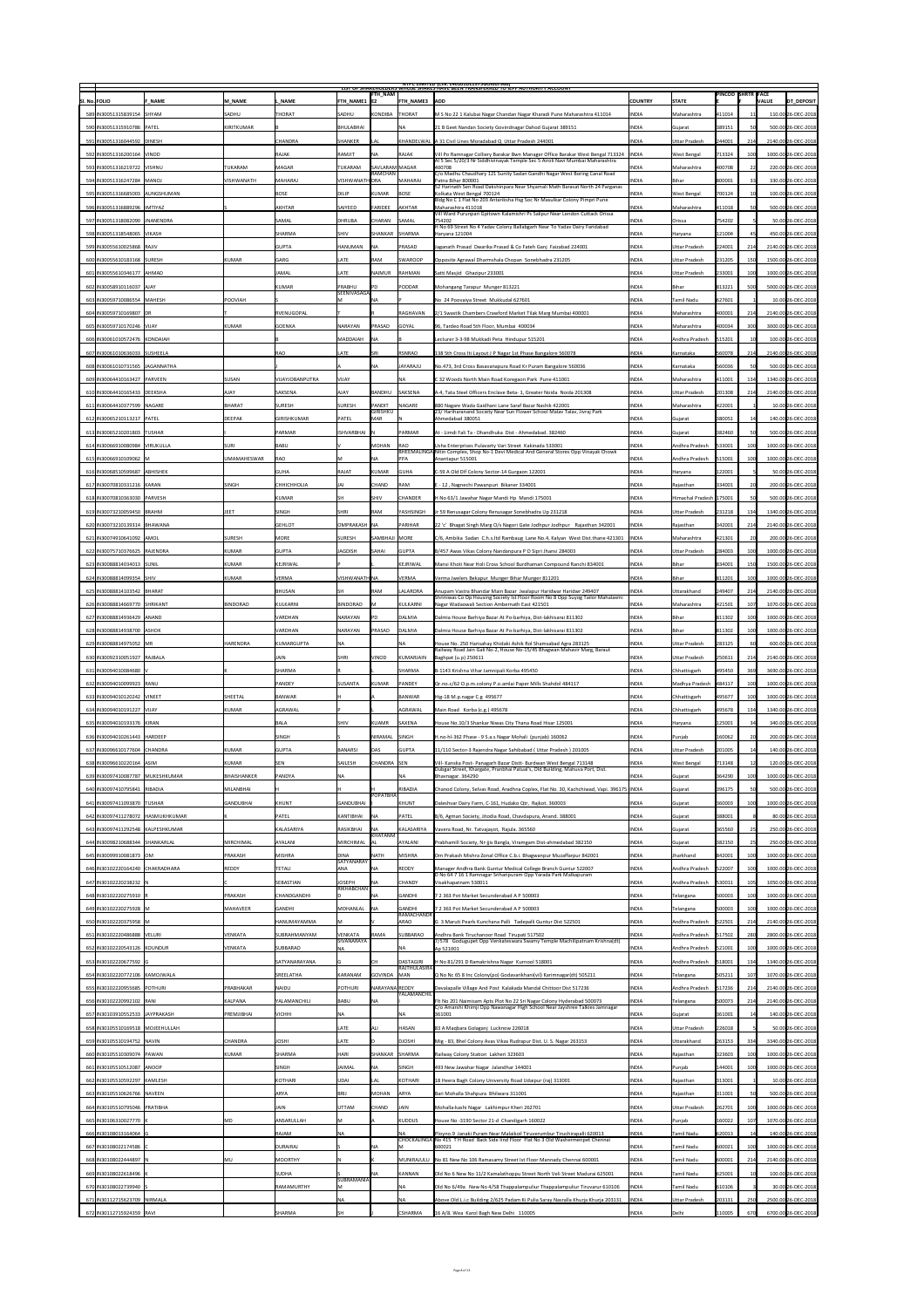|                                                                 |               |                          |                                 |                                     |                           |                           | <b>NIPC LIMITED (CIN: L40101DL1975GOI007966)</b><br>LIST OF SHAREHOLDERS WHOSE SHARES HAVE BEEN TRANSFERRED TO TEPF AUTHORITY ACCOUNT                           |                              |                                     |                          |                  |                                            |
|-----------------------------------------------------------------|---------------|--------------------------|---------------------------------|-------------------------------------|---------------------------|---------------------------|-----------------------------------------------------------------------------------------------------------------------------------------------------------------|------------------------------|-------------------------------------|--------------------------|------------------|--------------------------------------------|
| <b>SI. No. FOLIO</b>                                            | <b>F NAME</b> | <b>M NAME</b>            | . NAME                          | FTH NAME1  E2                       | <b>FTH_NAM</b>            | <b>FTH NAME3</b>          | <b>ADD</b>                                                                                                                                                      | <b>COUNTRY</b>               | <b>STATE</b>                        | <b>PINCOD SHRTR FACE</b> |                  | <b>VALUE</b><br>DT_DEPOSIT                 |
| 589 IN30051315839154 SHYAM                                      |               | SADHU                    | <b>THORAT</b>                   | <b>SADHU</b>                        | KONDIBA                   | <b>THORAT</b>             | M S No 22 1 Kalubai Nagar Chandan Nagar Kharadi Pune Maharashtra 411014                                                                                         | <b>INDIA</b>                 | Maharashtra                         | 411014                   | 11               | 110.00 26-DEC-2018                         |
| 590   IN30051315910786   PATEL                                  |               | KIRITKUMAR               |                                 | BHULABHAI                           |                           | INA.                      | 21 B Geet Nandan Society Govindnagar Dahod Gujarat 389151                                                                                                       | <b>INDIA</b>                 | Gujarat                             | 389151                   |                  | 500.00 26-DEC-2018                         |
| 591 IN30051316044592 DINESH                                     |               |                          | <b>CHANDRA</b>                  | SHANKER                             | <b>LAL</b>                |                           | KHANDELWAL  A 31 Civil Lines Moradabad Q Uttar Pradesh 244001                                                                                                   | <b>INDIA</b>                 | <b>Uttar Pradesh</b>                | 244001                   | 214              | 2140.00 26-DEC-2018                        |
| 592 IN30051316200164 VINOD                                      |               |                          | <b>RAJAK</b>                    | RAMJIT                              | <b>NA</b>                 | RAJAK                     | Vill Po Ramnagar Colliery Barakar Bwn Manager Office Barakar West Bengal 713324<br>Al 5 Sec 5/20/3 Nr Siddhivinayak Temple Sec 5 Airoli Navi Mumbai Maharashtra | <b>INDIA</b>                 | <b>West Bengal</b>                  | 713324                   |                  | 1000.00 26-DEC-2018                        |
| 593 IN30051316219722 VISHNU                                     |               | TUKARAM                  | <b>MAGAR</b>                    | TUKARAM                             | SAVLARAM MAGAR<br>RAMCHAN |                           | 400708<br>C/o Madhu Chaudhary 121 Sunity Sadan Gandhi Nagar West Boring Canal Road                                                                              | <b>INDIA</b>                 | Maharashtra                         | 400708                   | 22               | 220.00 26-DEC-2018                         |
| 594 IN30051316247284 MANOJ                                      |               | <b>VISHWANATH</b>        | MAHARAJ                         | VISHWANATH DRA                      |                           | MAHARAJ                   | Patna Bihar 800001<br>52 Harinath Sen Road Dakshinpara Near Shyamali Math Barasat North 24 Parganas                                                             | <b>INDIA</b>                 | <b>Bihar</b>                        | 800001                   | 33               | 330.00 26-DEC-2018                         |
| 595   IN30051316685003   AUNGSHUMAN                             |               |                          | <b>BOSE</b>                     | <b>DILIP</b>                        | <b>KUMAR</b>              | <b>BOSE</b>               | Kolkata West Bengal 700124<br>Bldg No C 1 Flat No 203 Antariksha Hsg Soc Nr Masulkar Colony Pimpri Pune                                                         | <b>INDIA</b>                 | West Bengal                         | 700124                   |                  | 100.00 26-DEC-2018                         |
| 596 IN30051316889296   IMTIYAZ                                  |               |                          | <b>AKHTAR</b>                   | SAIYEED                             | FARIDEE                   | <b>AKHTAR</b>             | Maharashtra 411018<br>Vill Ward Purunpari Gpitown Kalamishri Ps Salipur Near Lendon Cuttack Orissa                                                              | <b>INDIA</b>                 | Maharashtra                         | 411018                   |                  | 500.00 26-DEC-2018                         |
| 597 IN30051318082090 JNANENDRA                                  |               |                          | <b>SAMAL</b>                    | <b>DHRUBA</b>                       | <b>CHARAN</b>             | SAMAL                     | 754202<br>H No 69 Street No 4 Yadav Colony Ballabgarh Near To Yadav Dairy Faridabad                                                                             | <b>INDIA</b>                 | <b>Orissa</b>                       | 754202                   |                  | 50.00 26-DEC-2018                          |
| 598 IN30051318548065 VIKASH                                     |               |                          | <b>SHARMA</b>                   | <b>SHIV</b>                         | SHANKAR                   | <b>SHARMA</b>             | Haryana 121004                                                                                                                                                  | <b>INDIA</b>                 | Haryana                             | 121004                   |                  | 450.00 26-DEC-2018                         |
| 599 IN30055610025868 RAJIV                                      |               |                          | <b>GUPTA</b>                    | HANUMAN                             | <b>INA</b>                | PRASAD                    | Jaganath Prasad Dwarika Prasad & Co Fateh Ganj Faizabad 224001                                                                                                  | <b>INDIA</b>                 | <b>Uttar Pradesh</b>                | 224001                   | 214              | 2140.00 26-DEC-2018                        |
| 600 IN30055610183168 SURESH                                     |               | KUMAR                    | <b>GARG</b>                     | <b>LATE</b>                         | RAM                       | <b>SWAROOP</b>            | Opposite Agrawal Dharmshala Chopan Sonebhadra 231205                                                                                                            | <b>INDIA</b>                 | <b>Uttar Pradesh</b>                | 231205                   | 150              | 1500.00 26-DEC-2018                        |
| 601 IN30055610346177  AHMAD                                     |               |                          | <b>JAMAL</b>                    | LATE                                | <b>NAIMUR</b>             | <b>RAHMAN</b>             | Satti Masjid Ghazipur 233001                                                                                                                                    | <b>INDIA</b>                 | <b>Uttar Pradesh</b>                | 233001                   |                  | 1000.00 26-DEC-2018                        |
| 602 IN30058910116037 AJAY                                       |               |                          | KUMAR                           | PRABHU<br>SEENIVASAGA               |                           | PODDAR                    | Mohangang Tarapur Munger 813221                                                                                                                                 | <b>INDIA</b>                 | <b>Bihar</b>                        | 813221                   |                  | 5000.00 26-DEC-2018                        |
| 603   IN30059710086554   MAHESH                                 |               | <b>POOVIAH</b>           |                                 |                                     | ΝA                        |                           | No 24 Poovaiya Street Mukkudal 627601                                                                                                                           | <b>INDIA</b>                 | <b>Tamil Nadu</b>                   | 627601                   |                  | 10.00 26-DEC-2018                          |
| 604 IN30059710169807 DR                                         |               |                          | RVENUGOPAL                      |                                     |                           | RAGHAVAN                  | 2/1 Swastik Chambers Crawford Market Tilak Marg Mumbai 400001                                                                                                   | <b>INDIA</b>                 | Maharashtra                         | 400001                   | 214              | 2140.00 26-DEC-2018                        |
| 605 IN30059710170246 VIJAY                                      |               | KUMAR                    | GOENKA                          | <b>NARAYAN</b>                      | PRASAD                    | <b>GOYAL</b>              | 96, Tardeo Road 5th Floor, Mumbai 400034                                                                                                                        | <b>INDIA</b>                 | Maharashtra                         | 400034                   | 300              | 3000.00 26-DEC-2018                        |
| 606 IN30061010572476 KONDAIAH                                   |               |                          |                                 | <b>MADDAIAH</b>                     | <b>INA</b>                |                           | Lecturer 3-3-98 Mukkadi Peta Hindupur 515201                                                                                                                    | <b>INDIA</b>                 | Andhra Pradesh                      | 515201                   |                  | 100.00 26-DEC-2018                         |
| 607   IN30061010636033   SUSHEELA                               |               |                          | RAO                             | <b>LATE</b>                         | <b>SRI</b>                | <b>RSNRAO</b>             | 138 5th Cross Iti Layout J P Nagar 1st Phase Bangalore 560078                                                                                                   | <b>INDIA</b>                 | Karnataka                           | 560078                   | 214              | 2140.00 26-DEC-2018                        |
| 608 IN30061010731565 JJAGANNATHA                                |               |                          |                                 |                                     | <b>NA</b>                 | JAYARAJU                  | No.473, 3rd Cross Basavanapura Road Kr Puram Bangalore 560036                                                                                                   | <b>INDIA</b>                 | Karnataka                           | 560036                   |                  | 500.00 26-DEC-2018                         |
| 609 IN30064410163427 PARVEEN                                    |               | <b>SUSAN</b>             | VIJAYJOBANPUTRA                 | <b>VIJAY</b>                        |                           | INA                       | C32 Woods North Main Road Koregaon Park Pune 411001                                                                                                             | <b>INDIA</b>                 | Maharashtra                         | 411001                   | 134              | 1340.00 26-DEC-2018                        |
| 610   IN30064410165433   DEEKSHA<br>611 IN30064410377599 NAGARE |               | <b>AJAY</b><br>BHARAT    | <b>SAKSENA</b><br><b>SURESH</b> | <b>AJAY</b><br><b>SURESH</b>        | BANDHU<br>PANDIT          | SAKSENA<br>NAGARE         | A-4, Tata Steel Officers Enclave Beta- 1, Greater Noida Noida 201308<br>880 Nagare Wada Gaidhani Lane Saraf Bazar Nashik 422001                                 | <b>INDIA</b><br><b>INDIA</b> | <b>Uttar Pradesh</b><br>Maharashtra | 201308<br>422001         | 214              | 2140.00 26-DEC-2018<br>10.00 26-DEC-2018   |
| 612 IN30065210113217 PATEL                                      |               |                          | GIRISHKUMAR                     | PATEL                               | GIRISHKU<br><b>MAR</b>    |                           | 23/ Hariharanand Society Near Sun Flower School Malav Talav, Jivraj Park<br>Ahmedabad 380051                                                                    | <b>INDIA</b>                 |                                     | 380051                   |                  | 140.00 26-DEC-2018                         |
| 613 IN30065210201803 TUSHAR                                     |               | DEEPAK                   | PARMAR                          | ISHVARBHAI N                        |                           | PARMAR                    | At - Limdi Fali Ta - Dhandhuka Dist - Ahmedabad. 382460                                                                                                         | <b>INDIA</b>                 | Gujarat<br>Gujarat                  | 382460                   |                  | 500.00 26-DEC-2018                         |
| 614 IN30066910080984 VIRUKULLA                                  |               | SURI                     | BABU                            |                                     | <b>MOHAN</b>              | <b>RAO</b>                | Usha Enterprises Pulavarty Vari Street Kakinada 533001                                                                                                          | <b>INDIA</b>                 | Andhra Pradesh                      | 533001                   |                  | 1000.00 26-DEC-2018                        |
| 615 IN30066910109062 M                                          |               | UMAMAHESWAR              | RAO                             |                                     | <b>NA</b>                 | <b>PPA</b>                | BHEEMALINGA Nitin Complex, Shop No-1 Devi Medical And General Stores Opp Vinayak Chowk<br>Anantapur 515001                                                      | <b>INDIA</b>                 | Andhra Pradesh                      | 515001                   |                  | 1000.00 26-DEC-2018                        |
| 616 IN30068510599687 ABHISHEK                                   |               |                          | <b>GUHA</b>                     | RAJAT                               | KUMAR                     | <b>GUHA</b>               | C-59 A Old Dlf Colony Sector-14 Gurgaon 122001                                                                                                                  | <b>INDIA</b>                 | Haryana                             | 122001                   |                  | 50.00 26-DEC-2018                          |
| 617 IN30070810331216 KARAN                                      |               | <b>SINGH</b>             | <b>CHHICHHOLIA</b>              | JAI                                 | <b>CHAND</b>              | <b>RAM</b>                | E - 12, Nagnechi Pawanpuri Bikaner 334001                                                                                                                       | <b>INDIA</b>                 | Rajasthan                           | 334001                   |                  | 200.00 26-DEC-2018                         |
| 618 IN30070810363030 PARVESH                                    |               |                          | KUMAR                           | 5F                                  | <b>SHIV</b>               | CHANDER                   | H No 63/1 Jawahar Nagar Mandi Hp Mandi 175001                                                                                                                   | <b>INDIA</b>                 | Himachal Pradesh 175001             |                          |                  | 500.00 26-DEC-2018                         |
| 619   IN30073210059450   BRAHM                                  |               | <b>JEET</b>              | <b>SINGH</b>                    | SHRI                                | <b>RAM</b>                | <b>YASHSINGH</b>          | Jr 59 Renusagar Colony Renusagar Sonebhadra Up 231218                                                                                                           | <b>INDIA</b>                 | <b>Uttar Pradesh</b>                | 231218                   | 134              | 1340.00 26-DEC-2018                        |
| 620   IN30073210139314   BHAWANA                                |               |                          | <b>GEHLOT</b>                   | OMPRAKASH   NA                      |                           | PARIHAR                   | 22 'c' Bhagat Singh Marg O/s Nagori Gate Jodhpur Jodhpur Rajasthan 342001                                                                                       | <b>INDIA</b>                 | Rajasthan                           | 342001                   | 214              | 2140.00 26-DEC-2018                        |
| 621 IN30074910641092 AMOL                                       |               | <b>SURESH</b>            | MORE                            | <b>SURESH</b>                       | SAMBHAJI   MORE           |                           | $ C/6$ , Ambika Sadan C.h.s.ltd Rambaug Lane No.4, Kalyan West Dist.thane 421301   INDIA                                                                        |                              | Maharashtra                         | 421301                   |                  | 200.00 26-DEC-2018                         |
| 622 IN30075710376625 RAJENDRA                                   |               | KUMAR                    | <b>GUPTA</b>                    | <b>JAGDISH</b>                      | <b>SAHAI</b>              | GUPTA                     | B/457 Awas Vikas Colony Nandanpura P O Sipri Jhansi 284003                                                                                                      | <b>INDIA</b>                 | <b>Uttar Pradesh</b>                | 284003                   |                  | 1000.00 26-DEC-2018                        |
| 623 IN30088814034013 SUNIL                                      |               | KUMAR                    | KEJRIWAL                        |                                     |                           | KEJRIWAL                  | Mansi Khoti Near Holi Cross School Burdhaman Compound Ranchi 834001                                                                                             | <b>INDIA</b>                 | Bihar                               | 834001                   |                  | 1500.00 26-DEC-2018                        |
| 624 IN30088814099354 SHIV                                       |               | KUMAR                    | <b>VERMA</b>                    | VISHWANATH NA                       |                           | <b>VERMA</b>              | Verma Jwelers Bekapur Munger Bihar Munger 811201                                                                                                                | <b>INDIA</b>                 | Bihar                               | 811201                   |                  | 1000.00 26-DEC-2018                        |
| 625 IN30088814103542 BHARAT                                     |               |                          | BHUSAN                          |                                     | RAM                       | <b>LALARORA</b>           | Anupam Vastra Bhandar Main Bazar Jwalapur Haridwar Haridwr 249407                                                                                               | <b>INDIA</b>                 | <b>Uttarakhand</b>                  | 249407                   | 214              | 2140.00 26-DEC-2018                        |
| 626 IN30088814669770 SHRIKANT                                   |               | BINDORAO                 | KULKARNI                        | <b>BINDORAO</b>                     |                           | KULKARNI                  | Shriniwas Co Op Housing Society Ist Floor Room No 8 Opp Suyog Tailor Mahalaxmi<br>Nagar Wadaowali Section Ambernath East 421501                                 | <b>INDIA</b>                 | Maharashtra                         | 421501                   |                  | 1070.00 26-DEC-2018                        |
| 627 IN30088814936429 ANAND                                      |               |                          | <b>VARDHAN</b>                  | NARAYAN                             |                           | DALMIA                    | Dalmia House Barhiya Bazar At Po-barhiya, Dist-lakhisarai 811302                                                                                                | <b>INDIA</b>                 | Bihar                               | 811302                   |                  | 1000.00 26-DEC-2018                        |
| 628 IN 30088814938700 ASHOK                                     |               |                          | <b>VARDHAN</b>                  | NARAYAN                             | PRASAD                    | DALMIA                    | Dalmia House Barhiya Bazar At Po-barhiya, Dist-lakhisarai 811302                                                                                                | <b>INDIA</b>                 | Bihar                               | 811302                   |                  | 1000.00 26-DEC-2018                        |
| 629 IN30088814975052 MR                                         |               |                          |                                 |                                     |                           | <b>NA</b>                 |                                                                                                                                                                 |                              |                                     |                          |                  | 600.00 26-DEC-2018                         |
|                                                                 |               | HARENDRA                 | KUMARGUPTA                      | NA                                  |                           |                           | House No. 250 Harisahay Khidaki Ashik Rol Shamsabad Agra 283125                                                                                                 | <b>INDIA</b>                 | <b>Uttar Pradesh</b>                | 283125                   |                  |                                            |
| 630   IN30092310051927   RAJBALA                                |               |                          | <b>JAIN</b>                     | SHRI                                | <b>VINOD</b>              | KUMARJAIN                 | Railway Road Jain Gali No-2, House No-15/45 Bhagwan Mahavir Marg, Baraut<br>Baghpat (u.p) 250611                                                                | <b>INDIA</b>                 | <b>Uttar Pradesh</b>                | 250611                   | 214              | 2140.00 26-DEC-2018                        |
| 631 IN30094010084680   \                                        |               |                          | <b>SHARMA</b>                   |                                     |                           | SHARMA                    | B-1143 Krishna Vihar Jamnipali Korba 495450                                                                                                                     | <b>INDIA</b>                 | Chhattisgarh                        | 495450                   | 369              | 3690.00 26-DEC-2018                        |
| 632 IN30094010099923 RANU                                       |               |                          | PANDEY                          | <b>SUSANTA</b>                      | KUMAR                     | PANDEY                    | Qr.no.c/62 O.p.m.colony P.o.amlai Paper Mills Shahdol 484117                                                                                                    | <b>INDIA</b>                 | Madhya Pradesh                      | 484117                   |                  | 1000.00 26-DEC-2018                        |
| 633 IN30094010120242 VINEET                                     |               | SHEETAL                  | BANWAR                          |                                     |                           | BANWAR                    | Hig-18 M.p. nagar C.g 495677                                                                                                                                    | <b>INDIA</b>                 | Chhattisgarh                        | 495677                   |                  | 1000.00 26-DEC-2018                        |
| 634 IN30094010191227 VIJAY                                      |               | KUMAR                    | AGRAWAL                         |                                     |                           | <b>AGRAWAL</b>            | Main Road Korba (c.g.) 495678                                                                                                                                   | <b>INDIA</b>                 | Chhattisgarh                        | 495678                   | 134              | 1340.00 26-DEC-2018                        |
| 635 IN30094010193376 KIRAN                                      |               |                          | BALA                            | <b>SHIV</b>                         | <b>KUAMR</b>              | <b>SAXENA</b>             | House No.10/3 Shankar Niwas City Thana Road Hisar 125001                                                                                                        | <b>INDIA</b>                 | Haryana                             | 125001                   | 34               | 340.00 26-DEC-2018                         |
| 636 IN30094010261443 HARDEEP                                    |               |                          | SINGH                           |                                     | NIRAMAL                   | <b>SINGH</b>              | H.no-hl-362 Phase - 9 S.a.s Nagar Mohali (punjab) 160062                                                                                                        | <b>INDIA</b>                 | Punjab                              | 160062                   |                  | 200.00 26-DEC-2018                         |
| 637 IN30096610177604 CHANDRA                                    |               | KUMAR                    | <b>GUPTA</b>                    | BANARSI                             | DAS                       | <b>GUPTA</b>              | 11/110 Sector-3 Rajendra Nagar Sahibabad (Uttar Pradesh) 201005                                                                                                 | <b>INDIA</b>                 | <b>Uttar Pradesh</b>                | 201005                   |                  | 140.00 26-DEC-2018                         |
| 638 IN30096610220164 ASIM                                       |               | KUMAR                    | SEN                             | <b>SAILESH</b>                      | CHANDRA SEN               |                           | Vill- Kanska Post- Panagarh Bazar Distt- Burdwan West Bengal 713148                                                                                             | <b>INDIA</b>                 | <b>West Bengal</b>                  | 713148                   | 12               | 120.00 26-DEC-2018                         |
| 639 IN30097410087787 MUKESHKUMAR                                |               | BHAISHANKER              | <b>PANDYA</b>                   | <b>NA</b>                           |                           |                           | Dubgar Street, Khargate, Pranbhai Patual's, Old Building, Mahuva Port, Dist.<br>Bhavnagar. 364290                                                               | <b>INDIA</b>                 | Gujarat                             | 364290                   | ו∪ט⊥             |                                            |
| 640   IN30097410795841   RIBADIA                                |               | MILANBHAI                |                                 |                                     | POPATBHA                  | RIBADIA                   | Chanod Colony, Selvas Road, Aradhna Coplex, Flat No. 30, Kachchiwad, Vapi. 396175   INDIA                                                                       |                              | Gujarat                             | 396175                   |                  | 500.00 26-DEC-2018                         |
| 641   IN30097411093870   TUSHAR                                 |               | <b>GANDUBHAI</b>         | KHUNT                           | <b>GANDUBHAI</b>                    |                           | KHUNT                     | Daleshvar Dairy Farm, C-161, Hudako Qtr, Rajkot. 360003                                                                                                         | <b>INDIA</b>                 | Gujarat                             | 360003                   |                  | 1000.00 26-DEC-2018                        |
| 642 IN30097411278072 HASMUKHKUMAR                               |               |                          | <b>PATEL</b>                    | KANTIBHAI                           |                           | PATEL                     | B/6, Agman Society, Jitodia Road, Chavdapura, Anand. 388001                                                                                                     | <b>INDIA</b>                 | Gujarat                             | 388001                   |                  | 1000.00 26-DEC-2018<br>80.00 26-DEC-2018   |
| 643 IN30097411292548 KALPESHKUMAR                               |               |                          | KALASARIYA                      | RASIKBHAI                           | <b>NA</b><br>KHATANM      | KALASARIYA                | Vavera Road, Nr. Tatvajayot, Rajula. 365560                                                                                                                     | <b>INDIA</b>                 | Gujarat                             | 365560                   |                  | 250.00 26-DEC-2018                         |
| 644 IN30098210688344 SHANKARLAL                                 |               | MIRCHIMAL                | <b>AYALANI</b>                  | MIRCHIMAL   AL                      |                           | <b>AYALANI</b>            | Prabhamill Society, Nr-jjis Bangla, Viramgam Dist-ahmedabad 382150                                                                                              | <b>INDIA</b>                 | Gujarat                             | 382150                   |                  | 250.00 26-DEC-2018                         |
| 645 IN30099910081873 OM                                         |               | PRAKASH                  | MISHRA                          | <b>DINA</b><br><b>SATYANARAY</b>    | <b>NATH</b>               | MISHRA                    | Om Prakash Mishra Zonal Office C.b.i. Bhagwanpur Muzaffarpur 842001                                                                                             | <b>INDIA</b>                 | Jharkhand                           | 842001                   |                  | 1000.00 26-DEC-2018                        |
| 646   IN30102220164240   CHAKRADHARA                            |               | REDDY                    | <b>TETALI</b>                   | <b>ANA</b>                          | <b>NA</b>                 | REDDY                     | Manager Andhra Bank Guntur Medical College Branch Guntur 522007<br>D No 64 7 16 1 Ramnagar Sriharipuram Opp Yarada Park Malkapuram                              | <b>INDIA</b>                 | Andhra Pradesh                      | 522007                   |                  | 1000.00 26-DEC-2018                        |
| 647 IN30102220238232 N                                          |               |                          | <b>SEBASTIAN</b>                | <b>JOSEPH</b><br>RIKHABCHAN         | <b>INA</b>                | <b>CHANDY</b>             | Visakhapatnam 530011                                                                                                                                            | <b>INDIA</b>                 | Andhra Pradesh                      | 530011                   | 105              | 1050.00 26-DEC-2018                        |
| 648 IN30102220275910 R                                          |               | PRAKASH                  | <b>CHANDGANDHI</b>              |                                     | <b>NA</b>                 | GANDHI                    | 7 2 363 Pot Market Secunderabad A P 500003                                                                                                                      | <b>INDIA</b>                 | Telangana                           | 500003                   | 100              | 1000.00 26-DEC-2018                        |
| 649 IN30102220275928 M                                          |               | <b>MAHAVEER</b>          | <b>GANDHI</b>                   | <b>MOHANLAL</b>                     | <b>NA</b>                 | GANDHI<br>RAMACHANDR      | 7 2 363 Pot Market Secunderabad A P 500003                                                                                                                      | <b>INDIA</b>                 | Telangana                           | 500003                   |                  | 1000.00 26-DEC-2018                        |
| 650 IN30102220375958 M                                          |               |                          | HANUMAYAMMA                     |                                     |                           | <b>ARAO</b>               | G 3 Maruti Pearls Kunchana Palli Tadepalli Guntur Dist 522501                                                                                                   | <b>INDIA</b>                 | Andhra Pradesh                      | 522501                   | 214              | 2140.00 26-DEC-2018                        |
| 651 IN30102220486888   VELURI                                   |               | <b>VENKATA</b>           | <b>SUBRAHMANYAM</b>             | <b>VENKATA</b><br><b>SIVANARAYA</b> | <b>RAMA</b>               | <b>SUBBARAO</b>           | Andhra Bank Tiruchanoor Road Tirupati 517502<br>7/578 Godugupet Opp Venkateswara Swamy Temple Machilipatnam Krishna(dt)                                         | <b>INDIA</b>                 | Andhra Pradesh                      | 517502                   |                  | 2800.00 26-DEC-2018                        |
| 652 IN30102220543126 KOUNDUR                                    |               | <b>VENKATA</b>           | <b>SUBBARAO</b>                 | <b>NA</b>                           |                           |                           | Ap 521001                                                                                                                                                       | <b>INDIA</b>                 | Andhra Pradesh                      | 521001                   |                  | 1000.00 26-DEC-2018                        |
| 653 IN30102220677592 G                                          |               |                          | <b>SATYANARAYANA</b>            |                                     |                           | DASTAGIRI<br>RAJTHULASIRA | H No 81/291 D Ramakrishna Nagar Kurnool 518001                                                                                                                  | <b>INDIA</b>                 | Andhra Pradesh                      | 518001                   | 134              | 1340.00 26-DEC-2018                        |
| 654 IN30102220772106 KAMOJWALA                                  |               |                          | <b>SREELATHA</b>                | KARANAM                             | GOVINDA MAN               |                           | Q No Nc 65 8 Inc Colony(po) Godavarikhani(vil) Karimnagar(dt) 505211                                                                                            | <b>INDIA</b>                 | Telangana                           | 505211                   |                  | 1070.00 26-DEC-2018                        |
| 655 IN30102220955685 POTHURI                                    |               | <b>PRABHAKAR</b>         | NAIDU                           | <b>POTHURI</b>                      | NARAYANA REDDY            | YALAMANCHIL               | Devalapalle Village And Post Kalakada Mandal Chittoor Dist 517236                                                                                               | <b>INDIA</b>                 | Andhra Pradesh                      | 517236                   | 214              | 2140.00 26-DEC-2018                        |
| 656 IN30102220992102 RANI                                       |               | KALPANA                  | YALAMANCHILI                    | <b>BABU</b>                         | <b>NA</b>                 |                           | Flt No 201 Naimisam Apts Plot No 22 Sri Nagar Colony Hyderabad 500073<br>C/o Amarshi Khimji Opp Nawanagar High School Near Jayshree Talkies Jamnagar            | <b>INDIA</b>                 | Telangana                           | 500073                   | 214              | 2140.00 26-DEC-2018                        |
| 657 IN30103910552533 JAYPRAKASH                                 |               | <b>PREMJIBHAI</b>        | <b>VICHHI</b>                   | <b>NA</b>                           |                           |                           | 361001                                                                                                                                                          | <b>INDIA</b>                 | Gujarat                             | 361001                   |                  | 140.00 26-DEC-2018                         |
| 658   IN30105510169518   MOJEEHULLAH                            |               |                          |                                 | LATE                                | <b>ALI</b>                | <b>HASAN</b>              | 83 A Maqbara Golaganj Lucknow 226018                                                                                                                            | <b>INDIA</b>                 | <b>Uttar Pradesh</b>                | 226018                   |                  | 50.00 26-DEC-2018                          |
| 659 IN30105510194752 NAVIN                                      |               | <b>CHANDRA</b>           | <b>JOSHI</b>                    | <b>LATE</b>                         |                           | <b>DJOSHI</b>             | Mig - 83, Bhel Colony Avas Vikas Rudrapur Dist. U. S. Nagar 263153                                                                                              | <b>INDIA</b>                 | Uttarakhand                         | 263153                   | 334 <sub>1</sub> | 3340.00 26-DEC-2018                        |
| 660   IN30105510309074   PAWAN                                  |               | KUMAR                    | <b>SHARMA</b>                   | <b>HARI</b>                         | SHANKAR SHARMA            |                           | Railway Colony Station Lakheri 323603                                                                                                                           | <b>INDIA</b>                 | Rajasthan                           | 323603                   |                  | 1000.00 26-DEC-2018                        |
| 661 IN30105510512087 ANOOP                                      |               |                          | <b>SINGH</b>                    | <b>JAIMAL</b>                       | <b>NA</b>                 | <b>SINGH</b>              | 493 New Jawahar Nagar Jalandhar 144001                                                                                                                          | <b>INDIA</b>                 | Punjab                              | 144001                   |                  | 1000.00 26-DEC-2018                        |
| 662   IN30105510592297   KAMLESH                                |               |                          | KOTHARI                         | <b>UDAI</b>                         | LAL                       | KOTHARI                   | 18 Heera Bagh Colony University Road Udaipur (raj) 313001                                                                                                       | <b>INDIA</b>                 | Rajasthan                           | 313001                   |                  | 10.00 26-DEC-2018                          |
| 663 IN30105510626766 NAVEEN                                     |               |                          | <b>ARYA</b>                     | BRIJ                                | MOHAN                     | <b>ARYA</b>               | Bari Mohalla Shahpura Bhilwara 311001                                                                                                                           | <b>INDIA</b>                 | Rajasthan                           | 311001                   |                  | 500.00 26-DEC-2018                         |
| 664 IN30105510795046 PRATIBHA<br>665 IN30106310027770 K         |               | $\sf M\sf D$             | <b>JAIN</b><br>ANSARULLAH       | <b>UTTAM</b><br> M                  | <b>CHAND</b>              | JAIN<br><b>KUDDUS</b>     | Mohalla-kashi Nagar Lakhimpur Kheri 262701                                                                                                                      | <b>INDIA</b><br><b>INDIA</b> | Uttar Pradesh                       | 262701                   |                  | 1000.00 26-DEC-2018<br>1070.00 26-DEC-2018 |
| 666 IN30108013164064 G                                          |               |                          | <b>RAJAM</b>                    | <b>NA</b>                           |                           |                           | House No -3190 Sector 21-d Chandigarh 160022<br>Ployno.9 Janaki Puram Near Malaikoil Tiruverumbur Tiruchirapalli 620013                                         | <b>INDIA</b>                 | Punjab<br><b>Tamil Nadu</b>         | 160022<br> 620013        |                  | 140.00 26-DEC-2018                         |
| 667 IN30108022174586 C                                          |               |                          | <b>DURAIRAJ</b>                 |                                     |                           |                           | CHOCKALINGA   No 415 T H Road Back Side lind Floor Flat No 3 Old Washermenpet Chennai<br>600021                                                                 | <b>INDIA</b>                 | Tamil Nadu                          | 600021                   | 100              | 1000.00 26-DEC-2018                        |
| 668 IN30108022444897 N                                          |               | $\overline{\mathsf{MU}}$ | <b>MOORTHY</b>                  |                                     |                           |                           | MUNIRAJULU   No 81 New No 106 Ramasamy Street Ist Floor Mannady Chennai 600001                                                                                  | <b>INDIA</b>                 | Tamil Nadu                          | 600001                   | 214              | 2140.00 26-DEC-2018                        |
| 669 IN30108022618496  K                                         |               |                          | <b>SUDHA</b>                    |                                     | <b>NA</b>                 | <b>KANNAN</b>             | Old No 6 New No 11/2 Kamalathoppu Street North Veli Street Madurai 625001                                                                                       | <b>INDIA</b>                 | Tamil Nadu                          | 625001                   |                  | 100.00 26-DEC-2018                         |
| 670 IN30108022739940 S                                          |               |                          | <b>RAMAMURTHY</b>               | SUBRAMANIA<br>M                     |                           | NA                        | Old No 6/49a New No 4/58 Thappalampuliur Thappalampuliur Tiruvarur 610106                                                                                       | <b>INDIA</b>                 | <b>Tamil Nadu</b>                   | 610106                   |                  | 30.00 26-DEC-2018                          |
| 671 IN30112715623709 NIRMALA                                    |               |                          |                                 | <b>NA</b>                           |                           | INA.                      | Above Old L.i.c Building 2/625 Padam Ki Pulia Saray Nasralla Khurja Khurja 203131                                                                               | <b>INDIA</b>                 | <b>Uttar Pradesh</b>                | 203131                   | 250              | 2500.00 26-DEC-2018                        |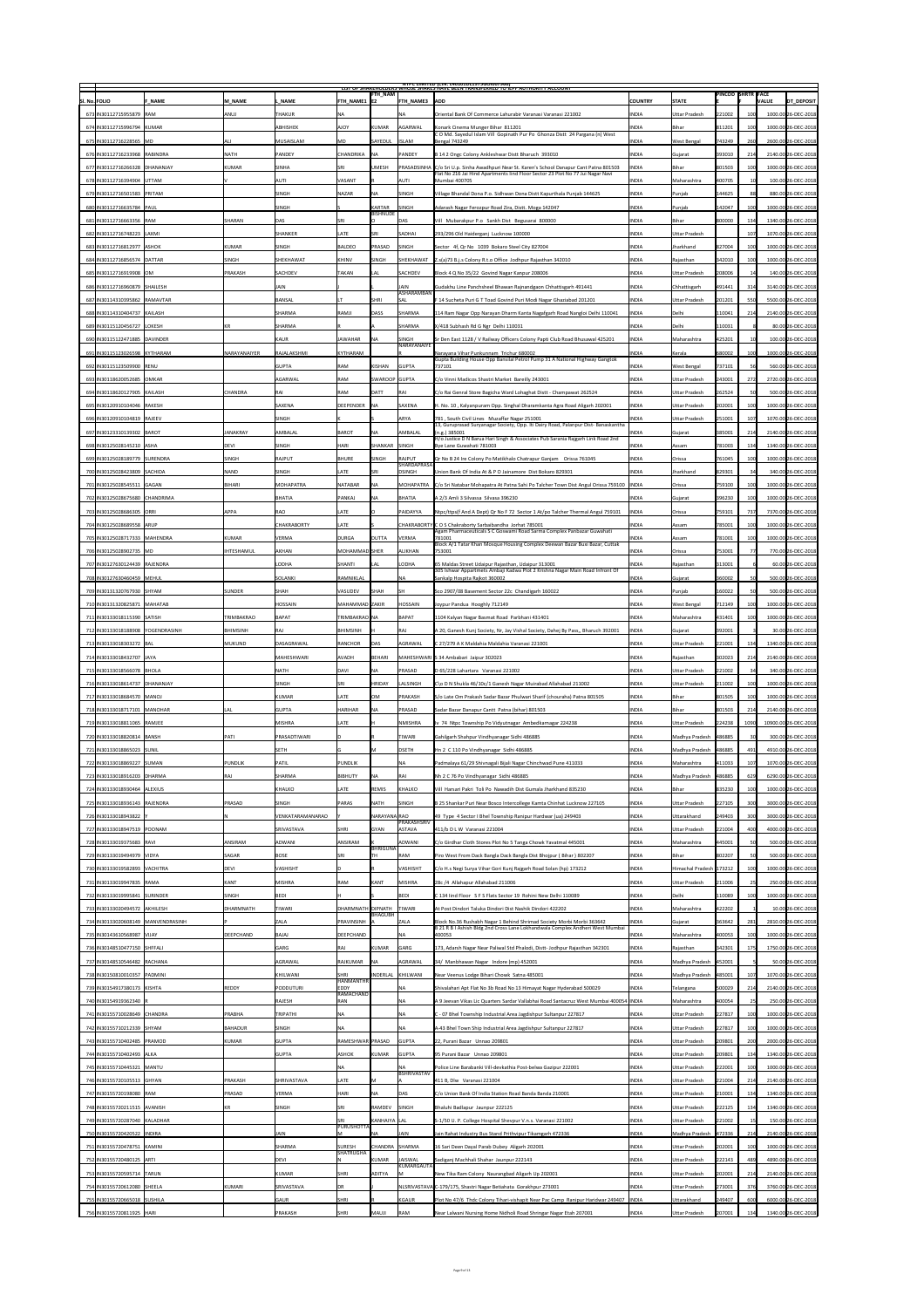|                                                             |               |                     |                     |                                 |                                  |                              | <b>NIPC LIMITED (CIN: L4U1U1DL1975GOIUU7966)</b><br>LIST OF SHAKEHOLDERS WHOSE SHAKES HAVE BEEN TRANSFERRED TO TEPF AUTHORITY ACCOUNT                                          |                              |                                              | <b>PINCOD SHRTR FACE</b> |                 |                                            |
|-------------------------------------------------------------|---------------|---------------------|---------------------|---------------------------------|----------------------------------|------------------------------|--------------------------------------------------------------------------------------------------------------------------------------------------------------------------------|------------------------------|----------------------------------------------|--------------------------|-----------------|--------------------------------------------|
| SI. No. FOLIO                                               | <b>F NAME</b> | M NAME              | <b>NAME</b>         | <b>FTH NAME1 E2</b>             | <b>FTH NAM</b>                   | <b>FTH NAME3</b>             | <b>ADD</b>                                                                                                                                                                     | <b>COUNTRY</b>               | <b>STATE</b>                                 |                          |                 | <b>DT_DEPOSIT</b><br><b>VALUE</b>          |
| 673 IN30112715955879 RAM                                    |               | ANUJ                | <b>THAKUR</b>       | <b>NA</b>                       |                                  |                              | Oriental Bank Of Commerce Lahurabir Varanasi Varanasi 221002                                                                                                                   | <b>INDIA</b>                 | <b>Uttar Pradesh</b>                         | 221002                   |                 | 1000.00 26-DEC-2018                        |
| 674   IN30112715996794   KUMAR                              |               |                     | <b>ABHISHEK</b>     | <b>AJOY</b>                     | KUMAR                            | <b>AGARWAL</b>               | Konark Cinema Munger Bihar 811201<br>COMd. Sayedul Islam Vill Gopinath Pur Po Ghonza Distt 24 Pargana (n) West                                                                 | <b>INDIA</b>                 | <b>Bihar</b>                                 | 811201                   |                 | 1000.00 26-DEC-2018                        |
| 675 IN30112716228565 MD                                     |               | ALI                 | MUSAISLAM           | MD                              | SAYEDUL                          | <b>ISLAM</b>                 | <b>Bengal 743249</b>                                                                                                                                                           | <b>INDIA</b>                 | West Bengal                                  | 743249                   | 260             | 2600.00 26-DEC-2018                        |
| 676 IN30112716233968 RABINDRA                               |               | <b>NATH</b>         | <b>PANDEY</b>       | <b>CHANDRIKA</b>                | <b>INA</b>                       | <b>PANDEY</b>                | B 14 2 Ongc Colony Ankleshwar Distt Bharuch 393010                                                                                                                             | <b>INDIA</b>                 | Gujarat                                      | 393010                   | 214             | 2140.00 26-DEC-2018                        |
| 677 IN30112716266328 DHANANJAY                              |               | KUMAR               | <b>SINHA</b>        | <b>SRI</b>                      | <b>UMESH</b>                     |                              | PRASADSINHA   C/o Sri U.p. Sinha Awadhpuri Near St. Karen's School Danapur Cant Patna 801503<br>Flat No 216 Jai Hind Apartments lind Floor Sector 23 Plot No 77 Jui Nagar Navi | <b>INDIA</b>                 | <b>Bihar</b>                                 | 801503                   | TOOI            | 1000.00 26-DEC-2018                        |
| 678 IN30112716394904 UTTAM                                  |               |                     | <b>AUT</b>          | <b>VASANT</b>                   |                                  | <b>AUTI</b>                  | Mumbai 400705                                                                                                                                                                  | <b>INDIA</b>                 | Maharashtra                                  | 400705                   |                 | 100.00 26-DEC-2018                         |
| 679 IN30112716501583 PRITAM                                 |               |                     | SINGH               | <b>NAZAR</b>                    | <b>NA</b>                        | <b>SINGH</b>                 | Village Bhandal Dona P.o. Sidhwan Dona Distt Kapurthala Punjab 144625                                                                                                          | <b>INDIA</b>                 | Punjab                                       | 144625                   | 88              | 880.00 26-DEC-2018                         |
| 680 IN30112716635784 PAUL                                   |               |                     | <b>SINGH</b>        |                                 | <b>KARTAR</b><br><b>BISHNUDE</b> | <b>SINGH</b>                 | Adarash Nagar Ferozpur Road Zira, Distt. Moga 142047                                                                                                                           | <b>INDIA</b>                 | Punjab                                       | 142047                   |                 | 1000.00 26-DEC-2018                        |
| 681 IN30112716663356 RAM                                    |               | SHARAN              | DAS                 | <b>SRI</b>                      |                                  | DAS                          | Vill Mubarakpur P.o Sankh Dist Begusarai 800000                                                                                                                                | <b>INDIA</b>                 | <b>Bihar</b>                                 | 800000                   | 134             | 1340.00 26-DEC-2018                        |
| 682 IN30112716748223 LAXMI                                  |               |                     | SHANKER             | LATE                            | <b>SRI</b>                       | <b>SADHAI</b>                | 293/296 Old Haiderganj Lucknow 100000                                                                                                                                          | <b>INDIA</b>                 | <b>Uttar Pradesh</b>                         |                          |                 | 1070.00 26-DEC-2018                        |
| 683 IN30112716812977 ASHOK                                  |               | KUMAR               | <b>SINGH</b>        | BALDEO                          | PRASAD                           | <b>SINGH</b>                 | Sector 4f, Qr No 1039 Bokaro Steel City 827004                                                                                                                                 | <b>INDIA</b>                 | Jharkhand                                    | 827004                   |                 | 1000.00 26-DEC-2018                        |
| 684 IN30112716856574 DATTAR                                 |               | SINGH               | SHEKHAWAT           | KHINV                           | SINGH                            |                              | SHEKHAWAT   Z.s(a) 73 B.j.s Colony R.t.o Office Jodhpur Rajasthan 342010                                                                                                       | <b>INDIA</b>                 | Rajasthan                                    | 342010                   |                 | 1000.00 26-DEC-2018                        |
| 685 IN30112716919908 OM                                     |               | PRAKASH             | SACHDEV             | <b>TAKAN</b>                    | LAL                              | SACHDEV                      | Block 4 Q No 35/22 Govind Nagar Kanpur 208006                                                                                                                                  | <b>INDIA</b>                 | <b>Uttar Pradesh</b>                         | 208006                   |                 | 140.00 26-DEC-2018                         |
| 686 IN30112716960879 SHAILESH                               |               |                     | <b>JAIN</b>         |                                 |                                  | JAIN<br>ASHARAMBAN           | Gudakhu Line Panchsheel Bhawan Rajnandgaon Chhattisgarh 491441                                                                                                                 | <b>INDIA</b>                 | Chhattisgarh                                 | 491441                   | 314             | 3140.00 26-DEC-2018                        |
| 687   IN30114310395862   RAMAVTAR                           |               |                     | BANSAL              |                                 | <b>SHRI</b>                      | SAL                          | F 14 Sucheta Puri G T Toad Govind Puri Modi Nagar Ghaziabad 201201                                                                                                             | <b>INDIA</b>                 | <b>Uttar Pradesh</b>                         | 201201                   | 550             | 5500.00 26-DEC-2018                        |
| 688 IN30114310404737 KAILASH                                |               |                     | <b>SHARMA</b>       | RAMJI                           | DASS                             | <b>SHARMA</b>                | 114 Ram Nagar Opp Narayan Dharm Kanta Nagafgarh Road Nangloi Delhi 110041                                                                                                      | <b>INDIA</b>                 | Delhi                                        | 110041                   | 214             | 2140.00 26-DEC-2018                        |
| 689 IN30115120456727 LOKESH                                 |               |                     | <b>SHARMA</b>       |                                 |                                  | SHARMA                       | X/418 Subhash Rd G Ngr Delhi 110031                                                                                                                                            | <b>INDIA</b>                 | Delhi                                        | 110031                   |                 | 80.00 26-DEC-2018                          |
| 690   IN30115122471885   DAVINDER                           |               |                     | KAUR                | <b>JAWAHAR</b>                  | <b>NA</b>                        | <b>SINGH</b><br>NARAYANAIYE  | Sr Den East 1128 / V Railway Officers Colony Papti Club Road Bhusawal 425201                                                                                                   | <b>INDIA</b>                 | Maharashtra                                  | 425201                   |                 | 100.00 26-DEC-2018                         |
| 691   IN30115123026598   KYTHARAM                           |               | <b>NARAYANAIYER</b> | RAJALAKSHMI         | <b>KYTHARAM</b>                 |                                  |                              | Narayana Vihar Punkunnam Trichur 680002<br>Gupta Building House Opp Bansilal Petrol Pump 31 A National Highway Gangtok                                                         | <b>INDIA</b>                 | Kerala                                       | 680002                   |                 | 1000.00 26-DEC-2018                        |
| 692 IN30115123509900 RENU                                   |               |                     | <b>GUPTA</b>        | <b>RAM</b>                      | KISHAN                           | <b>GUPTA</b>                 | 737101                                                                                                                                                                         | <b>INDIA</b>                 | West Bengal                                  | 737101                   |                 | 560.00 26-DEC-2018                         |
| 693 IN30118620052685 OMKAR                                  |               |                     | <b>AGARWAL</b>      | RAM                             | SWAROOP GUPTA                    |                              | C/o Vinni Madicos Shastri Market Bareilly 243001                                                                                                                               | <b>INDIA</b>                 | <b>Uttar Pradesh</b>                         | 243001                   | 2721            | 2720.00 26-DEC-2018                        |
| 694 IN30118620127905 KAILASH                                |               | <b>CHANDRA</b>      | <b>RAI</b>          | <b>RAM</b>                      | DATT                             | <b>RAI</b>                   | C/o Rai Genral Store Bagicha Ward Lohaghat Distt - Champawat 262524                                                                                                            | <b>INDIA</b>                 | <b>Uttar Pradesh</b>                         | 262524                   |                 | 500.00 26-DEC-2018                         |
| 695 IN30120910104046 RAKESH                                 |               |                     | <b>SAXENA</b>       | DEEPENDER   NA                  |                                  | <b>SAXENA</b>                | H. No. 10, Kalyanpuram Opp. Singhal Dharamkanta Agra Road Aligarh 202001                                                                                                       | <b>INDIA</b>                 | <b>Uttar Pradesh</b>                         | 202001                   |                 | 1000.00 26-DEC-2018                        |
| 696 IN30120910104819 RAJEEV                                 |               |                     | <b>SINGH</b>        |                                 |                                  | <b>ARYA</b>                  | 781, South Civil Lines Muzaffar Nagar 251001<br>13, Guruprasad Suryanagar Society, Opp. Iti Dairy Road, Palanpur Dist- Banaskantha                                             | <b>INDIA</b>                 | <b>Uttar Pradesh</b>                         | 251001                   |                 | 1070.00 26-DEC-2018                        |
| 697 IN30123310139302 BAROT                                  |               | <b>JANAKRAY</b>     | <b>AMBALAL</b>      | BAROT                           | <b>NA</b>                        | AMBALAL                      | (n.g.) 385001<br>H/o Justice D N Barua Hari Singh & Associates Pub Sarania Rajgarh Link Road 2nd                                                                               | <b>INDIA</b>                 | Gujarat                                      | 385001                   | 214             | 2140.00 26-DEC-2018                        |
| 698 IN30125028145210 ASHA                                   |               | DEVI                | <b>SINGH</b>        | <b>HARI</b>                     | SHANKAR SINGH                    |                              | Bye Lane Guwahati 781003                                                                                                                                                       | <b>INDIA</b>                 | <b>Assam</b>                                 | 781003                   | 134             | 1340.00 26-DEC-2018                        |
| 699 IN30125028189779 SURENDRA                               |               | <b>SINGH</b>        | <b>RAJPUT</b>       | <b>BHURE</b>                    | <b>SINGH</b>                     | <b>RAJPUT</b><br>SHARDAPRASA | Qr No B 24 Ire Colony Po Matikhalo Chatrapur Ganjam Orissa 761045                                                                                                              | <b>INDIA</b>                 | <b>Orissa</b>                                | 761045                   |                 | 1000.00 26-DEC-2018                        |
| 700   IN30125028423809   SACHIDA                            |               | <b>NAND</b>         | <b>SINGH</b>        | <b>LATE</b>                     | <b>SRI</b>                       | <b>DSINGH</b>                | Union Bank Of India At & P O Jainamore Dist Bokaro 829301                                                                                                                      | <b>INDIA</b>                 | Jharkhand                                    | 829301                   |                 | 340.00 26-DEC-2018                         |
| 701   IN30125028545511   GAGAN                              |               | BIHARI              | <b>MOHAPATRA</b>    | <b>NATABAR</b>                  | <b>NA</b>                        |                              | MOHAPATRA   C/o Sri Natabar Mohapatra At Patna Sahi Po Talcher Town Dist Angul Orissa 759100   INDIA                                                                           |                              | <b>Orissa</b>                                | 759100                   |                 | 1000.00 26-DEC-2018                        |
| 702   IN30125028675680   CHANDRIMA                          |               |                     | BHATIA              | PANKAJ                          | INA.                             | BHATIA                       | A 2/3 Amli 3 Silvassa Silvasa 396230                                                                                                                                           | <b>INDIA</b>                 | Gujarat                                      | 396230                   | 100             | 1000.00 26-DEC-2018                        |
| 703 IN30125028686305 ORRI                                   |               | <b>APPA</b>         | RAO                 | LATE                            |                                  | PAIDAYYA                     | Ntpc/ttps(f And A Dept) Qr No F 72 Sector 1 At/po Talcher Thermal Angul 759101                                                                                                 | <b>INDIA</b>                 | <b>Orissa</b>                                | 759101                   | 737             | 7370.00 26-DEC-2018                        |
| 704 IN30125028689558 ARUP                                   |               |                     | CHAKRABORTY         | LATE                            |                                  |                              | CHAKRABORTY C O S Chakraborty Sarbaibandha Jorhat 785001<br>Agam Pharmaceuticals S C Goswami Road Sarma Complex Panbazar Guwahati                                              | <b>INDIA</b>                 | Assam                                        | 785001                   |                 | 1000.00 26-DEC-2018                        |
| 705   IN30125028717333   MAHENDRA                           |               | KUMAR               | <b>VERMA</b>        | <b>DURGA</b>                    | <b>DUTTA</b>                     | <b>VERMA</b>                 | 781001<br>Block A/1 Tatar Khan Mosque Housing Complex Deewan Bazar Buxi Bazar, Cuttak                                                                                          | <b>INDIA</b>                 | <b>Assam</b>                                 | 781001                   |                 | 1000.00 26-DEC-2018                        |
| 706 IN30125028902735 MD                                     |               | <b>IHTESHAMUL</b>   | <b>AKHAN</b>        | <b>MOHAMMAD SHER</b>            |                                  | <b>ALIKHAN</b>               | 753001                                                                                                                                                                         | <b>INDIA</b>                 | <b>Orissa</b>                                | 753001                   |                 | 770.00 26-DEC-2018                         |
| 707 IN30127630124439 RAJENDRA                               |               |                     | <b>LODHA</b>        | <b>SHANTI</b>                   | LAL                              | LODHA                        | 65 Maldas Street Udaipur Rajasthan, Udaipur 313001<br>305 Ishwar Appartmets Ambaji Kadwa Plot 2 Krishna Nagar Main Road Infront Of                                             | <b>INDIA</b>                 | <b>Rajasthan</b>                             | 313001                   |                 | 60.00 26-DEC-2018                          |
| 708   IN30127630460459   MEHUL                              |               |                     | SOLANKI             | <b>RAMNIKLAL</b>                |                                  | INA                          | Sankalp Hospita Rajkot 360002                                                                                                                                                  | <b>INDIA</b>                 | Gujarat                                      | 360002                   |                 | 500.00 26-DEC-2018                         |
| 709 IN30131320767930 SHYAM                                  |               | <b>SUNDER</b>       | SHAH                | VASUDEV                         | <b>SHAH</b>                      | <b>SH</b>                    | Sco 2907/08 Basement Sector 22c Chandigarh 160022                                                                                                                              | <b>INDIA</b>                 | Punjab                                       | 160022                   |                 | 500.00 26-DEC-2018                         |
| 710 IN30131320825871 MAHATAB                                |               |                     | <b>HOSSAIN</b>      | MAHAMMAD  ZAKIR                 |                                  | <b>HOSSAIN</b>               | Joypur Pandua Hooghly 712149                                                                                                                                                   | <b>INDIA</b>                 | <b>West Bengal</b>                           | 712149                   |                 | 1000.00 26-DEC-2018                        |
| 711   IN30133018115390   SATISH                             |               | TRIMBAKRAO          | BAPAT               | TRIMBAKRAO   NA                 |                                  | BAPAT                        | 1104 Kalyan Nagar Basmat Road Parbhani 431401                                                                                                                                  | <b>INDIA</b>                 | Maharashtra                                  | 431401                   |                 | 1000.00 26-DEC-2018                        |
| 712 IN30133018188908 YOGENDRASINH                           |               | BHIMSINH            | <b>RAJ</b>          | <b>BHIMSINH</b>                 |                                  | RAJ                          | A 20, Ganesh Kunj Society, Nr, Jay Vishal Society, Dahej By Pass,, Bharuch 392001                                                                                              | <b>INDIA</b>                 | Gujarat                                      | 392001                   |                 | 30.00 26-DEC-2018                          |
| 713 IN30133018303272 BAL                                    |               | MUKUND              | DASAGRAWAL          | <b>RANCHOR</b>                  | DAS                              | <b>AGRAWAL</b>               | C 27/279 A K Maldahia Maldahia Varanasi 221001                                                                                                                                 | <b>INDIA</b>                 | <b>Uttar Pradesh</b>                         | 221001                   | 134             | 1340.00 26-DEC-2018                        |
|                                                             |               |                     |                     |                                 |                                  |                              |                                                                                                                                                                                |                              |                                              |                          |                 |                                            |
| 714 IN30133018432707 JAYA                                   |               |                     | MAHESHWARI          | AVADH                           | BEHARI                           |                              | MAHESHWARI S 34 Ambabari Jaipur 302023                                                                                                                                         | <b>INDIA</b>                 | Rajasthan                                    | 302023                   | 214             | 2140.00 26-DEC-2018                        |
| 715   IN30133018566078   BHOLA                              |               |                     | <b>NATH</b>         | DAVI                            | <b>NA</b>                        | <b>PRASAD</b>                | D 65/228 Lahartara Varanasi 221002                                                                                                                                             | <b>INDIA</b>                 | <b>Uttar Pradesh</b>                         | 221002                   |                 | 340.00 26-DEC-2018                         |
| 716   IN30133018614737   DHANANJAY                          |               |                     | SINGH               | <b>SRI</b>                      | <b>HRIDAY</b>                    | LALSINGH                     | C\o D N Shukla 46/10c/1 Ganesh Nagar Muirabad Allahabad 211002                                                                                                                 | <b>INDIA</b>                 | <b>Uttar Pradesh</b>                         | 211002                   | 100             | 1000.00 26-DEC-2018                        |
| 717 IN30133018684570 MANOJ                                  |               |                     | KUMAR               | <b>LATE</b>                     | <b>OM</b>                        | PRAKASH                      | S/o Late Om Prakash Sadar Bazar Phulwari Sharif (chouraha) Patna 801505                                                                                                        | <b>INDIA</b>                 | Bihar                                        | 801505                   | TOOI            | 1000.00 26-DEC-2018                        |
| 718   IN30133018717101   MANOHAR                            |               | LAL                 | <b>GUPTA</b>        | <b>HARIHAR</b>                  | <b>NA</b>                        | <b>PRASAD</b>                | Sadar Bazar Danapur Cantt Patna (bihar) 801503                                                                                                                                 | <b>INDIA</b>                 | Bihar                                        | 801503                   | 214             | 2140.00 26-DEC-2018                        |
| 719 IN30133018811065 RAMJEE                                 |               |                     | MISHRA              | <b>LATE</b>                     |                                  | NMISHRA                      | Iv 74 Ntpc Township Po Vidyutnagar Ambedkarnagar 224238                                                                                                                        | <b>INDIA</b>                 | <b>Uttar Pradesh</b>                         | 224238                   | 1090            | 10900.00 26-DEC-2018                       |
| 720   IN30133018820814   BANSH                              |               | $ $ PATI            | <b>PRASADTIWARI</b> |                                 |                                  | <b>TIWARI</b>                | Gahilgarh Shahpur Vindhyanagar Sidhi 486885                                                                                                                                    | <b>INDIA</b>                 | Madhya Pradesh                               | 486885                   |                 | 300.00 26-DEC-2018                         |
| 721 IN30133018865023 SUNIL                                  |               |                     | SETH                |                                 | M                                | <b>DSETH</b>                 | Hn 2 C 110 Po Vindhyanagar Sidhi 486885                                                                                                                                        | <b>INDIA</b>                 | Madhya Pradesh                               | 486885                   | 491             | 4910.00 26-DEC-2018                        |
| 722 IN30133018869227 SUMAN                                  |               | <b>PUNDLIK</b>      | PATIL               | <b>PUNDLIK</b>                  |                                  | NA                           | Padmalaya 61/29 Shivnagali Bijali Nagar Chinchwad Pune 411033                                                                                                                  | <b>INDIA</b>                 | Maharashtra                                  | 411033                   |                 | 1070.00 26-DEC-2018                        |
| 723 IN30133018916203 DHARMA                                 |               | RAJ                 | SHARMA              | BIBHUTY                         | IΝΔ                              | RAI                          | Nh 2 C 76 Po Vindhyanagar Sidhi 486885                                                                                                                                         | <b>INDIA</b>                 | Madhya Pradesh   486885                      |                          | 629             | 6290.00 26-DEC-2018                        |
| 724 IN30133018930464 ALEXIUS                                |               |                     | KHALKO              | LATE                            | REMIS                            | <b>KHALKO</b>                | Vill Harsari Pakri Toli Po Nawadih Dist Gumala Jharkhand 835230                                                                                                                | <b>INDIA</b>                 | Bihar                                        | 835230                   |                 | 1000.00 26-DEC-2018                        |
| 725 IN30133018936143 RAJENDRA                               |               | PRASAD              | <b>SINGH</b>        | <b>PARAS</b>                    | <b>NATH</b>                      | <b>SINGH</b>                 | B 25 Shankar Puri Near Bosco Intercollege Kamta Chinhat Lucknow 227105                                                                                                         | <b>INDIA</b>                 | <b>Uttar Pradesh</b>                         | 227105                   | 300             | 3000.00 26-DEC-2018                        |
| 726 IN30133018943822 Y                                      |               |                     | VENKATARAMANARAO    |                                 | NARAYANA RAO                     | PRAKASHSRIV                  | 49 Type 4 Sector I Bhel Township Ranipur Hardwar (ua) 249403                                                                                                                   | <b>INDIA</b>                 | <b>Uttarakhand</b>                           | 249403                   | 300             | 3000.00 26-DEC-2018                        |
| 727 IN30133018947519 POONAM                                 |               |                     | <b>SRIVASTAVA</b>   | SHRI                            | <b>GYAN</b>                      | <b>ASTAVA</b>                | 411/b D L W Varanasi 221004                                                                                                                                                    | <b>INDIA</b>                 | <b>Uttar Pradesh</b>                         | 221004                   | 400             | 4000.00 26-DEC-2018                        |
| 728 IN30133019375683 RAVI                                   |               | <b>ANSIRAM</b>      | <b>ADWANI</b>       | ANSIRAM                         | BHRIGUNA                         | ADWANI                       | C/o Girdhar Cloth Stores Plot No 5 Tanga Chowk Yavatmal 445001                                                                                                                 | <b>INDIA</b>                 | Maharashtra                                  | 445001                   |                 | 500.00 26-DEC-2018                         |
| 729 IN30133019494979 VIDYA                                  |               | <b>SAGAR</b>        | <b>BOSE</b>         | <b>SRI</b>                      | TH                               | <b>RAM</b>                   | Piro West From Dack Bangla Dack Bangla Dist Bhojpur (Bihar) 802207                                                                                                             | <b>INDIA</b>                 | <b>Bihar</b>                                 | 802207                   |                 | 500.00 26-DEC-2018                         |
| 730 IN30133019582893 VACHITRA                               |               | <b>DEVI</b>         | <b>VASHISHT</b>     |                                 |                                  | <b>VASHISHT</b>              | C/o H.s Negi Surya Vihar Gori Kunj Rajgarh Road Solan (hp) 173212                                                                                                              | <b>INDIA</b>                 | Himachal Pradesh   173212                    |                          |                 | 1000.00 26-DEC-2018                        |
| 731 IN30133019947835 RAMA                                   |               | KANT                | <b>MISHRA</b>       | <b>RAM</b>                      | KANT                             | MISHRA                       | $ 28c/4 $ Allahapur Allahabad 211006                                                                                                                                           | <b>INDIA</b>                 | <b>Uttar Pradesh</b>                         | 211006                   | 25              | 250.00 26-DEC-2018                         |
| 732 IN30133019995841 SURINDER                               |               | <b>SINGH</b>        | BEDI                |                                 |                                  | BEDI                         | C 134 lind Floor SFS Flats Sector 19 Rohini New Delhi 110089                                                                                                                   | <b>INDIA</b>                 | Delhi                                        | 110089                   |                 | 1000.00 26-DEC-2018                        |
| 733 IN30133020494572 AKHILESH                               |               | DHARMNATH           | <b>TIWARI</b>       | DHARMNATH DIPNATH               | BHAGUBH                          | <b>TIWARI</b>                | At Post Dindori Taluka Dindori Dist Nashik Dindori 422202                                                                                                                      | <b>INDIA</b>                 | Maharashtra                                  | 422202                   |                 | 10.00 26-DEC-2018                          |
| 734 IN30133020608149   MANVENDRASINH                        |               |                     | <b>ZALA</b>         | PRAVINSINH                      |                                  | <b>ZALA</b>                  | Block No.36 Rushabh Nagar 1 Behind Shrimad Society Morbi Morbi 363642<br>B 21 R B I Ashish Bldg 2nd Cross Lane Lokhandwala Complex Andheri West Mumbai                         | <b>INDIA</b>                 | Gujarat                                      | 363642                   | 281             | 2810.00 26-DEC-2018                        |
| 735 IN30143610568987 VIJAY                                  |               | DEEPCHAND           | BAJAJ               | <b>DEEPCHAND</b>                |                                  | INA.                         | 400053                                                                                                                                                                         | <b>INDIA</b>                 | Maharashtra                                  | 400053                   |                 | 1000.00 26-DEC-2018                        |
| 736 IN30148510477150 SHFFALI                                |               |                     | GARG                | <b>RAJ</b>                      | KUMAR                            | GARG                         | 173, Adarsh Nagar Near Paliwal Std Phalodi, Distt-Jodhpur Rajasthan 342301                                                                                                     | <b>INDIA</b>                 | Rajasthan                                    | 342301                   | 175             | 1750.00 26-DEC-2018                        |
| 737 IN30148510546482 RACHANA                                |               |                     | AGRAWAL             | RAJKUMAR                        | <b>INA</b>                       | AGRAWAL                      | 34/ Manbhawan Nagar Indore (mp) 452001                                                                                                                                         | <b>INDIA</b>                 | Madhya Pradesh                               | 452001                   |                 | 50.00 26-DEC-2018                          |
| 738   IN30150810010357   PADMINI                            |               |                     | KHILWANI            | <b>SHRI</b><br><b>HANMANTHR</b> | <b>INDERLAL</b>                  | KHILWANI                     | Near Veenus Lodge Bihari Chowk Satna 485001                                                                                                                                    | <b>INDIA</b>                 | Madhya Pradesh                               | 485001                   |                 | 1070.00 26-DEC-2018                        |
| 739 IN30154917380173 KISHTA                                 |               | <b>REDDY</b>        | PODDUTURI           | EDDY<br> RAMACHAND              |                                  | INA.                         | Shivalahari Apt Flat No 3b Road No 13 Himayat Nagar Hyderabad 500029                                                                                                           | <b>INDIA</b>                 | Telangana                                    | 500029                   | 214             | 2140.00 26-DEC-2018                        |
| 740 IN30154919362340 R                                      |               |                     | RAJESH              | <b>RAN</b>                      |                                  | <b>NA</b>                    | A 9 Jeevan Vikas Lic Quarters Sardar Vallabhai Road Santacruz West Mumbai 400054  INDIA                                                                                        |                              | Maharashtra                                  | 400054                   |                 | 250.00 26-DEC-2018                         |
| 741   IN30155710028649   CHANDRA                            |               | PRABHA              | TRIPATHI            | <b>NA</b>                       |                                  |                              | C - 07 Bhel Township Industrial Area Jagdishpur Sultanpur 227817                                                                                                               | <b>INDIA</b>                 | <b>Uttar Pradesh</b>                         | 227817                   | 1001            | 1000.00 26-DEC-2018                        |
| 742 IN30155710212339 SHYAM<br>743 IN30155710402485 PRAMOD   |               | BAHADUR             | SINGH               | <b>NA</b>                       |                                  |                              | A-43 Bhel Town Ship Industrial Area Jagdishpur Sultanpur 227817                                                                                                                | <b>INDIA</b>                 | <b>Uttar Pradesh</b>                         | 227817                   |                 | 1000.00 26-DEC-2018                        |
|                                                             |               | KUMAR               | <b>GUPTA</b>        | RAMESHWAR  PRASAD               |                                  | <b>GUPTA</b>                 | 22, Purani Bazar Unnao 209801                                                                                                                                                  | <b>INDIA</b><br><b>INDIA</b> | <b>Uttar Pradesh</b>                         | 209801                   |                 | 2000.00 26-DEC-2018                        |
| 744 IN30155710402493 ALKA<br>745   IN30155710445321   MANTU |               |                     | GUPTA               | <b>ASHOK</b><br><b>NA</b>       | KUMAR                            | <b>GUPTA</b>                 | 95 Purani Bazar Unnao 209801                                                                                                                                                   | <b>INDIA</b>                 | Uttar Pradesh<br><b>Uttar Pradesh</b>        | 209801                   | 134<br>100      | 1340.00 26-DEC-2018<br>1000.00 26-DEC-2018 |
| 746 IN30155720105513 GHYAN                                  |               | <b>PRAKASH</b>      | <b>SHRIVASTAVA</b>  |                                 |                                  | BSHRIVASTAV                  | Police Line Barabanki Vill-devkathia Post-belwa Gazipur 222001<br>411 B, Dlw Varanasi 221004                                                                                   | <b>INDIA</b>                 | <b>Uttar Pradesh</b>                         | 222001                   | 214             |                                            |
|                                                             |               | PRASAD              | <b>VERMA</b>        | LATE<br><b>HARI</b>             | <b>NA</b>                        | DAS                          |                                                                                                                                                                                | <b>INDIA</b>                 |                                              | 221004                   | 134             | 2140.00 26-DEC-2018                        |
| 747 IN30155720198080 RAM<br>748 IN30155720211515 AVANISH    |               |                     | SINGH               | <b>SRI</b>                      | RAMDEV                           | SINGH                        | C/o Union Bank Of India Station Road Banda Banda 210001                                                                                                                        | <b>INDIA</b>                 | <b>Uttar Pradesh</b>                         | 210001                   | 134             | 1340.00 26-DEC-2018<br>1340.00 26-DEC-2018 |
| 749 IN30155720287040 KALADHAR                               |               |                     |                     | <b>SRI</b>                      | KANHAIYA LAL                     |                              | Bhaluhi Badlapur Jaunpur 222125<br>S-1/50 U. P. College Hospital Shevpur V.n.s. Varanasi 221002                                                                                | <b>INDIA</b>                 | <b>Uttar Pradesh</b><br><b>Uttar Pradesh</b> | 222125<br>221002         | 15 <sup>1</sup> | 150.00 26-DEC-2018                         |
| 750   IN30155720420522   INDIRA                             |               |                     | <b>JAIN</b>         | <b>PURUSHOTTA</b>               | <b>NA</b>                        | JAIN                         | Jain Rahat Industry Bus Stand Prithvipur Tikamgarh 472336                                                                                                                      | <b>INDIA</b>                 | Madhya Pradesh                               | 472336                   | 214             | 2140.00 26-DEC-2018                        |
| 751 IN30155720478751 KAMINI                                 |               |                     | <b>SHARMA</b>       | <b>SURESH</b>                   |                                  | CHANDRA SHARMA               | 16 Sari Deen Dayal Parab Dubey Aligarh 202001                                                                                                                                  | <b>INDIA</b>                 | <b>Uttar Pradesh</b>                         | 202001                   | 1001            | 1000.00 26-DEC-2018                        |
| 752 IN30155720480125 ARTI                                   |               |                     | DEVI                | SHATRUGHA                       | KUMAR                            | <b>JAISWAL</b>               | Sadiganj Machhali Shahar Jaunpur 222143                                                                                                                                        | <b>INDIA</b>                 | <b>Uttar Pradesh</b>                         | $ 222143\rangle$         | 489             | 4890.00 26-DEC-2018                        |
| 753 IN30155720595714 TARUN                                  |               |                     | KUMAR               | <b>SHRI</b>                     | <b>ADITYA</b>                    | <b>KUMARGAUTA</b>            | New Tika Ram Colony Naurangbad Aligarh Up 202001                                                                                                                               | <b>INDIA</b>                 | <b>Uttar Pradesh</b>                         | 202001                   | 214             | 2140.00 26-DEC-2018                        |
| 754 IN30155720612080 SHEELA                                 |               | KUMARI              | <b>SRIVASTAVA</b>   | <b>DR</b>                       |                                  |                              | NLSRIVASTAVA C-179/175, Shastri Nagar Betiahata Gorakhpur 273001                                                                                                               | <b>INDIA</b>                 | Uttar Pradesh                                | 273001                   | 376             | 3760.00 26-DEC-2018                        |
| 755 IN30155720665018 SUSHILA                                |               |                     | GAUR                | SHRI                            |                                  | KGAUR                        | Plot No 47/6 Thdc Colony Tihari-vishapit Near Pac Camp Ranipur Haridwar 249407  INDIA                                                                                          |                              | Uttarakhand                                  | 249407                   | 600             | 6000.00 26-DEC-2018                        |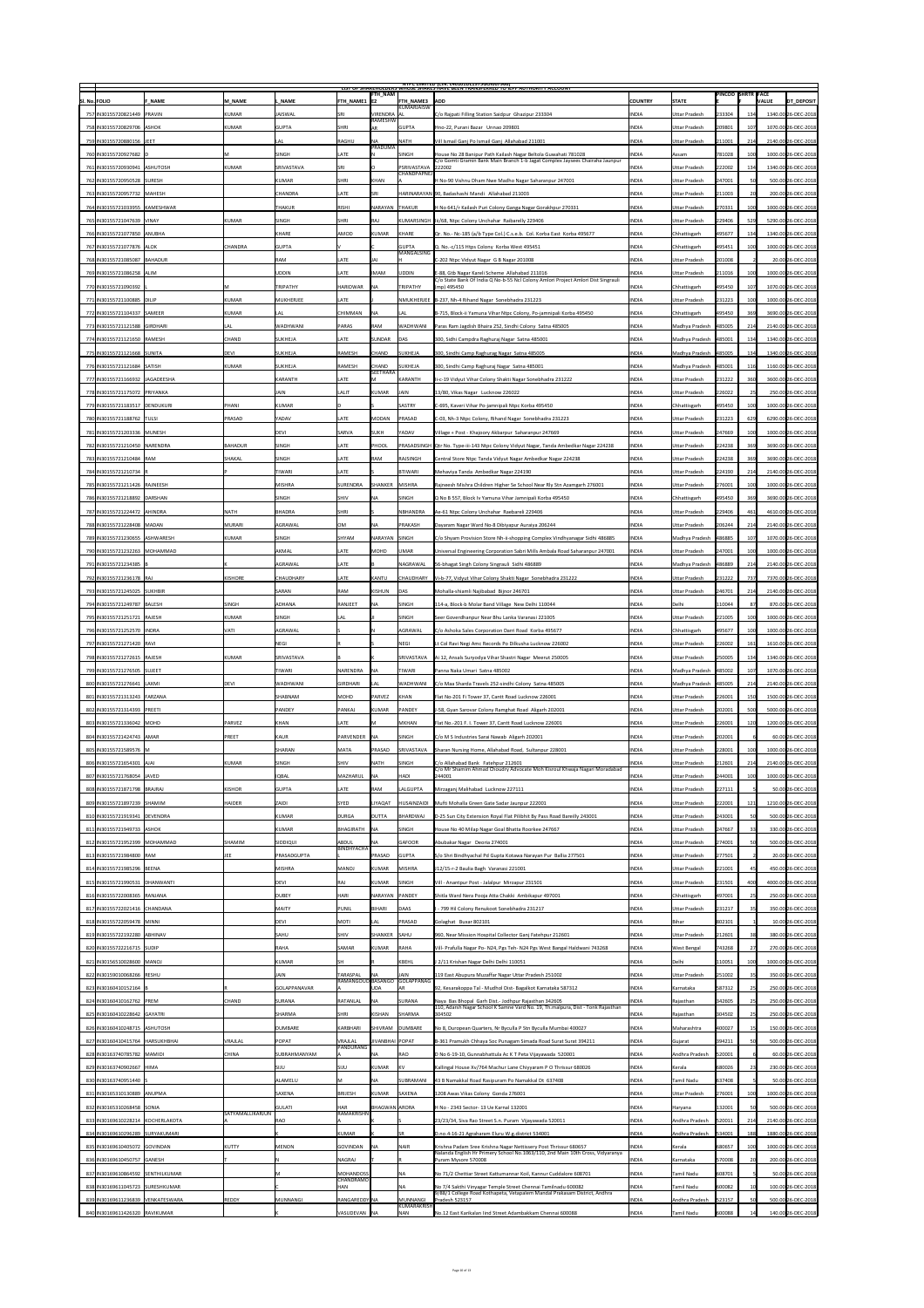|                                                                |                              |                          |                                   |                             |                                             | NIPC LIMITED (CIN: L4U1U1DL1975GUIUU7966)<br>LIST OF SHAKEHOLDERS WHOSE SHAKES HAVE BEEN TRANSFERRED TO TEPF AUTHORITY ACCOUNT          |                              |                                       |                          |            |                                            |
|----------------------------------------------------------------|------------------------------|--------------------------|-----------------------------------|-----------------------------|---------------------------------------------|-----------------------------------------------------------------------------------------------------------------------------------------|------------------------------|---------------------------------------|--------------------------|------------|--------------------------------------------|
| SI. No. FOLIO<br><b>F NAME</b>                                 | <b>M NAME</b>                | . NAME                   | FTH NAME1  E2                     | <b>FTH_NAM</b>              | <b>FTH NAME3</b>                            | <b>ADD</b>                                                                                                                              | <b>COUNTRY</b>               | <b>STATE</b>                          | <b>PINCOD SHRTR FACE</b> |            | <b>DT_DEPOSIT</b><br><b>VALUE</b>          |
| 757 IN30155720821449 PRAVIN                                    | KUMAR                        | JAISWAL                  | <b>SRI</b>                        | VIRENDRA   AL               | KUMARJAISW                                  | C/o Rajpati Filling Station Saidpur Ghazipur 233304                                                                                     | <b>INDIA</b>                 | Uttar Pradesh                         | 233304                   | 134        | 1340.00 26-DEC-2018                        |
| 758 IN30155720829706 ASHOK                                     | KUMAR                        | <b>GUPTA</b>             | <b>SHRI</b>                       | <b>RAMESHW</b><br><b>AR</b> | <b>GUPTA</b>                                | Hno-22, Purani Bazar Unnao 209801                                                                                                       | <b>INDIA</b>                 | <b>Uttar Pradesh</b>                  | 209801                   |            | 1070.00 26-DEC-2018                        |
| 759 IN30155720880156 JEET                                      |                              | <b>LAL</b>               | RAGHU                             | <b>NA</b>                   | <b>NATH</b>                                 | Vill Ismail Ganj Po Ismail Ganj Allahabad 211001                                                                                        | <b>INDIA</b>                 | Uttar Pradesh                         | 211001                   | 214        | 2140.00 26-DEC-2018                        |
| 760 IN30155720927682 D                                         |                              | SINGH                    | <b>LATE</b>                       | PRADUMA <sup>'</sup>        | <b>SINGH</b>                                | House No 28 Banipur Path Kailash Nagar Beltola Guwahati 781028                                                                          | <b>INDIA</b>                 | <b>Assam</b>                          | 781028                   |            | 1000.00 26-DEC-2018                        |
| 761   IN30155720930941   ASHUTOSH                              | KUMAR                        | <b>SRIVASTAVA</b>        | <b>SRI</b>                        |                             | PSRIVASTAVA 222002                          | C/o Gomti Gramin Bank Main Branch 1-b Jagat Complex Jaysees Chairaha Jaunpur                                                            | <b>INDIA</b>                 | Uttar Pradesh                         | 222002                   | 134        | 1340.00 26-DEC-2018                        |
| 762 IN30155720950528 SURESH                                    |                              | KUMAR                    | <b>SHRI</b>                       | KHAN                        | <b>CHANDPAPNEJ</b>                          | H No-90 Vishnu Dham Nwe Madho Nagar Saharanpur 247001                                                                                   | <b>INDIA</b>                 | Uttar Pradesh                         | 247001                   |            | 500.00 26-DEC-2018                         |
| 763 IN30155720957732 MAHESH                                    |                              | <b>CHANDRA</b>           | LATE                              | <b>SRI</b>                  |                                             | HARINARAYAN 90, Badashashi Mandi Allahabad 211003                                                                                       | <b>INDIA</b>                 | <b>Uttar Pradesh</b>                  | 211003                   |            | 200.00 26-DEC-2018                         |
| 764 IN30155721033955 KAMESHWAR                                 |                              | <b>THAKUR</b>            | RISHI                             | NARAYAN                     | <b>THAKUR</b>                               | H No 641/r Kailash Puri Colony Ganga Nagar Gorakhpur 270331                                                                             | <b>INDIA</b>                 | <b>IUttar Pradesh</b>                 | 270331                   | 1001       | 1000.00 26-DEC-2018                        |
| 765 IN30155721047639 VINAY                                     | KUMAR                        | SINGH                    | <b>SHRI</b>                       | RAJ                         |                                             | KUMARSINGH   Iii/68, Ntpc Colony Unchahar Raibarelly 229406                                                                             | <b>INDIA</b>                 | <b>Uttar Pradesh</b>                  | 229406                   | 529        | 5290.00 26-DEC-2018                        |
| 766 IN30155721077850 ANUBHA                                    |                              | KHARE                    | AMOD                              | KUMAR                       | KHARE                                       | $Qr$ . No.- Nc-185 (a/b Type Col.) C.s.e.b. Col. Korba East Korba 495677                                                                | <b>INDIA</b>                 | Chhattisgarh                          | 495677                   | 134        | 1340.00 26-DEC-2018                        |
| 767 IN30155721077876 ALOK                                      | <b>CHANDRA</b>               | <b>GUPTA</b>             |                                   |                             | <b>GUPTA</b>                                | $ Q. No.-c/115$ Htps Colony Korba West 495451                                                                                           | <b>INDIA</b>                 | Chhattisgarh                          | 495451                   |            | 1000.00 26-DEC-2018                        |
| 768   IN30155721085087   BAHADUR                               |                              | <b>RAM</b>               | LATE                              | JAI                         | MANGALSING                                  | C-202 Ntpc Vidyut Nagar G B Nagar 201008                                                                                                | <b>INDIA</b>                 | <b>Uttar Pradesh</b>                  | 201008                   |            | 20.00 26-DEC-2018                          |
| 769 IN30155721086258 ALIM                                      |                              | <b>UDDIN</b>             | <b>LATE</b>                       | <b>IIMAM</b>                | UDDIN                                       | E-88, Gtb Nagar Kareli Scheme Allahabad 211016                                                                                          | <b>INDIA</b>                 | Uttar Pradesh                         | 211016                   |            | 1000.00 26-DEC-2018                        |
| 770   IN30155721090392                                         |                              | TRIPATHY                 | <b>HARIDWAR</b>                   | <b>NA</b>                   | TRIPATHY                                    | C/o State Bank Of India Q No-b-55 Ncl Colony Amlori Project Amlori Dist Singrauli<br>(mp) 495450                                        | <b>INDIA</b>                 | Chhattisgarh                          | 495450                   |            | 1070.00 26-DEC-2018                        |
| 771 IN30155721100885 DILIP                                     | KUMAR                        | MUKHERJEE                | LATE                              |                             |                                             | NMUKHERJEE   B-237, Nh-4 Rihand Nagar Sonebhadra 231223                                                                                 | <b>INDIA</b>                 | <b>Uttar Pradesh</b>                  | 231223                   |            | 1000.00 26-DEC-2018                        |
| 772 IN30155721104337 SAMEER                                    | KUMAR                        | <b>LAL</b>               | CHIMMAN                           | <b>NA</b>                   | LAL                                         | B-715, Block-ii Yamuna Vihar Ntpc Colony, Po-jamnipali Korba 495450                                                                     | <b>INDIA</b>                 | Chhattisgarh                          | 495450                   | 369        | 3690.00 26-DEC-2018                        |
| 773 IN30155721121588 GIRDHARI                                  | <b>LAL</b>                   | <b>WADHWANI</b>          | PARAS                             | RAM                         | <b>WADHWANI</b>                             | Paras Ram Jagdish Bhaira 252, Sindhi Colony Satna 485005                                                                                | <b>INDIA</b>                 | Madhya Pradesh                        | 485005                   | 214        | 2140.00 26-DEC-2018                        |
| 774 IN30155721121650 RAMESH                                    | <b>CHAND</b>                 | <b>SUKHEJA</b>           | LATE                              | SUNDAR                      | DAS                                         | 300, Sidhi Campdra Raghuraj Nagar Satna 485001                                                                                          | <b>INDIA</b>                 | Madhya Pradesh                        | 485001                   | 134        | 1340.00 26-DEC-2018                        |
| 775 IN30155721121668 SUNITA                                    | <b>DEVI</b>                  | <b>SUKHEJA</b>           | RAMESH                            | <b>CHAND</b>                | SUKHEJA                                     | 300, Sindhi Camp Raghurag Nagar Satna 485005                                                                                            | <b>INDIA</b>                 | Madhya Pradesh                        | 485005                   | 134        | 1340.00 26-DEC-2018                        |
| 776 IN30155721121684 SATISH                                    | <b>KUMAR</b>                 | <b>SUKHEJA</b>           | RAMESH                            | <b>CHAND</b>                | <b>SUKHEJA</b>                              | 300, Sindhi Camp Raghuraj Nagar Satna 485001                                                                                            | <b>INDIA</b>                 | Madhya Pradesh                        | 485001                   | 116        | 1160.00 26-DEC-2018                        |
| 777   IN30155721166932   JAGADEESHA                            |                              | KARANTH                  | LATE                              | <b>SEETHARA</b><br>IM.      | KARANTH                                     | II-c-19 Vidyut Vihar Colony Shakti Nagar Sonebhadra 231222                                                                              | <b>INDIA</b>                 | Uttar Pradesh                         | 231222                   | 360        | 3600.00 26-DEC-2018                        |
| 778 IN30155721175072 PRIYANKA                                  |                              | JAIN                     | <b>LALIT</b>                      | KUMAR                       | JAIN                                        | 13/80, Vikas Nagar Lucknow 226022                                                                                                       | <b>INDIA</b>                 | <b>Uttar Pradesh</b>                  | 226022                   | 25         | 250.00 26-DEC-2018                         |
| 779 IN30155721183517 DENDUKURI                                 | PHANI                        | KUMAR                    |                                   |                             | <b>SASTRY</b>                               | C-695, Kaveri Vihar Po-jamnipali Ntpc Korba 495450                                                                                      | <b>INDIA</b>                 | Chhattisgarh                          | 495450                   |            | 1000.00 26-DEC-2018                        |
| 780   IN30155721188762   TULSI                                 | PRASAD                       | YADAV                    | <b>LATE</b>                       | MODAN                       | <b>PRASAD</b>                               | C-03, Nh-3 Ntpc Colony, Rihand Nagar Sonebhadra 231223                                                                                  | <b>INDIA</b>                 | Uttar Pradesh                         | 231223                   |            | 6290.00 26-DEC-2018                        |
| 781   IN30155721203336   MUNESH                                |                              | DEVI                     | <b>SARVA</b>                      | <b>SUKH</b>                 | <b>YADAV</b>                                | Village + Post - Khajoory Akbarpur Saharanpur 247669                                                                                    | <b>INDIA</b>                 | <b>Uttar Pradesh</b>                  | 247669                   |            | 1000.00 26-DEC-2018                        |
| 782 IN30155721210450 NARENDRA                                  | <b>BAHADUR</b>               | SINGH                    | <b>LATE</b>                       | PHOOL                       |                                             | PRASADSINGH  Qtr No. Type-iii-143 Ntpc Colony Vidyut Nagar, Tanda Ambedkar Nagar 224238                                                 | <b>INDIA</b>                 | <b>Uttar Pradesh</b>                  | 224238                   | 369        | 3690.00 26-DEC-2018                        |
| 783 IN30155721210484 RAM                                       | SHAKAL                       | SINGH                    | <b>LATE</b>                       | RAM                         | RAJSINGH                                    | Central Store Ntpc Tanda Vidyut Nagar Ambedkar Nagar 224238                                                                             | <b>INDIA</b>                 | <b>Uttar Pradesh</b>                  | 224238                   | 369        | 3690.00 26-DEC-2018                        |
| 784 IN30155721210734 R                                         |                              | <b>TIWARI</b>            | LATE                              |                             | BTIWARI                                     | Mehaviya Tanda Ambedkar Nagar 224190                                                                                                    | <b>INDIA</b>                 | Uttar Pradesh                         | 224190                   | 214        | 2140.00 26-DEC-2018                        |
| 785 IN30155721211426 RAJNEESH                                  |                              | MISHRA                   | SURENDRA                          | SHANKER                     | MISHRA                                      | Rajneesh Mishra Children Higher Se School Near Rly Stn Azamgarh 276001                                                                  | <b>INDIA</b>                 | Uttar Pradesh                         | 276001                   | 100        | 1000.00 26-DEC-2018                        |
| 786 IN30155721218892 DARSHAN                                   |                              | <b>SINGH</b>             | <b>SHIV</b>                       | <b>NA</b>                   | SINGH                                       | Q No B 557, Block Iv Yamuna Vihar Jamnipali Korba 495450                                                                                | <b>INDIA</b>                 | Chhattisgarh                          | 495450                   | 369        | 3690.00 26-DEC-2018                        |
|                                                                |                              |                          |                                   |                             |                                             |                                                                                                                                         |                              |                                       |                          |            |                                            |
| 787   IN30155721224472   AHINDRA<br>788 IN30155721228408 MADAN | <b>NATH</b><br><b>MURARI</b> | BHADRA<br><b>AGRAWAL</b> | SHRI<br><b>OM</b>                 | <b>NA</b>                   | <b>NBHANDRA</b><br><b>PRAKASH</b>           | Ae-61 Ntpc Colony Unchahar Raebareli 229406<br>Dayaram Nagar Ward No-8 Dibiyapur Auraiya 206244                                         | <b>INDIA</b><br><b>INDIA</b> | Uttar Pradesh<br><b>Uttar Pradesh</b> | 229406<br>206244         | 461<br>214 | 4610.00 26-DEC-2018<br>2140.00 26-DEC-2018 |
|                                                                |                              |                          |                                   |                             |                                             |                                                                                                                                         |                              |                                       |                          |            |                                            |
| 789   IN30155721230655   ASHWARESH                             | KUMAR                        | SINGH                    | SHYAM                             | NARAYAN SINGH               |                                             | C/o Shyam Provision Store Nh-ii-shopping Complex Vindhyanagar Sidhi 486885                                                              | <b>INDIA</b>                 | Madhya Pradesh                        | 486885                   |            | 1070.00 26-DEC-2018                        |
| 790   IN30155721232263   MOHAMMAD                              |                              | <b>AKMAL</b>             | <b>LATE</b>                       | MOHD                        | <b>UMAR</b>                                 | Universal Engineering Corporation Sabri Mills Ambala Road Saharanpur 247001                                                             | <b>INDIA</b>                 | <b>Uttar Pradesh</b>                  | 247001                   |            | 1000.00 26-DEC-2018                        |
| 791 IN30155721234385 B                                         |                              | AGRAWAL                  | LATE                              |                             | NAGRAWAL                                    | 56-bhagat Singh Colony Singrauli Sidhi 486889                                                                                           | <b>INDIA</b>                 | Madhya Pradesh                        | 486889                   | 214        | 2140.00 26-DEC-2018                        |
| 792 IN30155721236178 RAJ                                       | <b>KISHORE</b>               | <b>CHAUDHARY</b>         | LATE                              | KANTU                       | <b>CHAUDHARY</b>                            | Vi-b-77, Vidyut Vihar Colony Shakti Nagar Sonebhadra 231222                                                                             | <b>INDIA</b>                 | <b>Uttar Pradesh</b>                  | 231222                   | 737        | 7370.00 26-DEC-2018                        |
| 793 IN30155721245025 SUKHBIR                                   |                              | SARAN                    | <b>RAM</b>                        | KISHUN                      | DAS                                         | Mohalla-shiamli Najibabad Bijnor 246701                                                                                                 | <b>INDIA</b>                 | Uttar Pradesh                         | 246701                   | 214        | 2140.00 26-DEC-2018                        |
| 794 IN30155721249787 BALESH                                    | SINGH                        | <b>ADHANA</b>            | RANJEET                           | <b>NA</b>                   | <b>SINGH</b>                                | 114-a, Block-b Molar Band Village New Delhi 110044                                                                                      | <b>INDIA</b>                 | Delhi                                 | 110044                   | 87         | 870.00 26-DEC-2018                         |
| 795 IN30155721251721 RAJESH                                    | KUMAR                        | SINGH                    | <b>LAL</b>                        |                             | <b>SINGH</b>                                | Seer Goverdhanpur Near Bhu Lanka Varanasi 221005                                                                                        | <b>INDIA</b>                 | Uttar Pradesh                         | 221005                   | 100        | 1000.00 26-DEC-2018                        |
| 796 IN30155721252570 INDRA                                     | <b>VATI</b>                  | AGRAWAL                  |                                   |                             | AGRAWAL                                     | C/o Ashoka Sales Corporation Darri Road Korba 495677                                                                                    | <b>INDIA</b>                 | Chhattisgarh                          | 495677                   |            | 1000.00 26-DEC-2018                        |
|                                                                |                              |                          |                                   |                             |                                             |                                                                                                                                         |                              |                                       |                          |            |                                            |
| 797 IN30155721271420 RAVI                                      |                              | NEGI                     |                                   |                             | NEGI                                        | Lt Col Ravi Negi Amc Records Po Dilkusha Lucknow 226002                                                                                 | <b>INDIA</b>                 | <b>Uttar Pradesh</b>                  | 226002                   | 161        | 1610.00 26-DEC-2018                        |
| 798   IN30155721272615   RAJESH                                | KUMAR                        | <b>SRIVASTAVA</b>        |                                   |                             | <b>SRIVASTAVA</b>                           | Ai 12, Ansals Suryodya Vihar Shastri Nagar Meerut 250005                                                                                | <b>INDIA</b>                 | <b>Uttar Pradesh</b>                  | 250005                   | 134        | 1340.00 26-DEC-2018                        |
| 799 IN30155721276505 SUJEET                                    |                              | <b>TIWARI</b>            | NARENDRA                          | INA                         | TIWARI                                      | Panna Naka Umari Satna 485002                                                                                                           | <b>INDIA</b>                 | Madhya Pradesh                        | 485002                   |            | 1070.00 26-DEC-2018                        |
| 800   IN30155721276641   LAXMI                                 | <b>DEVI</b>                  | <b>WADHWANI</b>          | GIRDHARI                          | <b>LAL</b>                  | WADHWANI                                    | C/o Maa Sharda Travels 252-sindhi Colony Satna 485005                                                                                   | <b>INDIA</b>                 | Madhya Pradesh                        | 485005                   | 214        | 2140.00 26-DEC-2018                        |
| 801   IN30155721313243   FARZANA                               |                              | SHABNAM                  | MOHD                              | PARVEZ                      | KHAN                                        | Flat No-201 Fi Tower 37, Cantt Road Lucknow 226001                                                                                      | <b>INDIA</b>                 | <b>Uttar Pradesh</b>                  | 226001                   | 150        | 1500.00 26-DEC-2018                        |
| 802 IN30155721314393 PREETI                                    |                              | PANDEY                   | <b>PANKAJ</b>                     | KUMAR                       | PANDEY                                      | J-58, Gyan Sarovar Colony Ramghat Road Aligarh 202001                                                                                   | <b>INDIA</b>                 | <b>Uttar Pradesh</b>                  | 202001                   | 500        | 5000.00 26-DEC-2018                        |
| 803 IN30155721336042 MOHD                                      | PARVEZ                       | KHAN                     | <b>LATE</b>                       | $\mathsf{M}$                | MKHAN                                       | Flat No.-201 F. I. Tower 37, Cantt Road Lucknow 226001                                                                                  | <b>INDIA</b>                 | <b>Uttar Pradesh</b>                  | 226001                   | 120        | 1200.00 26-DEC-2018                        |
| 804 IN30155721424743 AMAR                                      | PREET                        | KAUR                     | PARVENDER NA                      |                             | <b>SINGH</b>                                | C/o M S Industries Sarai Nawab Aligarh 202001                                                                                           | <b>INDIA</b>                 | <b>Uttar Pradesh</b>                  | 202001                   |            | 60.00 26-DEC-2018                          |
| 805 IN30155721589576 M                                         |                              | <b>SHARAN</b>            | MATA                              | PRASAD                      | <b>SRIVASTAVA</b>                           | Sharan Nursing Home, Allahabad Road, Sultanpur 228001                                                                                   | <b>INDIA</b>                 | <b>Uttar Pradesh</b>                  | 228001                   | 100        | 1000.00 26-DEC-2018                        |
| 806   IN30155721654301   AJAI                                  | KUMAR                        | SINGH                    | <b>SHIV</b>                       | <b>NATH</b>                 | <b>SINGH</b>                                | C/o Allahabad Bank Fatehpur 212601<br>C/o Mr Shamim Ahmad Choudry Advocate Moh Kisroul Khwaja Nagari Moradabad                          | <b>INDIA</b>                 | Uttar Pradesh                         | 212601                   | 214        | 2140.00 26-DEC-2018                        |
| 807 IN30155721768054 JAVED                                     |                              | <b>IQBAL</b>             | MAZHARUL                          | $\overline{\mathsf{NA}}$    | <b>HADI</b>                                 | 244001                                                                                                                                  | <b>INDIA</b>                 | Uttar Pradesh                         | 244001                   | ⊥∪∪∣       | 1000.00 26-DEC-2018                        |
| 808   IN30155721871798   BRAJRAJ                               | KISHOR                       | <b>GUPTA</b>             | <b>LATE</b>                       | <b>RAM</b>                  | <b>LALGUPTA</b>                             | Mirzaganj Malihabad Lucknow 227111                                                                                                      | <b>INDIA</b>                 | <b>Uttar Pradesh</b>                  | 227111                   |            | 50.00 26-DEC-2018                          |
| 809   IN30155721897239 SHAMIM                                  | <b>HAIDER</b>                | <b>ZAIDI</b>             | <b>SYED</b>                       | LIYAQAT                     |                                             | HUSAINZAIDI   Mufti Mohalla Green Gate Sadar Jaunpur 222001                                                                             | <b>INDIA</b>                 | <b>Uttar Pradesh</b>                  | 222001                   | 121        | 1210.00 26-DEC-2018                        |
| 810   IN30155721919341   DEVENDRA                              |                              | KUMAR                    | DURGA                             | <b>DUTTA</b>                | BHARDWAJ                                    | D-25 Sun City Extension Royal Flat Pilibhit By Pass Road Bareilly 243001                                                                | <b>INDIA</b>                 | <b>Uttar Pradesh</b>                  | 243001                   |            | 500.00 26-DEC-2018                         |
| 811 IN30155721949733 ASHOK                                     |                              | KUMAR                    | BHAGIRATH                         | $\overline{\mathsf{NA}}$    | SINGH                                       | House No 40 Milap Nagar Goal Bhatta Roorkee 247667                                                                                      | <b>INDIA</b>                 | <b>Uttar Pradesh</b>                  | 247667                   | 33         | 330.00 26-DEC-2018                         |
| 812 IN30155721952399 MOHAMMAD                                  | SHAMIM                       | SIDDIQUI                 | <b>ABDUL</b><br><b>BINDHYACHA</b> | <b>NA</b>                   | <b>GAFOOR</b>                               | Abubakar Nagar Deoria 274001                                                                                                            | <b>INDIA</b>                 | <b>Uttar Pradesh</b>                  | 274001                   |            | 500.00 26-DEC-2018                         |
| 813 IN30155721984800 RAM                                       | <b>JEE</b>                   | PRASADGUPTA              |                                   | PRASAD                      | <b>GUPTA</b>                                | S/o Shri Bindhyachal Pd Gupta Kotawa Narayan Pur Ballia 277501                                                                          | <b>INDIA</b>                 | <b>Uttar Pradesh</b>                  | 277501                   |            | 20.00 26-DEC-2018                          |
| 814 IN30155721985296 BEENA                                     |                              | MISHRA                   | MANOJ                             | KUMAR                       | MISHRA                                      | J12/15-r-2 Baulia Bagh Varanasi 221001                                                                                                  | <b>INDIA</b>                 | Uttar Pradesh                         | 221001                   |            | 450.00 26-DEC-2018                         |
| 815   IN30155721990531   DHANWANTI                             |                              | DEVI                     | RAJ                               | KUMAR                       | <b>SINGH</b>                                | Vill - Anantpur Post - Jalalpur Mirzapur 231501                                                                                         | <b>INDIA</b>                 | Uttar Pradesh                         | 231501                   | 400        | 4000.00 26-DEC-2018                        |
| 816   IN30155722008365   RANJANA                               |                              | <b>DUBEY</b>             | <b>HARI</b>                       | NARAYAN PANDEY              |                                             | Shitla Ward Nera Pooja Atta Chakki Ambikapur 497001                                                                                     | <b>INDIA</b>                 | Chhattisgarh                          | 497001                   | 25         | 250.00 26-DEC-2018                         |
| 817 IN30155722021416 CHANDANA                                  |                              | <b>MAITY</b>             | PUNIL                             | BIHARI                      | DAAS                                        | - 799 Hil Colony Renukoot Sonebhadra 231217                                                                                             | <b>INDIA</b>                 | Uttar Pradesh                         | 231217                   | 35         | 350.00 26-DEC-2018                         |
| 818   IN30155722059478   MINNI                                 |                              | DEVI                     | <b>MOTI</b>                       | <b>LAL</b>                  | <b>PRASAD</b>                               | Golaghat Buxar 802101                                                                                                                   | <b>INDIA</b>                 | <b>Bihar</b>                          | 802101                   |            | 10.00 26-DEC-2018                          |
| 819   IN30155722192280   ABHINAV                               |                              | <b>SAHU</b>              | <b>SHIV</b>                       | SHANKER SAHU                |                                             | 960, Near Mission Hospital Collector Ganj Fatehpur 212601                                                                               | <b>INDIA</b>                 | <b>Uttar Pradesh</b>                  | 212601                   |            | 380.00 26-DEC-2018                         |
| 820   IN30155722216715   SUDIP                                 |                              | <b>RAHA</b>              | <b>SAMAR</b>                      | KUMAR                       | <b>RAHA</b>                                 | Vill- Prafulla Nagar Po- N24, Pgs Teh- N24 Pgs West Bangal Haldwani 743268                                                              | <b>INDIA</b>                 | <b>West Bengal</b>                    | 743268                   |            | 270.00 26-DEC-2018                         |
| 821 IN30156510028600 MANOJ                                     |                              | KUMAR                    |                                   |                             | KBEHL                                       | J 2/11 Krishan Nagar Delhi Delhi 110051                                                                                                 | <b>INDIA</b>                 | Delhi                                 | 110051                   |            | 1000.00 26-DEC-2018                        |
| 822 IN30159010068266 RESHU                                     |                              | <b>JAIN</b>              | TARASPAL                          | <b>INA</b>                  | <b>JAIN</b><br>RAMANGOUD BASANGO GOLAPPANAG | 119 East Abupura Muzaffar Nagar Uttar Pradesh 251002                                                                                    | <b>INDIA</b>                 | <b>Uttar Pradesh</b>                  | 251002                   |            | 350.00 26-DEC-2018                         |
| 823 IN30160410152164 B                                         |                              | <b>GOLAPPANAVAR</b>      |                                   | UDA                         |                                             | 92, Kesarakoppa Tal - Mudhol Dist- Bagalkot Karnataka 587312                                                                            | <b>INDIA</b>                 | Karnataka                             | 587312                   | 25         | 250.00 26-DEC-2018                         |
| 824 IN30160410162762 PREM                                      | <b>CHAND</b>                 | SURANA                   | RATANLAL                          | <b>NA</b>                   | SURANA                                      | Naya Bas Bhopal Garh Dist.- Jodhpur Rajasthan 342605<br>110, Adarsh Nagar School K Samne Vard No. 19, Th.malpura, Dist - Tonk Rajasthan | <b>INDIA</b>                 | <b>Rajasthan</b>                      | 342605                   | 25         | 250.00 26-DEC-2018                         |
| 825 IN30160410228642 GAYATRI                                   |                              | <b>SHARMA</b>            | <b>SHRI</b>                       | KISHAN                      | SHARMA                                      | 304502                                                                                                                                  | <b>INDIA</b>                 | Rajasthan                             | 304502                   | 25         | 250.00 26-DEC-2018                         |
| 826 IN30160410248715 ASHUTOSH                                  |                              | DUMBARE                  | KARBHARI                          |                             | SHIVRAM DUMBARE                             | No 8, Duropean Quarters, Nr Byculla P Stn Byculla Mumbai 400027                                                                         | <b>INDIA</b>                 | Maharashtra                           | 400027                   | 151        | 150.00 26-DEC-2018                         |
| 827 IN30160410415764 HARSUKHBHAI                               | <b>VRAJLAL</b>               | POPAT                    | <b>VRAJLAL</b><br>PANDURANG       | JIVANBHAI POPAT             | <b>IRAO</b>                                 | B-361 Pramukh Chhaya Soc Punagam Simada Road Surat Surat 394211                                                                         | <b>INDIA</b>                 | Gujarat                               | 394211                   |            | 500.00 26-DEC-2018                         |
| 828 IN30163740785782 MAMIDI<br>829 IN30163740902667 HIMA       | <b>CHINA</b>                 | <b>SUBRAHMANYAM</b>      |                                   |                             | <b>IKV</b>                                  | D No 6-19-10, Gunnabhattula Ac K T Peta Vijayawada 520001                                                                               | <b>INDIA</b><br><b>INDIA</b> | Andhra Pradesh                        | 520001                   | 23         | 60.00 26-DEC-2018<br>230.00 26-DEC-2018    |
|                                                                |                              | <b>SIJU</b><br>ALAMELU   | SIJU                              | KUMAR<br><b>NA</b>          |                                             | Kallingal House Xv/764 Machur Lane Chiyyaram P O Thrissur 680026                                                                        | <b>INDIA</b>                 | Kerala<br>Tamil Nadu                  | 680026                   |            |                                            |
| 830 IN30163740951440 S<br>831 IN30165310130889 ANUPMA          |                              | <b>SAXENA</b>            |                                   | KUMAR                       | SUBRAMANI<br><b>SAXENA</b>                  | 43 B Namakkal Road Rasipuram Po Namakkal Dt 637408                                                                                      | <b>INDIA</b>                 | <b>Uttar Pradesh</b>                  | 637408                   |            | 50.00 26-DEC-2018<br>1000.00 26-DEC-2018   |
| 832 IN30165310268458 SONIA                                     |                              | GULATI                   | BRIJESH<br><b>HAR</b>             | BHAGWAN ARORA               |                                             | 1208 Awas Vikas Colony Gonda 276001<br>H No - 2343 Sector- 13 Ue Karnal 132001                                                          | <b>INDIA</b>                 | Haryana                               | 276001<br>132001         |            | 500.00 26-DEC-2018                         |
| 833 IN30169610228214 KOCHERLAKOTA                              | SATYAMALLIKARJUN             | RAO                      | RAMAKRISHN                        |                             |                                             | 23/23/34, Siva Rao Street S.n. Puram Vijayawada 520011                                                                                  | <b>INDIA</b>                 | Andhra Pradesh                        | 520011                   | 214        | 2140.00 26-DEC-2018                        |
| 834 IN30169610296289 SURYAKUMARI                               |                              |                          | KUMAR                             |                             |                                             | D.no.4-16-21 Agraharam Eluru W.g.district 534001                                                                                        | <b>INDIA</b>                 | Andhra Pradesh                        | 534001                   | 188        | 1880.00 26-DEC-2018                        |
| 835 IN30169610405072 GOVINDAN                                  | KUTTY                        | MENON                    | <b>GOVINDAN</b>                   | <b>INA</b>                  | <b>NAIR</b>                                 | Krishna Padam Sree Krishna Nagar Nettissery Post Thrissur 680657                                                                        | <b>INDIA</b>                 | Kerala                                | 680657                   |            | 1000.00 26-DEC-2018                        |
| 836 IN30169610450757 GANESH                                    |                              |                          | <b>NAGRAJ</b>                     |                             |                                             | Nalanda English Hr Primery School No.1063/110, 2nd Main 10th Cross, Vidyaranya<br>Puram Mysore 570008                                   | <b>INDIA</b>                 | Karnataka                             | 570008                   |            | 200.00 26-DEC-2018                         |
| 837 IN30169610864592 SENTHILKUMAR                              |                              |                          | <b>MOHANDOSS</b>                  |                             | INA                                         | No 71/2 Chettiar Street Kattumannar Koil, Kannur Cuddalore 608701                                                                       | <b>INDIA</b>                 | Tamil Nadu                            | 608701                   |            | 50.00 26-DEC-2018                          |
| 838 IN30169611045723 SURESHKUMAR                               |                              |                          | <b>CHANDRAMO</b><br><b>HAN</b>    |                             | INA                                         | No 7/4 Sakthi Vinyagar Temple Street Chennai Tamilnadu 600082                                                                           | <b>INDIA</b>                 | Tamil Nadu                            | 600082                   |            | 100.00 26-DEC-2018                         |
| 839 IN30169611236839 VENKATESWARA                              | <b>REDDY</b>                 | MUNNANGI                 | RANGAREDDY NA                     |                             | MUNNANGI<br>KUMARAKRISH                     | 9/88/1 College Road Kothapeta, Vetapalem Mandal Prakasam District, Andhra<br>$\vert$ Pradesh 523157                                     | <b>INDIA</b>                 | Andhra Pradesh                        | 523157                   |            | 500.00 26-DEC-2018                         |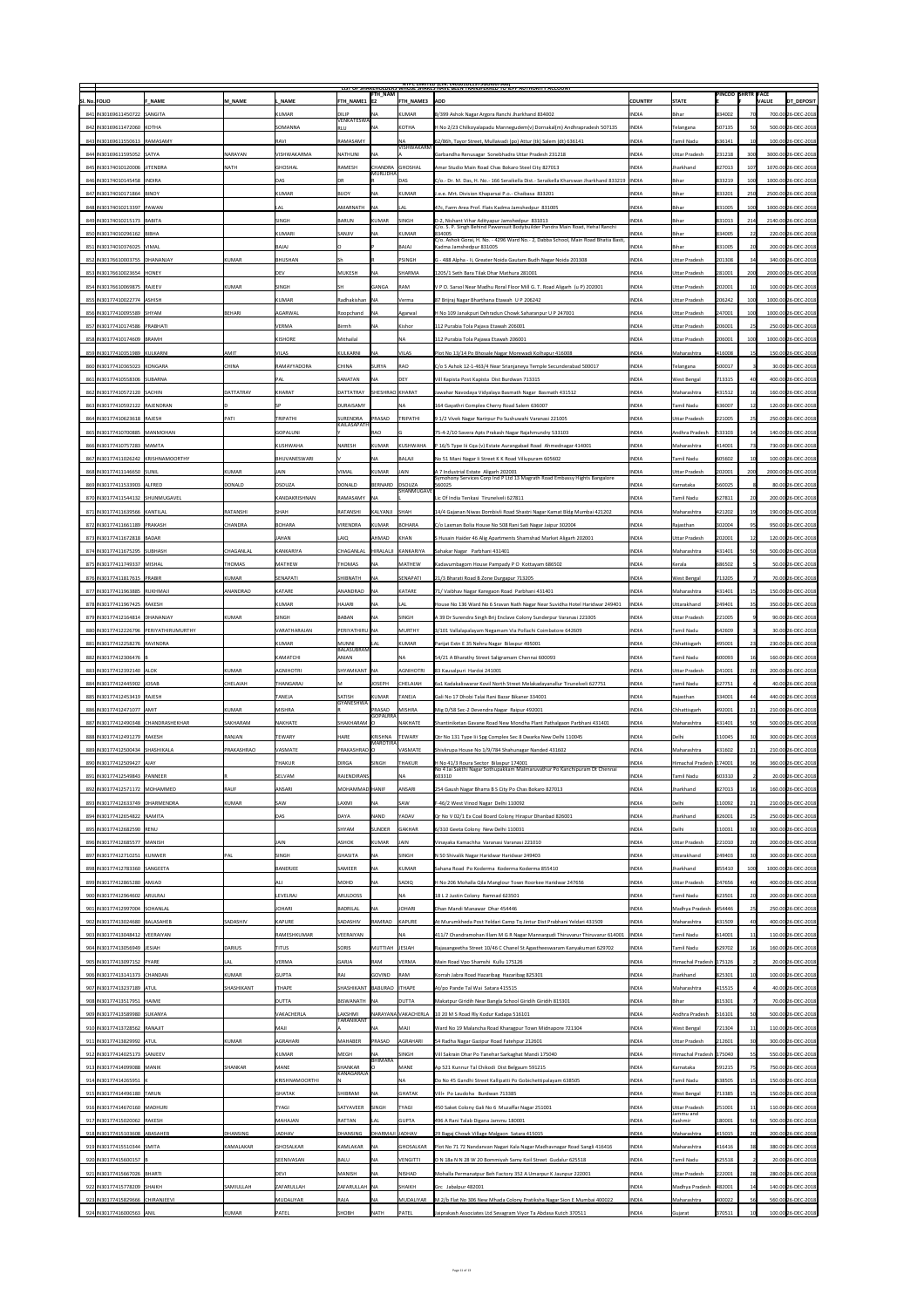|                                                                   |                  |                    |                                 |                             |                                    | <b>NIPC LIMITED (CIN: L4U1U1DL1975GOIUU7966)</b><br>LIST OF SHAKEHOLDERS WHOSE SHAKES HAVE BEEN TRANSFERKED TO IEPF AUTHORITY ACCOUNT      |                              |                           |                          |              |                                          |
|-------------------------------------------------------------------|------------------|--------------------|---------------------------------|-----------------------------|------------------------------------|--------------------------------------------------------------------------------------------------------------------------------------------|------------------------------|---------------------------|--------------------------|--------------|------------------------------------------|
| SI. No. FOLIO<br><b>F NAME</b>                                    | <b>M NAME</b>    | <b>NAME</b>        | <b>FTH NAME1  E2</b>            | <b>FTH_NAM</b>              | <b>FTH NAME3</b>                   | <b>ADD</b>                                                                                                                                 | <b>COUNTRY</b>               | <b>STATE</b>              | <b>PINCOD SHRTR FACE</b> | <b>VALUE</b> | <b>DT DEPOSIT</b>                        |
| 841 IN30169611450722 SANGITA                                      |                  | <b>KUMAR</b>       | <b>DILIP</b>                    | <b>NA</b>                   | KUMAR                              | B/399 Ashok Nagar Argora Ranchi Jharkhand 834002                                                                                           | <b>INDIA</b>                 | Bihar                     | 834002                   |              | 700.00 26-DEC-2018                       |
| 842 IN30169611472060 KOTHA                                        |                  | <b>SOMANNA</b>     | <b>VENKATESWA</b><br><b>RLU</b> | <b>NA</b>                   | KOTHA                              | H No 2/23 Chilkoyalapadu Mannegudem(v) Dornakal(m) Andhrapradesh 507135                                                                    | <b>INDIA</b>                 | <b>Telangana</b>          | 507135                   |              | 500.00 26-DEC-2018                       |
| 843 IN30169611550613 RAMASAMY                                     |                  | <b>RAVI</b>        | <b>RAMASAMY</b>                 |                             | <b>NA</b>                          | 62/86h, Tayor Street, Mullaivadi (po) Attur (tk) Salem (dt) 636141                                                                         | <b>INDIA</b>                 | Tamil Nadu                | 636141                   |              | 100.00 26-DEC-2018                       |
|                                                                   | <b>NARAYAN</b>   | <b>VISHWAKARMA</b> |                                 | <b>INA</b>                  | <b>VISHWAKARM</b>                  |                                                                                                                                            |                              |                           | 231218                   | 300          |                                          |
| 844 IN30169611595052 SATYA                                        |                  |                    | NATHUNI                         |                             |                                    | Garbandha Renusagar Sonebhadra Uttar Pradesh 231218                                                                                        | <b>INDIA</b>                 | Uttar Pradesh             |                          |              | 3000.00 26-DEC-2018                      |
| 845   IN30174010120006   JITENDRA                                 | <b>NATH</b>      | <b>GHOSHAL</b>     | RAMESH                          | CHANDRA GHOSHAL<br>MURLIDHA |                                    | Amar Studio Main Road Chas Bokaro Steel City 827013                                                                                        | <b>INDIA</b>                 | Jharkhand                 | 827013                   | 107          | 1070.00 26-DEC-2018                      |
| 846 IN30174010145458 INDIRA                                       |                  | <b>DAS</b>         | <b>DR</b>                       |                             | <b>DAS</b>                         | C/o.- Dr. M. Das, H. No.- 166 Seraikella Dist.- Seraikella Kharswan Jharkhand 833219  INDIA                                                |                              | Bihar                     | 833219                   |              | 1000.00 26-DEC-2018                      |
| 847 IN 30174010171864 BINOY                                       |                  | <b>KUMAR</b>       | <b>BIJOY</b>                    | <b>NA</b>                   | KUMAR                              | J.e.e. Mrt. Division Khaparsai P.o.- Chaibasa 833201                                                                                       | <b>INDIA</b>                 | Bihar                     | 833201                   | 250          | 2500.00 26-DEC-2018                      |
| 848   IN30174010213397   PAWAN                                    |                  | <b>LAL</b>         | AMARNATH                        | <b>INA</b>                  | LAL                                | 47c, Farm Area Prof. Flats Kadma Jamshedpur 831005                                                                                         | <b>INDIA</b>                 | Bihar                     | 831005                   | 100          | 1000.00 26-DEC-2018                      |
| 849   IN30174010215173   BABITA                                   |                  | <b>SINGH</b>       | <b>BARUN</b>                    | KUMAR                       | <b>SINGH</b>                       | D-2, Nishant Vihar Adityapur Jamshedpur 831013<br>C/o. S. P. Singh Behind Pawansuit Bodybuilder Pandra Main Road, Hehal Ranchi             | <b>INDIA</b>                 | Bihar                     | 831013                   | 214          | 2140.00 26-DEC-2018                      |
| 850 IN30174010296162 BIBHA                                        |                  | <b>KUMARI</b>      | <b>SANJIV</b>                   | <b>NA</b>                   | KUMAR                              | 834005<br>C/o. Ashok Gorai, H. No. - 4296 Ward No. - 2, Dabba School, Main Road Bhatia Basti,                                              | <b>INDIA</b>                 | Bihar                     | 834005                   |              | 220.00 26-DEC-2018                       |
| 851 IN30174010376025   VIMAL                                      |                  | BAJAJ              |                                 |                             | <b>BAJAJ</b>                       | Kadma Jamshedpur 831005                                                                                                                    | <b>INDIA</b>                 | Bihar                     | 831005                   |              | 200.00 26-DEC-2018                       |
| 852 IN30176610003755 DHANANJAY                                    | KUMAR            | <b>BHUSHAN</b>     |                                 |                             | PSINGH                             | G - 488 Alpha - Ii, Greater Noida Gautam Budh Nagar Noida 201308                                                                           | <b>INDIA</b>                 | Uttar Pradesh             | 201308                   |              | 340.00 26-DEC-2018                       |
| 853 IN30176610023654 HONEY                                        |                  | <b>DEV</b>         | MUKESH                          | <b>NA</b>                   | <b>SHARMA</b>                      | 1205/1 Seth Bara Tilak Dhar Mathura 281001                                                                                                 | <b>INDIA</b>                 | Uttar Pradesh             | 281001                   | 200          | 2000.00 26-DEC-2018                      |
| 854 IN30176610069875 RAJEEV                                       | KUMAR            | <b>SINGH</b>       | SH                              | GANGA                       | <b>RAM</b>                         | V P O. Sarsol Near Madhu Roral Floor Mill G. T. Road Aligarh (u P) 202001                                                                  | <b>INDIA</b>                 | Uttar Pradesh             | 202001                   |              | 100.00 26-DEC-2018                       |
| 855 IN30177410022774 ASHISH                                       |                  | <b>KUMAR</b>       | Radhakishan   NA                |                             | Verma                              | 87 Brijraj Nagar Bharthana Etawah U P 206242                                                                                               | <b>INDIA</b>                 | Uttar Pradesh             | 206242                   | 100          | 1000.00 26-DEC-2018                      |
| 856   IN30177410095589 SHYAM                                      | BEHARI           | <b>AGARWAL</b>     | Roopchand                       | <b>NA</b>                   | Agarwal                            | H No 109 Janakpuri Dehradun Chowk Saharanpur U P 247001                                                                                    | <b>INDIA</b>                 | Uttar Pradesh             | 247001                   |              | 1000.00 26-DEC-2018                      |
|                                                                   |                  | <b>VERMA</b>       | <b>Birmh</b>                    | NA                          |                                    |                                                                                                                                            |                              |                           | 206001                   |              |                                          |
| 857 IN30177410174586 PRABHATI                                     |                  |                    |                                 |                             | Kishor                             | 112 Purabia Tola Pajava Etawah 206001                                                                                                      | <b>INDIA</b>                 | Uttar Pradesh             |                          |              | 250.00 26-DEC-2018                       |
| 858 IN30177410174609 BRAMH                                        |                  | <b>KISHORE</b>     | Mithailal                       |                             | <b>NA</b>                          | 112 Purabia Tola Pajawa Etawah 206001                                                                                                      | <b>INDIA</b>                 | Uttar Pradesh             | 206001                   | 100          | 1000.00 26-DEC-2018                      |
| 859 IN30177410351989 KULKARNI                                     | AMIT             | <b>VILAS</b>       | KULKARNI                        | INA.                        | <b>VILAS</b>                       | Plot No 13/14 Po Bhosale Nagar Morewadi Kolhapur 416008                                                                                    | <b>INDIA</b>                 | Maharashtra               | 416008                   |              | 150.00 26-DEC-2018                       |
| 860   IN30177410365023   KONGARA                                  | CHINA            | <b>RAMAYYADORA</b> | <b>CHINA</b>                    | SURYA                       | <b>RAO</b>                         | C/o S Ashok 12-1-463/4 Near Srianjaneya Temple Secunderabad 500017                                                                         | <b>INDIA</b>                 | Telangana                 | 500017                   |              | 30.00 26-DEC-2018                        |
| 861 IN30177410558306 SUBARNA                                      |                  | <b>PAL</b>         | SANATAN                         | <b>NA</b>                   | <b>DEY</b>                         | Vill Kapista Post Kapista Dist Burdwan 713315                                                                                              | <b>INDIA</b>                 | <b>West Bengal</b>        | 713315                   |              | 400.00 26-DEC-2018                       |
| 862 IN30177410572120 SACHIN                                       | <b>DATTATRAY</b> | <b>KHARAT</b>      | <b>DATTATRAY</b>                | SHESHRAO KHARAT             |                                    | Jawahar Navodaya Vidyalaya Basmath Nagar Basmath 431512                                                                                    | <b>INDIA</b>                 | Maharashtra               | 431512                   |              | 160.00 26-DEC-2018                       |
| 863 IN30177410592122 RAJENDRAN                                    |                  |                    | <b>DURAISAMY</b>                |                             | NA                                 | 164 Gayathri Complex Cherry Road Salem 636007                                                                                              | <b>INDIA</b>                 | Tamil Nadu                | 636007                   |              | 120.00 26-DEC-2018                       |
| 864 IN30177410623618 RAJESH                                       | <b>PATI</b>      | <b>TRIPATHI</b>    | SURENDRA                        | PRASAD                      | TRIPATHI                           | 9 1/2 Vivek Nagar Narirpur Po Sushuwahi Varanasi 221005                                                                                    | <b>INDIA</b>                 | Uttar Pradesh             | 221005                   |              | 250.00 26-DEC-2018                       |
| 865   IN30177410700885   MANMOHAN                                 |                  | GOPALUNI           | <b>KAILASAPATH</b>              | <b>RAO</b>                  |                                    | 75-4-2/10 Savera Apts Prakash Nagar Rajahmundry 533103                                                                                     | <b>INDIA</b>                 | Andhra Pradesh            | 533103                   |              | 140.00 26-DEC-2018                       |
| 866 IN30177410757283  MAMTA                                       |                  | <b>KUSHWAHA</b>    | <b>NARESH</b>                   | KUMAR                       | KUSHWAHA                           | P 16/5 Type lii Cqa (v) Estate Aurangabad Road Ahmednagar 414001                                                                           | <b>INDIA</b>                 | Maharashtra               | 414001                   |              | 730.00 26-DEC-2018                       |
| 867 IN30177411026242 KRISHNAMOORTHY                               |                  | BHUVANESWARI       |                                 | NA                          | <b>BALAJI</b>                      | No 51 Mani Nagar Ii Street K K Road Villupuram 605602                                                                                      | <b>INDIA</b>                 | Tamil Nadu                | 605602                   |              | 100.00 26-DEC-2018                       |
| 868   IN30177411146650 SUNIL                                      | KUMAR            | <b>JAIN</b>        | <b>VIMAL</b>                    | KUMAR                       | JAIN                               | A 7 Industrial Estate Aligarh 202001                                                                                                       | <b>INDIA</b>                 | Uttar Pradesh             | 202001                   | 200          | 2000.00 26-DEC-2018                      |
|                                                                   |                  |                    |                                 |                             |                                    | Symohony Services Corp Ind P Ltd 13 Magrath Road Embassy Hights Bangalore                                                                  |                              |                           |                          |              |                                          |
| 869 IN30177411533903 ALFRED                                       | DONALD           | <b>DSOUZA</b>      | DONALD                          | BERNARD                     | <b>DSOUZA</b><br><b>SHANMUGAVE</b> | 560025                                                                                                                                     | <b>INDIA</b>                 | Karnataka                 | 560025                   |              | 80.00 26-DEC-2018                        |
| 870   IN30177411544132   SHUNMUGAVEL                              |                  | KANDAKRISHNAN      | RAMASAMY   NA                   |                             |                                    | Lic Of India Tenkasi Tirunelveli 627811                                                                                                    | <b>INDIA</b>                 | <b>Tamil Nadu</b>         | 627811                   |              | 200.00 26-DEC-2018                       |
| 871   IN30177411639566   KANTILAL                                 | RATANSHI         | <b>SHAH</b>        | RATANSHI                        | KALYANJI SHAH               |                                    | 14/4 Gajanan Niwas Dombivli Road Shastri Nagar Kamat Bldg Mumbai 421202                                                                    | <b>INDIA</b>                 | Maharashtra               | 421202                   |              | 190.00 26-DEC-2018                       |
| 872 IN30177411661189 PRAKASH                                      | <b>CHANDRA</b>   | <b>BOHARA</b>      | VIRENDRA                        | KUMAR                       | BOHARA                             | C/o Laxman Bolia House No 508 Rani Sati Nagar Jaipur 302004                                                                                | <b>INDIA</b>                 | Rajasthan                 | 302004                   |              | 950.00 26-DEC-2018                       |
| 873 IN30177411672818 BADAR                                        |                  | <b>JAHAN</b>       | LAIQ                            | AHMAD                       | KHAN                               | S Husain Haider 46 Alig Apartments Shamshad Market Aligarh 202001                                                                          | <b>INDIA</b>                 | Uttar Pradesh             | 202001                   |              | 120.00 26-DEC-2018                       |
| 874 IN30177411675295 SUBHASH                                      | CHAGANLAL        | KANKARIYA          | CHAGANLAL  HIRALALJI            |                             | KANKARIYA                          | Sahakar Nagar Parbhani 431401                                                                                                              | <b>INDIA</b>                 | Maharashtra               | 431401                   |              | 500.00 26-DEC-2018                       |
| 875   IN30177411749337   MISHAL                                   | THOMAS           | <b>MATHEW</b>      | THOMAS                          | <b>NA</b>                   | <b>MATHEW</b>                      | Kadavumbagom House Pampady P O Kottayam 686502                                                                                             | <b>INDIA</b>                 | Kerala                    | 686502                   |              | 50.00 26-DEC-2018                        |
| 876 IN30177411817615 PRABIR                                       | KUMAR            | SENAPATI           | SHIBNATH                        | <b>INA</b>                  | <b>SENAPATI</b>                    | 21/3 Bharati Road B Zone Durgapur 713205                                                                                                   | <b>INDIA</b>                 | <b>West Bengal</b>        | 713205                   |              | 70.00 26-DEC-2018                        |
| 877 IN30177411963885  RUKHMAJI                                    | ANANDRAO         | <b>KATARE</b>      | ANANDRAO                        | <b>INA</b>                  | KATARE                             | 71/ Vaibhav Nagar Karegaon Road Parbhani 431401                                                                                            | <b>INDIA</b>                 | Maharashtra               | 431401                   |              | 150.00 26-DEC-2018                       |
| 878   IN30177411967425   RAKESH                                   |                  | <b>KUMAR</b>       | <b>HAJARI</b>                   | <b>NA</b>                   | LAL                                | House No 136 Ward No 6 Sravan Nath Nagar Near Suvidha Hotel Haridwar 249401                                                                | <b>INDIA</b>                 | Uttarakhand               | 249401                   |              | 350.00 26-DEC-2018                       |
| 879 IN30177412164814 DHANANJAY                                    | KUMAR            | <b>SINGH</b>       | <b>BABAN</b>                    | <b>NA</b>                   | <b>SINGH</b>                       | A 39 Dr Surendra Singh Brij Enclave Colony Sunderpur Varanasi 221005                                                                       | <b>INDIA</b>                 | Uttar Pradesh             | 221005                   |              | 90.00 26-DEC-2018                        |
| 880   IN30177412226796   PERIYATHIRUMURTHY                        |                  | VARATHARAJAN       | PERIYATHIRU NA                  |                             | MURTHY                             | 3/101 Vallalapalayam Negamam Via Pollachi Coimbatore 642609                                                                                | <b>INDIA</b>                 | Tamil Nadu                | 642609                   |              | 30.00 26-DEC-2018                        |
|                                                                   |                  |                    |                                 |                             |                                    |                                                                                                                                            |                              |                           |                          |              |                                          |
|                                                                   |                  |                    |                                 |                             |                                    |                                                                                                                                            |                              |                           |                          |              |                                          |
| 881 IN30177412258276 RAVINDRA                                     |                  | <b>KUMAR</b>       | MUNNI<br><b>BALASUBRAM</b>      | LAL                         | KUMAR                              | Parijat Extn E 35 Nehru Nagar Bilaspur 495001                                                                                              | <b>INDIA</b>                 | Chhattisgarh              | 495001                   | 23           | 230.00 26-DEC-2018                       |
| 882 IN30177412306476 B                                            |                  | KAMATCHI           | <b>ANIAN</b>                    |                             | NA                                 | 54/21 A Bharathy Street Saligramam Chennai 600093                                                                                          | <b>INDIA</b>                 | Tamil Nadu                | 600093                   |              | 160.00 26-DEC-2018                       |
| 883 IN30177412392140 ALOK                                         | KUMAR            | <b>AGNIHOTRI</b>   | SHYAMKANT   NA                  |                             | <b>AGNIHOTRI</b>                   | 83 Kausalpuri Hardoi 241001                                                                                                                | <b>INDIA</b>                 | Uttar Pradesh             | 241001                   |              | 200.00 26-DEC-2018                       |
| 884 IN30177412445902 JOSAB                                        | <b>CHELAIAH</b>  | THANGARAJ          | M                               | JOSEPH                      | <b>CHELAIAH</b>                    | 6a1 Kadakaliswarar Kovil North Street Melakadayanallur Tirunelveli 627751                                                                  | <b>INDIA</b>                 | Tamil Nadu                | 627751                   |              | 40.00 26-DEC-2018                        |
| 885 IN30177412453419 RAJESH                                       |                  | <b>TANEJA</b>      | <b>SATISH</b>                   | KUMAR                       | TANEJA                             | Gali No 17 Dhobi Talai Rani Bazar Bikaner 334001                                                                                           | <b>INDIA</b>                 | Rajasthan                 | 334001                   |              | 440.00 26-DEC-2018                       |
| 886 IN30177412471077 AMIT                                         | KUMAR            | <b>MISHRA</b>      | <b>GYANESHWA</b>                | <b>PRASAD</b>               | MISHRA                             | Mig D/58 Sec-2 Devendra Nagar Raipur 492001                                                                                                | <b>INDIA</b>                 | Chhattisgarh              | 492001                   | 21           | 210.00 26-DEC-2018                       |
| 887 IN30177412490348 CHANDRASHEKHAR                               | SAKHARAM         | <b>NAKHATE</b>     | SHAKHARAM   O                   | <b>GOPALRRA</b>             | NAKHATE                            | Shantiniketan Gavane Road New Mondha Plant Pathalgaon Parbhani 431401                                                                      | <b>INDIA</b>                 | Maharashtra               | 431401                   |              | 500.00 26-DEC-2018                       |
| 888 IN30177412491279 RAKESH                                       | RANJAN           | <b>TEWARY</b>      | <b>HARE</b>                     | KRISHNA                     | <b>TEWARY</b>                      | Qtr No 131 Type lii Spg Complex Sec 8 Dwarka New Delhi 110045                                                                              | <b>INDIA</b>                 | Delhi                     | 110045                   |              | 300.00 26-DEC-2018                       |
| 889 IN30177412500434 SHASHIKALA                                   | PRAKASHRAO       | <b>VASMATE</b>     | PRAKASHRAO O                    | MAROTIRA                    | VASMATE                            | Shivkrupa House No 1/9/784 Shahunagar Nanded 431602                                                                                        | <b>INDIA</b>                 | Maharashtra               | 431602                   | 21           | 210.00 26-DEC-2018                       |
| 890   IN30177412509427   AJAY                                     |                  | <b>THAKUR</b>      | <b>DIRGA</b>                    | <b>SINGH</b>                | THAKUR                             | H No 41/3 Roura Sector Bilaspur 174001                                                                                                     | <b>INDIA</b>                 | Himachal Pradesh   174001 |                          |              | 360.00 26-DEC-2018                       |
| 891   IN30177412549843   PANNEER                                  |                  | SELVAM             | RAJENDIRANS                     |                             |                                    | No 4 Jai Sakthi Nagar Sothupakkam Malmaruvathur Po Kanchipuram Dt Chennai<br>603310                                                        | <b>INDIA</b>                 | Tamil Nadu                | 603310                   |              | 20.00 26-DEC-2018                        |
|                                                                   |                  |                    |                                 |                             |                                    |                                                                                                                                            |                              |                           |                          |              |                                          |
| 892 IN30177412571172 MOHAMMED                                     | RAUF             | <b>ANSARI</b>      | MOHAMMAD HANIF                  |                             | ANSARI                             | 254 Gaush Nagar Bharra B S City Po Chas Bokaro 827013                                                                                      | <b>INDIA</b>                 | Jharkhand                 | 827013                   |              | 160.00 26-DEC-2018                       |
| 893 IN30177412633749 DHARMENDRA                                   | KUMAR            | <b>SAW</b>         | LAXMI                           | <b>NA</b>                   | <b>SAW</b>                         | F-46/2 West Vinod Nagar Delhi 110092                                                                                                       | <b>INDIA</b>                 | Delhi                     | 110092                   | 21           | 210.00 26-DEC-2018                       |
| 894 IN30177412654822 NAMITA                                       |                  | <b>DAS</b>         | <b>DAYA</b>                     | <b>NAND</b>                 | YADAV                              | Qr No V 02/1 Ex Coal Board Colony Hirapur Dhanbad 826001                                                                                   | <b>INDIA</b>                 | Jharkhand                 | 826001                   |              | 250.00 26-DEC-2018                       |
| 895 IN30177412682590 RENU                                         |                  |                    | <b>SHYAM</b>                    | SUNDER                      | <b>GAKHAR</b>                      | 6/310 Geeta Colony New Delhi 110031                                                                                                        | <b>INDIA</b>                 | Delhi                     | 110031                   |              | 300.00 26-DEC-2018                       |
| 896   IN30177412685577   MANISH                                   |                  | <b>JAIN</b>        | <b>ASHOK</b>                    | KUMAR                       | JAIN                               | Vinayaka Kamachha Varanasi Varanasi 221010                                                                                                 | <b>INDIA</b>                 | Uttar Pradesh             | 221010                   |              | 200.00 26-DEC-2018                       |
| 897 IN30177412710251 KUNWER                                       | <b>PAL</b>       | SINGH              | <b>GHASITA</b>                  | NA                          | <b>SINGH</b>                       | N 50 Shivalik Nagar Haridwar Haridwar 249403                                                                                               | <b>INDIA</b>                 | Uttarakhand               | 249403                   |              | 300.00 26-DEC-2018                       |
| 898   IN30177412783360 SANGEETA                                   |                  | <b>BANERJEE</b>    | <b>SAMEER</b>                   | NA                          | KUMAR                              | Sahana Road Po Koderma Koderma Koderma 855410                                                                                              | <b>INDIA</b>                 | Jharkhand                 | 855410                   |              | 1000.00 26-DEC-2018                      |
| 899   IN30177412865280   AMJAD                                    |                  | <b>ALI</b>         | <b>MOHD</b>                     | NA                          | SADIQ                              | H No 206 Mohalla Qila Manglour Town Roorkee Haridwar 247656                                                                                | <b>INDIA</b>                 | Uttar Pradesh             | 247656                   |              | 400.00 26-DEC-2018                       |
| 900   IN30177412964602   ARULRAJ                                  |                  | LEVELRAJ           | <b>ARULDOSS</b>                 |                             | NA                                 | 18 L 2 Justin Colony Ramnad 623501                                                                                                         | <b>INDIA</b>                 | Tamil Nadu                | 623501                   |              | 200.00 26-DEC-2018                       |
| 901   IN30177412997004 SOHANLAL                                   |                  | <b>JOHARI</b>      | <b>BADRILAL</b>                 | NA                          | <b>JOHARI</b>                      | Dhan Mandi Manawar Dhar 454446                                                                                                             | <b>INDIA</b>                 | Madhya Pradesh            | 454446                   |              | 250.00 26-DEC-2018                       |
| 902 IN30177413024680 BALASAHEB                                    | <b>SADASHIV</b>  | <b>KAPURE</b>      | SADASHIV                        | RAMRAO                      | KAPURE                             | At Murumkheda Post Yeldari Camp Tq Jintur Dist Prabhani Yeldari 431509                                                                     | <b>INDIA</b>                 | Maharashtra               | 431509                   |              | 400.00 26-DEC-2018                       |
| 903 IN30177413048412 VEERAIYAN                                    |                  | RAMESHKUMAR        | VEERAIYAN                       |                             | NA                                 | 411/7 Chandramohan Illam M G R Nagar Mannargudi Thiruvarur Thiruvarur 614001   INDIA                                                       |                              | Tamil Nadu                | 614001                   |              | 110.00 26-DEC-2018                       |
| 904 IN30177413056949 JJESIAH                                      | <b>DARIUS</b>    | <b>TITUS</b>       | <b>SORIS</b>                    | MUTTIAH JESIAH              |                                    | Rajasangeetha Street 10/46 C Chanel St Agastheeswaram Kanyakumari 629702                                                                   | <b>INDIA</b>                 | Tamil Nadu                | 629702                   |              | 160.00 26-DEC-2018                       |
| 905   IN30177413097152   PYARE                                    | <b>LAL</b>       | <b>VERMA</b>       | <b>GARJA</b>                    | <b>RAM</b>                  | <b>VERMA</b>                       | Main Road Vpo Shamshi Kullu 175126                                                                                                         | <b>INDIA</b>                 | Himachal Pradesh   175126 |                          |              | 20.00 26-DEC-2018                        |
| 906   IN30177413141373   CHANDAN                                  | KUMAR            | <b>GUPTA</b>       | <b>RAJ</b>                      | GOVIND                      | <b>RAM</b>                         | Korrah Jabra Road Hazaribag Hazaribag 825301                                                                                               | <b>INDIA</b>                 | Jharkhand                 | 825301                   |              | 100.00 26-DEC-2018                       |
| 907 IN30177413237189 ATUL                                         | SHASHIKANT       | <b>ITHAPE</b>      | SHASHIKANT BABURAO ITHAPE       |                             |                                    | At/po Pande Tal Wai Satara 415515                                                                                                          | <b>INDIA</b>                 | Maharashtra               | 415515                   |              | 40.00 26-DEC-2018                        |
|                                                                   |                  |                    |                                 |                             |                                    |                                                                                                                                            |                              |                           |                          |              |                                          |
| 908   IN30177413517951   HAIME                                    |                  | <b>DUTTA</b>       | BISWANATH   NA                  |                             | <b>DUTTA</b>                       | Makatpur Giridih Near Bangla School Giridih Giridih 815301                                                                                 | <b>INDIA</b>                 | Bihar                     | 815301                   |              | 70.00 26-DEC-2018                        |
| 909 IN30177413589980 SUKANYA                                      |                  | VAKACHERLA         | LAKSHMI<br><b>TARANIKANT</b>    |                             | NARAYANA VAKACHERLA                | $1020$ M S Road Rly Kodur Kadapa 516101                                                                                                    | <b>INDIA</b>                 | Andhra Pradesh            | 516101                   |              | 500.00 26-DEC-2018                       |
| 910 IN30177413728562 RANAJIT                                      |                  | <b>MAJI</b>        |                                 | <b>NA</b>                   | <b>ILAM</b>                        | Ward No 19 Malancha Road Kharagpur Town Midnapore 721304                                                                                   | <b>INDIA</b>                 | <b>West Bengal</b>        | 721304                   |              | 110.00 26-DEC-2018                       |
| 911   IN30177413829992   ATUL                                     | KUMAR            | AGRAHARI           | <b>MAHABER</b>                  | PRASAD                      | AGRAHARI                           | 54 Radha Nagar Gazipur Road Fatehpur 212601                                                                                                | <b>INDIA</b>                 | Uttar Pradesh             | 212601                   |              | 300.00 26-DEC-2018                       |
| 912   IN30177414025173   SANJEEV                                  |                  | <b>KUMAR</b>       | <b>MEGH</b>                     | <b>NA</b><br>BHIMARA        | <b>SINGH</b>                       | Vill Sakrain Dhar Po Tanehar Sarkaghat Mandi 175040                                                                                        | <b>INDIA</b>                 | Himachal Pradesh   175040 |                          |              | 550.00 26-DEC-2018                       |
| 913 IN30177414099088 MANIK                                        | <b>SHANKAR</b>   | <b>MANE</b>        | SHANKAR                         |                             | <b>MANE</b>                        | Ap 521 Kunnur Tal Chikodi Dist Belgaum 591215                                                                                              | <b>INDIA</b>                 | Karnataka                 | 591215                   |              | 750.00 26-DEC-2018                       |
| 914 IN30177414265951 K                                            |                  | KRISHNAMOORTHI     | <b>KANAGARAJA</b>               |                             | <b>NA</b>                          | Do No 45 Gandhi Street Kallipatti Po Gobichettipalayam 638505                                                                              | <b>INDIA</b>                 | Tamil Nadu                | 638505                   |              | 150.00 26-DEC-2018                       |
| 915   IN30177414496180   TARUN                                    |                  | GHATAK             | SHIBRAM                         | <b>NA</b>                   | <b>GHATAK</b>                      | Vill+ Po Laudoha Burdwan 713385                                                                                                            | <b>INDIA</b>                 | <b>West Bengal</b>        | 713385                   |              | 150.00 26-DEC-2018                       |
| 916 IN30177414670160 MADHURI                                      |                  | <b>TYAGI</b>       | SATYAVEER                       | <b>SINGH</b>                | <b>TYAGI</b>                       | 450 Saket Colony Gali No 6 Muzaffar Nagar 251001                                                                                           | <b>INDIA</b>                 | Uttar Pradesh             | 251001                   |              | 110.00 26-DEC-2018                       |
| 917 IN30177415020062 RAKESH                                       |                  | <b>MAHAJAN</b>     | <b>RATTAN</b>                   | LAL                         | <b>GUPTA</b>                       | 496 A Rani Talab Digana Jammu 180001                                                                                                       | <b>INDIA</b>                 | Jammu and<br>Kashmir      | 180001                   |              | 500.00 26-DEC-2018                       |
| 918   IN30177415103608   ABASAHEB                                 | DHANSING         | <b>JADHAV</b>      | DHANSING                        | DHARMAJI JADHAV             |                                    | 29 Bagaj Chowk Village Malgaon Satara 415015                                                                                               | <b>INDIA</b>                 | Maharashtra               | 415015                   |              | 200.00 26-DEC-2018                       |
| 919 IN30177415510344 SMITA                                        | KAMALAKAR        | <b>GHOSALKAR</b>   | KAMLAKAR                        | <b>NA</b>                   | <b>GHOSALKAR</b>                   | Plot No 71 72 Nandanvan Nagari Kala Nagar Madhavnagar Road Sangli 416416                                                                   | <b>INDIA</b>                 | Maharashtra               | 416416                   |              | 380.00 26-DEC-2018                       |
| 920 IN30177415600157 B                                            |                  | <b>SEENIVASAN</b>  | <b>BALU</b>                     | <b>NA</b>                   | <b>VENGITTI</b>                    | O N 18a N N 28 W 20 Bommiyah Samy Koil Street Gudalur 625518                                                                               | <b>INDIA</b>                 | Tamil Nadu                | 625518                   |              | 20.00 26-DEC-2018                        |
|                                                                   |                  |                    |                                 | $\overline{\mathsf{NA}}$    |                                    |                                                                                                                                            |                              |                           |                          |              |                                          |
| 921 IN30177415667026 BHARTI                                       |                  | <b>DEVI</b>        | <b>MANISH</b>                   |                             | <b>NISHAD</b>                      | Mohalla Permanatpur Beh Factory 352 A Umarpur K Jaunpur 222001                                                                             | <b>INDIA</b>                 | Uttar Pradesh             | 222001                   |              | 280.00 26-DEC-2018                       |
| 922 IN30177415778209 SHAIKH                                       | SAMIULLAH        | <b>ZAFARULLAH</b>  | ZAFARULLAH   NA                 |                             | <b>SHAIKH</b>                      | $ Grc$ Jabalpur 482001                                                                                                                     | <b>INDIA</b>                 | Madhya Pradesh            | 482001                   |              | 140.00 26-DEC-2018                       |
| 923   IN30177415829666   CHIRANJEEVI<br>924 IN30177416000563 ANIL | KUMAR            | MUDALIYAR<br>PATEL | RAJA<br><b>SHOBH</b>            | NA)<br><b>NATH</b>          | MUDALIYAR<br>PATEL                 | M 2/b Flat No 306 New Mhada Colony Pratiksha Nagar Sion E Mumbai 400022<br>Jaiprakash Associates Ltd Sevagram Viyor Ta Abdasa Kutch 370511 | <b>INDIA</b><br><b>INDIA</b> | Maharashtra<br>Gujarat    | 400022<br>370511         | 56           | 560.00 26-DEC-2018<br>100.00 26-DEC-2018 |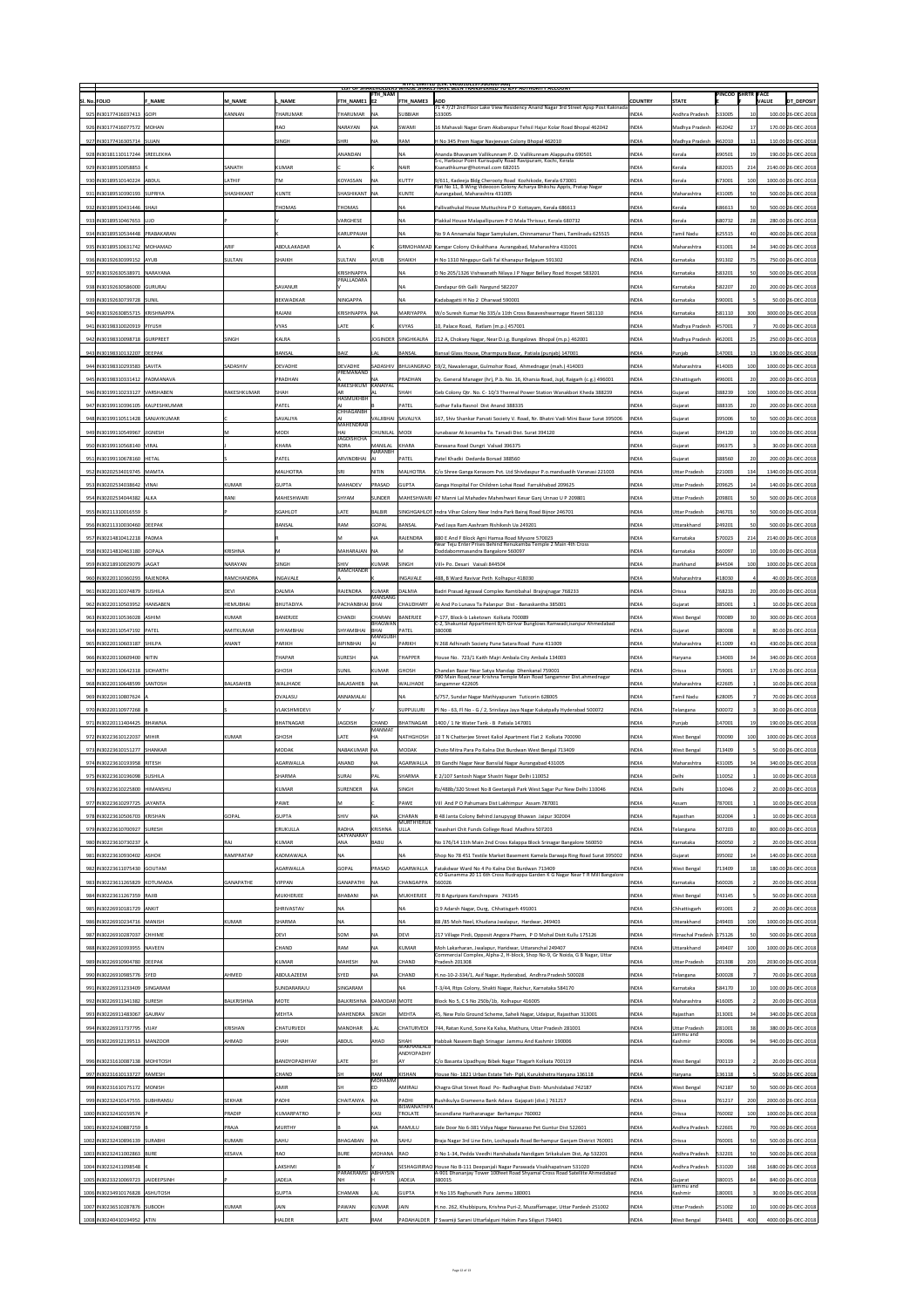|                                     |                    |                     |                                   | FTH_NAM                          |                             | <b>INTPC LIIVIITED (CIN: L40101DL1975GOI007966)</b><br>LIST OF SHAKEHOLDERS WHOSE SHAKES HAVE BEEN TRANSFERRED TO JEPF AUTHORITY ACCOUNT |                |                            | <b>PINCOD SHRTR FACE</b> |     |              |                     |
|-------------------------------------|--------------------|---------------------|-----------------------------------|----------------------------------|-----------------------------|------------------------------------------------------------------------------------------------------------------------------------------|----------------|----------------------------|--------------------------|-----|--------------|---------------------|
| SI. No. FOLIO<br><b>F NAME</b>      | M NAME             | NAME                | <b>FTH NAME1 E2</b>               |                                  | <b>FTH NAME3</b>            | <b>ADD</b><br>71 4 7/2f 2nd Floor Lake View Residency Anand Nagar 3rd Street Apsp Post Kakinada                                          | <b>COUNTRY</b> | <b>STATE</b>               |                          |     | <b>VALUE</b> | DT DEPOSIT          |
| 925 IN30177416037413 GOPI           | KANNAN             | <b>THARUMAR</b>     | THARUMAR                          | <b>INA</b>                       | SUBBIAH                     | 533005                                                                                                                                   | <b>INDIA</b>   | Andhra Pradesh             | 533005                   |     |              | 100.00 26-DEC-2018  |
| 926 IN30177416077572 MOHAN          |                    | <b>RAO</b>          | <b>NARAYAN</b>                    | <b>NA</b>                        | SWAMI                       | 16 Mahavali Nagar Gram Akabarapur Tehsil Hajur Kolar Road Bhopal 462042                                                                  | <b>INDIA</b>   | Madhya Pradesh             | 462042                   |     |              | 170.00 26-DEC-2018  |
| 927 IN30177416305714 SUJAN          |                    | <b>SINGH</b>        | SHRI                              | <b>NA</b>                        | <b>RAM</b>                  | H No 345 Prem Nagar Navjeevan Colony Bhopal 462010                                                                                       | <b>INDIA</b>   | Madhya Pradesh             | 462010                   |     |              | 110.00 26-DEC-2018  |
| 928 IN30181110117244 SREELEKHA      |                    |                     | ANANDAN                           |                                  | INA.                        | Ananda Bhavanam Vallikunnam P. O. Vallikunnam Alappuzha 690501<br>5-c, Harbour Point Kurisupally Road Ravipuram, Kochi, Kerala           | <b>INDIA</b>   | Kerala                     | 690501                   |     |              | 190.00 26-DEC-2018  |
| 929 IN30189510058853                | <b>SANATH</b>      | KUMAR               |                                   |                                  | <b>NAIR</b>                 | Ksanathkumar@hotmail.com 682015                                                                                                          | <b>INDIA</b>   | Kerala                     | 682015                   | 214 |              | 2140.00 26-DEC-2018 |
| 930 IN30189510140224 ABDUL          | <b>LATHIF</b>      | <b>TM</b>           | KOYASSAN                          | <b>NA</b>                        | KUTTY                       | 9/611, Kadeeja Bldg Cherooty Road Kozhikode, Kerala 673001<br>Flat No 11, B Wing Videocon Colony Acharya Bhikshu Appts, Pratap Nagar     | <b>INDIA</b>   | Kerala                     | 673001                   |     |              | 1000.00 26-DEC-2018 |
| 931   IN30189510390193   SUPRIYA    | <b>SHASHIKANT</b>  | KUNTE               | SHASHIKANT   NA                   |                                  | KUNTE                       | Aurangabad, Maharashtra 431005                                                                                                           | <b>INDIA</b>   | Maharashtra                | 431005                   |     |              | 500.00 26-DEC-2018  |
| 932 IN30189510431446 SHAJI          |                    | THOMAS              | <b>THOMAS</b>                     |                                  | <b>NA</b>                   | Pallivathukal House Muttuchira P O Kottayam, Kerala 686613                                                                               | <b>INDIA</b>   | Kerala                     | 686613                   |     |              | 500.00 26-DEC-2018  |
| 933 IN30189510467653 LIJO           |                    |                     | VARGHESE                          |                                  | INA                         | Plakkal House Malapallipuram P O Mala Thrissur, Kerala 680732                                                                            | <b>INDIA</b>   | Kerala                     | 680732                   |     |              | 280.00 26-DEC-2018  |
| 934 IN30189510534448 PRABAKARAN     |                    |                     | KARUPPAIAH                        |                                  | <b>NA</b>                   | No 9 A Annamalai Nagar Samykulam, Chinnamanur Theni, Tamilnadu 625515                                                                    | <b>INDIA</b>   | Tamil Nadu                 | 625515                   |     |              | 400.00 26-DEC-2018  |
| 935 IN30189510631742 MOHAMAD        | <b>ARIF</b>        | ABDULAKADAR         |                                   |                                  |                             | GRMOHAMAD Kamgar Colony Chikalthana Aurangabad, Maharashtra 431001                                                                       | <b>INDIA</b>   | Maharashtra                | 431001                   | 34  |              | 340.00 26-DEC-2018  |
| 936 IN30192630399152 AYUB           | SULTAN             | <b>SHAIKH</b>       | SULTAN                            | <b>AYUB</b>                      | <b>SHAIKH</b>               | H No 1310 Ningapur Galli Tal Khanapur Belgaum 591302                                                                                     | <b>INDIA</b>   | Karnataka                  | 591302                   |     |              | 750.00 26-DEC-2018  |
| 937 IN30192630538971 NARAYANA       |                    |                     | <b>KRISHNAPPA</b><br>PRALLADARA   |                                  | NA                          | D No 205/1326 Vishwanath Nilaya J P Nagar Bellary Road Hospet 583201                                                                     | <b>INDIA</b>   | Karnataka                  | 583201                   |     |              | 500.00 26-DEC-2018  |
| 938 IN30192630586000 GURURAJ        |                    | <b>SAVANUR</b>      |                                   |                                  |                             | Dandapur 6th Galli Nargund 582207                                                                                                        | <b>INDIA</b>   | Karnataka                  | 582207                   |     |              | 200.00 26-DEC-2018  |
| 939 IN30192630739728 SUNIL          |                    | <b>BEKWADKAR</b>    | NINGAPPA                          |                                  | <b>NA</b>                   | Kadabagatti H No 2 Dharwad 590001                                                                                                        | <b>INDIA</b>   | Karnataka                  | 590001                   |     |              | 50.00 26-DEC-2018   |
| 940   IN30192630855715   KRISHNAPPA |                    | RAJANI              | KRISHNAPPA NA                     |                                  | MARIYAPPA                   | W/o Suresh Kumar No 335/a 11th Cross Basaveshwarnagar Haveri 581110                                                                      | <b>INDIA</b>   | Karnataka                  | 581110                   | 300 |              | 3000.00 26-DEC-2018 |
| 941   IN30198310020919   PIYUSH     |                    | <b>VYAS</b>         | LATE                              |                                  | KVYAS                       | $\vert$ 10, Palace Road, Ratlam (m.p.) 457001                                                                                            | <b>INDIA</b>   | Madhya Pradesh             | 457001                   |     |              | 70.00 26-DEC-2018   |
| 942 IN30198310098718 GURPREET       | <b>SINGH</b>       | KALRA               |                                   |                                  | JOGINDER SINGHKALRA         | 212 A, Choksey Nagar, Near D.i.g. Bungalows Bhopal (m.p.) 462001                                                                         | <b>INDIA</b>   | Madhya Pradesh             | 462001                   |     |              | 250.00 26-DEC-2018  |
| 943 IN30198310132207 DEEPAK         |                    | <b>BANSAL</b>       | <b>BAIZ</b>                       | LAL                              | <b>BANSAL</b>               | Bansal Glass House, Dharmpura Bazar, Patiala (punjab) 147001                                                                             | <b>INDIA</b>   | Punjab                     | 147001                   |     |              | 130.00 26-DEC-2018  |
| 944 IN30198310293583 SAVITA         | <b>SADASHIV</b>    | <b>DEVADHE</b>      | <b>DEVADHE</b><br>PREMANAND       |                                  |                             | SADASHIV   BHUJANGRAO   59/2, Nawalenagar, Gulmohor Road, Ahmednagar (mah.) 414003                                                       | <b>INDIA</b>   | Maharashtra                | 414003                   | 100 |              | 1000.00 26-DEC-2018 |
| 945   IN30198310331412   PADMANAVA  |                    | <b>PRADHAN</b>      | RAKESHKUM KANAIYAL                |                                  | PRADHAN                     | Dy. General Manager (hr), P.b. No. 16, Kharsia Road, Jspl, Raigarh (c.g.) 496001                                                         | <b>INDIA</b>   | Chhattisgarh               | 496001                   |     |              | 200.00 26-DEC-2018  |
| 946   IN30199110233127   VARSHABEN  | <b>RAKESHKUMAR</b> | <b>SHAH</b>         | <b>HASMUKHBH</b>                  |                                  | SHAH                        | Geb Colony Qtr. No. C-10/3 Thermal Power Station Wanakbori Kheda 388239                                                                  | <b>INDIA</b>   | Gujarat                    | 388239                   | 100 |              | 1000.00 26-DEC-2018 |
| 947 IN30199110396105 KALPESHKUMAR   |                    | <b>PATEL</b>        |                                   |                                  | <b>PATEL</b>                | Suthar Falia Rasnol Dist Anand 388335                                                                                                    | <b>INDIA</b>   | Gujarat                    | 388335                   |     |              | 200.00 26-DEC-2018  |
| 948 IN30199110511428 SANJAYKUMAR    |                    | <b>SAVALIYA</b>     | <b>CHHAGANBH</b>                  | VALJIBHAI SAVALIYA               |                             | 167, Shiv Shankar Parvati Society V. Road, Nr. Bhatni Vadi Mini Bazar Surat 395006                                                       | <b>INDIA</b>   | Gujarat                    | 395006                   |     |              | 500.00 26-DEC-2018  |
| 949 IN30199110549967 JIGNESH        |                    | MODI                | <b>MAHENDRAB</b><br>HAI           | CHUNILAL MODI                    |                             | Junabazar At. kosamba Ta. Tarsadi Dist. Surat 394120                                                                                     | <b>INDIA</b>   | Gujarat                    | 394120                   |     |              | 100.00 26-DEC-2018  |
| 950 IN30199110568140 VIRAL          |                    | KHARA               | <b>JAGDISHCHA</b><br><b>NDRA</b>  | MANILAL                          | KHARA                       | Darasana Road Dungri Valsad 396375                                                                                                       | <b>INDIA</b>   | Gujarat                    | 396375                   |     |              | 30.00 26-DEC-2018   |
| 951 IN30199110678160 HETAL          |                    | <b>PATEL</b>        | ARVINDBHAI   AI                   | <b>NARANBH</b>                   | PATEL                       | Patel Khadki Dedarda Borsad 388560                                                                                                       | <b>INDIA</b>   | Gujarat                    | 388560                   |     |              | 200.00 26-DEC-2018  |
| 952 IN30202534019745 MAMTA          |                    | <b>MALHOTRA</b>     | <b>SRI</b>                        | <b>NITIN</b>                     | MALHOTRA                    | C/o Shree Ganga Kerasom Pvt. Ltd Shivdaspur P.o.manduadih Varanasi 221003                                                                | <b>INDIA</b>   | <b>Uttar Pradesh</b>       | 221003                   | 134 |              | 1340.00 26-DEC-2018 |
| 953 IN30202534038642 VINAI          | KUMAR              | <b>GUPTA</b>        | <b>MAHADEV</b>                    | PRASAD                           | GUPTA                       | Ganga Hospital For Children Lohai Road Farrukhabad 209625                                                                                | <b>INDIA</b>   | Uttar Pradesh              | 209625                   |     |              | 140.00 26-DEC-2018  |
| 954 IN30202534044382 ALKA           | RANI               | <b>MAHESHWARI</b>   | <b>SHYAM</b>                      | SUNDER                           |                             | MAHESHWARI  47 Manni Lal Mahadev Maheshwari Kesar Ganj Unnao U P 209801                                                                  | <b>INDIA</b>   | Uttar Pradesh              | 209801                   |     |              | 500.00 26-DEC-2018  |
| 955 IN30211310016559                |                    | <b>SGAHLOT</b>      | LATE                              | BALBIR                           |                             | SINGHGAHLOT Indra Vihar Colony Near Indra Park Bairaj Road Bijnor 246701                                                                 | <b>INDIA</b>   | <b>Uttar Pradesh</b>       | 246701                   |     |              | 500.00 26-DEC-2018  |
| 956 IN30211310030460 DEEPAK         |                    | BANSAL              | RAM                               | GOPAL                            | BANSAL                      | Pwd Jaya Ram Aashram Rishikesh Ua 249201                                                                                                 | <b>INDIA</b>   | Uttarakhand                | 249201                   |     |              | 500.00 26-DEC-2018  |
| 957 IN30214810412218 PADMA          |                    |                     |                                   | <b>NA</b>                        | RAJENDRA                    | 880 E And F Block Agni Hamsa Road Mysore 570023                                                                                          | <b>INDIA</b>   | Karnataka                  | 570023                   | 214 |              | 2140.00 26-DEC-2018 |
| 958 IN30214810463180 GOPALA         | KRISHNA            | M                   | MAHARAJAN NA                      |                                  |                             | Near Teju Enter Prises Behind Renukamba Temple 2 Main 4th Cross<br>Doddabommasandra Bangalore 560097                                     | <b>INDIA</b>   | Karnataka                  | 560097                   |     |              | 100.00 26-DEC-2018  |
| 959 IN30218910029079 JAGAT          | NARAYAN            | <b>SINGH</b>        | <b>SHIV</b>                       | KUMAR                            | SINGH                       | Vill+ Po. Desari Vaisali 844504                                                                                                          | <b>INDIA</b>   | Jharkhand                  | 844504                   |     |              | 1000.00 26-DEC-2018 |
| 960   IN30220110360293   RAJENDRA   | RAMCHANDRA         | <b>INGAVALE</b>     | RAMCHANDR                         |                                  | <b>INGAVALE</b>             | 488, B Ward Ravivar Peth Kolhapur 418030                                                                                                 | <b>INDIA</b>   | Maharashtra                | 418030                   |     |              | 40.00 26-DEC-2018   |
| 961   IN30220110374879   SUSHILA    | DEVI               | <b>DALMIA</b>       | RAJENDRA                          | KUMAR                            | DALMIA                      | Badri Prasad Agrawal Complex Ramtibahal Brajrajnagar 768233                                                                              | <b>INDIA</b>   | Orissa                     | 768233                   |     |              | 200.00 26-DEC-2018  |
| 962 IN30220110503952 HANSABEN       | HEMUBHAI           | <b>BHUTADIYA</b>    | PACHANBHAI   BHAI                 | MANSANG                          | <b>CHAUDHARY</b>            | At And Po Lunava Ta Palanpur Dist - Banaskantha 385001                                                                                   | <b>INDIA</b>   | Gujarat                    | 385001                   |     |              | 10.00 26-DEC-2018   |
| 963 IN30220110536028 ASHIM          | KUMAR              |                     |                                   |                                  |                             |                                                                                                                                          |                |                            |                          |     |              |                     |
|                                     |                    |                     |                                   |                                  |                             |                                                                                                                                          |                |                            |                          |     |              |                     |
|                                     |                    | <b>BANERJEE</b>     | <b>CHANDI</b>                     | <b>CHARAN</b><br>BHAGWAN<br>BHAI | BANERJEE<br>PATEL           | P-177, Block-b Laketown Kolkata 700089<br>C-2, Shakuntal Appartment B/h Girivar Bunglows Ramwadi, isanpur Ahmedabad                      | <b>INDIA</b>   | <b>West Bengal</b>         | 700089                   |     |              | 300.00 26-DEC-2018  |
| 964 IN30220110547192 PATEL          | <b>AMITKUMAR</b>   | <b>SHYAMBHAI</b>    | <b>SHYAMBHAI</b>                  | <b>MANGUBH</b>                   |                             | 380008                                                                                                                                   | <b>INDIA</b>   | Gujarat                    | 380008                   |     |              | 80.00 26-DEC-2018   |
| 965   IN30220110603187   SHILPA     | ANANT              | <b>PARIKH</b>       | BIPINBHAI                         |                                  | PARIKH                      | N 268 Adhinath Society Pune Satara Road Pune 411009                                                                                      | <b>INDIA</b>   | Maharashtra                | 411009                   |     |              | 430.00 26-DEC-2018  |
| 966 IN30220110609400 NITIN          |                    | <b>THAPAR</b>       | <b>SURESH</b>                     | <b>NA</b>                        | <b>THAPPER</b>              | House No. 723/1 Kaith Majri Ambala City Ambala 134003                                                                                    | <b>INDIA</b>   | Haryana                    | 134003                   |     |              | 340.00 26-DEC-2018  |
| 967 IN30220110642318 SIDHARTH       |                    | <b>GHOSH</b>        | SUNIL                             | KUMAR                            | <b>GHOSH</b>                | Chandan Bazar Near Satya Mandap Dhenkanal 759001<br>990 Main Road, near Krishna Temple Main Road Sangamner Dist. ahmednagar              | <b>INDIA</b>   | <b>Orissa</b>              | 759001                   |     |              | 170.00 26-DEC-2018  |
| 968 IN30220110648599 SANTOSH        | <b>BALASAHEB</b>   | <b>WALJHADE</b>     | BALASAHEB                         | <b>INA</b>                       | <b>WALJHADE</b>             | Sangamner 422605                                                                                                                         | <b>INDIA</b>   | Maharashtra                | 422605                   |     |              | 10.00 26-DEC-2018   |
| 969 IN30220110807624                |                    | <b>OVALASU</b>      | <b>ANNAMALAI</b>                  |                                  | <b>NA</b>                   | 5/757, Sundar Nagar Mathiyapuram Tuticorin 628005                                                                                        | <b>INDIA</b>   | Tamil Nadu                 | 628005                   |     |              | 70.00 26-DEC-2018   |
| 970 IN30220110977268 E              |                    | <b>VLAKSHMIDEVI</b> |                                   |                                  | <b>SUPPULURI</b>            | Pl No - 63, Fl No - G / 2, Srinilaya Jaya Nagar Kukatpally Hyderabad 500072                                                              | <b>INDIA</b>   | Telangana                  | 500072                   |     |              | 30.00 26-DEC-2018   |
| 971   IN30220111404425   BHAWNA     |                    | <b>BHATNAGAR</b>    | <b>JAGDISH</b>                    | <b>CHAND</b><br><b>MANMAT</b>    | <b>BHATNAGAR</b>            | 1400 / 1 Nr Water Tank - B Patiala 147001                                                                                                | <b>INDIA</b>   | Punjab                     | 147001                   |     |              | 190.00 26-DEC-2018  |
| 972 IN30223610122037 MIHIR          | KUMAR              | <b>GHOSH</b>        | LATE                              | <b>HA</b>                        | NATHGHOSH                   | 10 T N Chatterjee Street Kaliol Apartment Flat 2 Kolkata 700090                                                                          | <b>INDIA</b>   | <b>West Bengal</b>         | 700090                   | 100 |              | 1000.00 26-DEC-2018 |
| 973 IN30223610151277 SHANKAR        |                    | <b>MODAK</b>        | NABAKUMAR NA                      |                                  | MODAK                       | Choto Mitra Para Po Kalna Dist Burdwan West Bengal 713409                                                                                | <b>INDIA</b>   | <b>West Bengal</b>         | 713409                   |     |              | 50.00 26-DEC-2018   |
| 974 IN30223610193958 RITESH         |                    | <b>AGARWALLA</b>    | ANAND                             | <b>NA</b>                        | <b>AGARWALLA</b>            | 39 Gandhi Nagar Near Bansilal Nagar Aurangabad 431005                                                                                    | <b>INDIA</b>   | Maharashtra                | 431005                   | 34  |              | 340.00 26-DEC-2018  |
| 975   IN30223610196098   SUSHILA    |                    | <b>SHARMA</b>       | SURAJ                             | PAL                              | SHARMA                      | E 2/107 Santosh Nagar Shastri Nagar Delhi 110052                                                                                         | <b>INDIA</b>   | Delhi                      | 110052                   |     |              | 10.00 26-DEC-2018   |
| 976 IN30223610225800 HIMANSHU       |                    | KUMAR               | SURENDER                          | <b>NA</b>                        | SINGH                       | Rz/488b/320 Street No 8 Geetanjali Park West Sagar Pur New Delhi 110046                                                                  | <b>INDIA</b>   | Delhi                      | 110046                   |     |              | 20.00 26-DEC-2018   |
| 977 IN30223610297725 JAYANTA        |                    | <b>PAWE</b>         | M                                 |                                  | <b>PAWE</b>                 | Vill And P O Pahumara Dist Lakhimpur Assam 787001                                                                                        | <b>INDIA</b>   | <b>Assam</b>               | 787001                   |     |              | 10.00 26-DEC-2018   |
| 978 IN 30223610506703 KRISHAN       | <b>GOPAL</b>       | <b>GUPTA</b>        | <b>SHIV</b>                       | <b>NA</b>                        | <b>CHARAN</b><br>MURTHYERUK | B 48 Janta Colony Behind Janupyogi Bhawan Jaipur 302004                                                                                  | <b>INDIA</b>   | Rajasthan                  | 302004                   |     |              | 10.00 26-DEC-2018   |
| 979 IN30223610700927 SURESH         |                    | <b>ERUKULLA</b>     | <b>RADHA</b><br><b>SATYANARAY</b> | KRISHNA                          | <b>ULLA</b>                 | Yasashari Chit Funds College Road Madhira 507203                                                                                         | <b>INDIA</b>   | Telangana                  | 507203                   |     |              | 800.00 26-DEC-2018  |
| 980 IN30223610730237 A              | RAJ                | KUMAR               | <b>ANA</b>                        | BABU                             |                             | No 176/14 11th Main 2nd Cross Kalappa Block Srinagar Bangalore 560050                                                                    | <b>INDIA</b>   | Karnataka                  | 560050                   |     |              | 20.00 26-DEC-2018   |
| 981 IN30223610930402 ASHOK          | <b>RAMPRATAP</b>   | <b>KADMAWALA</b>    | NA                                |                                  | ΝA                          | Shop No 78 451 Textile Market Basement Kamela Darwaja Ring Road Surat 395002                                                             | <b>INDIA</b>   | Gujarat                    | 395002                   |     |              | 140.00 26-DEC-2018  |
| 982 IN30223611075430 GOUTAM         |                    | <b>AGARWALLA</b>    | GOPAL                             | PRASAD                           | <b>AGARWALLA</b>            | Fatakdwar Ward No 4 Po Kalna Dist Burdwan 713409<br>CO Gunamma 2011 6th Cross Rudrappa Garden K G Nagar Near T R Mill Bangalore          | <b>INDIA</b>   | <b>West Bengal</b>         | 713409                   |     |              | 180.00 26-DEC-2018  |
| 983 IN30223611265829 KOTUMADA       | GANAPATHE          | <b>VIPPAN</b>       | <b>GANAPATHI</b>                  | <b>NA</b>                        | CHANGAPPA                   | 560026                                                                                                                                   | <b>INDIA</b>   | Karnataka                  | 560026                   |     |              | 20.00 26-DEC-2018   |
| 984 IN30223611267359 RAJIB          |                    | <b>MUKHERJEE</b>    | BHABANI                           | NА                               | MUKHERJEE                   | 70 B Aguripara Kanchrapara 743145                                                                                                        | <b>INDIA</b>   | <b>West Bengal</b>         | 743145                   |     |              | 50.00 26-DEC-2018   |
| 985 IN30226910181729  ANKIT         |                    | <b>SHRIVASTAV</b>   | $\overline{\mathsf{NA}}$          |                                  | <b>NA</b>                   | Q 9 Adarsh Nagar, Durg, Chhatisgarh 491001                                                                                               | <b>INDIA</b>   | <b>Chhattisgarh</b>        | 491001                   |     |              | 20.00 26-DEC-2018   |
| 986 IN30226910234716 MANISH         | KUMAR              | <b>SHARMA</b>       | <b>NA</b>                         |                                  | <b>NA</b>                   | 88/85 Moh Neel, Khudana Jwalapur, Hardwar, 249403                                                                                        | <b>INDIA</b>   | <b>Uttarakhand</b>         | 249403                   | 100 |              | 1000.00 26-DEC-2018 |
| 987 IN30226910287037 CHHIME         |                    | <b>DEVI</b>         | <b>SOM</b>                        | <b>NA</b>                        | DEVI                        | 217 Village Pirdi, Opposit Angora Pharm, P O Mohal Distt Kullu 175126                                                                    | <b>INDIA</b>   | Himachal Pradesh   175126  |                          |     |              | 500.00 26-DEC-2018  |
| 988 IN30226910393955 NAVEEN         |                    | <b>CHAND</b>        | <b>RAM</b>                        | <b>NA</b>                        | KUMAR                       | Moh Lakarharan, Jwalapur, Haridwar, Uttaranchal 249407<br>Commercial Complex, Alpha-2, H-block, Shop No-9, Gr Noida, G B Nagar, Uttar    | <b>INDIA</b>   | Uttarakhand                | 249407                   |     |              | 1000.00 26-DEC-2018 |
| 989 IN30226910904780 DEEPAK         |                    | KUMAR               | <b>MAHESH</b>                     | <b>NA</b>                        | CHAND                       | Pradesh 201308                                                                                                                           | <b>INDIA</b>   | Uttar Pradesh              | 201308                   | 203 |              | 2030.00 26-DEC-2018 |
| 990 IN30226910985776 SYED           | AHMED              | ABDULAZEEM          | <b>SYED</b>                       | <b>NA</b>                        | <b>CHAND</b>                | H.no-10-2-334/1, Asif Nagar, Hyderabad, Andhra Pradesh 500028                                                                            | <b>INDIA</b>   | Telangana                  | 500028                   |     |              | 70.00 26-DEC-2018   |
| 991 IN30226911233409 SINGARAM       |                    | SUNDARARAJU         | SINGARAM                          |                                  | INA.                        | T-3/44, Rtps Colony, Shakti Nagar, Raichur, Karnataka 584170                                                                             | <b>INDIA</b>   | Karnataka                  | 584170                   |     |              | 100.00 26-DEC-2018  |
| 992 IN30226911341382 SURESH         | BALKRISHNA         | <b>MOTE</b>         | BALKRISHNA DAMODAR MOTE           |                                  |                             | Block No 5, C S No 250b/1b, Kolhapur 416005                                                                                              | <b>INDIA</b>   | Maharashtra                | 416005                   |     |              | 20.00 26-DEC-2018   |
| 993 IN30226911483067 GAURAV         |                    | <b>MEHTA</b>        | MAHENDRA SINGH                    |                                  | MEHTA                       | 45, New Polo Ground Scheme, Saheli Nagar, Udaipur, Rajasthan 313001                                                                      | <b>INDIA</b>   | Rajasthan                  | 313001                   |     |              | 340.00 26-DEC-2018  |
| 994 IN30226911737795 VIJAY          | KRISHAN            | <b>CHATURVEDI</b>   | <b>MANOHAR</b>                    | <b>LAL</b>                       | <b>CHATURVEDI</b>           | 744, Ratan Kund, Sone Ka Kalsa, Mathura, Uttar Pradesh 281001                                                                            | <b>INDIA</b>   | Uttar Pradesh<br>Jammu and | 281001                   | 38  |              | 380.00 26-DEC-2018  |
| 995   IN30226912139513   MANZOOR    | AHMAD              | <b>SHAH</b>         | <b>ABDUL</b>                      | <b>AHAD</b>                      | <b>SHAH</b><br>MAKHANLALB   | Habbak Naseem Bagh Srinagar Jammu And Kashmir 190006                                                                                     | <b>INDIA</b>   | Kashmir                    | 190006                   |     |              | 940.00 26-DEC-2018  |
| 996 IN30231610087138 MOHITOSH       |                    | BANDYOPADHYAY       | LATE                              | <b>SH</b>                        | ANDYOPADHY                  | C/o Basanta Upadhyay Bibek Nagar Titagarh Kolkata 700119                                                                                 | <b>INDIA</b>   | <b>West Bengal</b>         | 700119                   |     |              | 20.00 26-DEC-2018   |
| 997 IN30231610133727 RAMESH         |                    | <b>CHAND</b>        | SH                                | RAM                              | KISHAN                      | House No- 1821 Urban Estate Teh- Pipli, Kurukshetra Haryana 136118                                                                       | <b>INDIA</b>   | Haryana                    | 136118                   |     |              | 50.00 26-DEC-2018   |
| 998 IN30231610175172 MONISH         |                    | <b>AMIR</b>         | <b>SH</b>                         | <b>MOHAMM</b>                    | AMIRALI                     | Khagra Ghat Street Road Po- Radharghat Distt- Murshidabad 742187                                                                         | <b>INDIA</b>   | <b>West Bengal</b>         | 742187                   |     |              | 500.00 26-DEC-2018  |
| 999 IN30232410147555 SUBHRANSU      | SEKHAR             | PADHI               | <b>CHAITANYA</b>                  | <b>NA</b>                        | PADHI                       | Rushikulya Grameena Bank Adava Gajapati (dist.) 761217                                                                                   | <b>INDIA</b>   | <b>Orissa</b>              | 761217                   | 200 |              | 2000.00 26-DEC-2018 |
| 1000   IN30232410159574             | PRADIP             | KUMARPATRO          |                                   | KASI                             | BISWANATHPA<br>TROLATE      | Secondlane Hariharanagar Berhampur 760002                                                                                                | <b>INDIA</b>   | Orissa                     | 760002                   | 100 |              | 1000.00 26-DEC-2018 |
| 1001   IN30232410887259   I         | <b>PRAJA</b>       | <b>MURTHY</b>       |                                   | <b>NA</b>                        | RAMULU                      | Side Door No 6-381 Vidya Nagar Narasarao Pet Guntur Dist 522601                                                                          | <b>INDIA</b>   | Andhra Pradesh             | 522601                   |     |              | 700.00 26-DEC-2018  |
| 1002 IN30232410896139 SURABHI       | KUMARI             | <b>SAHU</b>         | BHAGABAN                          | <b>NA</b>                        | <b>SAHU</b>                 | Braja Nagar 3rd Line Extn, Lochapada Road Berhampur Ganjam District 760001                                                               | <b>INDIA</b>   | <b>Orissa</b>              | 760001                   |     |              | 500.00 26-DEC-2018  |
| 1003 IN30232411002863 BURE          | KESAVA             | RAO                 | <b>BURE</b>                       | MOHANA RAO                       |                             | D No 1-34, Pedda Veedhi Harshabada Nandigam Srikakulam Dist, Ap 532201                                                                   | <b>INDIA</b>   | Andhra Pradesh             | 532201                   |     |              | 500.00 26-DEC-2018  |
| 1004   IN30232411098548             |                    | LAKSHMI             |                                   |                                  |                             | SESHAGIRIRAO House No B-111 Deepanjali Nagar Parawada Visakhapatnam 531020                                                               | <b>INDIA</b>   | Andhra Pradesh             | 531020                   | 168 |              | 1680.00 26-DEC-2018 |
| 1005 IN30233210069723 JAIDEEPSINH   |                    | <b>JADEJA</b>       | PARAKRAMSI ABHAYSIN               |                                  | JADEJA                      | A-901 Dhananjay Tower 100feet Road Shyamal Cross Road Satellite Ahmedabad<br>380015                                                      | <b>INDIA</b>   | Gujarat                    | 380015                   |     |              | 840.00 26-DEC-2018  |
| 1006   IN30234910176828   ASHUTOSH  |                    | <b>GUPTA</b>        | <b>CHAMAN</b>                     |                                  | GUPTA                       | H No 135 Raghunath Pura Jammu 180001                                                                                                     | <b>INDIA</b>   | Jammu and<br>Kashmir       | 180001                   |     |              | 30.00 26-DEC-2018   |
| 1007 IN30236510287876 SUBODH        | KUMAR              | <b>JAIN</b>         | PAWAN                             | KUMAR                            | JAIN                        | H.no. 262, Khubbipura, Krishna Puri-2, Muzaffarnagar, Uttar Pardesh 251002                                                               | <b>INDIA</b>   | Uttar Pradesh              | 251002                   |     |              | 100.00 26-DEC-2018  |